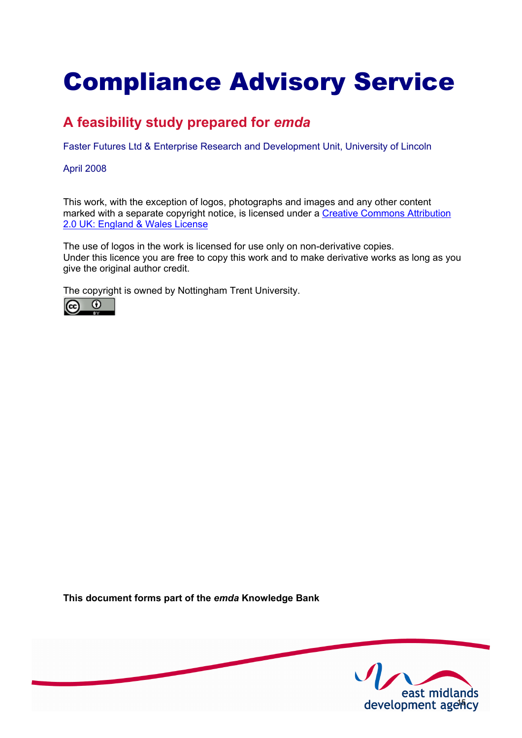# Compliance Advisory Service

# **A feasibility study prepared for** *emda*

Faster Futures Ltd & Enterprise Research and Development Unit, University of Lincoln

#### April 2008

This work, with the exception of logos, photographs and images and any other content [marked with a separate copyright notice, is licensed under a Creative Commons Attribution](http://creativecommons.org/licenses/by/2.0/uk) 2.0 UK: England & Wales License

The use of logos in the work is licensed for use only on non-derivative copies. Under this licence you are free to copy this work and to make derivative works as long as you give the original author credit.

The copyright is owned by Nottingham Trent University.



**This document forms part of the** *emda* **Knowledge Bank** 

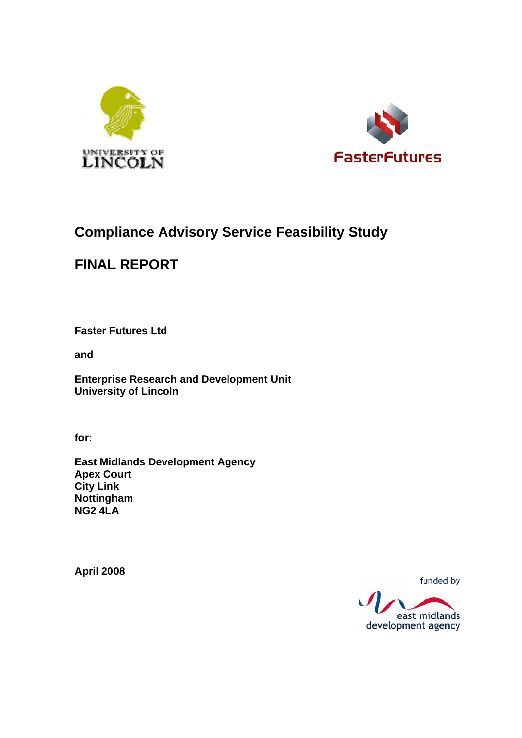



# **Compliance Advisory Service Feasibility Study**

# **FINAL REPORT**

**Faster Futures Ltd** 

**and** 

**Enterprise Research and Development Unit University of Lincoln** 

**for:** 

**East Midlands Development Agency Apex Court City Link Nottingham NG2 4LA** 

**April 2008** 

funded by

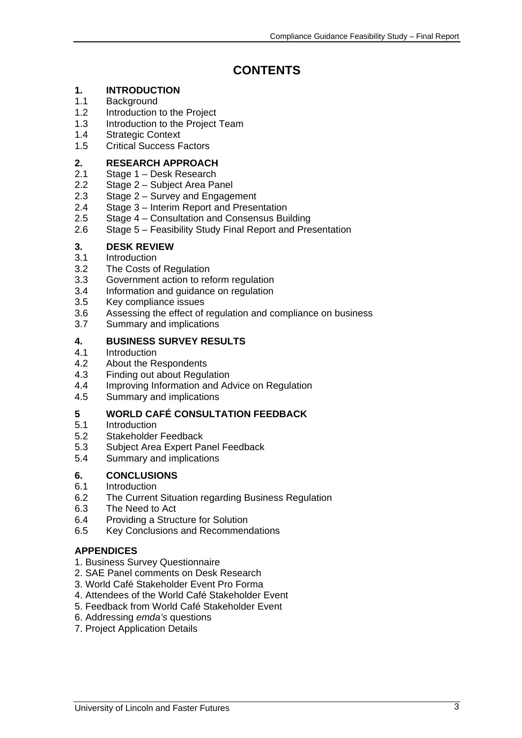# **CONTENTS**

# **1. INTRODUCTION**

- 1.1 Background<br>1.2 Introduction
- Introduction to the Project
- 1.3 Introduction to the Project Team
- 1.4 Strategic Context
- 1.5 Critical Success Factors

#### **2. RESEARCH APPROACH**

- 2.1 Stage 1 Desk Research
- 2.2 Stage 2 Subject Area Panel
- 2.3 Stage 2 Survey and Engagement
- 2.4 Stage 3 Interim Report and Presentation
- 2.5 Stage 4 Consultation and Consensus Building
- 2.6 Stage 5 Feasibility Study Final Report and Presentation

# **3. DESK REVIEW**

#### 3.1 Introduction

- 3.2 The Costs of Regulation
- 3.3 Government action to reform regulation
- 3.4 Information and guidance on regulation
- 3.5 Key compliance issues
- 3.6 Assessing the effect of regulation and compliance on business
- 3.7 Summary and implications

#### **4. BUSINESS SURVEY RESULTS**

- 4.1 Introduction<br>4.2 About the Re
- About the Respondents
- 4.3 Finding out about Regulation
- 4.4 Improving Information and Advice on Regulation
- 4.5 Summary and implications

#### **5 WORLD CAFÉ CONSULTATION FEEDBACK**

- 5.1 Introduction
- 5.2 Stakeholder Feedback
- 5.3 Subject Area Expert Panel Feedback
- 5.4 Summary and implications

#### **6. CONCLUSIONS**

- 6.1 Introduction
- 6.2 The Current Situation regarding Business Regulation
- 6.3 The Need to Act
- 6.4 Providing a Structure for Solution
- 6.5 Key Conclusions and Recommendations

#### **APPENDICES**

- 1. Business Survey Questionnaire
- 2. SAE Panel comments on Desk Research
- 3. World Café Stakeholder Event Pro Forma
- 4. Attendees of the World Café Stakeholder Event
- 5. Feedback from World Café Stakeholder Event
- 6. Addressing *emda's* questions
- 7. Project Application Details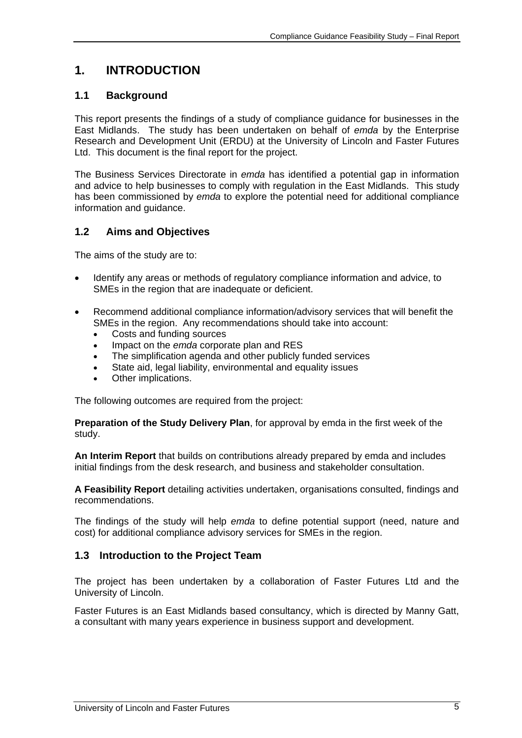# **1. INTRODUCTION**

# **1.1 Background**

This report presents the findings of a study of compliance guidance for businesses in the East Midlands. The study has been undertaken on behalf of *emda* by the Enterprise Research and Development Unit (ERDU) at the University of Lincoln and Faster Futures Ltd. This document is the final report for the project.

The Business Services Directorate in *emda* has identified a potential gap in information and advice to help businesses to comply with regulation in the East Midlands. This study has been commissioned by *emda* to explore the potential need for additional compliance information and guidance.

# **1.2 Aims and Objectives**

The aims of the study are to:

- Identify any areas or methods of regulatory compliance information and advice, to SMEs in the region that are inadequate or deficient.
- Recommend additional compliance information/advisory services that will benefit the SMEs in the region. Any recommendations should take into account:
	- Costs and funding sources
	- Impact on the *emda* corporate plan and RES
	- The simplification agenda and other publicly funded services
	- State aid, legal liability, environmental and equality issues
	- Other implications.

The following outcomes are required from the project:

**Preparation of the Study Delivery Plan**, for approval by emda in the first week of the study.

**An Interim Report** that builds on contributions already prepared by emda and includes initial findings from the desk research, and business and stakeholder consultation.

**A Feasibility Report** detailing activities undertaken, organisations consulted, findings and recommendations.

The findings of the study will help *emda* to define potential support (need, nature and cost) for additional compliance advisory services for SMEs in the region.

### **1.3 Introduction to the Project Team**

The project has been undertaken by a collaboration of Faster Futures Ltd and the University of Lincoln.

Faster Futures is an East Midlands based consultancy, which is directed by Manny Gatt, a consultant with many years experience in business support and development.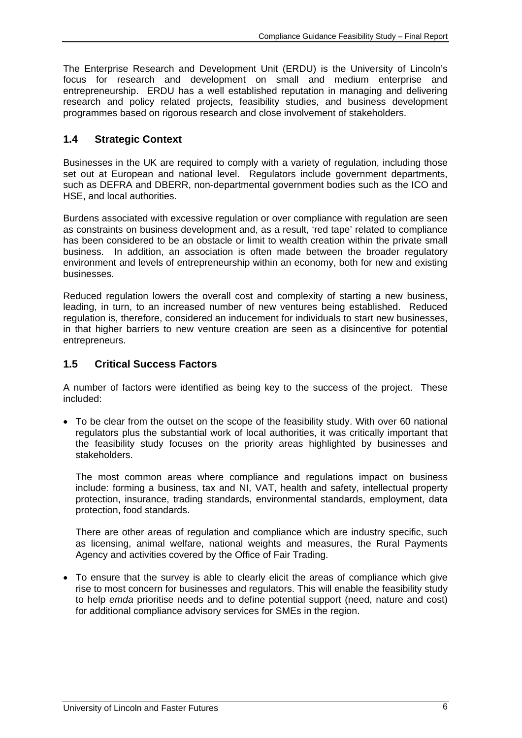The Enterprise Research and Development Unit (ERDU) is the University of Lincoln's focus for research and development on small and medium enterprise and entrepreneurship. ERDU has a well established reputation in managing and delivering research and policy related projects, feasibility studies, and business development programmes based on rigorous research and close involvement of stakeholders.

### **1.4 Strategic Context**

Businesses in the UK are required to comply with a variety of regulation, including those set out at European and national level. Regulators include government departments, such as DEFRA and DBERR, non-departmental government bodies such as the ICO and HSE, and local authorities.

Burdens associated with excessive regulation or over compliance with regulation are seen as constraints on business development and, as a result, 'red tape' related to compliance has been considered to be an obstacle or limit to wealth creation within the private small business. In addition, an association is often made between the broader regulatory environment and levels of entrepreneurship within an economy, both for new and existing businesses.

Reduced regulation lowers the overall cost and complexity of starting a new business, leading, in turn, to an increased number of new ventures being established. Reduced regulation is, therefore, considered an inducement for individuals to start new businesses, in that higher barriers to new venture creation are seen as a disincentive for potential entrepreneurs.

### **1.5 Critical Success Factors**

A number of factors were identified as being key to the success of the project. These included:

• To be clear from the outset on the scope of the feasibility study. With over 60 national regulators plus the substantial work of local authorities, it was critically important that the feasibility study focuses on the priority areas highlighted by businesses and stakeholders.

 The most common areas where compliance and regulations impact on business include: forming a business, tax and NI, VAT, health and safety, intellectual property protection, insurance, trading standards, environmental standards, employment, data protection, food standards.

 There are other areas of regulation and compliance which are industry specific, such as licensing, animal welfare, national weights and measures, the Rural Payments Agency and activities covered by the Office of Fair Trading.

• To ensure that the survey is able to clearly elicit the areas of compliance which give rise to most concern for businesses and regulators. This will enable the feasibility study to help *emda* prioritise needs and to define potential support (need, nature and cost) for additional compliance advisory services for SMEs in the region.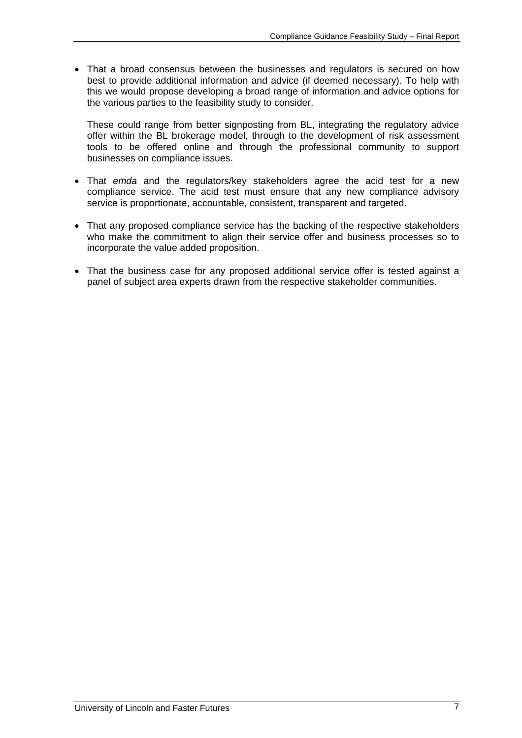• That a broad consensus between the businesses and regulators is secured on how best to provide additional information and advice (if deemed necessary). To help with this we would propose developing a broad range of information and advice options for the various parties to the feasibility study to consider.

 These could range from better signposting from BL, integrating the regulatory advice offer within the BL brokerage model, through to the development of risk assessment tools to be offered online and through the professional community to support businesses on compliance issues.

- That *emda* and the regulators/key stakeholders agree the acid test for a new compliance service. The acid test must ensure that any new compliance advisory service is proportionate, accountable, consistent, transparent and targeted.
- That any proposed compliance service has the backing of the respective stakeholders who make the commitment to align their service offer and business processes so to incorporate the value added proposition.
- That the business case for any proposed additional service offer is tested against a panel of subject area experts drawn from the respective stakeholder communities.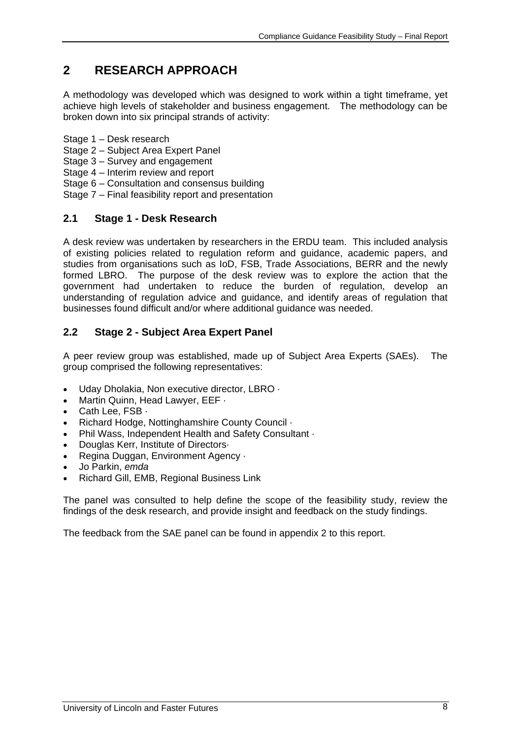# **2 RESEARCH APPROACH**

A methodology was developed which was designed to work within a tight timeframe, yet achieve high levels of stakeholder and business engagement. The methodology can be broken down into six principal strands of activity:

- Stage 1 Desk research
- Stage 2 Subject Area Expert Panel
- Stage 3 Survey and engagement
- Stage 4 Interim review and report
- Stage 6 Consultation and consensus building
- Stage 7 Final feasibility report and presentation

### **2.1 Stage 1 - Desk Research**

A desk review was undertaken by researchers in the ERDU team. This included analysis of existing policies related to regulation reform and guidance, academic papers, and studies from organisations such as IoD, FSB, Trade Associations, BERR and the newly formed LBRO. The purpose of the desk review was to explore the action that the government had undertaken to reduce the burden of regulation, develop an understanding of regulation advice and guidance, and identify areas of regulation that businesses found difficult and/or where additional guidance was needed.

# **2.2 Stage 2 - Subject Area Expert Panel**

A peer review group was established, made up of Subject Area Experts (SAEs). The group comprised the following representatives:

- Uday Dholakia, Non executive director, LBRO ·
- Martin Quinn, Head Lawyer, EEF ·
- Cath Lee, FSB ·
- Richard Hodge, Nottinghamshire County Council ·
- Phil Wass, Independent Health and Safety Consultant ·
- Douglas Kerr, Institute of Directors·
- Regina Duggan, Environment Agency ·
- Jo Parkin, *emda*
- Richard Gill, EMB, Regional Business Link

The panel was consulted to help define the scope of the feasibility study, review the findings of the desk research, and provide insight and feedback on the study findings.

The feedback from the SAE panel can be found in appendix 2 to this report.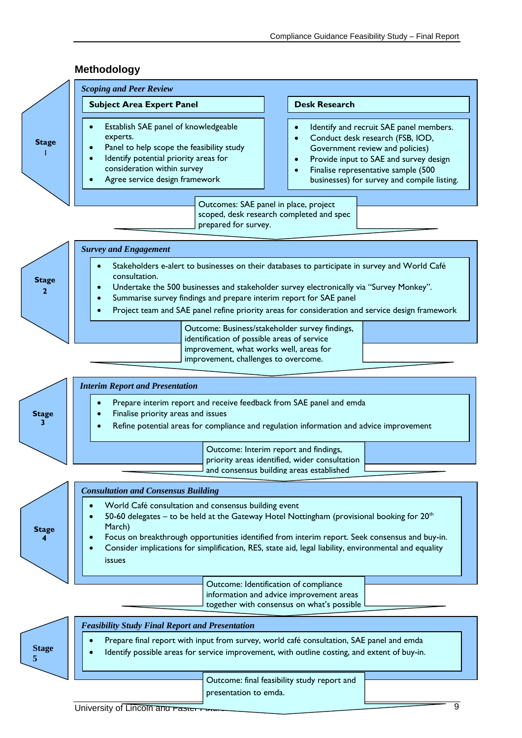

# **Methodology**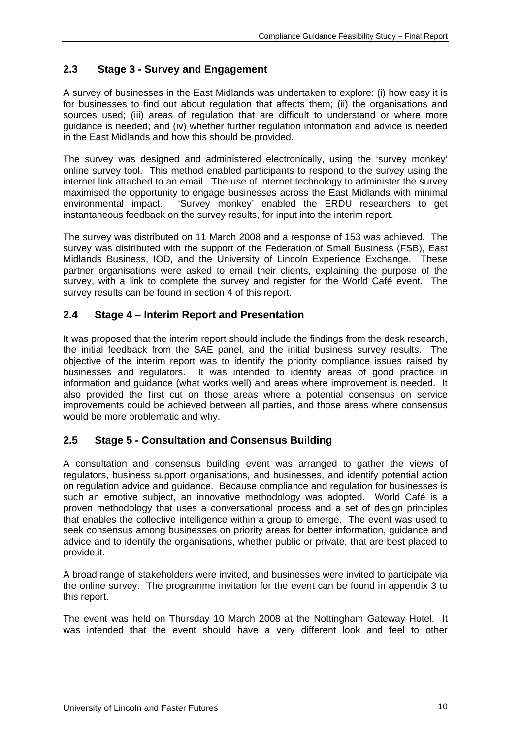# **2.3 Stage 3 - Survey and Engagement**

A survey of businesses in the East Midlands was undertaken to explore: (i) how easy it is for businesses to find out about regulation that affects them; (ii) the organisations and sources used; (iii) areas of regulation that are difficult to understand or where more guidance is needed; and (iv) whether further regulation information and advice is needed in the East Midlands and how this should be provided.

The survey was designed and administered electronically, using the 'survey monkey' online survey tool. This method enabled participants to respond to the survey using the internet link attached to an email. The use of internet technology to administer the survey maximised the opportunity to engage businesses across the East Midlands with minimal environmental impact. 'Survey monkey' enabled the ERDU researchers to get instantaneous feedback on the survey results, for input into the interim report.

The survey was distributed on 11 March 2008 and a response of 153 was achieved. The survey was distributed with the support of the Federation of Small Business (FSB), East Midlands Business, IOD, and the University of Lincoln Experience Exchange. These partner organisations were asked to email their clients, explaining the purpose of the survey, with a link to complete the survey and register for the World Café event. The survey results can be found in section 4 of this report.

# **2.4 Stage 4 – Interim Report and Presentation**

It was proposed that the interim report should include the findings from the desk research, the initial feedback from the SAE panel, and the initial business survey results. The objective of the interim report was to identify the priority compliance issues raised by businesses and regulators. It was intended to identify areas of good practice in information and guidance (what works well) and areas where improvement is needed. It also provided the first cut on those areas where a potential consensus on service improvements could be achieved between all parties, and those areas where consensus would be more problematic and why.

### **2.5 Stage 5 - Consultation and Consensus Building**

A consultation and consensus building event was arranged to gather the views of regulators, business support organisations, and businesses, and identify potential action on regulation advice and guidance. Because compliance and regulation for businesses is such an emotive subject, an innovative methodology was adopted. World Café is a proven methodology that uses a conversational process and a set of design principles that enables the collective intelligence within a group to emerge. The event was used to seek consensus among businesses on priority areas for better information, guidance and advice and to identify the organisations, whether public or private, that are best placed to provide it.

A broad range of stakeholders were invited, and businesses were invited to participate via the online survey. The programme invitation for the event can be found in appendix 3 to this report.

The event was held on Thursday 10 March 2008 at the Nottingham Gateway Hotel. It was intended that the event should have a very different look and feel to other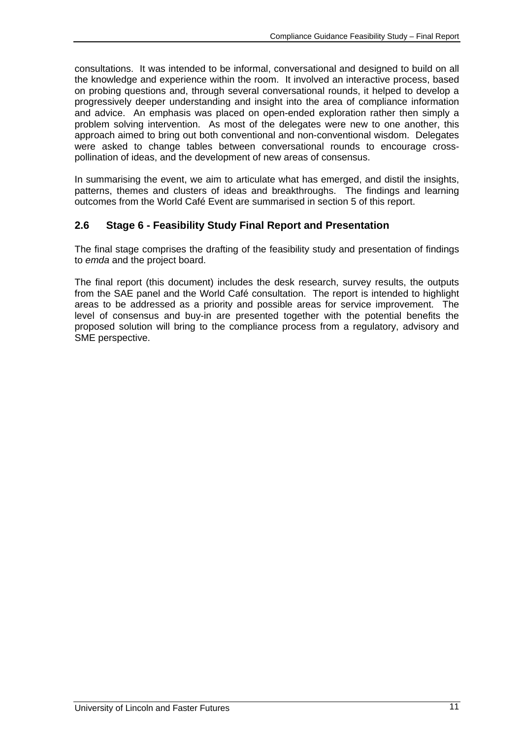consultations. It was intended to be informal, conversational and designed to build on all the knowledge and experience within the room. It involved an interactive process, based on probing questions and, through several conversational rounds, it helped to develop a progressively deeper understanding and insight into the area of compliance information and advice. An emphasis was placed on open-ended exploration rather then simply a problem solving intervention. As most of the delegates were new to one another, this approach aimed to bring out both conventional and non-conventional wisdom. Delegates were asked to change tables between conversational rounds to encourage crosspollination of ideas, and the development of new areas of consensus.

In summarising the event, we aim to articulate what has emerged, and distil the insights, patterns, themes and clusters of ideas and breakthroughs. The findings and learning outcomes from the World Café Event are summarised in section 5 of this report.

# **2.6 Stage 6 - Feasibility Study Final Report and Presentation**

The final stage comprises the drafting of the feasibility study and presentation of findings to *emda* and the project board.

The final report (this document) includes the desk research, survey results, the outputs from the SAE panel and the World Café consultation. The report is intended to highlight areas to be addressed as a priority and possible areas for service improvement. The level of consensus and buy-in are presented together with the potential benefits the proposed solution will bring to the compliance process from a regulatory, advisory and SME perspective.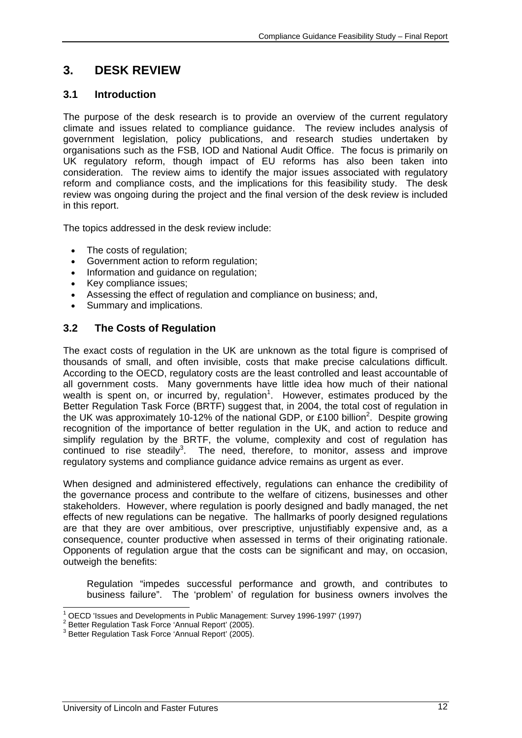# **3. DESK REVIEW**

# **3.1 Introduction**

The purpose of the desk research is to provide an overview of the current regulatory climate and issues related to compliance guidance. The review includes analysis of government legislation, policy publications, and research studies undertaken by organisations such as the FSB, IOD and National Audit Office. The focus is primarily on UK regulatory reform, though impact of EU reforms has also been taken into consideration. The review aims to identify the major issues associated with regulatory reform and compliance costs, and the implications for this feasibility study. The desk review was ongoing during the project and the final version of the desk review is included in this report.

The topics addressed in the desk review include:

- The costs of regulation;
- Government action to reform regulation;
- Information and guidance on regulation;
- Key compliance issues:
- Assessing the effect of regulation and compliance on business; and,
- Summary and implications.

# **3.2 The Costs of Regulation**

The exact costs of regulation in the UK are unknown as the total figure is comprised of thousands of small, and often invisible, costs that make precise calculations difficult. According to the OECD, regulatory costs are the least controlled and least accountable of all government costs. Many governments have little idea how much of their national wealth is spent on, or incurred by, regulation<sup>1</sup>. However, estimates produced by the Better Regulation Task Force (BRTF) suggest that, in 2004, the total cost of regulation in the UK was approximately 10-12% of the national GDP, or £100 billion<sup>2</sup>. Despite growing recognition of the importance of better regulation in the UK, and action to reduce and simplify regulation by the BRTF, the volume, complexity and cost of regulation has continued to rise steadily<sup>3</sup>. The need, therefore, to monitor, assess and improve regulatory systems and compliance guidance advice remains as urgent as ever.

When designed and administered effectively, regulations can enhance the credibility of the governance process and contribute to the welfare of citizens, businesses and other stakeholders. However, where regulation is poorly designed and badly managed, the net effects of new regulations can be negative. The hallmarks of poorly designed regulations are that they are over ambitious, over prescriptive, unjustifiably expensive and, as a consequence, counter productive when assessed in terms of their originating rationale. Opponents of regulation argue that the costs can be significant and may, on occasion, outweigh the benefits:

Regulation "impedes successful performance and growth, and contributes to business failure". The 'problem' of regulation for business owners involves the

 1 OECD 'Issues and Developments in Public Management: Survey 1996-1997' (1997)

<sup>&</sup>lt;sup>2</sup> Better Regulation Task Force 'Annual Report' (2005).

<sup>&</sup>lt;sup>3</sup> Better Regulation Task Force 'Annual Report' (2005).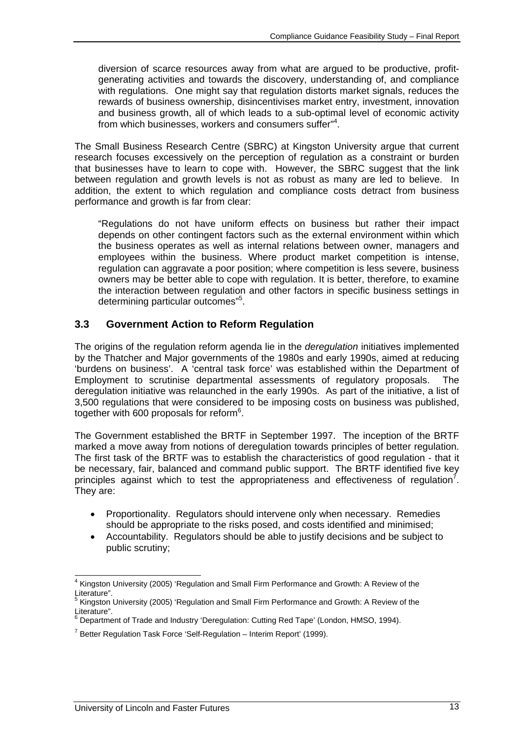diversion of scarce resources away from what are argued to be productive, profitgenerating activities and towards the discovery, understanding of, and compliance with regulations. One might say that regulation distorts market signals, reduces the rewards of business ownership, disincentivises market entry, investment, innovation and business growth, all of which leads to a sub-optimal level of economic activity from which businesses, workers and consumers suffer"4 .

The Small Business Research Centre (SBRC) at Kingston University argue that current research focuses excessively on the perception of regulation as a constraint or burden that businesses have to learn to cope with. However, the SBRC suggest that the link between regulation and growth levels is not as robust as many are led to believe. In addition, the extent to which regulation and compliance costs detract from business performance and growth is far from clear:

"Regulations do not have uniform effects on business but rather their impact depends on other contingent factors such as the external environment within which the business operates as well as internal relations between owner, managers and employees within the business. Where product market competition is intense, regulation can aggravate a poor position; where competition is less severe, business owners may be better able to cope with regulation. It is better, therefore, to examine the interaction between regulation and other factors in specific business settings in determining particular outcomes"<sup>5</sup>.

# **3.3 Government Action to Reform Regulation**

The origins of the regulation reform agenda lie in the *deregulation* initiatives implemented by the Thatcher and Major governments of the 1980s and early 1990s, aimed at reducing 'burdens on business'. A 'central task force' was established within the Department of Employment to scrutinise departmental assessments of regulatory proposals. The deregulation initiative was relaunched in the early 1990s. As part of the initiative, a list of 3,500 regulations that were considered to be imposing costs on business was published, together with 600 proposals for reform<sup>6</sup>.

The Government established the BRTF in September 1997. The inception of the BRTF marked a move away from notions of deregulation towards principles of better regulation. The first task of the BRTF was to establish the characteristics of good regulation - that it be necessary, fair, balanced and command public support. The BRTF identified five key principles against which to test the appropriateness and effectiveness of regulation<sup>7</sup>. They are:

- Proportionality. Regulators should intervene only when necessary. Remedies should be appropriate to the risks posed, and costs identified and minimised;
- Accountability. Regulators should be able to justify decisions and be subject to public scrutiny;

 4 Kingston University (2005) 'Regulation and Small Firm Performance and Growth: A Review of the Literature".

<sup>&</sup>lt;sup>5</sup> Kingston University (2005) 'Regulation and Small Firm Performance and Growth: A Review of the

Literature".<br><sup>6</sup> Department of Trade and Industry 'Deregulation: Cutting Red Tape' (London, HMSO, 1994).

<sup>&</sup>lt;sup>7</sup> Better Regulation Task Force 'Self-Regulation – Interim Report' (1999).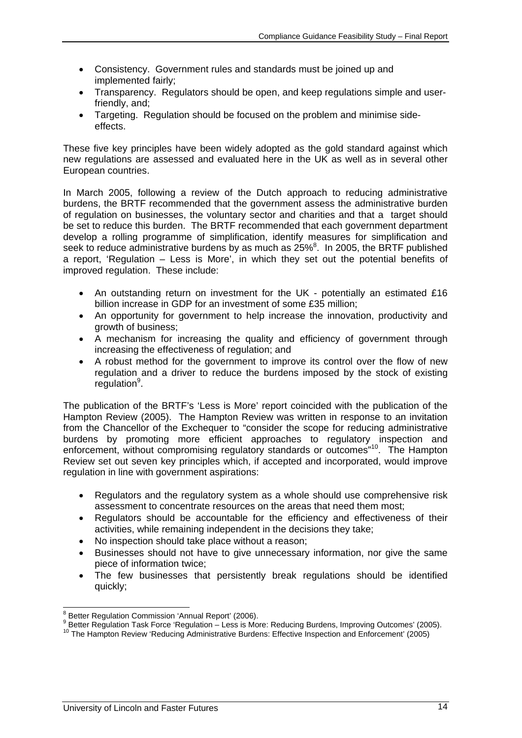- Consistency. Government rules and standards must be joined up and implemented fairly;
- Transparency. Regulators should be open, and keep regulations simple and userfriendly, and;
- Targeting. Regulation should be focused on the problem and minimise sideeffects.

These five key principles have been widely adopted as the gold standard against which new regulations are assessed and evaluated here in the UK as well as in several other European countries.

In March 2005, following a review of the Dutch approach to reducing administrative burdens, the BRTF recommended that the government assess the administrative burden of regulation on businesses, the voluntary sector and charities and that a target should be set to reduce this burden. The BRTF recommended that each government department develop a rolling programme of simplification, identify measures for simplification and seek to reduce administrative burdens by as much as  $25\%$ <sup>8</sup>. In 2005, the BRTF published a report, 'Regulation – Less is More', in which they set out the potential benefits of improved regulation. These include:

- An outstanding return on investment for the UK potentially an estimated £16 billion increase in GDP for an investment of some £35 million;
- An opportunity for government to help increase the innovation, productivity and growth of business;
- A mechanism for increasing the quality and efficiency of government through increasing the effectiveness of regulation; and
- A robust method for the government to improve its control over the flow of new regulation and a driver to reduce the burdens imposed by the stock of existing regulation<sup>9</sup>.

The publication of the BRTF's 'Less is More' report coincided with the publication of the Hampton Review (2005). The Hampton Review was written in response to an invitation from the Chancellor of the Exchequer to "consider the scope for reducing administrative burdens by promoting more efficient approaches to regulatory inspection and enforcement, without compromising regulatory standards or outcomes<sup>"10</sup>. The Hampton Review set out seven key principles which, if accepted and incorporated, would improve regulation in line with government aspirations:

- Regulators and the regulatory system as a whole should use comprehensive risk assessment to concentrate resources on the areas that need them most;
- Regulators should be accountable for the efficiency and effectiveness of their activities, while remaining independent in the decisions they take;
- No inspection should take place without a reason;
- Businesses should not have to give unnecessary information, nor give the same piece of information twice;
- The few businesses that persistently break regulations should be identified quickly;

<sup>&</sup>lt;sup>8</sup> Better Regulation Commission 'Annual Report' (2006).

<sup>9</sup> Better Regulation Task Force 'Regulation – Less is More: Reducing Burdens, Improving Outcomes' (2005).

<sup>10</sup> The Hampton Review 'Reducing Administrative Burdens: Effective Inspection and Enforcement' (2005)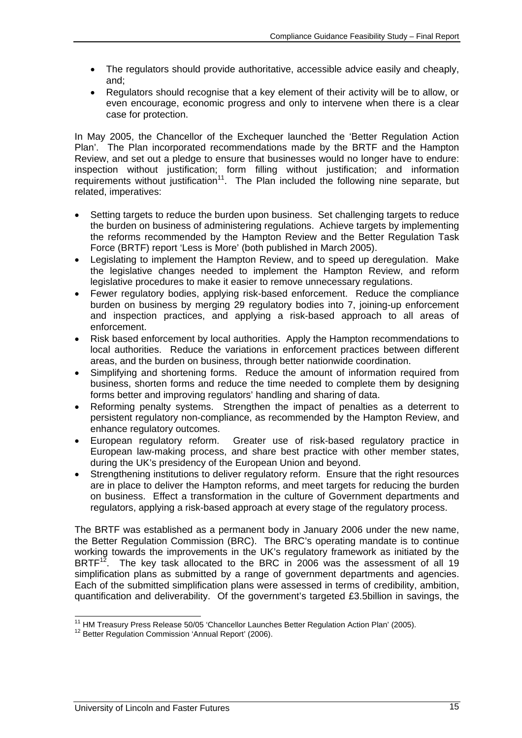- The regulators should provide authoritative, accessible advice easily and cheaply, and;
- Regulators should recognise that a key element of their activity will be to allow, or even encourage, economic progress and only to intervene when there is a clear case for protection.

In May 2005, the Chancellor of the Exchequer launched the 'Better Regulation Action Plan'. The Plan incorporated recommendations made by the BRTF and the Hampton Review, and set out a pledge to ensure that businesses would no longer have to endure: inspection without justification; form filling without justification; and information requirements without justification<sup>11</sup>. The Plan included the following nine separate, but related, imperatives:

- Setting targets to reduce the burden upon business. Set challenging targets to reduce the burden on business of administering regulations. Achieve targets by implementing the reforms recommended by the Hampton Review and the Better Regulation Task Force (BRTF) report 'Less is More' (both published in March 2005).
- Legislating to implement the Hampton Review, and to speed up deregulation. Make the legislative changes needed to implement the Hampton Review, and reform legislative procedures to make it easier to remove unnecessary regulations.
- Fewer regulatory bodies, applying risk-based enforcement. Reduce the compliance burden on business by merging 29 regulatory bodies into 7, joining-up enforcement and inspection practices, and applying a risk-based approach to all areas of enforcement.
- Risk based enforcement by local authorities. Apply the Hampton recommendations to local authorities. Reduce the variations in enforcement practices between different areas, and the burden on business, through better nationwide coordination.
- Simplifying and shortening forms. Reduce the amount of information required from business, shorten forms and reduce the time needed to complete them by designing forms better and improving regulators' handling and sharing of data.
- Reforming penalty systems. Strengthen the impact of penalties as a deterrent to persistent regulatory non-compliance, as recommended by the Hampton Review, and enhance regulatory outcomes.
- European regulatory reform. Greater use of risk-based regulatory practice in European law-making process, and share best practice with other member states, during the UK's presidency of the European Union and beyond.
- Strengthening institutions to deliver regulatory reform. Ensure that the right resources are in place to deliver the Hampton reforms, and meet targets for reducing the burden on business. Effect a transformation in the culture of Government departments and regulators, applying a risk-based approach at every stage of the regulatory process.

The BRTF was established as a permanent body in January 2006 under the new name, the Better Regulation Commission (BRC). The BRC's operating mandate is to continue working towards the improvements in the UK's regulatory framework as initiated by the BRTF<sup>12</sup>. The key task allocated to the BRC in 2006 was the assessment of all 19 simplification plans as submitted by a range of government departments and agencies. Each of the submitted simplification plans were assessed in terms of credibility, ambition, quantification and deliverability. Of the government's targeted £3.5billion in savings, the

 $\overline{\phantom{a}}$ <sup>11</sup> HM Treasury Press Release 50/05 'Chancellor Launches Better Regulation Action Plan' (2005).<br><sup>12</sup> Better Regulation Commission 'Annual Report' (2006).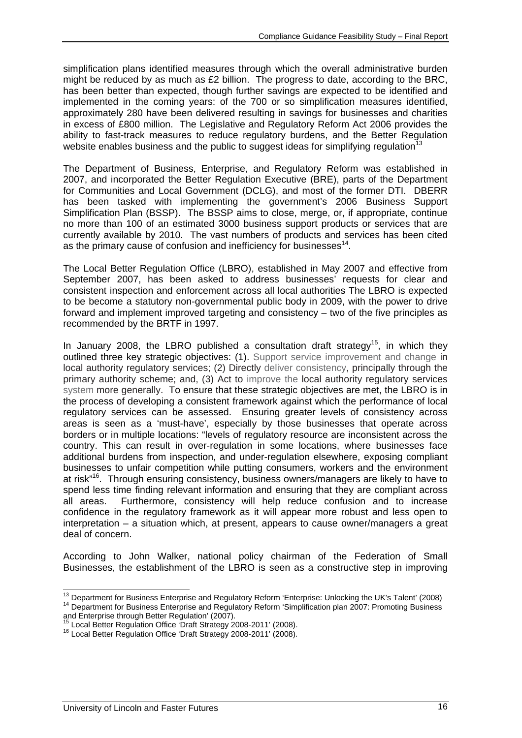simplification plans identified measures through which the overall administrative burden might be reduced by as much as £2 billion. The progress to date, according to the BRC, has been better than expected, though further savings are expected to be identified and implemented in the coming years: of the 700 or so simplification measures identified, approximately 280 have been delivered resulting in savings for businesses and charities in excess of £800 million. The Legislative and Regulatory Reform Act 2006 provides the ability to fast-track measures to reduce regulatory burdens, and the Better Regulation website enables business and the public to suggest ideas for simplifying regulation<sup>1</sup>

The Department of Business, Enterprise, and Regulatory Reform was established in 2007, and incorporated the Better Regulation Executive (BRE), parts of the Department for Communities and Local Government (DCLG), and most of the former DTI. DBERR has been tasked with implementing the government's 2006 Business Support Simplification Plan (BSSP). The BSSP aims to close, merge, or, if appropriate, continue no more than 100 of an estimated 3000 business support products or services that are currently available by 2010. The vast numbers of products and services has been cited as the primary cause of confusion and inefficiency for businesses<sup>14</sup>.

The Local Better Regulation Office (LBRO), established in May 2007 and effective from September 2007, has been asked to address businesses' requests for clear and consistent inspection and enforcement across all local authorities The LBRO is expected to be become a statutory non-governmental public body in 2009, with the power to drive forward and implement improved targeting and consistency – two of the five principles as recommended by the BRTF in 1997.

In January 2008, the LBRO published a consultation draft strategy<sup>15</sup>, in which they outlined three key strategic objectives: (1). Support service improvement and change in local authority regulatory services; (2) Directly deliver consistency, principally through the primary authority scheme; and, (3) Act to improve the local authority regulatory services system more generally. To ensure that these strategic objectives are met, the LBRO is in the process of developing a consistent framework against which the performance of local regulatory services can be assessed. Ensuring greater levels of consistency across areas is seen as a 'must-have', especially by those businesses that operate across borders or in multiple locations: "levels of regulatory resource are inconsistent across the country. This can result in over-regulation in some locations, where businesses face additional burdens from inspection, and under-regulation elsewhere, exposing compliant businesses to unfair competition while putting consumers, workers and the environment at risk"16. Through ensuring consistency, business owners/managers are likely to have to spend less time finding relevant information and ensuring that they are compliant across all areas. Furthermore, consistency will help reduce confusion and to increase confidence in the regulatory framework as it will appear more robust and less open to interpretation – a situation which, at present, appears to cause owner/managers a great deal of concern.

According to John Walker, national policy chairman of the Federation of Small Businesses, the establishment of the LBRO is seen as a constructive step in improving

<sup>&</sup>lt;sup>13</sup> Department for Business Enterprise and Regulatory Reform 'Enterprise: Unlocking the UK's Talent' (2008) <sup>14</sup> Department for Business Enterprise and Regulatory Reform 'Simplification plan 2007: Promoting Business

and Enterprise through Better Regulation' (2007).<br>
<sup>15</sup> Local Better Regulation Office 'Draft Strategy 2008-2011' (2008).

<sup>&</sup>lt;sup>16</sup> Local Better Regulation Office 'Draft Strategy 2008-2011' (2008).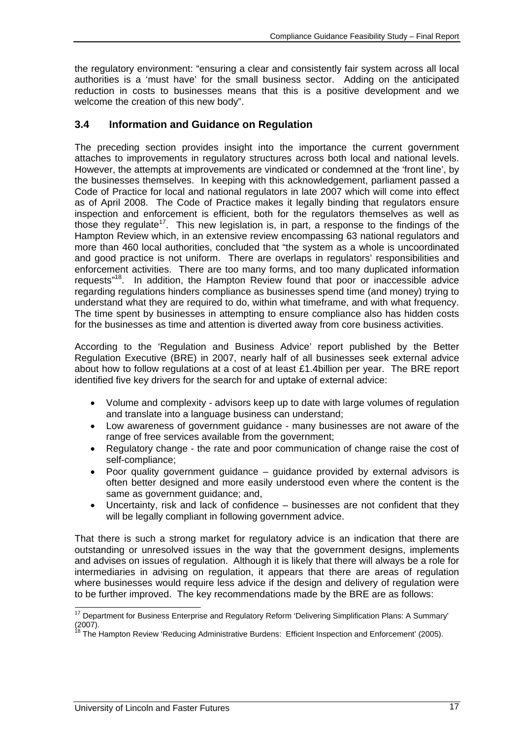the regulatory environment: "ensuring a clear and consistently fair system across all local authorities is a 'must have' for the small business sector. Adding on the anticipated reduction in costs to businesses means that this is a positive development and we welcome the creation of this new body".

# **3.4 Information and Guidance on Regulation**

The preceding section provides insight into the importance the current government attaches to improvements in regulatory structures across both local and national levels. However, the attempts at improvements are vindicated or condemned at the 'front line', by the businesses themselves. In keeping with this acknowledgement, parliament passed a Code of Practice for local and national regulators in late 2007 which will come into effect as of April 2008. The Code of Practice makes it legally binding that regulators ensure inspection and enforcement is efficient, both for the regulators themselves as well as those they regulate<sup>17</sup>. This new legislation is, in part, a response to the findings of the Hampton Review which, in an extensive review encompassing 63 national regulators and more than 460 local authorities, concluded that "the system as a whole is uncoordinated and good practice is not uniform. There are overlaps in regulators' responsibilities and enforcement activities. There are too many forms, and too many duplicated information requests"18. In addition, the Hampton Review found that poor or inaccessible advice regarding regulations hinders compliance as businesses spend time (and money) trying to understand what they are required to do, within what timeframe, and with what frequency. The time spent by businesses in attempting to ensure compliance also has hidden costs for the businesses as time and attention is diverted away from core business activities.

According to the 'Regulation and Business Advice' report published by the Better Regulation Executive (BRE) in 2007, nearly half of all businesses seek external advice about how to follow regulations at a cost of at least £1.4billion per year. The BRE report identified five key drivers for the search for and uptake of external advice:

- Volume and complexity advisors keep up to date with large volumes of regulation and translate into a language business can understand;
- Low awareness of government guidance many businesses are not aware of the range of free services available from the government;
- Regulatory change the rate and poor communication of change raise the cost of self-compliance;
- Poor quality government guidance guidance provided by external advisors is often better designed and more easily understood even where the content is the same as government guidance; and,
- Uncertainty, risk and lack of confidence businesses are not confident that they will be legally compliant in following government advice.

That there is such a strong market for regulatory advice is an indication that there are outstanding or unresolved issues in the way that the government designs, implements and advises on issues of regulation. Although it is likely that there will always be a role for intermediaries in advising on regulation, it appears that there are areas of regulation where businesses would require less advice if the design and delivery of regulation were to be further improved. The key recommendations made by the BRE are as follows:

l  $17$  Department for Business Enterprise and Regulatory Reform 'Delivering Simplification Plans: A Summary' (2007).

<sup>&</sup>lt;sup>18</sup> The Hampton Review 'Reducing Administrative Burdens: Efficient Inspection and Enforcement' (2005).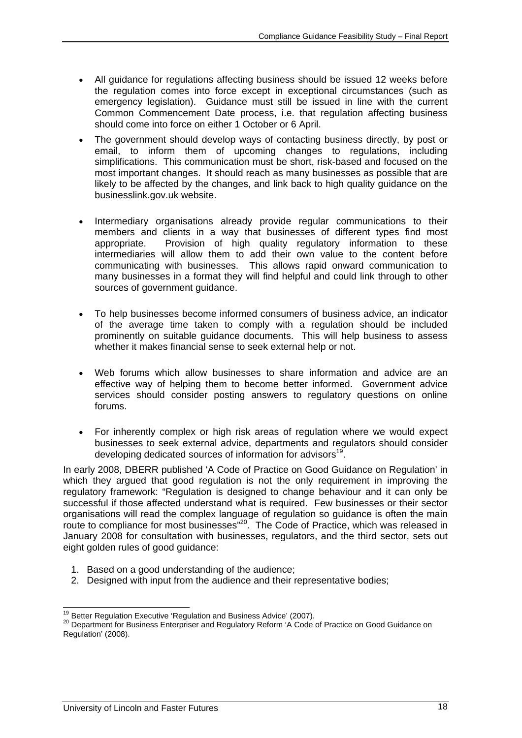- All guidance for regulations affecting business should be issued 12 weeks before the regulation comes into force except in exceptional circumstances (such as emergency legislation). Guidance must still be issued in line with the current Common Commencement Date process, i.e. that regulation affecting business should come into force on either 1 October or 6 April.
- The government should develop ways of contacting business directly, by post or email, to inform them of upcoming changes to regulations, including simplifications. This communication must be short, risk-based and focused on the most important changes. It should reach as many businesses as possible that are likely to be affected by the changes, and link back to high quality guidance on the businesslink.gov.uk website.
- Intermediary organisations already provide regular communications to their members and clients in a way that businesses of different types find most appropriate. Provision of high quality regulatory information to these intermediaries will allow them to add their own value to the content before communicating with businesses. This allows rapid onward communication to many businesses in a format they will find helpful and could link through to other sources of government guidance.
- To help businesses become informed consumers of business advice, an indicator of the average time taken to comply with a regulation should be included prominently on suitable guidance documents. This will help business to assess whether it makes financial sense to seek external help or not.
- Web forums which allow businesses to share information and advice are an effective way of helping them to become better informed. Government advice services should consider posting answers to regulatory questions on online forums.
- For inherently complex or high risk areas of regulation where we would expect businesses to seek external advice, departments and regulators should consider developing dedicated sources of information for advisors<sup>19</sup>.

In early 2008, DBERR published 'A Code of Practice on Good Guidance on Regulation' in which they argued that good regulation is not the only requirement in improving the regulatory framework: "Regulation is designed to change behaviour and it can only be successful if those affected understand what is required. Few businesses or their sector organisations will read the complex language of regulation so guidance is often the main route to compliance for most businesses"<sup>20</sup>. The Code of Practice, which was released in January 2008 for consultation with businesses, regulators, and the third sector, sets out eight golden rules of good guidance:

- 1. Based on a good understanding of the audience;
- 2. Designed with input from the audience and their representative bodies;

<sup>&</sup>lt;sup>19</sup> Better Reaulation Executive 'Regulation and Business Advice' (2007).

<sup>20</sup> Better Regulation Executive Trigulation and Regulatory Reform 'A Code of Practice on Good Guidance on Regulation' (2008).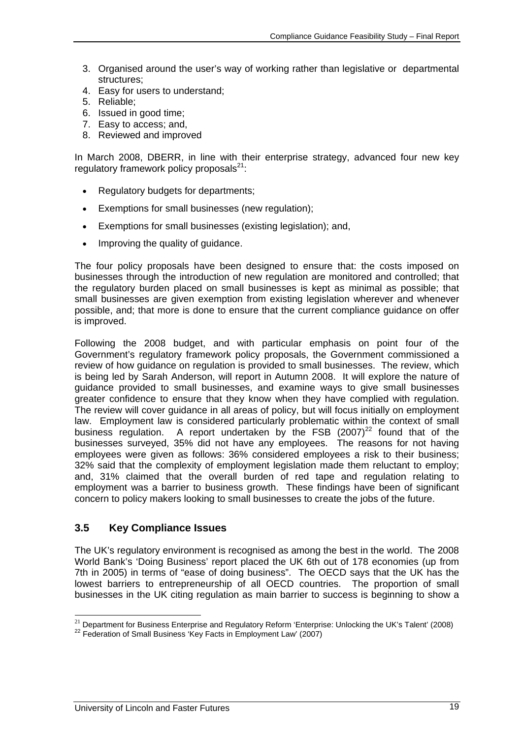- 3. Organised around the user's way of working rather than legislative or departmental structures;
- 4. Easy for users to understand;
- 5. Reliable;
- 6. Issued in good time;
- 7. Easy to access; and,
- 8. Reviewed and improved

In March 2008, DBERR, in line with their enterprise strategy, advanced four new key regulatory framework policy proposals $^{21}$ :

- Regulatory budgets for departments;
- Exemptions for small businesses (new regulation);
- Exemptions for small businesses (existing legislation); and,
- Improving the quality of guidance.

The four policy proposals have been designed to ensure that: the costs imposed on businesses through the introduction of new regulation are monitored and controlled; that the regulatory burden placed on small businesses is kept as minimal as possible; that small businesses are given exemption from existing legislation wherever and whenever possible, and; that more is done to ensure that the current compliance guidance on offer is improved.

Following the 2008 budget, and with particular emphasis on point four of the Government's regulatory framework policy proposals, the Government commissioned a review of how guidance on regulation is provided to small businesses. The review, which is being led by Sarah Anderson, will report in Autumn 2008. It will explore the nature of guidance provided to small businesses, and examine ways to give small businesses greater confidence to ensure that they know when they have complied with regulation. The review will cover guidance in all areas of policy, but will focus initially on employment law. Employment law is considered particularly problematic within the context of small business regulation. A report undertaken by the FSB  $(2007)^{22}$  found that of the businesses surveyed, 35% did not have any employees. The reasons for not having employees were given as follows: 36% considered employees a risk to their business; 32% said that the complexity of employment legislation made them reluctant to employ; and, 31% claimed that the overall burden of red tape and regulation relating to employment was a barrier to business growth. These findings have been of significant concern to policy makers looking to small businesses to create the jobs of the future.

### **3.5 Key Compliance Issues**

l

The UK's regulatory environment is recognised as among the best in the world. The 2008 World Bank's 'Doing Business' report placed the UK 6th out of 178 economies (up from 7th in 2005) in terms of "ease of doing business". The OECD says that the UK has the lowest barriers to entrepreneurship of all OECD countries. The proportion of small businesses in the UK citing regulation as main barrier to success is beginning to show a

<sup>&</sup>lt;sup>21</sup> Department for Business Enterprise and Regulatory Reform 'Enterprise: Unlocking the UK's Talent' (2008) <sup>22</sup> Federation of Small Business 'Key Facts in Employment Law' (2007)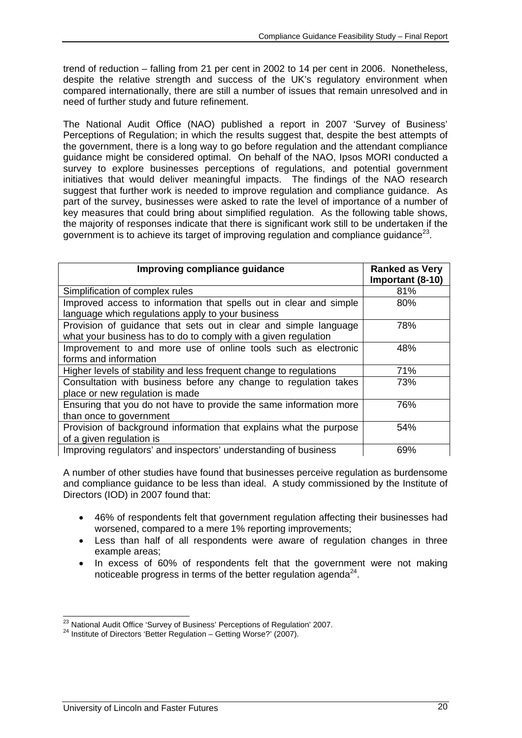trend of reduction – falling from 21 per cent in 2002 to 14 per cent in 2006. Nonetheless, despite the relative strength and success of the UK's regulatory environment when compared internationally, there are still a number of issues that remain unresolved and in need of further study and future refinement.

The National Audit Office (NAO) published a report in 2007 'Survey of Business' Perceptions of Regulation; in which the results suggest that, despite the best attempts of the government, there is a long way to go before regulation and the attendant compliance guidance might be considered optimal. On behalf of the NAO, Ipsos MORI conducted a survey to explore businesses perceptions of regulations, and potential government initiatives that would deliver meaningful impacts. The findings of the NAO research suggest that further work is needed to improve regulation and compliance guidance. As part of the survey, businesses were asked to rate the level of importance of a number of key measures that could bring about simplified regulation. As the following table shows, the majority of responses indicate that there is significant work still to be undertaken if the government is to achieve its target of improving regulation and compliance guidance $^{23}$ .

| Improving compliance guidance                                      | <b>Ranked as Very</b> |
|--------------------------------------------------------------------|-----------------------|
|                                                                    | Important (8-10)      |
| Simplification of complex rules                                    | 81%                   |
| Improved access to information that spells out in clear and simple | 80%                   |
| language which regulations apply to your business                  |                       |
| Provision of guidance that sets out in clear and simple language   | 78%                   |
| what your business has to do to comply with a given regulation     |                       |
| Improvement to and more use of online tools such as electronic     | 48%                   |
| forms and information                                              |                       |
| Higher levels of stability and less frequent change to regulations | 71%                   |
| Consultation with business before any change to regulation takes   | 73%                   |
| place or new regulation is made                                    |                       |
| Ensuring that you do not have to provide the same information more | 76%                   |
| than once to government                                            |                       |
| Provision of background information that explains what the purpose | 54%                   |
| of a given regulation is                                           |                       |
| Improving regulators' and inspectors' understanding of business    | 69%                   |

A number of other studies have found that businesses perceive regulation as burdensome and compliance guidance to be less than ideal. A study commissioned by the Institute of Directors (IOD) in 2007 found that:

- 46% of respondents felt that government regulation affecting their businesses had worsened, compared to a mere 1% reporting improvements;
- Less than half of all respondents were aware of regulation changes in three example areas;
- In excess of 60% of respondents felt that the government were not making noticeable progress in terms of the better regulation agenda $^{24}$ .

<sup>&</sup>lt;sup>23</sup> National Audit Office 'Survey of Business' Perceptions of Regulation' 2007.

<sup>24</sup> Institute of Directors 'Better Regulation – Getting Worse?' (2007).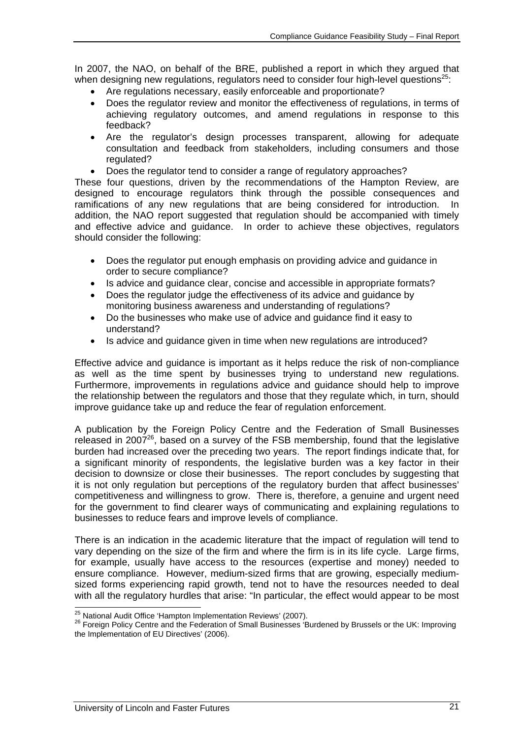In 2007, the NAO, on behalf of the BRE, published a report in which they argued that when designing new regulations, regulators need to consider four high-level questions<sup>25</sup>:

- Are regulations necessary, easily enforceable and proportionate?
- Does the regulator review and monitor the effectiveness of regulations, in terms of achieving regulatory outcomes, and amend regulations in response to this feedback?
- Are the regulator's design processes transparent, allowing for adequate consultation and feedback from stakeholders, including consumers and those regulated?
- Does the regulator tend to consider a range of regulatory approaches?

These four questions, driven by the recommendations of the Hampton Review, are designed to encourage regulators think through the possible consequences and ramifications of any new regulations that are being considered for introduction. In addition, the NAO report suggested that regulation should be accompanied with timely and effective advice and guidance. In order to achieve these objectives, regulators should consider the following:

- Does the regulator put enough emphasis on providing advice and guidance in order to secure compliance?
- Is advice and guidance clear, concise and accessible in appropriate formats?
- Does the regulator judge the effectiveness of its advice and guidance by monitoring business awareness and understanding of regulations?
- Do the businesses who make use of advice and guidance find it easy to understand?
- Is advice and guidance given in time when new regulations are introduced?

Effective advice and guidance is important as it helps reduce the risk of non-compliance as well as the time spent by businesses trying to understand new regulations. Furthermore, improvements in regulations advice and guidance should help to improve the relationship between the regulators and those that they regulate which, in turn, should improve guidance take up and reduce the fear of regulation enforcement.

A publication by the Foreign Policy Centre and the Federation of Small Businesses released in 200 $7^{26}$ , based on a survey of the FSB membership, found that the legislative burden had increased over the preceding two years. The report findings indicate that, for a significant minority of respondents, the legislative burden was a key factor in their decision to downsize or close their businesses. The report concludes by suggesting that it is not only regulation but perceptions of the regulatory burden that affect businesses' competitiveness and willingness to grow. There is, therefore, a genuine and urgent need for the government to find clearer ways of communicating and explaining regulations to businesses to reduce fears and improve levels of compliance.

There is an indication in the academic literature that the impact of regulation will tend to vary depending on the size of the firm and where the firm is in its life cycle. Large firms, for example, usually have access to the resources (expertise and money) needed to ensure compliance. However, medium-sized firms that are growing, especially mediumsized forms experiencing rapid growth, tend not to have the resources needed to deal with all the regulatory hurdles that arise: "In particular, the effect would appear to be most

<sup>&</sup>lt;sup>25</sup> National Audit Office 'Hampton Implementation Reviews' (2007).

<sup>&</sup>lt;sup>26</sup> Foreign Policy Centre and the Federation of Small Businesses 'Burdened by Brussels or the UK: Improving the Implementation of EU Directives' (2006).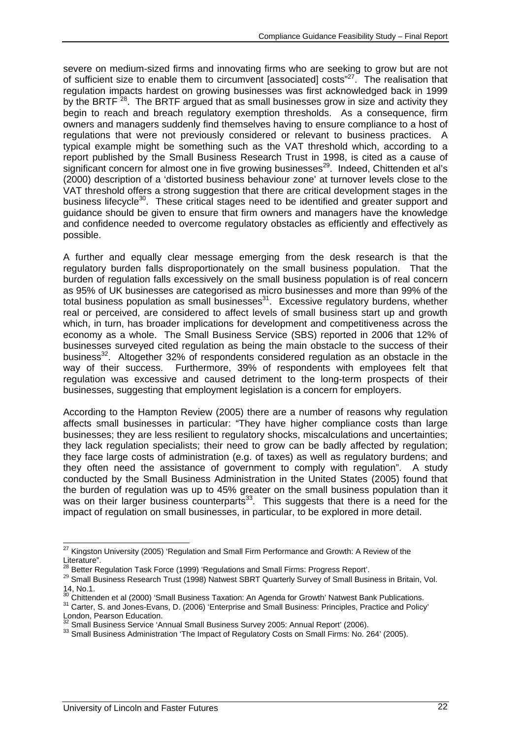severe on medium-sized firms and innovating firms who are seeking to grow but are not of sufficient size to enable them to circumvent [associated] costs"<sup>27</sup>. The realisation that regulation impacts hardest on growing businesses was first acknowledged back in 1999 by the BRTF <sup>28</sup>. The BRTF argued that as small businesses grow in size and activity they begin to reach and breach regulatory exemption thresholds. As a consequence, firm owners and managers suddenly find themselves having to ensure compliance to a host of regulations that were not previously considered or relevant to business practices. A typical example might be something such as the VAT threshold which, according to a report published by the Small Business Research Trust in 1998, is cited as a cause of significant concern for almost one in five growing businesses<sup>29</sup>. Indeed, Chittenden et al's (2000) description of a 'distorted business behaviour zone' at turnover levels close to the VAT threshold offers a strong suggestion that there are critical development stages in the business lifecycle<sup>30</sup>. These critical stages need to be identified and greater support and guidance should be given to ensure that firm owners and managers have the knowledge and confidence needed to overcome regulatory obstacles as efficiently and effectively as possible.

A further and equally clear message emerging from the desk research is that the regulatory burden falls disproportionately on the small business population. That the burden of regulation falls excessively on the small business population is of real concern as 95% of UK businesses are categorised as micro businesses and more than 99% of the total business population as small businesses $31$ . Excessive regulatory burdens, whether real or perceived, are considered to affect levels of small business start up and growth which, in turn, has broader implications for development and competitiveness across the economy as a whole. The Small Business Service (SBS) reported in 2006 that 12% of businesses surveyed cited regulation as being the main obstacle to the success of their business<sup>32</sup>. Altogether 32% of respondents considered regulation as an obstacle in the way of their success. Furthermore, 39% of respondents with employees felt that regulation was excessive and caused detriment to the long-term prospects of their businesses, suggesting that employment legislation is a concern for employers.

According to the Hampton Review (2005) there are a number of reasons why regulation affects small businesses in particular: "They have higher compliance costs than large businesses; they are less resilient to regulatory shocks, miscalculations and uncertainties; they lack regulation specialists; their need to grow can be badly affected by regulation; they face large costs of administration (e.g. of taxes) as well as regulatory burdens; and they often need the assistance of government to comply with regulation". A study conducted by the Small Business Administration in the United States (2005) found that the burden of regulation was up to 45% greater on the small business population than it was on their larger business counterparts<sup>33</sup>. This suggests that there is a need for the impact of regulation on small businesses, in particular, to be explored in more detail.

 $\overline{\phantom{a}}$  $27$  Kingston University (2005) 'Regulation and Small Firm Performance and Growth: A Review of the Literature".<br><sup>28</sup> Better Regulation Task Force (1999) 'Regulations and Small Firms: Progress Report'.

<sup>&</sup>lt;sup>29</sup> Small Business Research Trust (1998) Natwest SBRT Quarterly Survey of Small Business in Britain, Vol. 14, No.1.<br><sup>30</sup> Chittenden et al (2000) 'Small Business Taxation: An Agenda for Growth' Natwest Bank Publications.

<sup>&</sup>lt;sup>31</sup> Carter, S. and Jones-Evans, D. (2006) 'Enterprise and Small Business: Principles, Practice and Policy' London, Pearson Education.<br>
<sup>32</sup> Small Business Service 'Annual Small Business Survey 2005: Annual Report' (2006).

<sup>33</sup> Small Business Administration 'The Impact of Regulatory Costs on Small Firms: No. 264' (2005).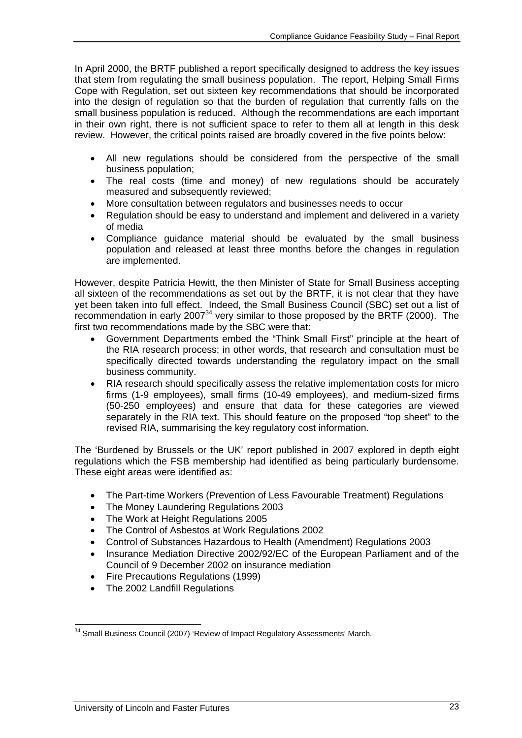In April 2000, the BRTF published a report specifically designed to address the key issues that stem from regulating the small business population. The report, Helping Small Firms Cope with Regulation, set out sixteen key recommendations that should be incorporated into the design of regulation so that the burden of regulation that currently falls on the small business population is reduced. Although the recommendations are each important in their own right, there is not sufficient space to refer to them all at length in this desk review. However, the critical points raised are broadly covered in the five points below:

- All new regulations should be considered from the perspective of the small business population;
- The real costs (time and money) of new regulations should be accurately measured and subsequently reviewed;
- More consultation between regulators and businesses needs to occur
- Regulation should be easy to understand and implement and delivered in a variety of media
- Compliance guidance material should be evaluated by the small business population and released at least three months before the changes in regulation are implemented.

However, despite Patricia Hewitt, the then Minister of State for Small Business accepting all sixteen of the recommendations as set out by the BRTF, it is not clear that they have yet been taken into full effect. Indeed, the Small Business Council (SBC) set out a list of recommendation in early 2007 $34$  very similar to those proposed by the BRTF (2000). The first two recommendations made by the SBC were that:

- Government Departments embed the "Think Small First" principle at the heart of the RIA research process; in other words, that research and consultation must be specifically directed towards understanding the regulatory impact on the small business community.
- RIA research should specifically assess the relative implementation costs for micro firms (1-9 employees), small firms (10-49 employees), and medium-sized firms (50-250 employees) and ensure that data for these categories are viewed separately in the RIA text. This should feature on the proposed "top sheet" to the revised RIA, summarising the key regulatory cost information.

The 'Burdened by Brussels or the UK' report published in 2007 explored in depth eight regulations which the FSB membership had identified as being particularly burdensome. These eight areas were identified as:

- The Part-time Workers (Prevention of Less Favourable Treatment) Regulations
- The Money Laundering Regulations 2003
- The Work at Height Regulations 2005
- The Control of Asbestos at Work Regulations 2002
- Control of Substances Hazardous to Health (Amendment) Regulations 2003
- Insurance Mediation Directive 2002/92/EC of the European Parliament and of the Council of 9 December 2002 on insurance mediation
- Fire Precautions Regulations (1999)
- The 2002 Landfill Regulations

l

 $34$  Small Business Council (2007) 'Review of Impact Regulatory Assessments' March.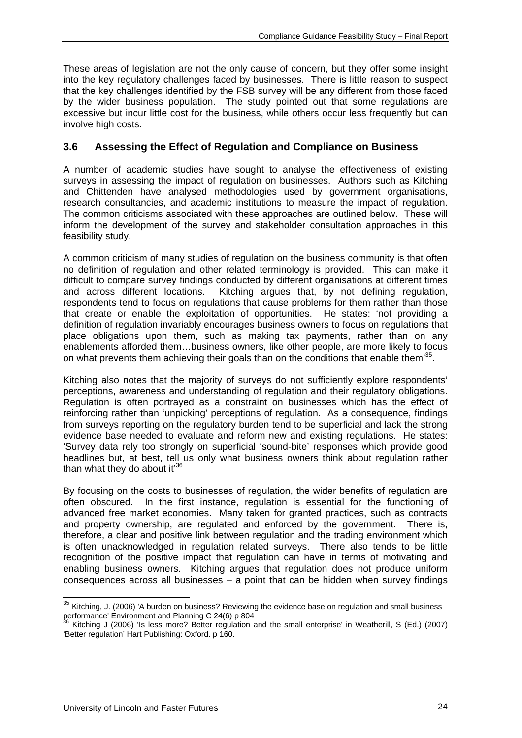These areas of legislation are not the only cause of concern, but they offer some insight into the key regulatory challenges faced by businesses. There is little reason to suspect that the key challenges identified by the FSB survey will be any different from those faced by the wider business population. The study pointed out that some regulations are excessive but incur little cost for the business, while others occur less frequently but can involve high costs.

# **3.6 Assessing the Effect of Regulation and Compliance on Business**

A number of academic studies have sought to analyse the effectiveness of existing surveys in assessing the impact of regulation on businesses. Authors such as Kitching and Chittenden have analysed methodologies used by government organisations, research consultancies, and academic institutions to measure the impact of regulation. The common criticisms associated with these approaches are outlined below. These will inform the development of the survey and stakeholder consultation approaches in this feasibility study.

A common criticism of many studies of regulation on the business community is that often no definition of regulation and other related terminology is provided. This can make it difficult to compare survey findings conducted by different organisations at different times and across different locations. Kitching argues that, by not defining regulation, respondents tend to focus on regulations that cause problems for them rather than those that create or enable the exploitation of opportunities. He states: 'not providing a definition of regulation invariably encourages business owners to focus on regulations that place obligations upon them, such as making tax payments, rather than on any enablements afforded them…business owners, like other people, are more likely to focus on what prevents them achieving their goals than on the conditions that enable them<sup>35</sup>.

Kitching also notes that the majority of surveys do not sufficiently explore respondents' perceptions, awareness and understanding of regulation and their regulatory obligations. Regulation is often portrayed as a constraint on businesses which has the effect of reinforcing rather than 'unpicking' perceptions of regulation. As a consequence, findings from surveys reporting on the regulatory burden tend to be superficial and lack the strong evidence base needed to evaluate and reform new and existing regulations. He states: 'Survey data rely too strongly on superficial 'sound-bite' responses which provide good headlines but, at best, tell us only what business owners think about regulation rather than what they do about it $36$ 

By focusing on the costs to businesses of regulation, the wider benefits of regulation are often obscured. In the first instance, regulation is essential for the functioning of advanced free market economies. Many taken for granted practices, such as contracts and property ownership, are regulated and enforced by the government. There is, therefore, a clear and positive link between regulation and the trading environment which is often unacknowledged in regulation related surveys. There also tends to be little recognition of the positive impact that regulation can have in terms of motivating and enabling business owners. Kitching argues that regulation does not produce uniform consequences across all businesses – a point that can be hidden when survey findings

 $\overline{\phantom{a}}$ 

 $35$  Kitching, J. (2006) 'A burden on business? Reviewing the evidence base on regulation and small business performance' Environment and Planning C 24(6) p 804<br>36 Kitching 1 (2000) (1) in the Ranning C 24(6) p 804

<sup>36</sup> Kitching J (2006) 'Is less more? Better regulation and the small enterprise' in Weatherill, S (Ed.) (2007) 'Better regulation' Hart Publishing: Oxford. p 160.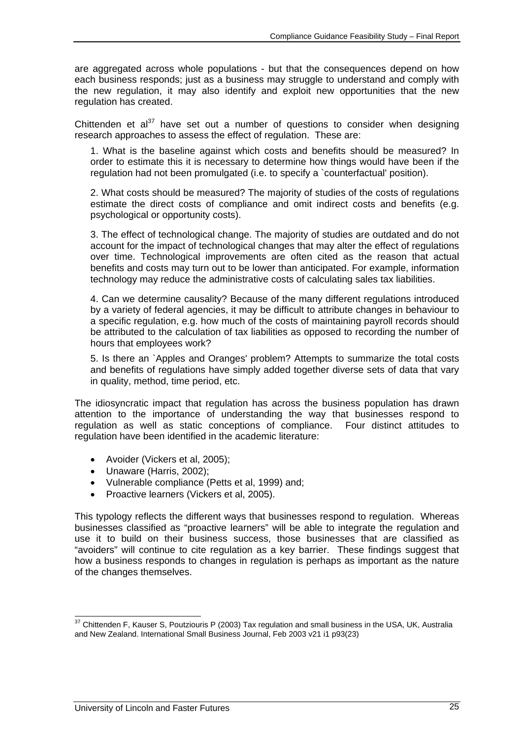are aggregated across whole populations - but that the consequences depend on how each business responds; just as a business may struggle to understand and comply with the new regulation, it may also identify and exploit new opportunities that the new regulation has created.

Chittenden et al<sup>37</sup> have set out a number of questions to consider when designing research approaches to assess the effect of regulation. These are:

1. What is the baseline against which costs and benefits should be measured? In order to estimate this it is necessary to determine how things would have been if the regulation had not been promulgated (i.e. to specify a `counterfactual' position).

2. What costs should be measured? The majority of studies of the costs of regulations estimate the direct costs of compliance and omit indirect costs and benefits (e.g. psychological or opportunity costs).

3. The effect of technological change. The majority of studies are outdated and do not account for the impact of technological changes that may alter the effect of regulations over time. Technological improvements are often cited as the reason that actual benefits and costs may turn out to be lower than anticipated. For example, information technology may reduce the administrative costs of calculating sales tax liabilities.

4. Can we determine causality? Because of the many different regulations introduced by a variety of federal agencies, it may be difficult to attribute changes in behaviour to a specific regulation, e.g. how much of the costs of maintaining payroll records should be attributed to the calculation of tax liabilities as opposed to recording the number of hours that employees work?

5. Is there an `Apples and Oranges' problem? Attempts to summarize the total costs and benefits of regulations have simply added together diverse sets of data that vary in quality, method, time period, etc.

The idiosyncratic impact that regulation has across the business population has drawn attention to the importance of understanding the way that businesses respond to regulation as well as static conceptions of compliance. Four distinct attitudes to regulation have been identified in the academic literature:

- Avoider (Vickers et al, 2005);
- Unaware (Harris, 2002);
- Vulnerable compliance (Petts et al, 1999) and;
- Proactive learners (Vickers et al, 2005).

This typology reflects the different ways that businesses respond to regulation. Whereas businesses classified as "proactive learners" will be able to integrate the regulation and use it to build on their business success, those businesses that are classified as "avoiders" will continue to cite regulation as a key barrier. These findings suggest that how a business responds to changes in regulation is perhaps as important as the nature of the changes themselves.

 $\overline{\phantom{a}}$  $37$  Chittenden F, Kauser S, Poutziouris P (2003) Tax regulation and small business in the USA, UK, Australia and New Zealand. International Small Business Journal, Feb 2003 v21 i1 p93(23)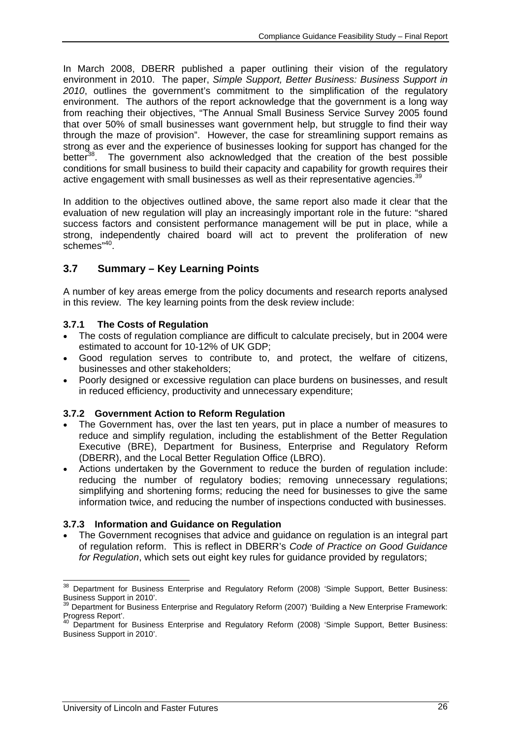In March 2008, DBERR published a paper outlining their vision of the regulatory environment in 2010. The paper, *Simple Support, Better Business: Business Support in 2010*, outlines the government's commitment to the simplification of the regulatory environment. The authors of the report acknowledge that the government is a long way from reaching their objectives, "The Annual Small Business Service Survey 2005 found that over 50% of small businesses want government help, but struggle to find their way through the maze of provision". However, the case for streamlining support remains as strong as ever and the experience of businesses looking for support has changed for the better<sup>38</sup>. The government also acknowledged that the creation of the best possible conditions for small business to build their capacity and capability for growth requires their active engagement with small businesses as well as their representative agencies. $39$ 

In addition to the objectives outlined above, the same report also made it clear that the evaluation of new regulation will play an increasingly important role in the future: "shared success factors and consistent performance management will be put in place, while a strong, independently chaired board will act to prevent the proliferation of new schemes<sup>"40</sup>.

# **3.7 Summary – Key Learning Points**

A number of key areas emerge from the policy documents and research reports analysed in this review. The key learning points from the desk review include:

#### **3.7.1 The Costs of Regulation**

- The costs of regulation compliance are difficult to calculate precisely, but in 2004 were estimated to account for 10-12% of UK GDP;
- Good regulation serves to contribute to, and protect, the welfare of citizens, businesses and other stakeholders;
- Poorly designed or excessive regulation can place burdens on businesses, and result in reduced efficiency, productivity and unnecessary expenditure;

#### **3.7.2 Government Action to Reform Regulation**

- The Government has, over the last ten years, put in place a number of measures to reduce and simplify regulation, including the establishment of the Better Regulation Executive (BRE), Department for Business, Enterprise and Regulatory Reform (DBERR), and the Local Better Regulation Office (LBRO).
- Actions undertaken by the Government to reduce the burden of regulation include: reducing the number of regulatory bodies; removing unnecessary regulations; simplifying and shortening forms; reducing the need for businesses to give the same information twice, and reducing the number of inspections conducted with businesses.

#### **3.7.3 Information and Guidance on Regulation**

• The Government recognises that advice and guidance on regulation is an integral part of regulation reform. This is reflect in DBERR's *Code of Practice on Good Guidance for Regulation*, which sets out eight key rules for guidance provided by regulators;

 $\overline{a}$  $38$  Department for Business Enterprise and Regulatory Reform (2008) 'Simple Support, Better Business: Business Support in 2010'.

<sup>&</sup>lt;sup>39</sup> Department for Business Enterprise and Regulatory Reform (2007) 'Building a New Enterprise Framework: Progress Report'.

<sup>&</sup>lt;sup>40</sup> Department for Business Enterprise and Regulatory Reform (2008) 'Simple Support, Better Business: Business Support in 2010'.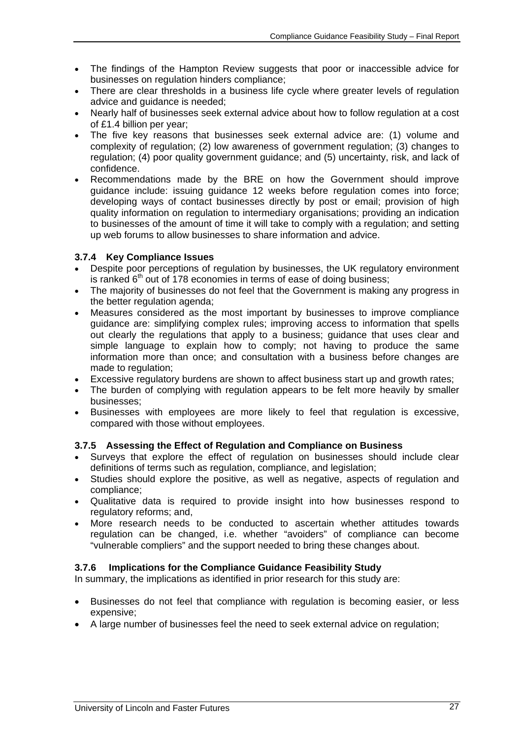- The findings of the Hampton Review suggests that poor or inaccessible advice for businesses on regulation hinders compliance;
- There are clear thresholds in a business life cycle where greater levels of regulation advice and guidance is needed;
- Nearly half of businesses seek external advice about how to follow regulation at a cost of £1.4 billion per year;
- The five key reasons that businesses seek external advice are: (1) volume and complexity of regulation; (2) low awareness of government regulation; (3) changes to regulation; (4) poor quality government guidance; and (5) uncertainty, risk, and lack of confidence.
- Recommendations made by the BRE on how the Government should improve guidance include: issuing guidance 12 weeks before regulation comes into force; developing ways of contact businesses directly by post or email; provision of high quality information on regulation to intermediary organisations; providing an indication to businesses of the amount of time it will take to comply with a regulation; and setting up web forums to allow businesses to share information and advice.

#### **3.7.4 Key Compliance Issues**

- Despite poor perceptions of regulation by businesses, the UK regulatory environment is ranked  $6<sup>th</sup>$  out of 178 economies in terms of ease of doing business;
- The majority of businesses do not feel that the Government is making any progress in the better regulation agenda;
- Measures considered as the most important by businesses to improve compliance guidance are: simplifying complex rules; improving access to information that spells out clearly the regulations that apply to a business; guidance that uses clear and simple language to explain how to comply; not having to produce the same information more than once; and consultation with a business before changes are made to regulation;
- Excessive regulatory burdens are shown to affect business start up and growth rates;
- The burden of complying with regulation appears to be felt more heavily by smaller businesses;
- Businesses with employees are more likely to feel that regulation is excessive, compared with those without employees.

#### **3.7.5 Assessing the Effect of Regulation and Compliance on Business**

- Surveys that explore the effect of regulation on businesses should include clear definitions of terms such as regulation, compliance, and legislation;
- Studies should explore the positive, as well as negative, aspects of regulation and compliance;
- Qualitative data is required to provide insight into how businesses respond to regulatory reforms; and,
- More research needs to be conducted to ascertain whether attitudes towards regulation can be changed, i.e. whether "avoiders" of compliance can become "vulnerable compliers" and the support needed to bring these changes about.

#### **3.7.6 Implications for the Compliance Guidance Feasibility Study**

In summary, the implications as identified in prior research for this study are:

- Businesses do not feel that compliance with regulation is becoming easier, or less expensive;
- A large number of businesses feel the need to seek external advice on regulation;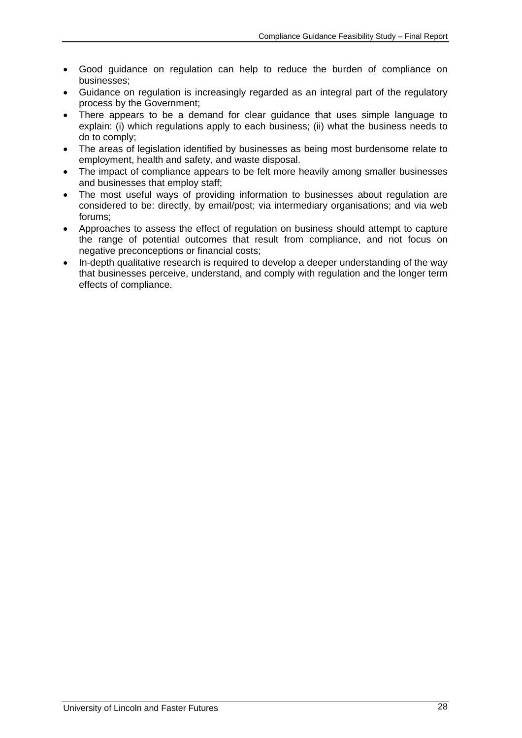- Good guidance on regulation can help to reduce the burden of compliance on businesses;
- Guidance on regulation is increasingly regarded as an integral part of the regulatory process by the Government;
- There appears to be a demand for clear guidance that uses simple language to explain: (i) which regulations apply to each business; (ii) what the business needs to do to comply;
- The areas of legislation identified by businesses as being most burdensome relate to employment, health and safety, and waste disposal.
- The impact of compliance appears to be felt more heavily among smaller businesses and businesses that employ staff;
- The most useful ways of providing information to businesses about regulation are considered to be: directly, by email/post; via intermediary organisations; and via web forums;
- Approaches to assess the effect of regulation on business should attempt to capture the range of potential outcomes that result from compliance, and not focus on negative preconceptions or financial costs;
- In-depth qualitative research is required to develop a deeper understanding of the way that businesses perceive, understand, and comply with regulation and the longer term effects of compliance.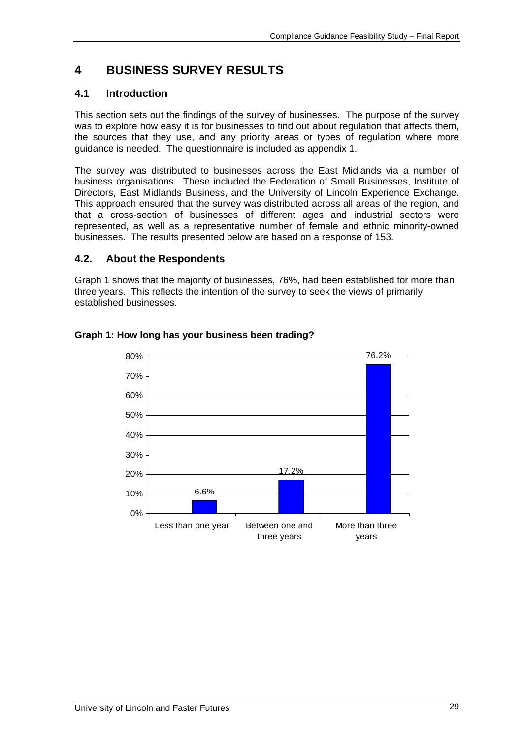# **4 BUSINESS SURVEY RESULTS**

# **4.1 Introduction**

This section sets out the findings of the survey of businesses. The purpose of the survey was to explore how easy it is for businesses to find out about regulation that affects them, the sources that they use, and any priority areas or types of regulation where more guidance is needed. The questionnaire is included as appendix 1.

The survey was distributed to businesses across the East Midlands via a number of business organisations. These included the Federation of Small Businesses, Institute of Directors, East Midlands Business, and the University of Lincoln Experience Exchange. This approach ensured that the survey was distributed across all areas of the region, and that a cross-section of businesses of different ages and industrial sectors were represented, as well as a representative number of female and ethnic minority-owned businesses. The results presented below are based on a response of 153.

### **4.2. About the Respondents**

Graph 1 shows that the majority of businesses, 76%, had been established for more than three years. This reflects the intention of the survey to seek the views of primarily established businesses.



#### **Graph 1: How long has your business been trading?**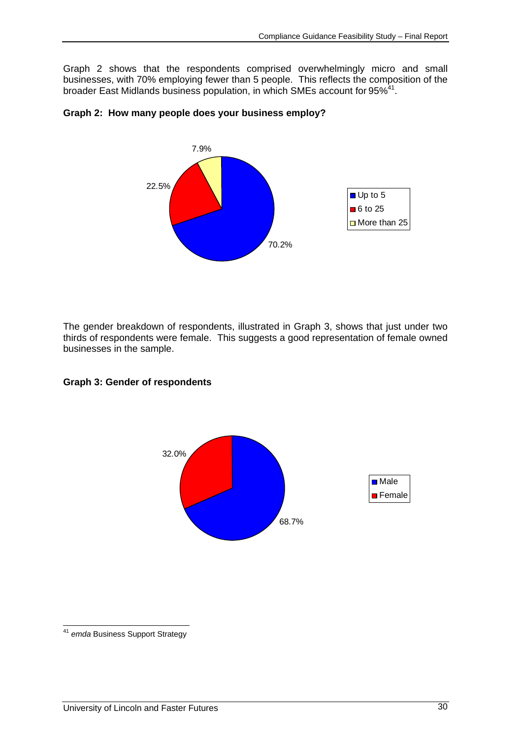Graph 2 shows that the respondents comprised overwhelmingly micro and small businesses, with 70% employing fewer than 5 people. This reflects the composition of the broader East Midlands business population, in which SMEs account for 95%<sup>41</sup>.



#### **Graph 2: How many people does your business employ?**

The gender breakdown of respondents, illustrated in Graph 3, shows that just under two thirds of respondents were female. This suggests a good representation of female owned businesses in the sample.

#### **Graph 3: Gender of respondents**



 $\overline{a}$ <sup>41</sup> *emda* Business Support Strategy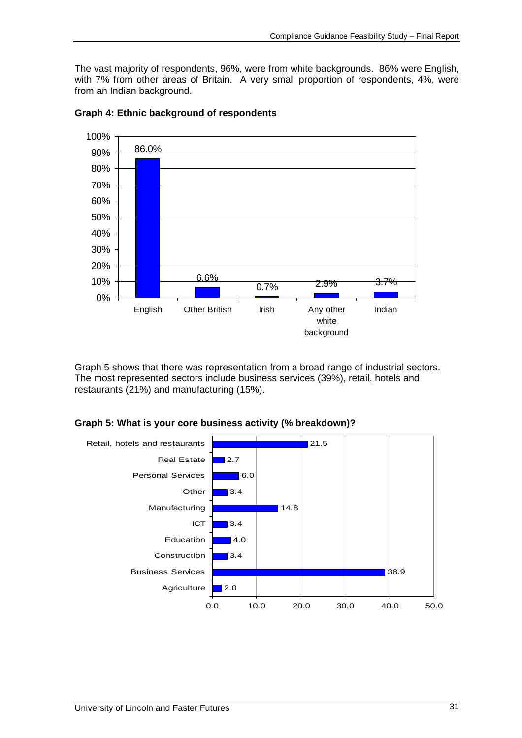The vast majority of respondents, 96%, were from white backgrounds. 86% were English, with 7% from other areas of Britain. A very small proportion of respondents, 4%, were from an Indian background.



**Graph 4: Ethnic background of respondents** 

Graph 5 shows that there was representation from a broad range of industrial sectors. The most represented sectors include business services (39%), retail, hotels and restaurants (21%) and manufacturing (15%).



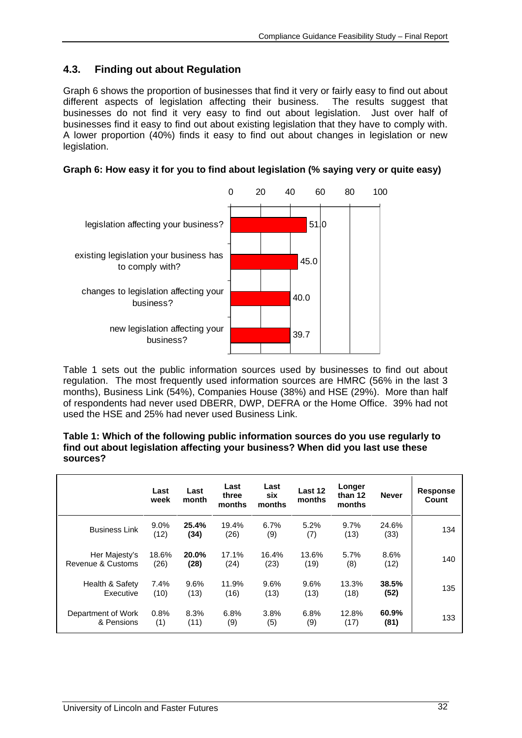# **4.3. Finding out about Regulation**

Graph 6 shows the proportion of businesses that find it very or fairly easy to find out about different aspects of legislation affecting their business. The results suggest that businesses do not find it very easy to find out about legislation. Just over half of businesses find it easy to find out about existing legislation that they have to comply with. A lower proportion (40%) finds it easy to find out about changes in legislation or new legislation.

| Graph 6: How easy it for you to find about legislation (% saying very or quite easy) |  |  |
|--------------------------------------------------------------------------------------|--|--|
|                                                                                      |  |  |



Table 1 sets out the public information sources used by businesses to find out about regulation. The most frequently used information sources are HMRC (56% in the last 3 months), Business Link (54%), Companies House (38%) and HSE (29%). More than half of respondents had never used DBERR, DWP, DEFRA or the Home Office. 39% had not used the HSE and 25% had never used Business Link.

**Table 1: Which of the following public information sources do you use regularly to find out about legislation affecting your business? When did you last use these sources?** 

|                      | Last<br>week | Last<br>month | Last<br>three<br>months | Last<br>six<br>months | Last 12<br>months | Longer<br>than 12<br>months | <b>Never</b>  | Response<br>Count |
|----------------------|--------------|---------------|-------------------------|-----------------------|-------------------|-----------------------------|---------------|-------------------|
| <b>Business Link</b> | 9.0%<br>(12) | 25.4%<br>(34) | 19.4%<br>(26)           | 6.7%<br>(9)           | 5.2%<br>(7)       | 9.7%<br>(13)                | 24.6%<br>(33) | 134               |
| Her Majesty's        | 18.6%        | 20.0%         | 17.1%                   | 16.4%                 | 13.6%             | 5.7%                        | 8.6%          | 140               |
| Revenue & Customs    | (26)         | (28)          | (24)                    | (23)                  | (19)              | (8)                         | (12)          |                   |
| Health & Safety      | 7.4%         | 9.6%          | 11.9%                   | 9.6%                  | 9.6%              | 13.3%                       | 38.5%         | 135               |
| Executive            | (10)         | (13)          | (16)                    | (13)                  | (13)              | (18)                        | (52)          |                   |
| Department of Work   | 0.8%         | 8.3%          | 6.8%                    | 3.8%                  | 6.8%              | 12.8%                       | 60.9%         | 133               |
| & Pensions           | (1)          | (11)          | (9)                     | (5)                   | (9)               | (17)                        | (81)          |                   |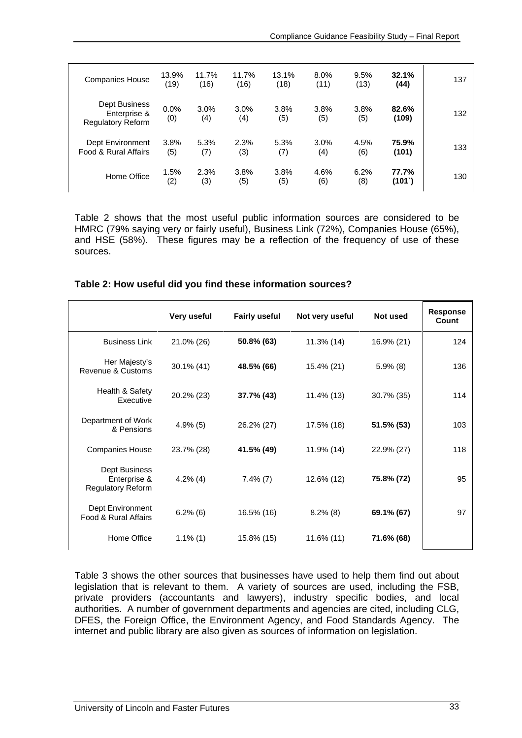| <b>Companies House</b>                                    | 13.9%<br>(19) | 11.7%<br>(16) | 11.7%<br>(16) | 13.1%<br>(18) | 8.0%<br>(11) | 9.5%<br>(13) | 32.1%<br>(44)  | 137 |
|-----------------------------------------------------------|---------------|---------------|---------------|---------------|--------------|--------------|----------------|-----|
| Dept Business<br>Enterprise &<br><b>Regulatory Reform</b> | 0.0%<br>(0)   | 3.0%<br>(4)   | 3.0%<br>(4)   | 3.8%<br>(5)   | 3.8%<br>(5)  | 3.8%<br>(5)  | 82.6%<br>(109) | 132 |
| Dept Environment<br>Food & Rural Affairs                  | 3.8%<br>(5)   | 5.3%<br>(7)   | 2.3%<br>(3)   | 5.3%<br>(7)   | 3.0%<br>(4)  | 4.5%<br>(6)  | 75.9%<br>(101) | 133 |
| Home Office                                               | 1.5%<br>(2)   | 2.3%<br>(3)   | 3.8%<br>(5)   | 3.8%<br>(5)   | 4.6%<br>(6)  | 6.2%<br>(8)  | 77.7%<br>(101) | 130 |

Table 2 shows that the most useful public information sources are considered to be HMRC (79% saying very or fairly useful), Business Link (72%), Companies House (65%), and HSE (58%). These figures may be a reflection of the frequency of use of these sources.

#### **Table 2: How useful did you find these information sources?**

|                                                           | Very useful | <b>Fairly useful</b> | Not very useful | Not used    | <b>Response</b><br>Count |
|-----------------------------------------------------------|-------------|----------------------|-----------------|-------------|--------------------------|
| <b>Business Link</b>                                      | 21.0% (26)  | 50.8% (63)           | 11.3% (14)      | 16.9% (21)  | 124                      |
| Her Majesty's<br>Revenue & Customs                        | 30.1% (41)  | 48.5% (66)           | 15.4% (21)      | $5.9\%$ (8) | 136                      |
| Health & Safety<br>Executive                              | 20.2% (23)  | 37.7% (43)           | 11.4% (13)      | 30.7% (35)  | 114                      |
| Department of Work<br>& Pensions                          | 4.9%(5)     | 26.2% (27)           | 17.5% (18)      | 51.5% (53)  | 103                      |
| <b>Companies House</b>                                    | 23.7% (28)  | 41.5% (49)           | 11.9% (14)      | 22.9% (27)  | 118                      |
| Dept Business<br>Enterprise &<br><b>Regulatory Reform</b> | $4.2\%$ (4) | $7.4\%$ $(7)$        | 12.6% (12)      | 75.8% (72)  | 95                       |
| Dept Environment<br>Food & Rural Affairs                  | $6.2\%$ (6) | 16.5% (16)           | $8.2\%$ (8)     | 69.1% (67)  | 97                       |
| Home Office                                               | $1.1\%$ (1) | 15.8% (15)           | 11.6% (11)      | 71.6% (68)  |                          |

Table 3 shows the other sources that businesses have used to help them find out about legislation that is relevant to them. A variety of sources are used, including the FSB, private providers (accountants and lawyers), industry specific bodies, and local authorities. A number of government departments and agencies are cited, including CLG, DFES, the Foreign Office, the Environment Agency, and Food Standards Agency. The internet and public library are also given as sources of information on legislation.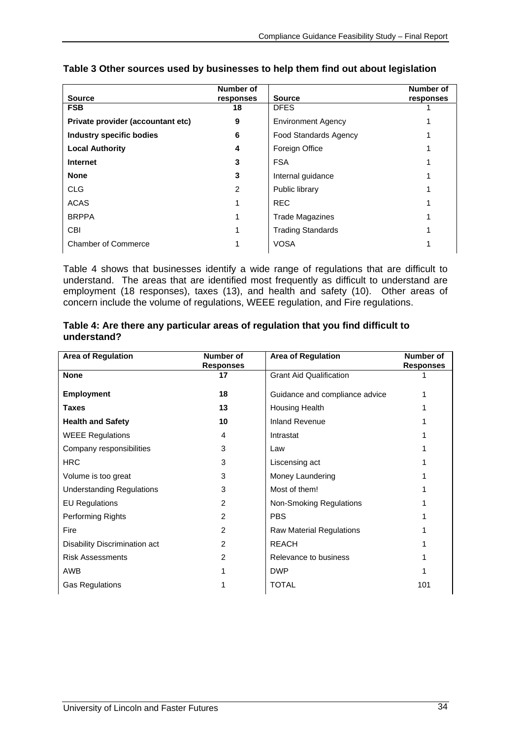|                                   | Number of |                              | Number of |
|-----------------------------------|-----------|------------------------------|-----------|
| <b>Source</b>                     | responses | <b>Source</b>                | responses |
| <b>FSB</b>                        | 18        | <b>DFES</b>                  |           |
| Private provider (accountant etc) | 9         | <b>Environment Agency</b>    |           |
| <b>Industry specific bodies</b>   | 6         | <b>Food Standards Agency</b> |           |
| <b>Local Authority</b>            | 4         | Foreign Office               |           |
| <b>Internet</b>                   | 3         | <b>FSA</b>                   |           |
| <b>None</b>                       | 3         | Internal guidance            |           |
| <b>CLG</b>                        | 2         | Public library               |           |
| <b>ACAS</b>                       |           | <b>REC</b>                   |           |
| <b>BRPPA</b>                      |           | <b>Trade Magazines</b>       |           |
| <b>CBI</b>                        |           | <b>Trading Standards</b>     |           |
| <b>Chamber of Commerce</b>        |           | <b>VOSA</b>                  |           |

# **Table 3 Other sources used by businesses to help them find out about legislation**

Table 4 shows that businesses identify a wide range of regulations that are difficult to understand. The areas that are identified most frequently as difficult to understand are employment (18 responses), taxes (13), and health and safety (10). Other areas of concern include the volume of regulations, WEEE regulation, and Fire regulations.

#### **Table 4: Are there any particular areas of regulation that you find difficult to understand?**

| <b>Area of Regulation</b>        | Number of<br><b>Responses</b> | <b>Area of Regulation</b>       | Number of<br><b>Responses</b> |
|----------------------------------|-------------------------------|---------------------------------|-------------------------------|
| <b>None</b>                      | 17                            | <b>Grant Aid Qualification</b>  |                               |
| <b>Employment</b>                | 18                            | Guidance and compliance advice  |                               |
| <b>Taxes</b>                     | 13                            | Housing Health                  |                               |
| <b>Health and Safety</b>         | 10                            | <b>Inland Revenue</b>           |                               |
| <b>WEEE Regulations</b>          | 4                             | Intrastat                       |                               |
| Company responsibilities         | 3                             | Law                             |                               |
| <b>HRC</b>                       | 3                             | Liscensing act                  |                               |
| Volume is too great              | 3                             | Money Laundering                |                               |
| <b>Understanding Regulations</b> | 3                             | Most of them!                   |                               |
| <b>EU Regulations</b>            | $\overline{2}$                | Non-Smoking Regulations         |                               |
| Performing Rights                | 2                             | <b>PBS</b>                      |                               |
| Fire                             | 2                             | <b>Raw Material Regulations</b> |                               |
| Disability Discrimination act    | 2                             | <b>REACH</b>                    |                               |
| <b>Risk Assessments</b>          | $\overline{2}$                | Relevance to business           |                               |
| AWB                              |                               | <b>DWP</b>                      |                               |
| <b>Gas Regulations</b>           |                               | <b>TOTAL</b>                    | 101                           |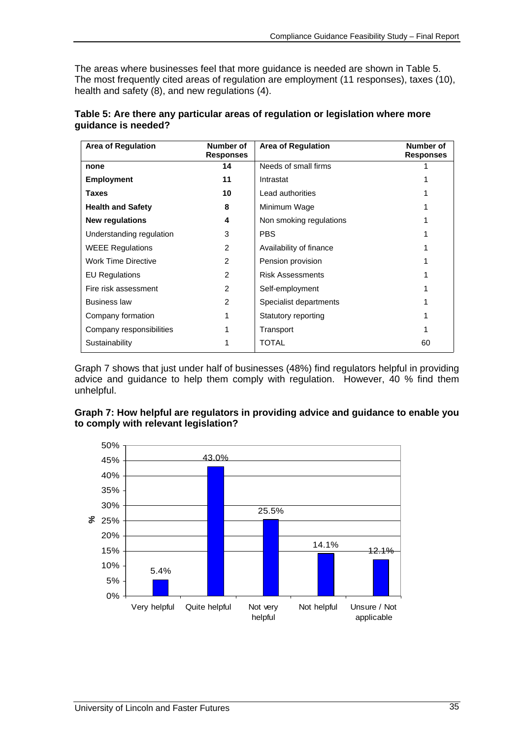The areas where businesses feel that more guidance is needed are shown in Table 5. The most frequently cited areas of regulation are employment (11 responses), taxes (10), health and safety (8), and new regulations (4).

| <b>Area of Regulation</b>  | Number of<br><b>Responses</b> | <b>Area of Regulation</b> | Number of<br><b>Responses</b> |
|----------------------------|-------------------------------|---------------------------|-------------------------------|
| none                       | 14                            | Needs of small firms      |                               |
| <b>Employment</b>          | 11                            | Intrastat                 |                               |
| <b>Taxes</b>               | 10                            | Lead authorities          |                               |
| <b>Health and Safety</b>   | 8                             | Minimum Wage              |                               |
| <b>New regulations</b>     | 4                             | Non smoking regulations   |                               |
| Understanding regulation   | 3                             | <b>PBS</b>                |                               |
| <b>WEEE Regulations</b>    | $\mathcal{P}$                 | Availability of finance   |                               |
| <b>Work Time Directive</b> | $\mathcal{P}$                 | Pension provision         |                               |
| <b>EU Regulations</b>      | 2                             | <b>Risk Assessments</b>   |                               |
| Fire risk assessment       | $\mathcal{P}$                 | Self-employment           |                               |
| <b>Business law</b>        | 2                             | Specialist departments    |                               |
| Company formation          |                               | Statutory reporting       |                               |
| Company responsibilities   | 1                             | Transport                 |                               |
| Sustainability             |                               | <b>TOTAL</b>              | 60                            |

#### **Table 5: Are there any particular areas of regulation or legislation where more guidance is needed?**

Graph 7 shows that just under half of businesses (48%) find regulators helpful in providing advice and guidance to help them comply with regulation. However, 40 % find them unhelpful.

| Graph 7: How helpful are regulators in providing advice and guidance to enable you |  |
|------------------------------------------------------------------------------------|--|
| to comply with relevant legislation?                                               |  |

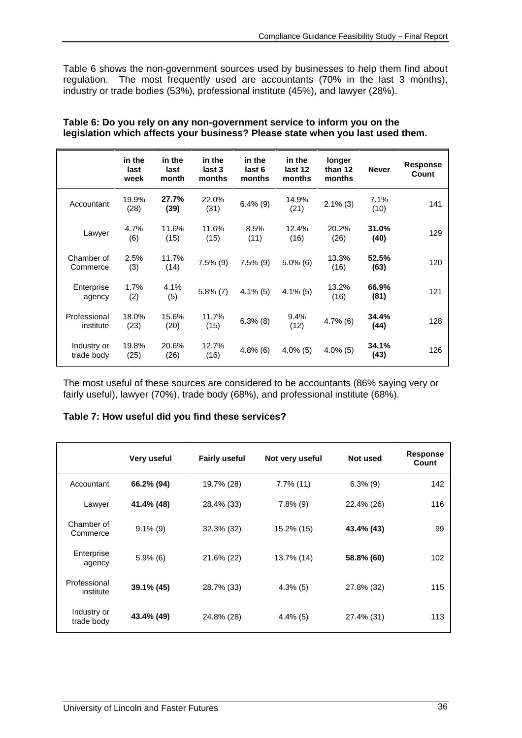Table 6 shows the non-government sources used by businesses to help them find about regulation. The most frequently used are accountants (70% in the last 3 months), industry or trade bodies (53%), professional institute (45%), and lawyer (28%).

|                           | in the<br>last<br>week | in the<br>last<br>month | in the<br>last 3<br>months | in the<br>last 6<br>months | in the<br>last 12<br>months | longer<br>than 12<br>months | <b>Never</b>  | <b>Response</b><br>Count |
|---------------------------|------------------------|-------------------------|----------------------------|----------------------------|-----------------------------|-----------------------------|---------------|--------------------------|
| Accountant                | 19.9%<br>(28)          | 27.7%<br>(39)           | 22.0%<br>(31)              | $6.4\%$ (9)                | 14.9%<br>(21)               | $2.1\%$ (3)                 | 7.1%<br>(10)  | 141                      |
| Lawyer                    | 4.7%<br>(6)            | 11.6%<br>(15)           | 11.6%<br>(15)              | 8.5%<br>(11)               | 12.4%<br>(16)               | 20.2%<br>(26)               | 31.0%<br>(40) | 129                      |
| Chamber of<br>Commerce    | 2.5%<br>(3)            | 11.7%<br>(14)           | $7.5\%$ (9)                | $7.5\%$ (9)                | $5.0\%$ (6)                 | 13.3%<br>(16)               | 52.5%<br>(63) | 120                      |
| Enterprise<br>agency      | 1.7%<br>(2)            | 4.1%<br>(5)             | $5.8\%$ (7)                | $4.1\%$ (5)                | $4.1\%$ (5)                 | 13.2%<br>(16)               | 66.9%<br>(81) | 121                      |
| Professional<br>institute | 18.0%<br>(23)          | 15.6%<br>(20)           | 11.7%<br>(15)              | $6.3\%$ (8)                | 9.4%<br>(12)                | $4.7\%$ (6)                 | 34.4%<br>(44) | 128                      |
| Industry or<br>trade body | 19.8%<br>(25)          | 20.6%<br>(26)           | 12.7%<br>(16)              | $4.8\%$ (6)                | $4.0\%$ (5)                 | $4.0\%$ (5)                 | 34.1%<br>(43) | 126                      |

#### **Table 6: Do you rely on any non-government service to inform you on the legislation which affects your business? Please state when you last used them.**

The most useful of these sources are considered to be accountants (86% saying very or fairly useful), lawyer (70%), trade body (68%), and professional institute (68%).

### **Table 7: How useful did you find these services?**

|                           | Very useful | <b>Fairly useful</b> | Not very useful | Not used    | <b>Response</b><br>Count |
|---------------------------|-------------|----------------------|-----------------|-------------|--------------------------|
| Accountant                | 66.2% (94)  | 19.7% (28)           | $7.7\%$ (11)    | $6.3\%$ (9) | 142                      |
| Lawyer                    | 41.4% (48)  | 28.4% (33)           | $7.8\%$ (9)     | 22.4% (26)  | 116                      |
| Chamber of<br>Commerce    | $9.1\%$ (9) | 32.3% (32)           | 15.2% (15)      | 43.4% (43)  | 99                       |
| Enterprise<br>agency      | $5.9\%$ (6) | 21.6% (22)           | 13.7% (14)      | 58.8% (60)  | 102                      |
| Professional<br>institute | 39.1% (45)  | 28.7% (33)           | $4.3\%$ (5)     | 27.8% (32)  | 115                      |
| Industry or<br>trade body | 43.4% (49)  | 24.8% (28)           | $4.4\%$ (5)     | 27.4% (31)  | 113                      |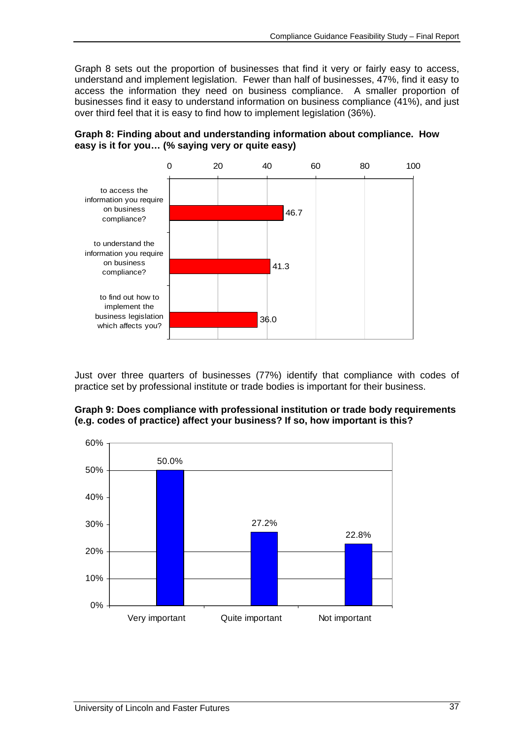Graph 8 sets out the proportion of businesses that find it very or fairly easy to access, understand and implement legislation. Fewer than half of businesses, 47%, find it easy to access the information they need on business compliance. A smaller proportion of businesses find it easy to understand information on business compliance (41%), and just over third feel that it is easy to find how to implement legislation (36%).



**Graph 8: Finding about and understanding information about compliance. How easy is it for you… (% saying very or quite easy)** 

Just over three quarters of businesses (77%) identify that compliance with codes of practice set by professional institute or trade bodies is important for their business.



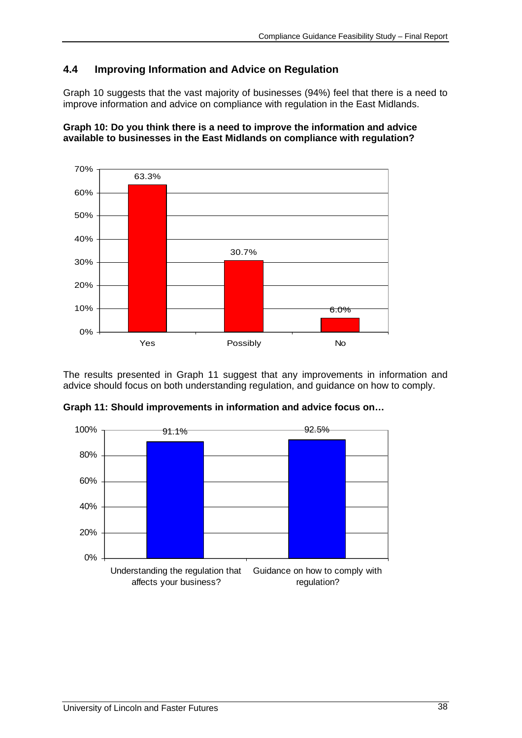# **4.4 Improving Information and Advice on Regulation**

Graph 10 suggests that the vast majority of businesses (94%) feel that there is a need to improve information and advice on compliance with regulation in the East Midlands.





The results presented in Graph 11 suggest that any improvements in information and advice should focus on both understanding regulation, and guidance on how to comply.



**Graph 11: Should improvements in information and advice focus on…**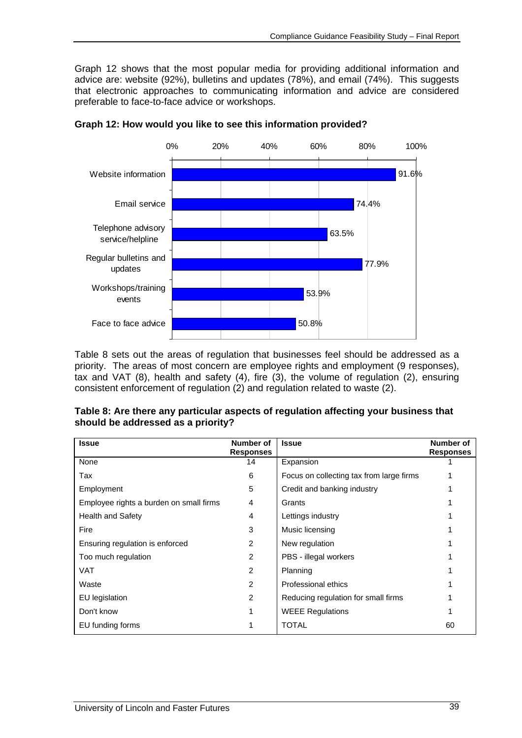Graph 12 shows that the most popular media for providing additional information and advice are: website (92%), bulletins and updates (78%), and email (74%). This suggests that electronic approaches to communicating information and advice are considered preferable to face-to-face advice or workshops.



**Graph 12: How would you like to see this information provided?** 

Table 8 sets out the areas of regulation that businesses feel should be addressed as a priority. The areas of most concern are employee rights and employment (9 responses), tax and VAT (8), health and safety (4), fire (3), the volume of regulation (2), ensuring consistent enforcement of regulation (2) and regulation related to waste (2).

| Table 8: Are there any particular aspects of regulation affecting your business that |
|--------------------------------------------------------------------------------------|
| should be addressed as a priority?                                                   |

| <b>Issue</b>                            | Number of<br><b>Responses</b> | <b>Issue</b>                             | Number of<br><b>Responses</b> |
|-----------------------------------------|-------------------------------|------------------------------------------|-------------------------------|
| None                                    | 14                            | Expansion                                |                               |
| Tax                                     | 6                             | Focus on collecting tax from large firms |                               |
| Employment                              | 5                             | Credit and banking industry              |                               |
| Employee rights a burden on small firms | 4                             | Grants                                   |                               |
| Health and Safety                       | 4                             | Lettings industry                        |                               |
| Fire                                    | 3                             | Music licensing                          |                               |
| Ensuring regulation is enforced         | 2                             | New regulation                           |                               |
| Too much regulation                     | 2                             | PBS - illegal workers                    |                               |
| <b>VAT</b>                              | $\mathcal{P}$                 | Planning                                 |                               |
| Waste                                   | 2                             | Professional ethics                      |                               |
| EU legislation                          | 2                             | Reducing regulation for small firms      |                               |
| Don't know                              |                               | <b>WEEE Regulations</b>                  |                               |
| EU funding forms                        |                               | <b>TOTAL</b>                             | 60                            |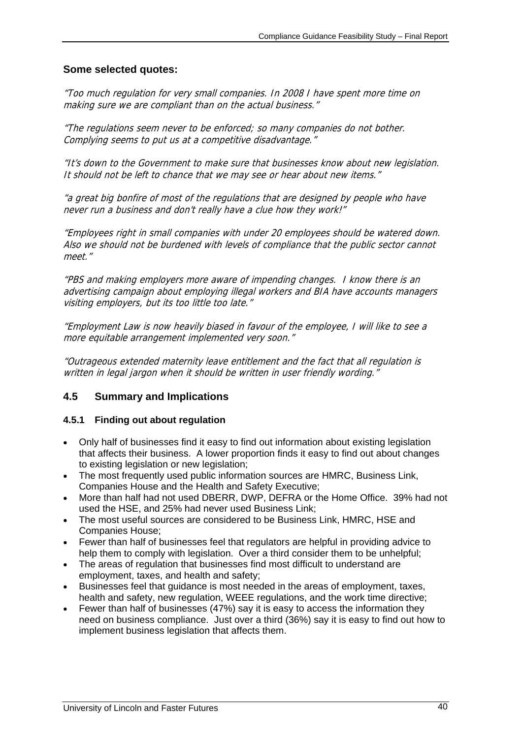## **Some selected quotes:**

"Too much regulation for very small companies. In 2008 I have spent more time on making sure we are compliant than on the actual business."

"The regulations seem never to be enforced; so many companies do not bother. Complying seems to put us at a competitive disadvantage."

"It's down to the Government to make sure that businesses know about new legislation. It should not be left to chance that we may see or hear about new items."

"a great big bonfire of most of the regulations that are designed by people who have never run a business and don't really have a clue how they work!"

"Employees right in small companies with under 20 employees should be watered down. Also we should not be burdened with levels of compliance that the public sector cannot meet."

"PBS and making employers more aware of impending changes. I know there is an advertising campaign about employing illegal workers and BIA have accounts managers visiting employers, but its too little too late."

"Employment Law is now heavily biased in favour of the employee, I will like to see a more equitable arrangement implemented very soon."

"Outrageous extended maternity leave entitlement and the fact that all regulation is written in legal jargon when it should be written in user friendly wording."

### **4.5 Summary and Implications**

### **4.5.1 Finding out about regulation**

- Only half of businesses find it easy to find out information about existing legislation that affects their business. A lower proportion finds it easy to find out about changes to existing legislation or new legislation;
- The most frequently used public information sources are HMRC, Business Link, Companies House and the Health and Safety Executive;
- More than half had not used DBERR, DWP, DEFRA or the Home Office. 39% had not used the HSE, and 25% had never used Business Link;
- The most useful sources are considered to be Business Link, HMRC, HSE and Companies House;
- Fewer than half of businesses feel that regulators are helpful in providing advice to help them to comply with legislation. Over a third consider them to be unhelpful;
- The areas of regulation that businesses find most difficult to understand are employment, taxes, and health and safety;
- Businesses feel that guidance is most needed in the areas of employment, taxes, health and safety, new regulation, WEEE regulations, and the work time directive;
- Fewer than half of businesses (47%) say it is easy to access the information they need on business compliance. Just over a third (36%) say it is easy to find out how to implement business legislation that affects them.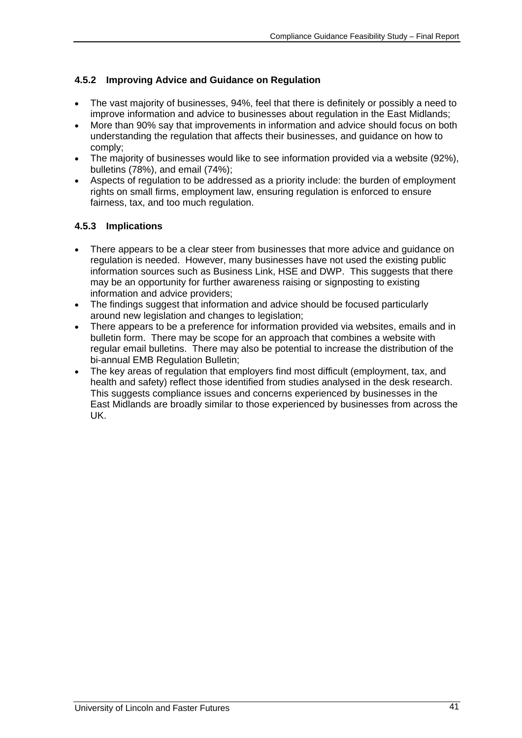# **4.5.2 Improving Advice and Guidance on Regulation**

- The vast majority of businesses, 94%, feel that there is definitely or possibly a need to improve information and advice to businesses about regulation in the East Midlands;
- More than 90% say that improvements in information and advice should focus on both understanding the regulation that affects their businesses, and guidance on how to comply;
- The majority of businesses would like to see information provided via a website (92%), bulletins (78%), and email (74%);
- Aspects of regulation to be addressed as a priority include: the burden of employment rights on small firms, employment law, ensuring regulation is enforced to ensure fairness, tax, and too much regulation.

# **4.5.3 Implications**

- There appears to be a clear steer from businesses that more advice and guidance on regulation is needed. However, many businesses have not used the existing public information sources such as Business Link, HSE and DWP. This suggests that there may be an opportunity for further awareness raising or signposting to existing information and advice providers;
- The findings suggest that information and advice should be focused particularly around new legislation and changes to legislation;
- There appears to be a preference for information provided via websites, emails and in bulletin form. There may be scope for an approach that combines a website with regular email bulletins. There may also be potential to increase the distribution of the bi-annual EMB Regulation Bulletin;
- The key areas of regulation that employers find most difficult (employment, tax, and health and safety) reflect those identified from studies analysed in the desk research. This suggests compliance issues and concerns experienced by businesses in the East Midlands are broadly similar to those experienced by businesses from across the UK.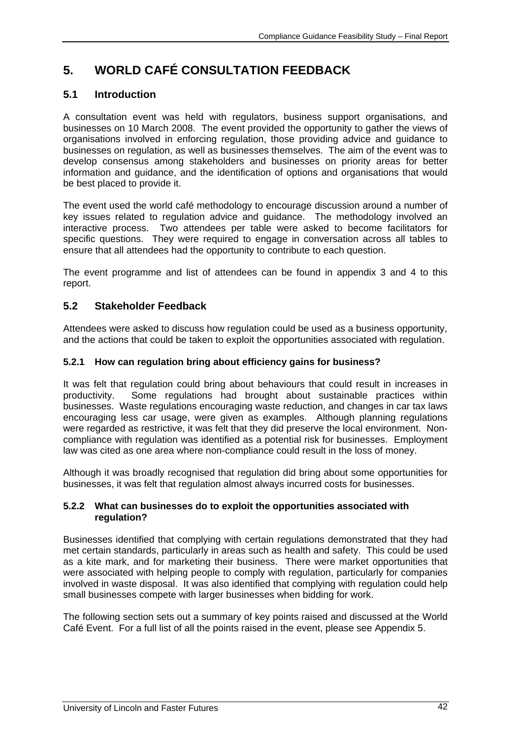# **5. WORLD CAFÉ CONSULTATION FEEDBACK**

# **5.1 Introduction**

A consultation event was held with regulators, business support organisations, and businesses on 10 March 2008. The event provided the opportunity to gather the views of organisations involved in enforcing regulation, those providing advice and guidance to businesses on regulation, as well as businesses themselves. The aim of the event was to develop consensus among stakeholders and businesses on priority areas for better information and guidance, and the identification of options and organisations that would be best placed to provide it.

The event used the world café methodology to encourage discussion around a number of key issues related to regulation advice and guidance. The methodology involved an interactive process. Two attendees per table were asked to become facilitators for specific questions. They were required to engage in conversation across all tables to ensure that all attendees had the opportunity to contribute to each question.

The event programme and list of attendees can be found in appendix 3 and 4 to this report.

# **5.2 Stakeholder Feedback**

Attendees were asked to discuss how regulation could be used as a business opportunity, and the actions that could be taken to exploit the opportunities associated with regulation.

### **5.2.1 How can regulation bring about efficiency gains for business?**

It was felt that regulation could bring about behaviours that could result in increases in productivity. Some regulations had brought about sustainable practices within businesses. Waste regulations encouraging waste reduction, and changes in car tax laws encouraging less car usage, were given as examples. Although planning regulations were regarded as restrictive, it was felt that they did preserve the local environment. Noncompliance with regulation was identified as a potential risk for businesses. Employment law was cited as one area where non-compliance could result in the loss of money.

Although it was broadly recognised that regulation did bring about some opportunities for businesses, it was felt that regulation almost always incurred costs for businesses.

### **5.2.2 What can businesses do to exploit the opportunities associated with regulation?**

Businesses identified that complying with certain regulations demonstrated that they had met certain standards, particularly in areas such as health and safety. This could be used as a kite mark, and for marketing their business. There were market opportunities that were associated with helping people to comply with regulation, particularly for companies involved in waste disposal. It was also identified that complying with regulation could help small businesses compete with larger businesses when bidding for work.

The following section sets out a summary of key points raised and discussed at the World Café Event. For a full list of all the points raised in the event, please see Appendix 5.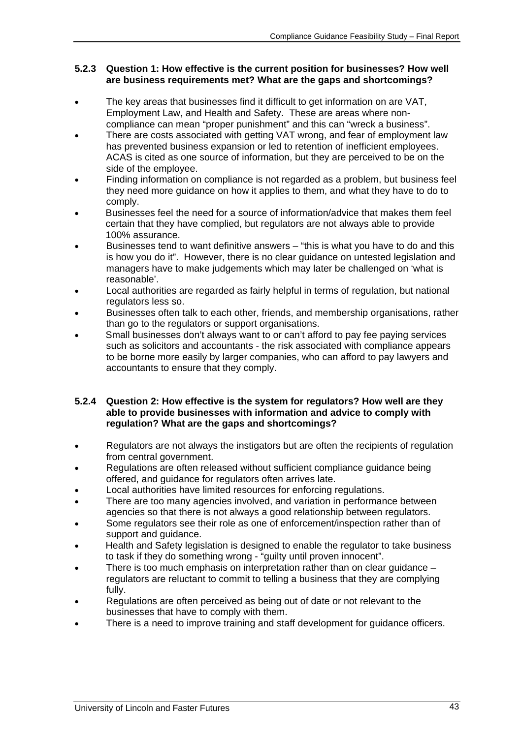### **5.2.3 Question 1: How effective is the current position for businesses? How well are business requirements met? What are the gaps and shortcomings?**

- The key areas that businesses find it difficult to get information on are VAT, Employment Law, and Health and Safety. These are areas where noncompliance can mean "proper punishment" and this can "wreck a business".
- There are costs associated with getting VAT wrong, and fear of employment law has prevented business expansion or led to retention of inefficient employees. ACAS is cited as one source of information, but they are perceived to be on the side of the employee.
- Finding information on compliance is not regarded as a problem, but business feel they need more guidance on how it applies to them, and what they have to do to comply.
- Businesses feel the need for a source of information/advice that makes them feel certain that they have complied, but regulators are not always able to provide 100% assurance.
- Businesses tend to want definitive answers "this is what you have to do and this is how you do it". However, there is no clear guidance on untested legislation and managers have to make judgements which may later be challenged on 'what is reasonable'.
- Local authorities are regarded as fairly helpful in terms of regulation, but national regulators less so.
- Businesses often talk to each other, friends, and membership organisations, rather than go to the regulators or support organisations.
- Small businesses don't always want to or can't afford to pay fee paying services such as solicitors and accountants - the risk associated with compliance appears to be borne more easily by larger companies, who can afford to pay lawyers and accountants to ensure that they comply.

### **5.2.4 Question 2: How effective is the system for regulators? How well are they able to provide businesses with information and advice to comply with regulation? What are the gaps and shortcomings?**

- Regulators are not always the instigators but are often the recipients of regulation from central government.
- Regulations are often released without sufficient compliance guidance being offered, and guidance for regulators often arrives late.
- Local authorities have limited resources for enforcing regulations.
- There are too many agencies involved, and variation in performance between agencies so that there is not always a good relationship between regulators.
- Some regulators see their role as one of enforcement/inspection rather than of support and guidance.
- Health and Safety legislation is designed to enable the regulator to take business to task if they do something wrong - "guilty until proven innocent".
- There is too much emphasis on interpretation rather than on clear quidance regulators are reluctant to commit to telling a business that they are complying fully.
- Regulations are often perceived as being out of date or not relevant to the businesses that have to comply with them.
- There is a need to improve training and staff development for guidance officers.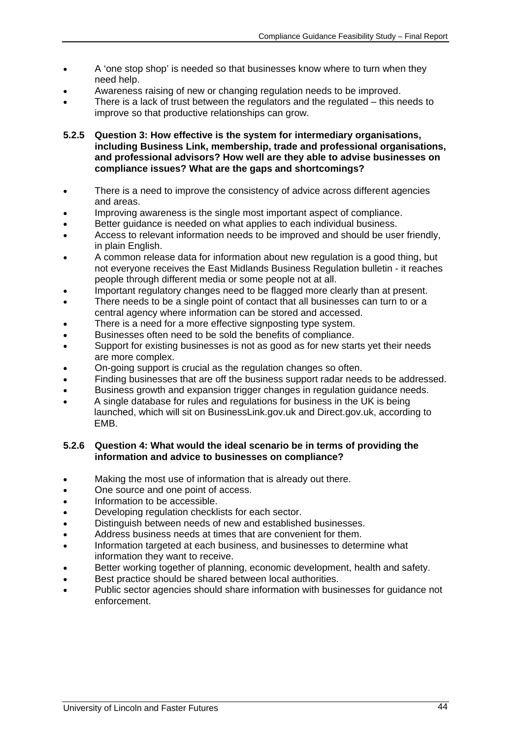- A 'one stop shop' is needed so that businesses know where to turn when they need help.
- Awareness raising of new or changing regulation needs to be improved.
- There is a lack of trust between the regulators and the regulated this needs to improve so that productive relationships can grow.

**5.2.5 Question 3: How effective is the system for intermediary organisations, including Business Link, membership, trade and professional organisations, and professional advisors? How well are they able to advise businesses on compliance issues? What are the gaps and shortcomings?** 

- There is a need to improve the consistency of advice across different agencies and areas.
- Improving awareness is the single most important aspect of compliance.
- Better quidance is needed on what applies to each individual business.
- Access to relevant information needs to be improved and should be user friendly, in plain English.
- A common release data for information about new regulation is a good thing, but not everyone receives the East Midlands Business Regulation bulletin - it reaches people through different media or some people not at all.
- Important regulatory changes need to be flagged more clearly than at present.
- There needs to be a single point of contact that all businesses can turn to or a central agency where information can be stored and accessed.
- There is a need for a more effective signposting type system.
- Businesses often need to be sold the benefits of compliance.
- Support for existing businesses is not as good as for new starts yet their needs are more complex.
- On-going support is crucial as the regulation changes so often.
- Finding businesses that are off the business support radar needs to be addressed.
- Business growth and expansion trigger changes in regulation guidance needs.
- A single database for rules and regulations for business in the UK is being launched, which will sit on BusinessLink.gov.uk and Direct.gov.uk, according to EMB.

### **5.2.6 Question 4: What would the ideal scenario be in terms of providing the information and advice to businesses on compliance?**

- Making the most use of information that is already out there.
- One source and one point of access.
- Information to be accessible.
- Developing regulation checklists for each sector.
- Distinguish between needs of new and established businesses.
- Address business needs at times that are convenient for them.
- Information targeted at each business, and businesses to determine what information they want to receive.
- Better working together of planning, economic development, health and safety.
- Best practice should be shared between local authorities.
- Public sector agencies should share information with businesses for guidance not enforcement.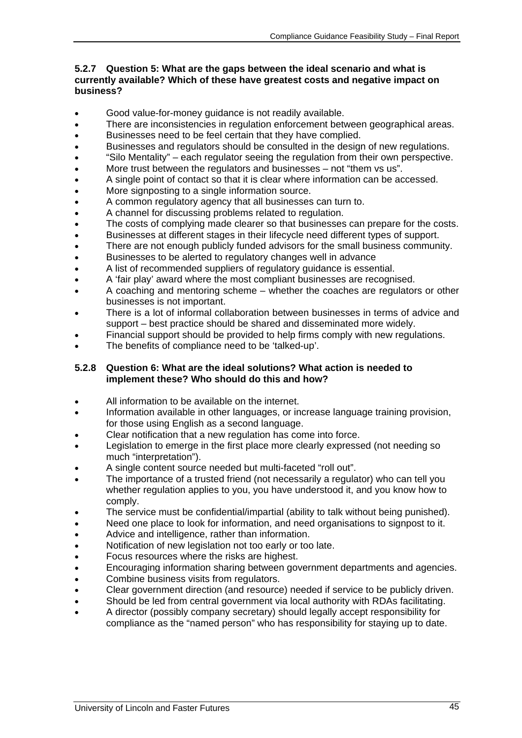### **5.2.7 Question 5: What are the gaps between the ideal scenario and what is currently available? Which of these have greatest costs and negative impact on business?**

- Good value-for-money guidance is not readily available.
- There are inconsistencies in regulation enforcement between geographical areas.
- Businesses need to be feel certain that they have complied.
- Businesses and regulators should be consulted in the design of new regulations.
- "Silo Mentality" each regulator seeing the regulation from their own perspective.
- More trust between the regulators and businesses not "them vs us".
- A single point of contact so that it is clear where information can be accessed.
- More signposting to a single information source.
- A common regulatory agency that all businesses can turn to.
- A channel for discussing problems related to regulation.
- The costs of complying made clearer so that businesses can prepare for the costs.
- Businesses at different stages in their lifecycle need different types of support.
- There are not enough publicly funded advisors for the small business community.
- Businesses to be alerted to regulatory changes well in advance
- A list of recommended suppliers of regulatory guidance is essential.
- A 'fair play' award where the most compliant businesses are recognised.
- A coaching and mentoring scheme whether the coaches are regulators or other businesses is not important.
- There is a lot of informal collaboration between businesses in terms of advice and support – best practice should be shared and disseminated more widely.
- Financial support should be provided to help firms comply with new regulations.
- The benefits of compliance need to be 'talked-up'.

### **5.2.8 Question 6: What are the ideal solutions? What action is needed to implement these? Who should do this and how?**

- All information to be available on the internet.
- Information available in other languages, or increase language training provision, for those using English as a second language.
- Clear notification that a new regulation has come into force.
- Legislation to emerge in the first place more clearly expressed (not needing so much "interpretation").
- A single content source needed but multi-faceted "roll out".
- The importance of a trusted friend (not necessarily a regulator) who can tell you whether regulation applies to you, you have understood it, and you know how to comply.
- The service must be confidential/impartial (ability to talk without being punished).
- Need one place to look for information, and need organisations to signpost to it.
- Advice and intelligence, rather than information.
- Notification of new legislation not too early or too late.
- Focus resources where the risks are highest.
- Encouraging information sharing between government departments and agencies.
- Combine business visits from regulators.
- Clear government direction (and resource) needed if service to be publicly driven.
- Should be led from central government via local authority with RDAs facilitating.
- A director (possibly company secretary) should legally accept responsibility for compliance as the "named person" who has responsibility for staying up to date.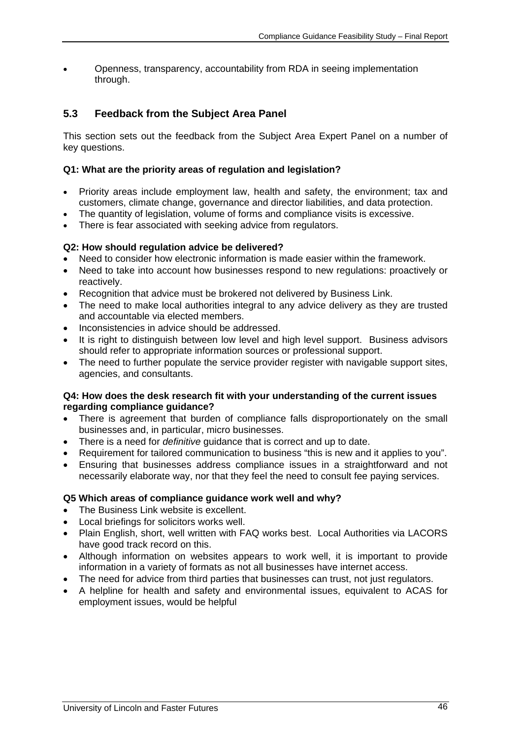• Openness, transparency, accountability from RDA in seeing implementation through.

# **5.3 Feedback from the Subject Area Panel**

This section sets out the feedback from the Subject Area Expert Panel on a number of key questions.

### **Q1: What are the priority areas of regulation and legislation?**

- Priority areas include employment law, health and safety, the environment; tax and customers, climate change, governance and director liabilities, and data protection.
- The quantity of legislation, volume of forms and compliance visits is excessive.
- There is fear associated with seeking advice from regulators.

## **Q2: How should regulation advice be delivered?**

- Need to consider how electronic information is made easier within the framework.
- Need to take into account how businesses respond to new regulations: proactively or reactively.
- Recognition that advice must be brokered not delivered by Business Link.
- The need to make local authorities integral to any advice delivery as they are trusted and accountable via elected members.
- Inconsistencies in advice should be addressed.
- It is right to distinguish between low level and high level support. Business advisors should refer to appropriate information sources or professional support.
- The need to further populate the service provider register with navigable support sites, agencies, and consultants.

### **Q4: How does the desk research fit with your understanding of the current issues regarding compliance guidance?**

- There is agreement that burden of compliance falls disproportionately on the small businesses and, in particular, micro businesses.
- There is a need for *definitive* guidance that is correct and up to date.
- Requirement for tailored communication to business "this is new and it applies to you".
- Ensuring that businesses address compliance issues in a straightforward and not necessarily elaborate way, nor that they feel the need to consult fee paying services.

### **Q5 Which areas of compliance guidance work well and why?**

- The Business Link website is excellent.
- Local briefings for solicitors works well.
- Plain English, short, well written with FAQ works best. Local Authorities via LACORS have good track record on this.
- Although information on websites appears to work well, it is important to provide information in a variety of formats as not all businesses have internet access.
- The need for advice from third parties that businesses can trust, not just regulators.
- A helpline for health and safety and environmental issues, equivalent to ACAS for employment issues, would be helpful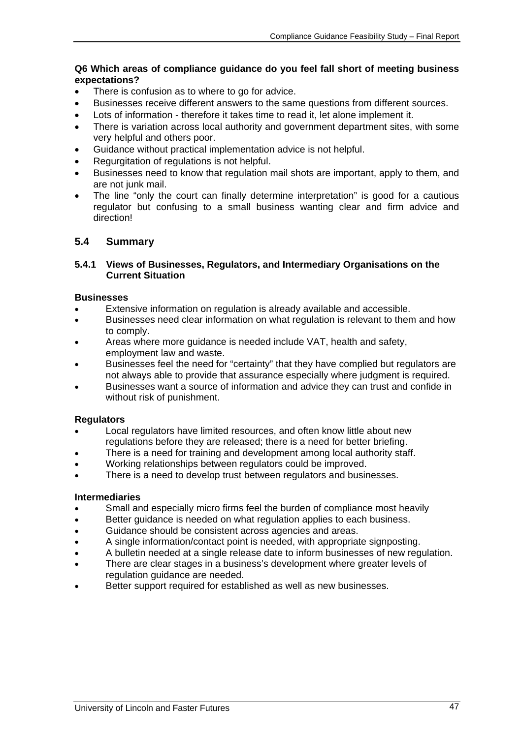### **Q6 Which areas of compliance guidance do you feel fall short of meeting business expectations?**

- There is confusion as to where to go for advice.
- Businesses receive different answers to the same questions from different sources.
- Lots of information therefore it takes time to read it, let alone implement it.
- There is variation across local authority and government department sites, with some very helpful and others poor.
- Guidance without practical implementation advice is not helpful.
- Regurgitation of regulations is not helpful.
- Businesses need to know that regulation mail shots are important, apply to them, and are not junk mail.
- The line "only the court can finally determine interpretation" is good for a cautious regulator but confusing to a small business wanting clear and firm advice and direction!

### **5.4 Summary**

### **5.4.1 Views of Businesses, Regulators, and Intermediary Organisations on the Current Situation**

### **Businesses**

- Extensive information on regulation is already available and accessible.
- Businesses need clear information on what regulation is relevant to them and how to comply.
- Areas where more guidance is needed include VAT, health and safety, employment law and waste.
- Businesses feel the need for "certainty" that they have complied but regulators are not always able to provide that assurance especially where judgment is required.
- Businesses want a source of information and advice they can trust and confide in without risk of punishment.

### **Regulators**

- Local regulators have limited resources, and often know little about new regulations before they are released; there is a need for better briefing.
- There is a need for training and development among local authority staff.
- Working relationships between regulators could be improved.
- There is a need to develop trust between regulators and businesses.

#### **Intermediaries**

- Small and especially micro firms feel the burden of compliance most heavily
- Better guidance is needed on what regulation applies to each business.
- Guidance should be consistent across agencies and areas.
- A single information/contact point is needed, with appropriate signposting.
- A bulletin needed at a single release date to inform businesses of new regulation.
- There are clear stages in a business's development where greater levels of regulation guidance are needed.
- Better support required for established as well as new businesses.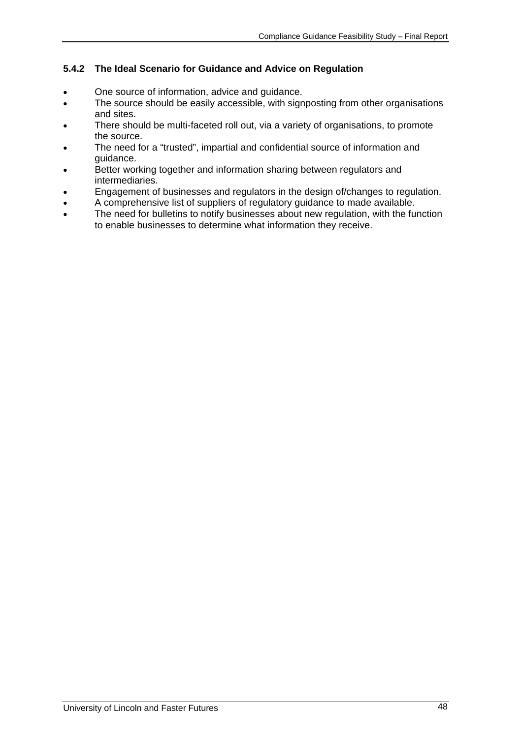## **5.4.2 The Ideal Scenario for Guidance and Advice on Regulation**

- One source of information, advice and guidance.
- The source should be easily accessible, with signposting from other organisations and sites.
- There should be multi-faceted roll out, via a variety of organisations, to promote the source.
- The need for a "trusted", impartial and confidential source of information and guidance.
- Better working together and information sharing between regulators and intermediaries.
- Engagement of businesses and regulators in the design of/changes to regulation.
- A comprehensive list of suppliers of regulatory guidance to made available.
- The need for bulletins to notify businesses about new regulation, with the function to enable businesses to determine what information they receive.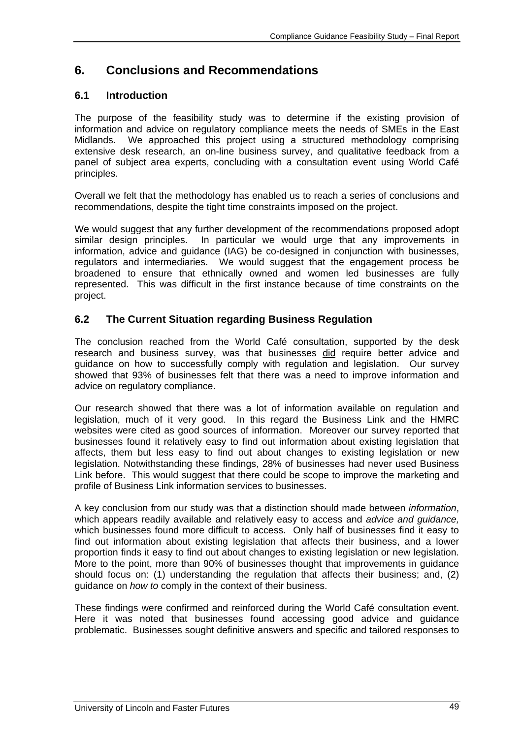# **6. Conclusions and Recommendations**

# **6.1 Introduction**

The purpose of the feasibility study was to determine if the existing provision of information and advice on regulatory compliance meets the needs of SMEs in the East Midlands. We approached this project using a structured methodology comprising extensive desk research, an on-line business survey, and qualitative feedback from a panel of subject area experts, concluding with a consultation event using World Café principles.

Overall we felt that the methodology has enabled us to reach a series of conclusions and recommendations, despite the tight time constraints imposed on the project.

We would suggest that any further development of the recommendations proposed adopt similar design principles. In particular we would urge that any improvements in information, advice and guidance (IAG) be co-designed in conjunction with businesses, regulators and intermediaries. We would suggest that the engagement process be broadened to ensure that ethnically owned and women led businesses are fully represented. This was difficult in the first instance because of time constraints on the project.

# **6.2 The Current Situation regarding Business Regulation**

The conclusion reached from the World Café consultation, supported by the desk research and business survey, was that businesses did require better advice and guidance on how to successfully comply with regulation and legislation. Our survey showed that 93% of businesses felt that there was a need to improve information and advice on regulatory compliance.

Our research showed that there was a lot of information available on regulation and legislation, much of it very good. In this regard the Business Link and the HMRC websites were cited as good sources of information. Moreover our survey reported that businesses found it relatively easy to find out information about existing legislation that affects, them but less easy to find out about changes to existing legislation or new legislation. Notwithstanding these findings, 28% of businesses had never used Business Link before. This would suggest that there could be scope to improve the marketing and profile of Business Link information services to businesses.

A key conclusion from our study was that a distinction should made between *information*, which appears readily available and relatively easy to access and *advice and guidance,*  which businesses found more difficult to access. Only half of businesses find it easy to find out information about existing legislation that affects their business, and a lower proportion finds it easy to find out about changes to existing legislation or new legislation. More to the point, more than 90% of businesses thought that improvements in guidance should focus on: (1) understanding the regulation that affects their business; and, (2) guidance on *how to* comply in the context of their business.

These findings were confirmed and reinforced during the World Café consultation event. Here it was noted that businesses found accessing good advice and guidance problematic. Businesses sought definitive answers and specific and tailored responses to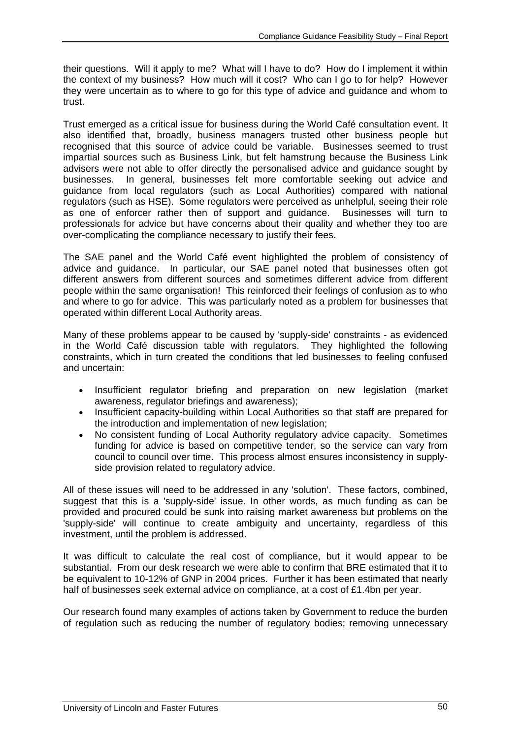their questions. Will it apply to me? What will I have to do? How do I implement it within the context of my business? How much will it cost? Who can I go to for help? However they were uncertain as to where to go for this type of advice and guidance and whom to trust.

Trust emerged as a critical issue for business during the World Café consultation event. It also identified that, broadly, business managers trusted other business people but recognised that this source of advice could be variable. Businesses seemed to trust impartial sources such as Business Link, but felt hamstrung because the Business Link advisers were not able to offer directly the personalised advice and guidance sought by businesses. In general, businesses felt more comfortable seeking out advice and guidance from local regulators (such as Local Authorities) compared with national regulators (such as HSE). Some regulators were perceived as unhelpful, seeing their role as one of enforcer rather then of support and guidance. Businesses will turn to professionals for advice but have concerns about their quality and whether they too are over-complicating the compliance necessary to justify their fees.

The SAE panel and the World Café event highlighted the problem of consistency of advice and guidance. In particular, our SAE panel noted that businesses often got different answers from different sources and sometimes different advice from different people within the same organisation! This reinforced their feelings of confusion as to who and where to go for advice. This was particularly noted as a problem for businesses that operated within different Local Authority areas.

Many of these problems appear to be caused by 'supply-side' constraints - as evidenced in the World Café discussion table with regulators. They highlighted the following constraints, which in turn created the conditions that led businesses to feeling confused and uncertain:

- Insufficient regulator briefing and preparation on new legislation (market awareness, regulator briefings and awareness);
- Insufficient capacity-building within Local Authorities so that staff are prepared for the introduction and implementation of new legislation;
- No consistent funding of Local Authority regulatory advice capacity. Sometimes funding for advice is based on competitive tender, so the service can vary from council to council over time. This process almost ensures inconsistency in supplyside provision related to regulatory advice.

All of these issues will need to be addressed in any 'solution'. These factors, combined, suggest that this is a 'supply-side' issue. In other words, as much funding as can be provided and procured could be sunk into raising market awareness but problems on the 'supply-side' will continue to create ambiguity and uncertainty, regardless of this investment, until the problem is addressed.

It was difficult to calculate the real cost of compliance, but it would appear to be substantial. From our desk research we were able to confirm that BRE estimated that it to be equivalent to 10-12% of GNP in 2004 prices. Further it has been estimated that nearly half of businesses seek external advice on compliance, at a cost of £1.4bn per year.

Our research found many examples of actions taken by Government to reduce the burden of regulation such as reducing the number of regulatory bodies; removing unnecessary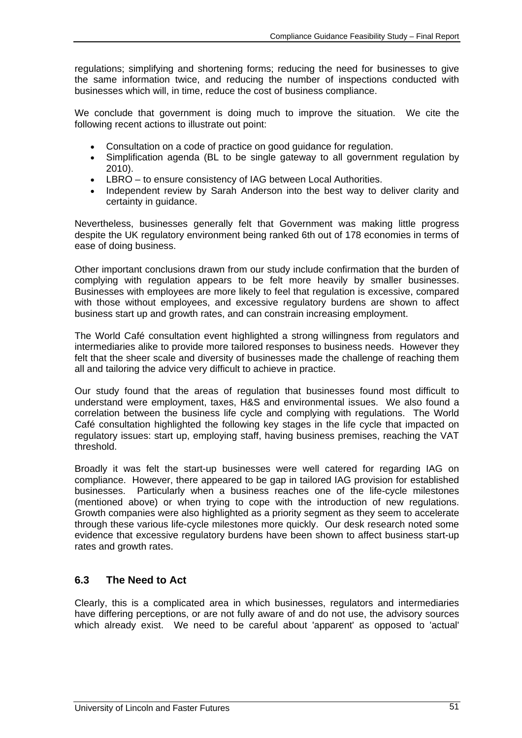regulations; simplifying and shortening forms; reducing the need for businesses to give the same information twice, and reducing the number of inspections conducted with businesses which will, in time, reduce the cost of business compliance.

We conclude that government is doing much to improve the situation. We cite the following recent actions to illustrate out point:

- Consultation on a code of practice on good guidance for regulation.
- Simplification agenda (BL to be single gateway to all government regulation by 2010).
- LBRO to ensure consistency of IAG between Local Authorities.
- Independent review by Sarah Anderson into the best way to deliver clarity and certainty in guidance.

Nevertheless, businesses generally felt that Government was making little progress despite the UK regulatory environment being ranked 6th out of 178 economies in terms of ease of doing business.

Other important conclusions drawn from our study include confirmation that the burden of complying with regulation appears to be felt more heavily by smaller businesses. Businesses with employees are more likely to feel that regulation is excessive, compared with those without employees, and excessive regulatory burdens are shown to affect business start up and growth rates, and can constrain increasing employment.

The World Café consultation event highlighted a strong willingness from regulators and intermediaries alike to provide more tailored responses to business needs. However they felt that the sheer scale and diversity of businesses made the challenge of reaching them all and tailoring the advice very difficult to achieve in practice.

Our study found that the areas of regulation that businesses found most difficult to understand were employment, taxes, H&S and environmental issues. We also found a correlation between the business life cycle and complying with regulations. The World Café consultation highlighted the following key stages in the life cycle that impacted on regulatory issues: start up, employing staff, having business premises, reaching the VAT threshold.

Broadly it was felt the start-up businesses were well catered for regarding IAG on compliance. However, there appeared to be gap in tailored IAG provision for established businesses. Particularly when a business reaches one of the life-cycle milestones (mentioned above) or when trying to cope with the introduction of new regulations. Growth companies were also highlighted as a priority segment as they seem to accelerate through these various life-cycle milestones more quickly. Our desk research noted some evidence that excessive regulatory burdens have been shown to affect business start-up rates and growth rates.

# **6.3 The Need to Act**

Clearly, this is a complicated area in which businesses, regulators and intermediaries have differing perceptions, or are not fully aware of and do not use, the advisory sources which already exist. We need to be careful about 'apparent' as opposed to 'actual'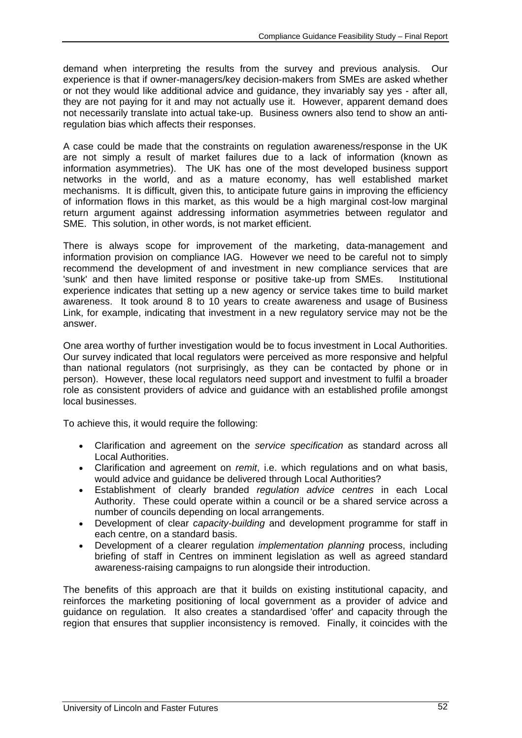demand when interpreting the results from the survey and previous analysis. Our experience is that if owner-managers/key decision-makers from SMEs are asked whether or not they would like additional advice and guidance, they invariably say yes - after all, they are not paying for it and may not actually use it. However, apparent demand does not necessarily translate into actual take-up. Business owners also tend to show an antiregulation bias which affects their responses.

A case could be made that the constraints on regulation awareness/response in the UK are not simply a result of market failures due to a lack of information (known as information asymmetries). The UK has one of the most developed business support networks in the world, and as a mature economy, has well established market mechanisms. It is difficult, given this, to anticipate future gains in improving the efficiency of information flows in this market, as this would be a high marginal cost-low marginal return argument against addressing information asymmetries between regulator and SME. This solution, in other words, is not market efficient.

There is always scope for improvement of the marketing, data-management and information provision on compliance IAG. However we need to be careful not to simply recommend the development of and investment in new compliance services that are 'sunk' and then have limited response or positive take-up from SMEs. Institutional experience indicates that setting up a new agency or service takes time to build market awareness. It took around 8 to 10 years to create awareness and usage of Business Link, for example, indicating that investment in a new regulatory service may not be the answer.

One area worthy of further investigation would be to focus investment in Local Authorities. Our survey indicated that local regulators were perceived as more responsive and helpful than national regulators (not surprisingly, as they can be contacted by phone or in person). However, these local regulators need support and investment to fulfil a broader role as consistent providers of advice and guidance with an established profile amongst local businesses.

To achieve this, it would require the following:

- Clarification and agreement on the *service specification* as standard across all Local Authorities.
- Clarification and agreement on *remit*, i.e. which regulations and on what basis, would advice and guidance be delivered through Local Authorities?
- Establishment of clearly branded *regulation advice centres* in each Local Authority. These could operate within a council or be a shared service across a number of councils depending on local arrangements.
- Development of clear *capacity-building* and development programme for staff in each centre, on a standard basis.
- Development of a clearer regulation *implementation planning* process, including briefing of staff in Centres on imminent legislation as well as agreed standard awareness-raising campaigns to run alongside their introduction.

The benefits of this approach are that it builds on existing institutional capacity, and reinforces the marketing positioning of local government as a provider of advice and guidance on regulation. It also creates a standardised 'offer' and capacity through the region that ensures that supplier inconsistency is removed. Finally, it coincides with the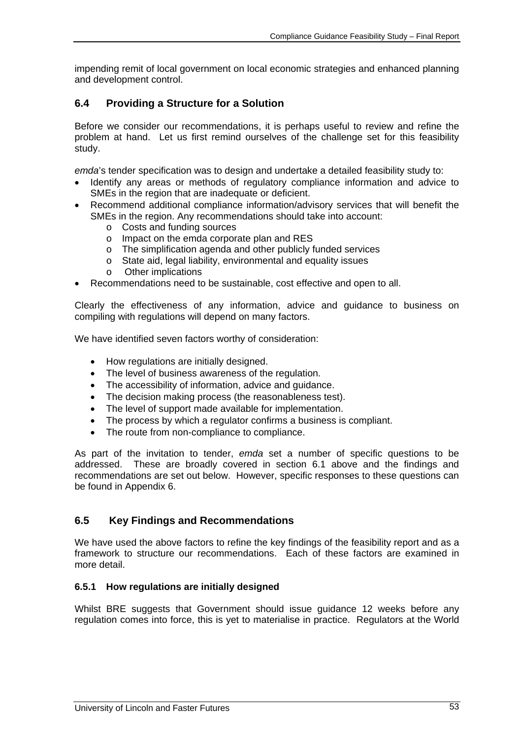impending remit of local government on local economic strategies and enhanced planning and development control.

# **6.4 Providing a Structure for a Solution**

Before we consider our recommendations, it is perhaps useful to review and refine the problem at hand. Let us first remind ourselves of the challenge set for this feasibility study.

*emda*'s tender specification was to design and undertake a detailed feasibility study to:

- Identify any areas or methods of regulatory compliance information and advice to SME<sub>s</sub> in the region that are inadequate or deficient.
- Recommend additional compliance information/advisory services that will benefit the SMEs in the region. Any recommendations should take into account:
	- o Costs and funding sources
	- o Impact on the emda corporate plan and RES
	- o The simplification agenda and other publicly funded services
	- o State aid, legal liability, environmental and equality issues
	- o Other implications
- Recommendations need to be sustainable, cost effective and open to all.

Clearly the effectiveness of any information, advice and guidance to business on compiling with regulations will depend on many factors.

We have identified seven factors worthy of consideration:

- How regulations are initially designed.
- The level of business awareness of the regulation.
- The accessibility of information, advice and guidance.
- The decision making process (the reasonableness test).
- The level of support made available for implementation.
- The process by which a regulator confirms a business is compliant.
- The route from non-compliance to compliance.

As part of the invitation to tender, *emda* set a number of specific questions to be addressed. These are broadly covered in section 6.1 above and the findings and recommendations are set out below. However, specific responses to these questions can be found in Appendix 6.

### **6.5 Key Findings and Recommendations**

We have used the above factors to refine the key findings of the feasibility report and as a framework to structure our recommendations. Each of these factors are examined in more detail.

#### **6.5.1 How regulations are initially designed**

Whilst BRE suggests that Government should issue guidance 12 weeks before any regulation comes into force, this is yet to materialise in practice. Regulators at the World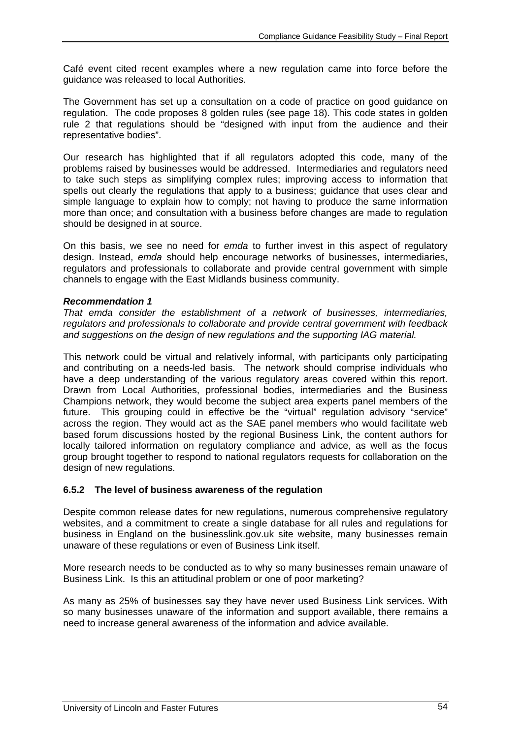Café event cited recent examples where a new regulation came into force before the guidance was released to local Authorities.

The Government has set up a consultation on a code of practice on good guidance on regulation. The code proposes 8 golden rules (see page 18). This code states in golden rule 2 that regulations should be "designed with input from the audience and their representative bodies".

Our research has highlighted that if all regulators adopted this code, many of the problems raised by businesses would be addressed. Intermediaries and regulators need to take such steps as simplifying complex rules; improving access to information that spells out clearly the regulations that apply to a business; guidance that uses clear and simple language to explain how to comply; not having to produce the same information more than once; and consultation with a business before changes are made to regulation should be designed in at source.

On this basis, we see no need for *emda* to further invest in this aspect of regulatory design. Instead, *emda* should help encourage networks of businesses, intermediaries, regulators and professionals to collaborate and provide central government with simple channels to engage with the East Midlands business community.

### *Recommendation 1*

*That emda consider the establishment of a network of businesses, intermediaries, regulators and professionals to collaborate and provide central government with feedback and suggestions on the design of new regulations and the supporting IAG material.* 

This network could be virtual and relatively informal, with participants only participating and contributing on a needs-led basis. The network should comprise individuals who have a deep understanding of the various regulatory areas covered within this report. Drawn from Local Authorities, professional bodies, intermediaries and the Business Champions network, they would become the subject area experts panel members of the future. This grouping could in effective be the "virtual" regulation advisory "service" across the region. They would act as the SAE panel members who would facilitate web based forum discussions hosted by the regional Business Link, the content authors for locally tailored information on regulatory compliance and advice, as well as the focus group brought together to respond to national regulators requests for collaboration on the design of new regulations.

### **6.5.2 The level of business awareness of the regulation**

Despite common release dates for new regulations, numerous comprehensive regulatory websites, and a commitment to create a single database for all rules and regulations for business in England on the businesslink.gov.uk site website, many businesses remain unaware of these regulations or even of Business Link itself.

More research needs to be conducted as to why so many businesses remain unaware of Business Link. Is this an attitudinal problem or one of poor marketing?

As many as 25% of businesses say they have never used Business Link services. With so many businesses unaware of the information and support available, there remains a need to increase general awareness of the information and advice available.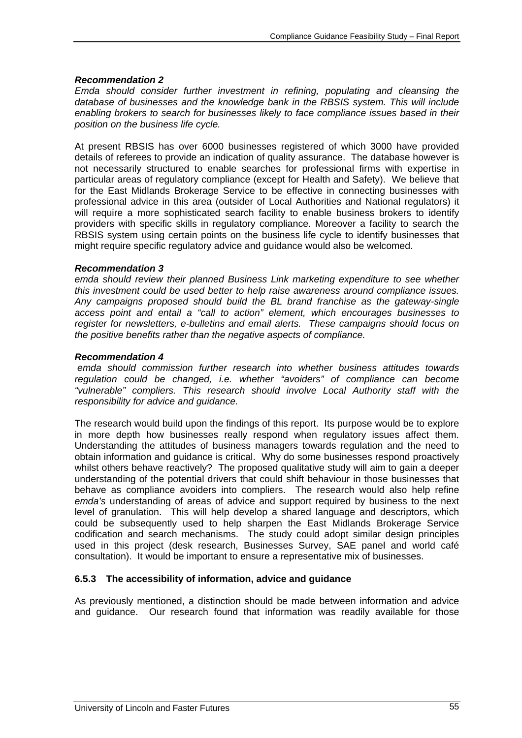### *Recommendation 2*

*Emda should consider further investment in refining, populating and cleansing the database of businesses and the knowledge bank in the RBSIS system. This will include enabling brokers to search for businesses likely to face compliance issues based in their position on the business life cycle.* 

At present RBSIS has over 6000 businesses registered of which 3000 have provided details of referees to provide an indication of quality assurance. The database however is not necessarily structured to enable searches for professional firms with expertise in particular areas of regulatory compliance (except for Health and Safety). We believe that for the East Midlands Brokerage Service to be effective in connecting businesses with professional advice in this area (outsider of Local Authorities and National regulators) it will require a more sophisticated search facility to enable business brokers to identify providers with specific skills in regulatory compliance. Moreover a facility to search the RBSIS system using certain points on the business life cycle to identify businesses that might require specific regulatory advice and guidance would also be welcomed.

### *Recommendation 3*

*emda should review their planned Business Link marketing expenditure to see whether this investment could be used better to help raise awareness around compliance issues. Any campaigns proposed should build the BL brand franchise as the gateway-single access point and entail a "call to action" element, which encourages businesses to register for newsletters, e-bulletins and email alerts. These campaigns should focus on the positive benefits rather than the negative aspects of compliance.* 

### *Recommendation 4*

 *emda should commission further research into whether business attitudes towards regulation could be changed, i.e. whether "avoiders" of compliance can become "vulnerable" compliers. This research should involve Local Authority staff with the responsibility for advice and guidance.* 

The research would build upon the findings of this report. Its purpose would be to explore in more depth how businesses really respond when regulatory issues affect them. Understanding the attitudes of business managers towards regulation and the need to obtain information and guidance is critical. Why do some businesses respond proactively whilst others behave reactively? The proposed qualitative study will aim to gain a deeper understanding of the potential drivers that could shift behaviour in those businesses that behave as compliance avoiders into compliers. The research would also help refine *emda's* understanding of areas of advice and support required by business to the next level of granulation. This will help develop a shared language and descriptors, which could be subsequently used to help sharpen the East Midlands Brokerage Service codification and search mechanisms. The study could adopt similar design principles used in this project (desk research, Businesses Survey, SAE panel and world café consultation). It would be important to ensure a representative mix of businesses.

### **6.5.3 The accessibility of information, advice and guidance**

As previously mentioned, a distinction should be made between information and advice and guidance. Our research found that information was readily available for those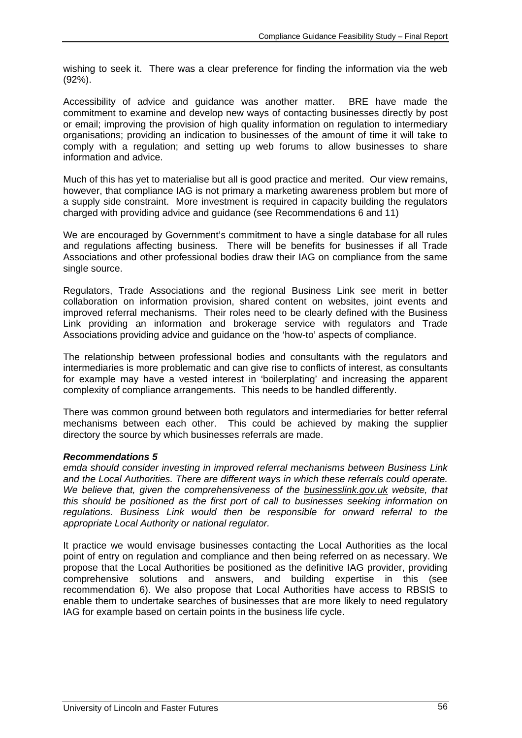wishing to seek it. There was a clear preference for finding the information via the web (92%).

Accessibility of advice and guidance was another matter. BRE have made the commitment to examine and develop new ways of contacting businesses directly by post or email; improving the provision of high quality information on regulation to intermediary organisations; providing an indication to businesses of the amount of time it will take to comply with a regulation; and setting up web forums to allow businesses to share information and advice.

Much of this has yet to materialise but all is good practice and merited. Our view remains, however, that compliance IAG is not primary a marketing awareness problem but more of a supply side constraint. More investment is required in capacity building the regulators charged with providing advice and guidance (see Recommendations 6 and 11)

We are encouraged by Government's commitment to have a single database for all rules and regulations affecting business. There will be benefits for businesses if all Trade Associations and other professional bodies draw their IAG on compliance from the same single source.

Regulators, Trade Associations and the regional Business Link see merit in better collaboration on information provision, shared content on websites, joint events and improved referral mechanisms. Their roles need to be clearly defined with the Business Link providing an information and brokerage service with regulators and Trade Associations providing advice and guidance on the 'how-to' aspects of compliance.

The relationship between professional bodies and consultants with the regulators and intermediaries is more problematic and can give rise to conflicts of interest, as consultants for example may have a vested interest in 'boilerplating' and increasing the apparent complexity of compliance arrangements. This needs to be handled differently.

There was common ground between both regulators and intermediaries for better referral mechanisms between each other. This could be achieved by making the supplier directory the source by which businesses referrals are made.

### *Recommendations 5*

*emda should consider investing in improved referral mechanisms between Business Link and the Local Authorities. There are different ways in which these referrals could operate. We believe that, given the comprehensiveness of the businesslink.gov.uk website, that this should be positioned as the first port of call to businesses seeking information on regulations. Business Link would then be responsible for onward referral to the appropriate Local Authority or national regulator.* 

It practice we would envisage businesses contacting the Local Authorities as the local point of entry on regulation and compliance and then being referred on as necessary. We propose that the Local Authorities be positioned as the definitive IAG provider, providing comprehensive solutions and answers, and building expertise in this (see recommendation 6). We also propose that Local Authorities have access to RBSIS to enable them to undertake searches of businesses that are more likely to need regulatory IAG for example based on certain points in the business life cycle.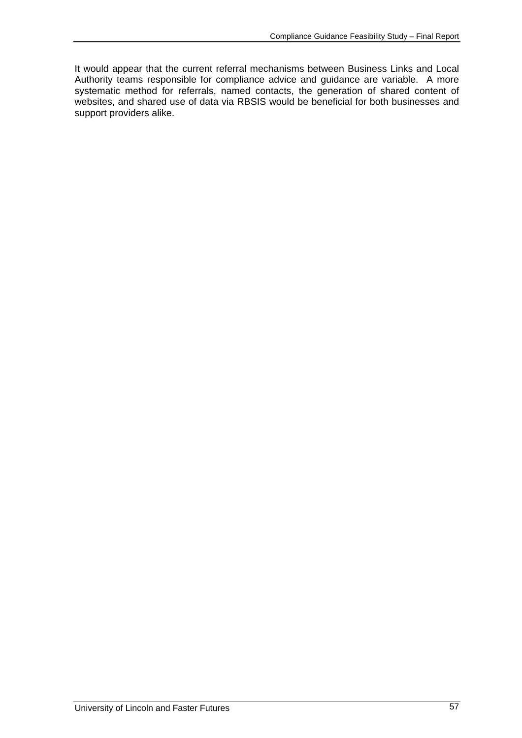It would appear that the current referral mechanisms between Business Links and Local Authority teams responsible for compliance advice and guidance are variable. A more systematic method for referrals, named contacts, the generation of shared content of websites, and shared use of data via RBSIS would be beneficial for both businesses and support providers alike.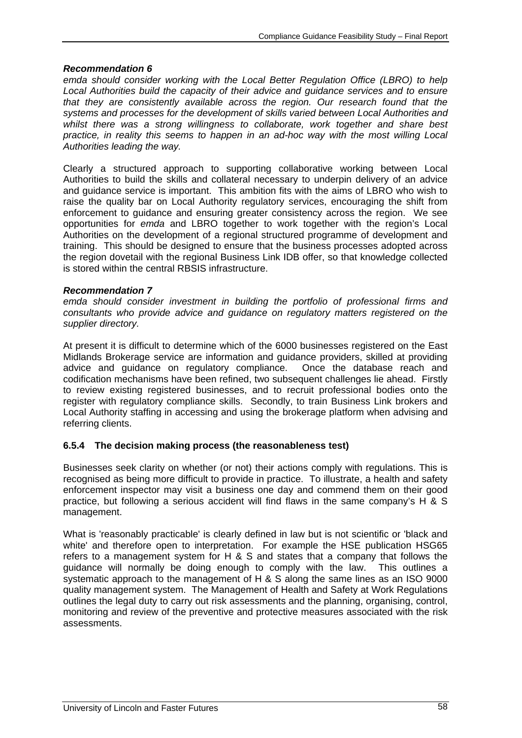### *Recommendation 6*

*emda should consider working with the Local Better Regulation Office (LBRO) to help Local Authorities build the capacity of their advice and guidance services and to ensure that they are consistently available across the region. Our research found that the systems and processes for the development of skills varied between Local Authorities and whilst there was a strong willingness to collaborate, work together and share best practice, in reality this seems to happen in an ad-hoc way with the most willing Local Authorities leading the way.* 

Clearly a structured approach to supporting collaborative working between Local Authorities to build the skills and collateral necessary to underpin delivery of an advice and guidance service is important. This ambition fits with the aims of LBRO who wish to raise the quality bar on Local Authority regulatory services, encouraging the shift from enforcement to guidance and ensuring greater consistency across the region. We see opportunities for *emda* and LBRO together to work together with the region's Local Authorities on the development of a regional structured programme of development and training. This should be designed to ensure that the business processes adopted across the region dovetail with the regional Business Link IDB offer, so that knowledge collected is stored within the central RBSIS infrastructure.

### *Recommendation 7*

*emda should consider investment in building the portfolio of professional firms and consultants who provide advice and guidance on regulatory matters registered on the supplier directory.* 

At present it is difficult to determine which of the 6000 businesses registered on the East Midlands Brokerage service are information and guidance providers, skilled at providing advice and guidance on regulatory compliance. Once the database reach and codification mechanisms have been refined, two subsequent challenges lie ahead. Firstly to review existing registered businesses, and to recruit professional bodies onto the register with regulatory compliance skills. Secondly, to train Business Link brokers and Local Authority staffing in accessing and using the brokerage platform when advising and referring clients.

# **6.5.4 The decision making process (the reasonableness test)**

Businesses seek clarity on whether (or not) their actions comply with regulations. This is recognised as being more difficult to provide in practice. To illustrate, a health and safety enforcement inspector may visit a business one day and commend them on their good practice, but following a serious accident will find flaws in the same company's H & S management.

What is 'reasonably practicable' is clearly defined in law but is not scientific or 'black and white' and therefore open to interpretation. For example the HSE publication HSG65 refers to a management system for H & S and states that a company that follows the guidance will normally be doing enough to comply with the law. This outlines a systematic approach to the management of H & S along the same lines as an ISO 9000 quality management system. The Management of Health and Safety at Work Regulations outlines the legal duty to carry out risk assessments and the planning, organising, control, monitoring and review of the preventive and protective measures associated with the risk assessments.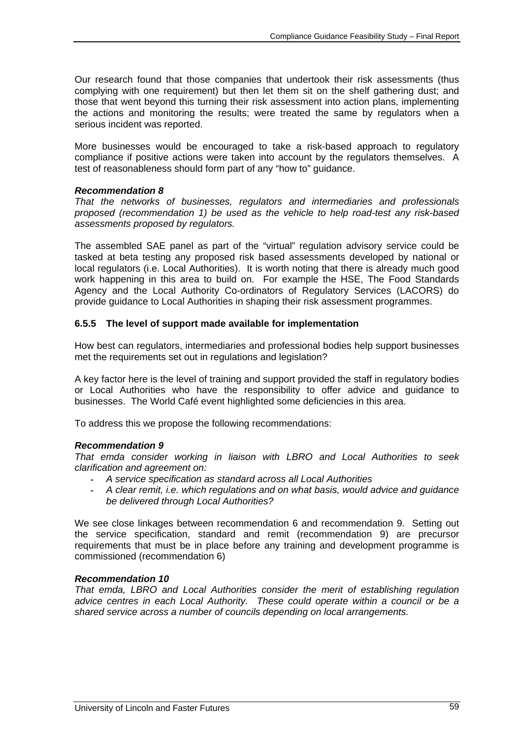Our research found that those companies that undertook their risk assessments (thus complying with one requirement) but then let them sit on the shelf gathering dust; and those that went beyond this turning their risk assessment into action plans, implementing the actions and monitoring the results; were treated the same by regulators when a serious incident was reported.

More businesses would be encouraged to take a risk-based approach to regulatory compliance if positive actions were taken into account by the regulators themselves. A test of reasonableness should form part of any "how to" guidance.

### *Recommendation 8*

*That the networks of businesses, regulators and intermediaries and professionals proposed (recommendation 1) be used as the vehicle to help road-test any risk-based assessments proposed by regulators.* 

The assembled SAE panel as part of the "virtual" regulation advisory service could be tasked at beta testing any proposed risk based assessments developed by national or local regulators (i.e. Local Authorities). It is worth noting that there is already much good work happening in this area to build on. For example the HSE, The Food Standards Agency and the Local Authority Co-ordinators of Regulatory Services (LACORS) do provide guidance to Local Authorities in shaping their risk assessment programmes.

### **6.5.5 The level of support made available for implementation**

How best can regulators, intermediaries and professional bodies help support businesses met the requirements set out in regulations and legislation?

A key factor here is the level of training and support provided the staff in regulatory bodies or Local Authorities who have the responsibility to offer advice and guidance to businesses. The World Café event highlighted some deficiencies in this area.

To address this we propose the following recommendations:

#### *Recommendation 9*

*That emda consider working in liaison with LBRO and Local Authorities to seek clarification and agreement on:* 

- *A service specification as standard across all Local Authorities*
- *A clear remit, i.e. which regulations and on what basis, would advice and guidance be delivered through Local Authorities?*

We see close linkages between recommendation 6 and recommendation 9. Setting out the service specification, standard and remit (recommendation 9) are precursor requirements that must be in place before any training and development programme is commissioned (recommendation 6)

#### *Recommendation 10*

*That emda, LBRO and Local Authorities consider the merit of establishing regulation advice centres in each Local Authority. These could operate within a council or be a shared service across a number of councils depending on local arrangements.*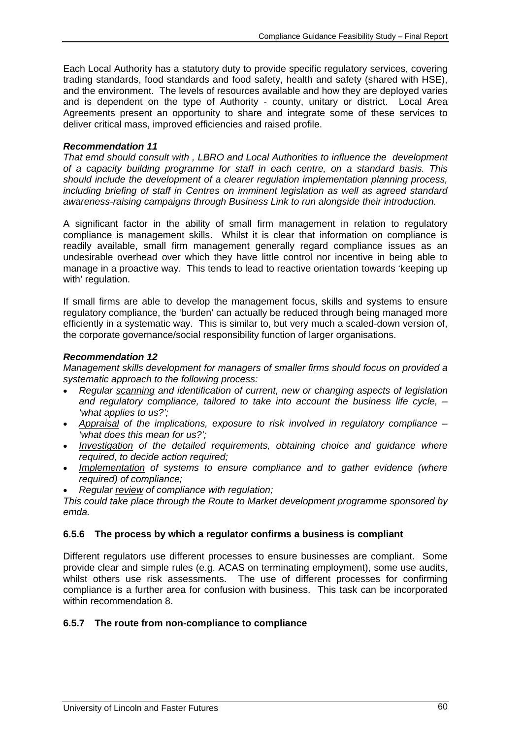Each Local Authority has a statutory duty to provide specific regulatory services, covering trading standards, food standards and food safety, health and safety (shared with HSE), and the environment. The levels of resources available and how they are deployed varies and is dependent on the type of Authority - county, unitary or district. Local Area Agreements present an opportunity to share and integrate some of these services to deliver critical mass, improved efficiencies and raised profile.

### *Recommendation 11*

*That emd should consult with , LBRO and Local Authorities to influence the development of a capacity building programme for staff in each centre, on a standard basis. This should include the development of a clearer regulation implementation planning process, including briefing of staff in Centres on imminent legislation as well as agreed standard awareness-raising campaigns through Business Link to run alongside their introduction.* 

A significant factor in the ability of small firm management in relation to regulatory compliance is management skills. Whilst it is clear that information on compliance is readily available, small firm management generally regard compliance issues as an undesirable overhead over which they have little control nor incentive in being able to manage in a proactive way. This tends to lead to reactive orientation towards 'keeping up with' regulation.

If small firms are able to develop the management focus, skills and systems to ensure regulatory compliance, the 'burden' can actually be reduced through being managed more efficiently in a systematic way. This is similar to, but very much a scaled-down version of, the corporate governance/social responsibility function of larger organisations.

### *Recommendation 12*

*Management skills development for managers of smaller firms should focus on provided a systematic approach to the following process:* 

- *Regular scanning and identification of current, new or changing aspects of legislation and regulatory compliance, tailored to take into account the business life cycle, – 'what applies to us?';*
- *Appraisal of the implications, exposure to risk involved in regulatory compliance 'what does this mean for us?';*
- *Investigation of the detailed requirements, obtaining choice and guidance where required, to decide action required;*
- *Implementation of systems to ensure compliance and to gather evidence (where required) of compliance;*
- *Regular review of compliance with regulation;*

*This could take place through the Route to Market development programme sponsored by emda.* 

### **6.5.6 The process by which a regulator confirms a business is compliant**

Different regulators use different processes to ensure businesses are compliant. Some provide clear and simple rules (e.g. ACAS on terminating employment), some use audits, whilst others use risk assessments. The use of different processes for confirming compliance is a further area for confusion with business. This task can be incorporated within recommendation 8

### **6.5.7 The route from non-compliance to compliance**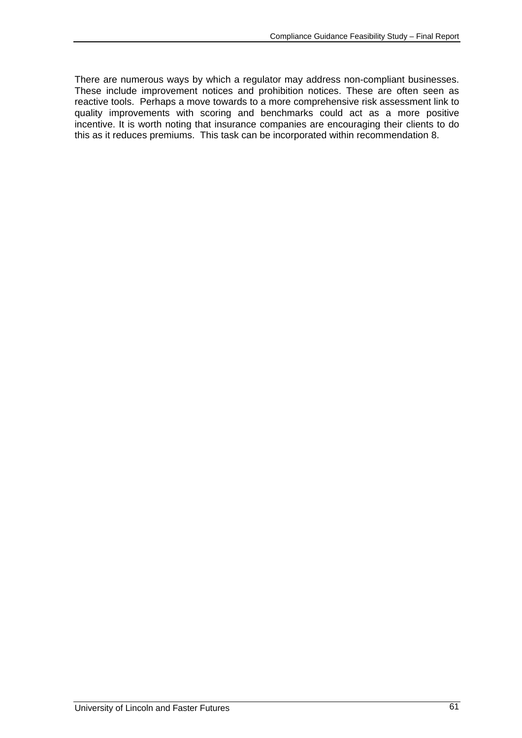There are numerous ways by which a regulator may address non-compliant businesses. These include improvement notices and prohibition notices. These are often seen as reactive tools. Perhaps a move towards to a more comprehensive risk assessment link to quality improvements with scoring and benchmarks could act as a more positive incentive. It is worth noting that insurance companies are encouraging their clients to do this as it reduces premiums. This task can be incorporated within recommendation 8.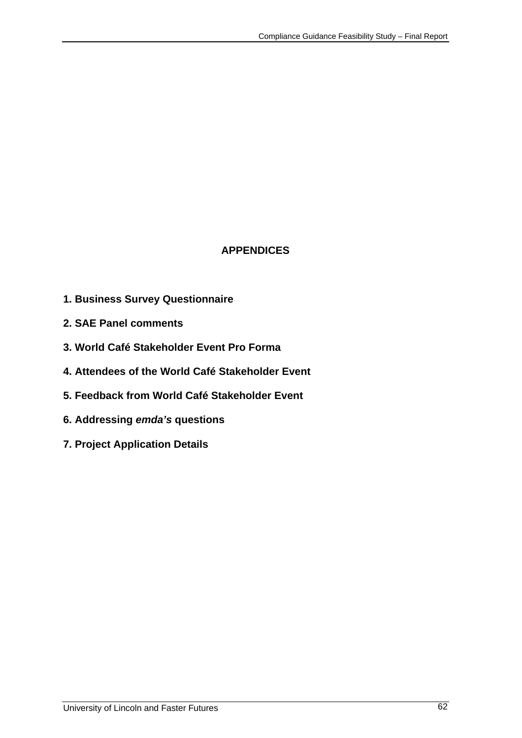# **APPENDICES**

- **1. Business Survey Questionnaire**
- **2. SAE Panel comments**
- **3. World Café Stakeholder Event Pro Forma**
- **4. Attendees of the World Café Stakeholder Event**
- **5. Feedback from World Café Stakeholder Event**
- **6. Addressing** *emda's* **questions**
- **7. Project Application Details**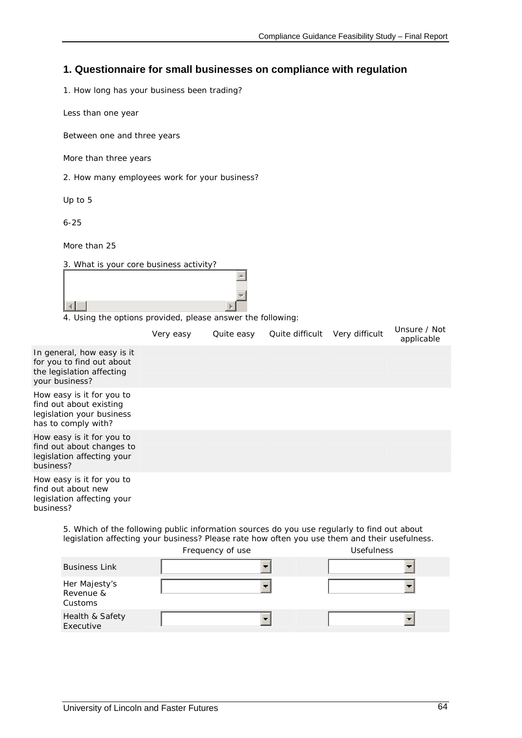# **1. Questionnaire for small businesses on compliance with regulation**

1. How long has your business been trading?

Less than one year

Between one and three years

More than three years

2. How many employees work for your business?

Up to 5

6-25

More than 25

3. What is your core business activity?

4. Using the options provided, please answer the following:

|                                                                                                          | Very easy | Quite easy | Quite difficult Very difficult | Unsure / Not<br>applicable |
|----------------------------------------------------------------------------------------------------------|-----------|------------|--------------------------------|----------------------------|
| In general, how easy is it<br>for you to find out about<br>the legislation affecting<br>your business?   |           |            |                                |                            |
| How easy is it for you to<br>find out about existing<br>legislation your business<br>has to comply with? |           |            |                                |                            |
| How easy is it for you to<br>find out about changes to<br>legislation affecting your<br>business?        |           |            |                                |                            |
| How easy is it for you to<br>find out about new<br>legislation affecting your<br>business?               |           |            |                                |                            |

5. Which of the following public information sources do you use regularly to find out about legislation affecting your business? Please rate how often you use them and their usefulness.

|                                       | Frequency of use | <b>Usefulness</b> |
|---------------------------------------|------------------|-------------------|
| <b>Business Link</b>                  |                  |                   |
| Her Majesty's<br>Revenue &<br>Customs |                  |                   |
| Health & Safety<br>Executive          |                  |                   |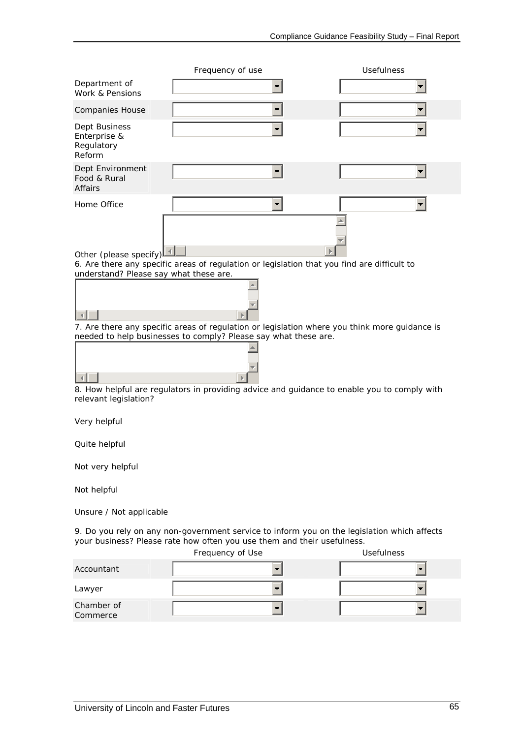|                                                                  | Frequency of use                                                                            | <b>Usefulness</b>                                                                             |
|------------------------------------------------------------------|---------------------------------------------------------------------------------------------|-----------------------------------------------------------------------------------------------|
| Department of<br>Work & Pensions                                 |                                                                                             |                                                                                               |
| <b>Companies House</b>                                           |                                                                                             |                                                                                               |
| Dept Business<br>Enterprise &<br>Regulatory<br>Reform            |                                                                                             |                                                                                               |
| Dept Environment<br>Food & Rural<br>Affairs                      |                                                                                             |                                                                                               |
| Home Office                                                      |                                                                                             |                                                                                               |
| Other (please specify)<br>understand? Please say what these are. | 6. Are there any specific areas of regulation or legislation that you find are difficult to |                                                                                               |
|                                                                  |                                                                                             |                                                                                               |
|                                                                  |                                                                                             | 7. Are there any specific areas of regulation or legislation where you think more guidance is |
|                                                                  | needed to help businesses to comply? Please say what these are.                             |                                                                                               |
| relevant legislation?                                            |                                                                                             | 8. How helpful are regulators in providing advice and guidance to enable you to comply with   |
| Very helpful                                                     |                                                                                             |                                                                                               |
| Quite helpful                                                    |                                                                                             |                                                                                               |
| Not very helpful                                                 |                                                                                             |                                                                                               |

Not helpful

Unsure / Not applicable

9. Do you rely on any non-government service to inform you on the legislation which affects your business? Please rate how often you use them and their usefulness.

|                        | Frequency of Use | <b>Usefulness</b> |
|------------------------|------------------|-------------------|
| Accountant             |                  |                   |
| Lawyer                 |                  |                   |
| Chamber of<br>Commerce |                  |                   |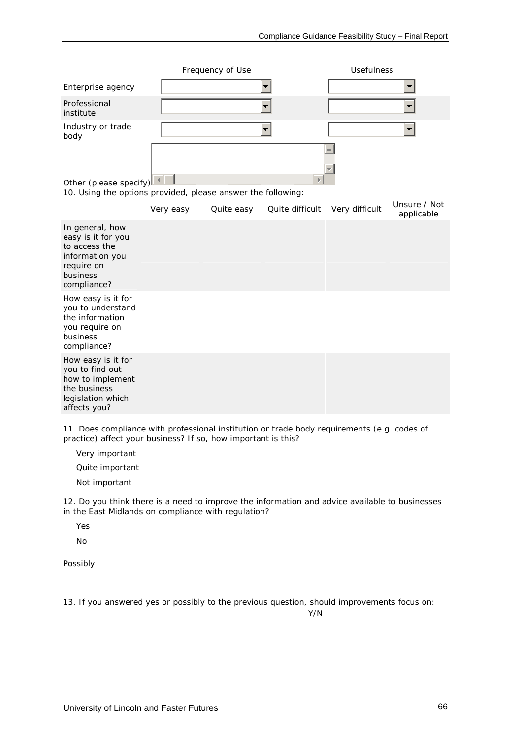|                           | Frequency of Use | <b>Usefulness</b> |
|---------------------------|------------------|-------------------|
| Enterprise agency         |                  | . .               |
| Professional<br>institute |                  |                   |
| Industry or trade<br>body |                  |                   |
|                           |                  |                   |
|                           |                  |                   |
| Other (please specify)    |                  |                   |

10. Using the options provided, please answer the following:

|                                                                                                                    | Very easy | Quite easy | Quite difficult | Very difficult | Unsure / Not<br>applicable |
|--------------------------------------------------------------------------------------------------------------------|-----------|------------|-----------------|----------------|----------------------------|
| In general, how<br>easy is it for you<br>to access the<br>information you<br>require on<br>business<br>compliance? |           |            |                 |                |                            |
| How easy is it for<br>you to understand<br>the information<br>you require on<br>business<br>compliance?            |           |            |                 |                |                            |
| How easy is it for<br>you to find out<br>how to implement<br>the business<br>legislation which<br>affects you?     |           |            |                 |                |                            |

11. Does compliance with professional institution or trade body requirements (e.g. codes of practice) affect your business? If so, how important is this?

Very important

Quite important

Not important

12. Do you think there is a need to improve the information and advice available to businesses in the East Midlands on compliance with regulation?

Yes

No

Possibly

13. If you answered yes or possibly to the previous question, should improvements focus on:

Y/N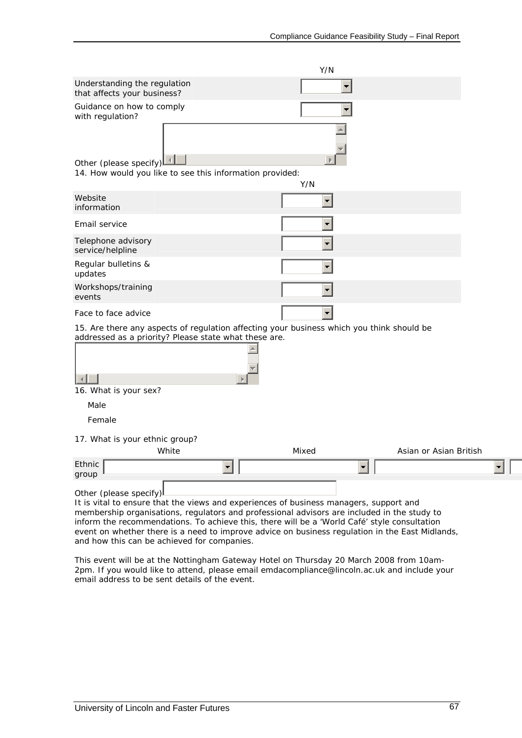|                                                                                                                                                                                                                                                                                                                 | Y/N   |                        |
|-----------------------------------------------------------------------------------------------------------------------------------------------------------------------------------------------------------------------------------------------------------------------------------------------------------------|-------|------------------------|
| Understanding the regulation<br>that affects your business?                                                                                                                                                                                                                                                     |       |                        |
| Guidance on how to comply<br>with regulation?                                                                                                                                                                                                                                                                   |       |                        |
| Other (please specify)<br>14. How would you like to see this information provided:                                                                                                                                                                                                                              | Y/N   |                        |
| Website<br>information                                                                                                                                                                                                                                                                                          |       |                        |
| Email service                                                                                                                                                                                                                                                                                                   |       |                        |
| Telephone advisory<br>service/helpline                                                                                                                                                                                                                                                                          |       |                        |
| Regular bulletins &<br>updates                                                                                                                                                                                                                                                                                  |       |                        |
| Workshops/training<br>events                                                                                                                                                                                                                                                                                    |       |                        |
| Face to face advice                                                                                                                                                                                                                                                                                             |       |                        |
| 15. Are there any aspects of regulation affecting your business which you think should be<br>addressed as a priority? Please state what these are.<br>16. What is your sex?<br>Male                                                                                                                             |       |                        |
| Female                                                                                                                                                                                                                                                                                                          |       |                        |
| 17. What is your ethnic group?<br>White                                                                                                                                                                                                                                                                         | Mixed | Asian or Asian British |
| Ethnic<br>group                                                                                                                                                                                                                                                                                                 |       |                        |
| Other (please specify)<br>It is vital to ensure that the views and experiences of business managers, support and<br>membership organisations, regulators and professional advisors are included in the study to<br>inform the recommendations. To achieve this, there will be a 'World Café' style consultation |       |                        |

and how this can be achieved for companies. This event will be at the Nottingham Gateway Hotel on Thursday 20 March 2008 from 10am-2pm. If you would like to attend, please email emdacompliance@lincoln.ac.uk and include your email address to be sent details of the event.

event on whether there is a need to improve advice on business regulation in the East Midlands,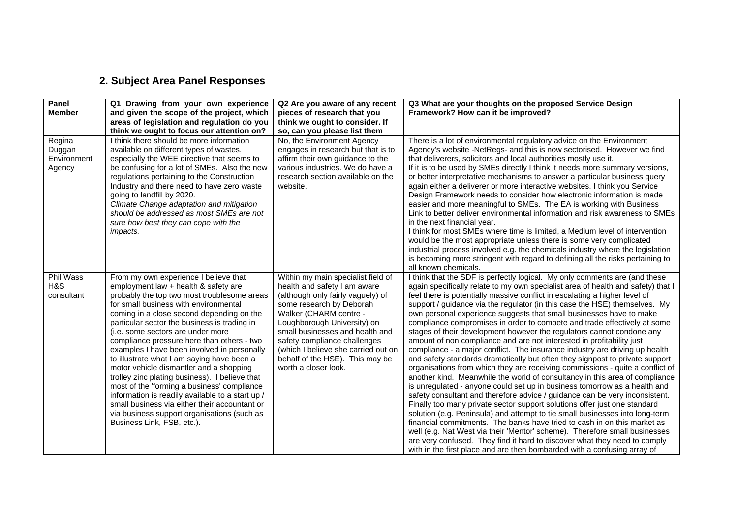# **2. Subject Area Panel Responses**

| Panel<br><b>Member</b>                    | Q1 Drawing from your own experience<br>and given the scope of the project, which<br>areas of legislation and regulation do you<br>think we ought to focus our attention on?                                                                                                                                                                                                                                                                                                                                                                                                                                                                                                                                                                                                      | Q2 Are you aware of any recent<br>pieces of research that you<br>think we ought to consider. If<br>so, can you please list them                                                                                                                                                                                                                                   | Q3 What are your thoughts on the proposed Service Design<br>Framework? How can it be improved?                                                                                                                                                                                                                                                                                                                                                                                                                                                                                                                                                                                                                                                                                                                                                                                                                                                                                                                                                                                                                                                                                                                                                                                                                                                                                                                                                                                                                                                                                                             |
|-------------------------------------------|----------------------------------------------------------------------------------------------------------------------------------------------------------------------------------------------------------------------------------------------------------------------------------------------------------------------------------------------------------------------------------------------------------------------------------------------------------------------------------------------------------------------------------------------------------------------------------------------------------------------------------------------------------------------------------------------------------------------------------------------------------------------------------|-------------------------------------------------------------------------------------------------------------------------------------------------------------------------------------------------------------------------------------------------------------------------------------------------------------------------------------------------------------------|------------------------------------------------------------------------------------------------------------------------------------------------------------------------------------------------------------------------------------------------------------------------------------------------------------------------------------------------------------------------------------------------------------------------------------------------------------------------------------------------------------------------------------------------------------------------------------------------------------------------------------------------------------------------------------------------------------------------------------------------------------------------------------------------------------------------------------------------------------------------------------------------------------------------------------------------------------------------------------------------------------------------------------------------------------------------------------------------------------------------------------------------------------------------------------------------------------------------------------------------------------------------------------------------------------------------------------------------------------------------------------------------------------------------------------------------------------------------------------------------------------------------------------------------------------------------------------------------------------|
| Regina<br>Duggan<br>Environment<br>Agency | I think there should be more information<br>available on different types of wastes,<br>especially the WEE directive that seems to<br>be confusing for a lot of SMEs. Also the new<br>regulations pertaining to the Construction<br>Industry and there need to have zero waste<br>going to landfill by 2020.<br>Climate Change adaptation and mitigation<br>should be addressed as most SMEs are not<br>sure how best they can cope with the<br><i>impacts.</i>                                                                                                                                                                                                                                                                                                                   | No, the Environment Agency<br>engages in research but that is to<br>affirm their own guidance to the<br>various industries. We do have a<br>research section available on the<br>website.                                                                                                                                                                         | There is a lot of environmental regulatory advice on the Environment<br>Agency's website -NetRegs- and this is now sectorised. However we find<br>that deliverers, solicitors and local authorities mostly use it.<br>If it is to be used by SMEs directly I think it needs more summary versions,<br>or better interpretative mechanisms to answer a particular business query<br>again either a deliverer or more interactive websites. I think you Service<br>Design Framework needs to consider how electronic information is made<br>easier and more meaningful to SMEs. The EA is working with Business<br>Link to better deliver environmental information and risk awareness to SMEs<br>in the next financial year.<br>I think for most SMEs where time is limited, a Medium level of intervention<br>would be the most appropriate unless there is some very complicated<br>industrial process involved e.g. the chemicals industry where the legislation<br>is becoming more stringent with regard to defining all the risks pertaining to<br>all known chemicals.                                                                                                                                                                                                                                                                                                                                                                                                                                                                                                                               |
| <b>Phil Wass</b><br>H&S<br>consultant     | From my own experience I believe that<br>employment law + health & safety are<br>probably the top two most troublesome areas<br>for small business with environmental<br>coming in a close second depending on the<br>particular sector the business is trading in<br>(i.e. some sectors are under more<br>compliance pressure here than others - two<br>examples I have been involved in personally<br>to illustrate what I am saying have been a<br>motor vehicle dismantler and a shopping<br>trolley zinc plating business). I believe that<br>most of the 'forming a business' compliance<br>information is readily available to a start up /<br>small business via either their accountant or<br>via business support organisations (such as<br>Business Link, FSB, etc.). | Within my main specialist field of<br>health and safety I am aware<br>(although only fairly vaguely) of<br>some research by Deborah<br>Walker (CHARM centre -<br>Loughborough University) on<br>small businesses and health and<br>safety compliance challenges<br>(which I believe she carried out on<br>behalf of the HSE). This may be<br>worth a closer look. | I think that the SDF is perfectly logical. My only comments are (and these<br>again specifically relate to my own specialist area of health and safety) that I<br>feel there is potentially massive conflict in escalating a higher level of<br>support / guidance via the regulator (in this case the HSE) themselves. My<br>own personal experience suggests that small businesses have to make<br>compliance compromises in order to compete and trade effectively at some<br>stages of their development however the regulators cannot condone any<br>amount of non compliance and are not interested in profitability just<br>compliance - a major conflict. The insurance industry are driving up health<br>and safety standards dramatically but often they signpost to private support<br>organisations from which they are receiving commissions - quite a conflict of<br>another kind. Meanwhile the world of consultancy in this area of compliance<br>is unregulated - anyone could set up in business tomorrow as a health and<br>safety consultant and therefore advice / guidance can be very inconsistent.<br>Finally too many private sector support solutions offer just one standard<br>solution (e.g. Peninsula) and attempt to tie small businesses into long-term<br>financial commitments. The banks have tried to cash in on this market as<br>well (e.g. Nat West via their 'Mentor' scheme). Therefore small businesses<br>are very confused. They find it hard to discover what they need to comply<br>with in the first place and are then bombarded with a confusing array of |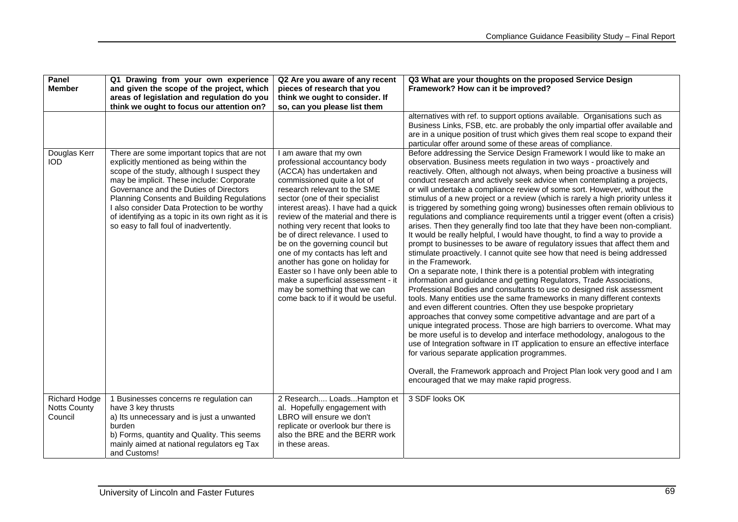| Panel<br><b>Member</b>                                 | Q1 Drawing from your own experience<br>and given the scope of the project, which<br>areas of legislation and regulation do you                                                                                                                                                                                                                                                                                                | Q2 Are you aware of any recent<br>pieces of research that you<br>think we ought to consider. If                                                                                                                                                                                                                                                                                                                                                                                                                                                                                                            | Q3 What are your thoughts on the proposed Service Design<br>Framework? How can it be improved?                                                                                                                                                                                                                                                                                                                                                                                                                                                                                                                                                                                                                                                                                                                                                                                                                                                                                                                                                                                                                                                                                                                                                                                                                                                                                                                                                                                                                                                                                                                                                                                                                                                                                                                          |  |
|--------------------------------------------------------|-------------------------------------------------------------------------------------------------------------------------------------------------------------------------------------------------------------------------------------------------------------------------------------------------------------------------------------------------------------------------------------------------------------------------------|------------------------------------------------------------------------------------------------------------------------------------------------------------------------------------------------------------------------------------------------------------------------------------------------------------------------------------------------------------------------------------------------------------------------------------------------------------------------------------------------------------------------------------------------------------------------------------------------------------|-------------------------------------------------------------------------------------------------------------------------------------------------------------------------------------------------------------------------------------------------------------------------------------------------------------------------------------------------------------------------------------------------------------------------------------------------------------------------------------------------------------------------------------------------------------------------------------------------------------------------------------------------------------------------------------------------------------------------------------------------------------------------------------------------------------------------------------------------------------------------------------------------------------------------------------------------------------------------------------------------------------------------------------------------------------------------------------------------------------------------------------------------------------------------------------------------------------------------------------------------------------------------------------------------------------------------------------------------------------------------------------------------------------------------------------------------------------------------------------------------------------------------------------------------------------------------------------------------------------------------------------------------------------------------------------------------------------------------------------------------------------------------------------------------------------------------|--|
|                                                        | think we ought to focus our attention on?                                                                                                                                                                                                                                                                                                                                                                                     | so, can you please list them                                                                                                                                                                                                                                                                                                                                                                                                                                                                                                                                                                               | alternatives with ref. to support options available. Organisations such as<br>Business Links, FSB, etc. are probably the only impartial offer available and<br>are in a unique position of trust which gives them real scope to expand their<br>particular offer around some of these areas of compliance.                                                                                                                                                                                                                                                                                                                                                                                                                                                                                                                                                                                                                                                                                                                                                                                                                                                                                                                                                                                                                                                                                                                                                                                                                                                                                                                                                                                                                                                                                                              |  |
| Douglas Kerr<br><b>IOD</b>                             | There are some important topics that are not<br>explicitly mentioned as being within the<br>scope of the study, although I suspect they<br>may be implicit. These include: Corporate<br>Governance and the Duties of Directors<br>Planning Consents and Building Regulations<br>I also consider Data Protection to be worthy<br>of identifying as a topic in its own right as it is<br>so easy to fall foul of inadvertently. | I am aware that my own<br>professional accountancy body<br>(ACCA) has undertaken and<br>commissioned quite a lot of<br>research relevant to the SME<br>sector (one of their specialist<br>interest areas). I have had a quick<br>review of the material and there is<br>nothing very recent that looks to<br>be of direct relevance. I used to<br>be on the governing council but<br>one of my contacts has left and<br>another has gone on holiday for<br>Easter so I have only been able to<br>make a superficial assessment - it<br>may be something that we can<br>come back to if it would be useful. | Before addressing the Service Design Framework I would like to make an<br>observation. Business meets regulation in two ways - proactively and<br>reactively. Often, although not always, when being proactive a business will<br>conduct research and actively seek advice when contemplating a projects,<br>or will undertake a compliance review of some sort. However, without the<br>stimulus of a new project or a review (which is rarely a high priority unless it<br>is triggered by something going wrong) businesses often remain oblivious to<br>regulations and compliance requirements until a trigger event (often a crisis)<br>arises. Then they generally find too late that they have been non-compliant.<br>It would be really helpful, I would have thought, to find a way to provide a<br>prompt to businesses to be aware of regulatory issues that affect them and<br>stimulate proactively. I cannot quite see how that need is being addressed<br>in the Framework.<br>On a separate note, I think there is a potential problem with integrating<br>information and guidance and getting Regulators, Trade Associations,<br>Professional Bodies and consultants to use co designed risk assessment<br>tools. Many entities use the same frameworks in many different contexts<br>and even different countries. Often they use bespoke proprietary<br>approaches that convey some competitive advantage and are part of a<br>unique integrated process. Those are high barriers to overcome. What may<br>be more useful is to develop and interface methodology, analogous to the<br>use of Integration software in IT application to ensure an effective interface<br>for various separate application programmes.<br>Overall, the Framework approach and Project Plan look very good and I am |  |
| <b>Richard Hodge</b><br><b>Notts County</b><br>Council | 1 Businesses concerns re regulation can<br>have 3 key thrusts<br>a) Its unnecessary and is just a unwanted<br>burden<br>b) Forms, quantity and Quality. This seems<br>mainly aimed at national regulators eg Tax<br>and Customs!                                                                                                                                                                                              | 2 Research LoadsHampton et<br>al. Hopefully engagement with<br>LBRO will ensure we don't<br>replicate or overlook bur there is<br>also the BRE and the BERR work<br>in these areas.                                                                                                                                                                                                                                                                                                                                                                                                                        | 3 SDF looks OK                                                                                                                                                                                                                                                                                                                                                                                                                                                                                                                                                                                                                                                                                                                                                                                                                                                                                                                                                                                                                                                                                                                                                                                                                                                                                                                                                                                                                                                                                                                                                                                                                                                                                                                                                                                                          |  |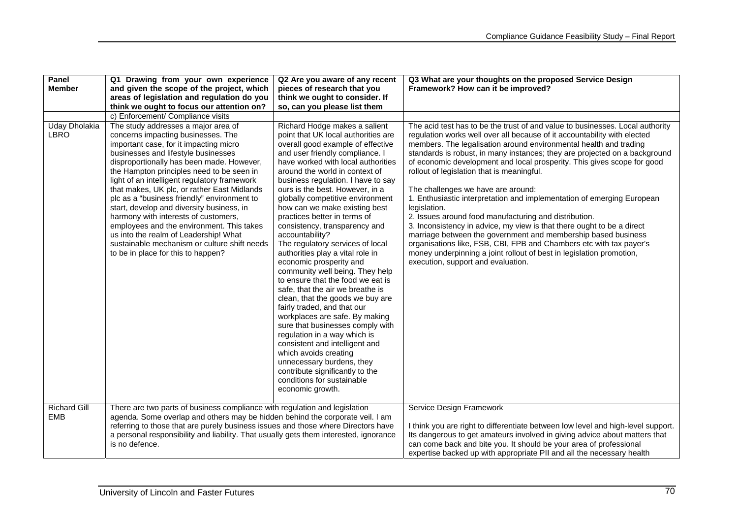| Panel               | Q1 Drawing from your own experience<br>Q2 Are you aware of any recent                 |                                                                      | Q3 What are your thoughts on the proposed Service Design                         |  |  |
|---------------------|---------------------------------------------------------------------------------------|----------------------------------------------------------------------|----------------------------------------------------------------------------------|--|--|
| <b>Member</b>       | and given the scope of the project, which                                             | pieces of research that you                                          | Framework? How can it be improved?                                               |  |  |
|                     | areas of legislation and regulation do you                                            | think we ought to consider. If                                       |                                                                                  |  |  |
|                     | think we ought to focus our attention on?                                             | so, can you please list them                                         |                                                                                  |  |  |
|                     | c) Enforcement/ Compliance visits                                                     |                                                                      |                                                                                  |  |  |
| Uday Dholakia       | The study addresses a major area of                                                   | Richard Hodge makes a salient                                        | The acid test has to be the trust of and value to businesses. Local authority    |  |  |
| <b>LBRO</b>         | concerns impacting businesses. The                                                    | point that UK local authorities are                                  | regulation works well over all because of it accountability with elected         |  |  |
|                     | important case, for it impacting micro                                                | overall good example of effective                                    | members. The legalisation around environmental health and trading                |  |  |
|                     | businesses and lifestyle businesses                                                   | and user friendly compliance. I                                      | standards is robust, in many instances; they are projected on a background       |  |  |
|                     | disproportionally has been made. However,                                             | have worked with local authorities                                   | of economic development and local prosperity. This gives scope for good          |  |  |
|                     | the Hampton principles need to be seen in                                             | around the world in context of                                       | rollout of legislation that is meaningful.                                       |  |  |
|                     | light of an intelligent regulatory framework                                          | business regulation. I have to say                                   |                                                                                  |  |  |
|                     | that makes, UK plc, or rather East Midlands                                           | ours is the best. However, in a                                      | The challenges we have are around:                                               |  |  |
|                     | plc as a "business friendly" environment to                                           | globally competitive environment                                     | 1. Enthusiastic interpretation and implementation of emerging European           |  |  |
|                     | start, develop and diversity business, in                                             | how can we make existing best                                        | legislation.                                                                     |  |  |
|                     | harmony with interests of customers,                                                  | practices better in terms of                                         | 2. Issues around food manufacturing and distribution.                            |  |  |
|                     | employees and the environment. This takes                                             | consistency, transparency and                                        | 3. Inconsistency in advice, my view is that there ought to be a direct           |  |  |
|                     | us into the realm of Leadership! What                                                 | accountability?                                                      | marriage between the government and membership based business                    |  |  |
|                     | sustainable mechanism or culture shift needs                                          | The regulatory services of local                                     | organisations like, FSB, CBI, FPB and Chambers etc with tax payer's              |  |  |
|                     | to be in place for this to happen?                                                    | authorities play a vital role in                                     | money underpinning a joint rollout of best in legislation promotion,             |  |  |
|                     |                                                                                       | economic prosperity and                                              | execution, support and evaluation.                                               |  |  |
|                     |                                                                                       | community well being. They help<br>to ensure that the food we eat is |                                                                                  |  |  |
|                     |                                                                                       | safe, that the air we breathe is                                     |                                                                                  |  |  |
|                     |                                                                                       | clean, that the goods we buy are                                     |                                                                                  |  |  |
|                     |                                                                                       | fairly traded, and that our                                          |                                                                                  |  |  |
|                     |                                                                                       | workplaces are safe. By making                                       |                                                                                  |  |  |
|                     |                                                                                       | sure that businesses comply with                                     |                                                                                  |  |  |
|                     |                                                                                       | regulation in a way which is                                         |                                                                                  |  |  |
|                     |                                                                                       | consistent and intelligent and                                       |                                                                                  |  |  |
|                     |                                                                                       | which avoids creating                                                |                                                                                  |  |  |
|                     |                                                                                       | unnecessary burdens, they                                            |                                                                                  |  |  |
|                     |                                                                                       | contribute significantly to the                                      |                                                                                  |  |  |
|                     |                                                                                       | conditions for sustainable                                           |                                                                                  |  |  |
|                     |                                                                                       | economic growth.                                                     |                                                                                  |  |  |
|                     |                                                                                       |                                                                      |                                                                                  |  |  |
| <b>Richard Gill</b> | There are two parts of business compliance with regulation and legislation            |                                                                      | Service Design Framework                                                         |  |  |
| <b>EMB</b>          | agenda. Some overlap and others may be hidden behind the corporate veil. I am         |                                                                      |                                                                                  |  |  |
|                     | referring to those that are purely business issues and those where Directors have     |                                                                      | I think you are right to differentiate between low level and high-level support. |  |  |
|                     | a personal responsibility and liability. That usually gets them interested, ignorance |                                                                      | Its dangerous to get amateurs involved in giving advice about matters that       |  |  |
|                     | is no defence.                                                                        |                                                                      | can come back and bite you. It should be your area of professional               |  |  |
|                     |                                                                                       |                                                                      | expertise backed up with appropriate PII and all the necessary health            |  |  |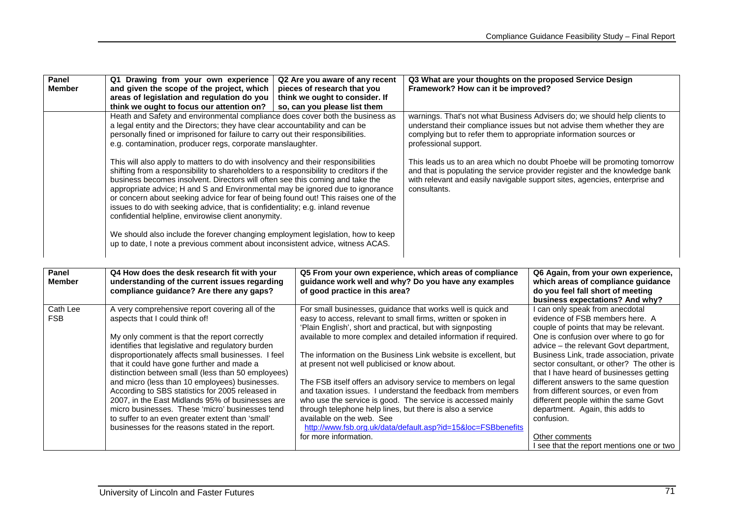| Panel                  | Q1 Drawing from your own experience                                                                                                                                                                                                                                                                                                                                                                                                                                                                                                                                                                                                                                                                                                               | Q2 Are you aware of any recent                                                                                                                                                                                                                                                                                     | Q3 What are your thoughts on the proposed Service Design                                                                                                                                                                                               |                                                                                                                                                   |  |
|------------------------|---------------------------------------------------------------------------------------------------------------------------------------------------------------------------------------------------------------------------------------------------------------------------------------------------------------------------------------------------------------------------------------------------------------------------------------------------------------------------------------------------------------------------------------------------------------------------------------------------------------------------------------------------------------------------------------------------------------------------------------------------|--------------------------------------------------------------------------------------------------------------------------------------------------------------------------------------------------------------------------------------------------------------------------------------------------------------------|--------------------------------------------------------------------------------------------------------------------------------------------------------------------------------------------------------------------------------------------------------|---------------------------------------------------------------------------------------------------------------------------------------------------|--|
| <b>Member</b>          | and given the scope of the project, which                                                                                                                                                                                                                                                                                                                                                                                                                                                                                                                                                                                                                                                                                                         | pieces of research that you                                                                                                                                                                                                                                                                                        | Framework? How can it be improved?                                                                                                                                                                                                                     |                                                                                                                                                   |  |
|                        | areas of legislation and regulation do you                                                                                                                                                                                                                                                                                                                                                                                                                                                                                                                                                                                                                                                                                                        | think we ought to consider. If                                                                                                                                                                                                                                                                                     |                                                                                                                                                                                                                                                        |                                                                                                                                                   |  |
|                        | think we ought to focus our attention on?                                                                                                                                                                                                                                                                                                                                                                                                                                                                                                                                                                                                                                                                                                         | so, can you please list them                                                                                                                                                                                                                                                                                       |                                                                                                                                                                                                                                                        |                                                                                                                                                   |  |
|                        | Heath and Safety and environmental compliance does cover both the business as                                                                                                                                                                                                                                                                                                                                                                                                                                                                                                                                                                                                                                                                     |                                                                                                                                                                                                                                                                                                                    | warnings. That's not what Business Advisers do; we should help clients to                                                                                                                                                                              |                                                                                                                                                   |  |
|                        | a legal entity and the Directors; they have clear accountability and can be                                                                                                                                                                                                                                                                                                                                                                                                                                                                                                                                                                                                                                                                       |                                                                                                                                                                                                                                                                                                                    |                                                                                                                                                                                                                                                        | understand their compliance issues but not advise them whether they are                                                                           |  |
|                        | personally fined or imprisoned for failure to carry out their responsibilities.                                                                                                                                                                                                                                                                                                                                                                                                                                                                                                                                                                                                                                                                   |                                                                                                                                                                                                                                                                                                                    | complying but to refer them to appropriate information sources or<br>professional support.                                                                                                                                                             |                                                                                                                                                   |  |
|                        | e.g. contamination, producer regs, corporate manslaughter.                                                                                                                                                                                                                                                                                                                                                                                                                                                                                                                                                                                                                                                                                        |                                                                                                                                                                                                                                                                                                                    |                                                                                                                                                                                                                                                        |                                                                                                                                                   |  |
|                        | This will also apply to matters to do with insolvency and their responsibilities<br>shifting from a responsibility to shareholders to a responsibility to creditors if the<br>business becomes insolvent. Directors will often see this coming and take the<br>appropriate advice; H and S and Environmental may be ignored due to ignorance<br>or concern about seeking advice for fear of being found out! This raises one of the<br>issues to do with seeking advice, that is confidentiality; e.g. inland revenue<br>confidential helpline, envirowise client anonymity.<br>We should also include the forever changing employment legislation, how to keep<br>up to date, I note a previous comment about inconsistent advice, witness ACAS. |                                                                                                                                                                                                                                                                                                                    | This leads us to an area which no doubt Phoebe will be promoting tomorrow<br>and that is populating the service provider register and the knowledge bank<br>with relevant and easily navigable support sites, agencies, enterprise and<br>consultants. |                                                                                                                                                   |  |
| Panel<br><b>Member</b> | Q4 How does the desk research fit with your<br>understanding of the current issues regarding<br>compliance guidance? Are there any gaps?                                                                                                                                                                                                                                                                                                                                                                                                                                                                                                                                                                                                          | Q5 From your own experience, which areas of compliance<br>guidance work well and why? Do you have any examples<br>of good practice in this area?                                                                                                                                                                   |                                                                                                                                                                                                                                                        | Q6 Again, from your own experience,<br>which areas of compliance guidance<br>do you feel fall short of meeting<br>business expectations? And why? |  |
| Cath Lee               | A very comprehensive report covering all of the                                                                                                                                                                                                                                                                                                                                                                                                                                                                                                                                                                                                                                                                                                   | For small businesses, guidance that works well is quick and                                                                                                                                                                                                                                                        |                                                                                                                                                                                                                                                        | I can only speak from anecdotal                                                                                                                   |  |
| <b>FSB</b>             | aspects that I could think of!                                                                                                                                                                                                                                                                                                                                                                                                                                                                                                                                                                                                                                                                                                                    | easy to access, relevant to small firms, written or spoken in                                                                                                                                                                                                                                                      |                                                                                                                                                                                                                                                        | evidence of FSB members here. A                                                                                                                   |  |
|                        |                                                                                                                                                                                                                                                                                                                                                                                                                                                                                                                                                                                                                                                                                                                                                   | 'Plain English', short and practical, but with signposting                                                                                                                                                                                                                                                         |                                                                                                                                                                                                                                                        | couple of points that may be relevant.                                                                                                            |  |
|                        | My only comment is that the report correctly                                                                                                                                                                                                                                                                                                                                                                                                                                                                                                                                                                                                                                                                                                      | available to more complex and detailed information if required.<br>The information on the Business Link website is excellent, but<br>at present not well publicised or know about.<br>The FSB itself offers an advisory service to members on legal<br>and taxation issues. I understand the feedback from members |                                                                                                                                                                                                                                                        | One is confusion over where to go for                                                                                                             |  |
|                        | identifies that legislative and regulatory burden                                                                                                                                                                                                                                                                                                                                                                                                                                                                                                                                                                                                                                                                                                 |                                                                                                                                                                                                                                                                                                                    |                                                                                                                                                                                                                                                        | advice - the relevant Govt department,                                                                                                            |  |
|                        | disproportionately affects small businesses. I feel                                                                                                                                                                                                                                                                                                                                                                                                                                                                                                                                                                                                                                                                                               |                                                                                                                                                                                                                                                                                                                    |                                                                                                                                                                                                                                                        | Business Link, trade association, private                                                                                                         |  |
|                        | that it could have gone further and made a                                                                                                                                                                                                                                                                                                                                                                                                                                                                                                                                                                                                                                                                                                        |                                                                                                                                                                                                                                                                                                                    |                                                                                                                                                                                                                                                        | sector consultant, or other? The other is                                                                                                         |  |
|                        | distinction between small (less than 50 employees)                                                                                                                                                                                                                                                                                                                                                                                                                                                                                                                                                                                                                                                                                                |                                                                                                                                                                                                                                                                                                                    |                                                                                                                                                                                                                                                        | that I have heard of businesses getting                                                                                                           |  |
|                        | and micro (less than 10 employees) businesses.                                                                                                                                                                                                                                                                                                                                                                                                                                                                                                                                                                                                                                                                                                    |                                                                                                                                                                                                                                                                                                                    |                                                                                                                                                                                                                                                        | different answers to the same question                                                                                                            |  |
|                        | According to SBS statistics for 2005 released in                                                                                                                                                                                                                                                                                                                                                                                                                                                                                                                                                                                                                                                                                                  |                                                                                                                                                                                                                                                                                                                    |                                                                                                                                                                                                                                                        | from different sources, or even from                                                                                                              |  |
|                        | 2007, in the East Midlands 95% of businesses are                                                                                                                                                                                                                                                                                                                                                                                                                                                                                                                                                                                                                                                                                                  | who use the service is good. The service is accessed mainly                                                                                                                                                                                                                                                        |                                                                                                                                                                                                                                                        | different people within the same Govt                                                                                                             |  |
|                        | micro businesses. These 'micro' businesses tend                                                                                                                                                                                                                                                                                                                                                                                                                                                                                                                                                                                                                                                                                                   | through telephone help lines, but there is also a service                                                                                                                                                                                                                                                          |                                                                                                                                                                                                                                                        | department. Again, this adds to                                                                                                                   |  |
|                        | to suffer to an even greater extent than 'small'                                                                                                                                                                                                                                                                                                                                                                                                                                                                                                                                                                                                                                                                                                  | available on the web. See                                                                                                                                                                                                                                                                                          |                                                                                                                                                                                                                                                        | confusion.                                                                                                                                        |  |
|                        | businesses for the reasons stated in the report.                                                                                                                                                                                                                                                                                                                                                                                                                                                                                                                                                                                                                                                                                                  |                                                                                                                                                                                                                                                                                                                    | http://www.fsb.org.uk/data/default.asp?id=15&loc=FSBbenefits                                                                                                                                                                                           |                                                                                                                                                   |  |
|                        |                                                                                                                                                                                                                                                                                                                                                                                                                                                                                                                                                                                                                                                                                                                                                   | for more information.                                                                                                                                                                                                                                                                                              |                                                                                                                                                                                                                                                        | Other comments                                                                                                                                    |  |
|                        |                                                                                                                                                                                                                                                                                                                                                                                                                                                                                                                                                                                                                                                                                                                                                   |                                                                                                                                                                                                                                                                                                                    |                                                                                                                                                                                                                                                        | I see that the report mentions one or two                                                                                                         |  |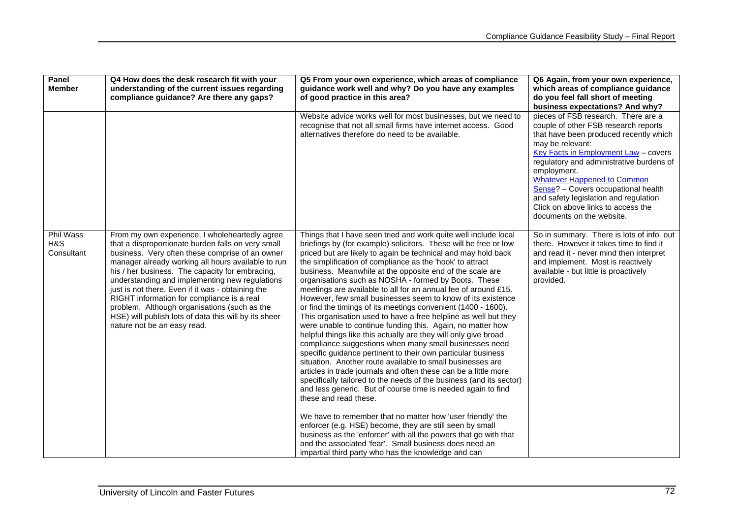| Panel<br><b>Member</b>         | Q4 How does the desk research fit with your<br>understanding of the current issues regarding<br>compliance guidance? Are there any gaps?                                                                                                                                                                                                                                                                                                                                                                                                                      | Q5 From your own experience, which areas of compliance<br>guidance work well and why? Do you have any examples<br>of good practice in this area?                                                                                                                                                                                                                                                                                                                                                                                                                                                                                                                                                                                                                                                                                                                                                                                                                                                                                                                                                                                                                                                                                                                                                                                                                                                                                                                                                                                      | Q6 Again, from your own experience,<br>which areas of compliance guidance<br>do you feel fall short of meeting<br>business expectations? And why?                                                                                                                                                                                                                                                                                     |
|--------------------------------|---------------------------------------------------------------------------------------------------------------------------------------------------------------------------------------------------------------------------------------------------------------------------------------------------------------------------------------------------------------------------------------------------------------------------------------------------------------------------------------------------------------------------------------------------------------|---------------------------------------------------------------------------------------------------------------------------------------------------------------------------------------------------------------------------------------------------------------------------------------------------------------------------------------------------------------------------------------------------------------------------------------------------------------------------------------------------------------------------------------------------------------------------------------------------------------------------------------------------------------------------------------------------------------------------------------------------------------------------------------------------------------------------------------------------------------------------------------------------------------------------------------------------------------------------------------------------------------------------------------------------------------------------------------------------------------------------------------------------------------------------------------------------------------------------------------------------------------------------------------------------------------------------------------------------------------------------------------------------------------------------------------------------------------------------------------------------------------------------------------|---------------------------------------------------------------------------------------------------------------------------------------------------------------------------------------------------------------------------------------------------------------------------------------------------------------------------------------------------------------------------------------------------------------------------------------|
|                                |                                                                                                                                                                                                                                                                                                                                                                                                                                                                                                                                                               | Website advice works well for most businesses, but we need to<br>recognise that not all small firms have internet access. Good<br>alternatives therefore do need to be available.                                                                                                                                                                                                                                                                                                                                                                                                                                                                                                                                                                                                                                                                                                                                                                                                                                                                                                                                                                                                                                                                                                                                                                                                                                                                                                                                                     | pieces of FSB research. There are a<br>couple of other FSB research reports<br>that have been produced recently which<br>may be relevant:<br>Key Facts in Employment Law - covers<br>regulatory and administrative burdens of<br>employment.<br><b>Whatever Happened to Common</b><br>Sense? - Covers occupational health<br>and safety legislation and regulation<br>Click on above links to access the<br>documents on the website. |
| Phil Wass<br>H&S<br>Consultant | From my own experience, I wholeheartedly agree<br>that a disproportionate burden falls on very small<br>business. Very often these comprise of an owner<br>manager already working all hours available to run<br>his / her business. The capacity for embracing,<br>understanding and implementing new regulations<br>just is not there. Even if it was - obtaining the<br>RIGHT information for compliance is a real<br>problem. Although organisations (such as the<br>HSE) will publish lots of data this will by its sheer<br>nature not be an easy read. | Things that I have seen tried and work quite well include local<br>briefings by (for example) solicitors. These will be free or low<br>priced but are likely to again be technical and may hold back<br>the simplification of compliance as the 'hook' to attract<br>business. Meanwhile at the opposite end of the scale are<br>organisations such as NOSHA - formed by Boots. These<br>meetings are available to all for an annual fee of around £15.<br>However, few small businesses seem to know of its existence<br>or find the timings of its meetings convenient (1400 - 1600).<br>This organisation used to have a free helpline as well but they<br>were unable to continue funding this. Again, no matter how<br>helpful things like this actually are they will only give broad<br>compliance suggestions when many small businesses need<br>specific guidance pertinent to their own particular business<br>situation. Another route available to small businesses are<br>articles in trade journals and often these can be a little more<br>specifically tailored to the needs of the business (and its sector)<br>and less generic. But of course time is needed again to find<br>these and read these.<br>We have to remember that no matter how 'user friendly' the<br>enforcer (e.g. HSE) become, they are still seen by small<br>business as the 'enforcer' with all the powers that go with that<br>and the associated 'fear'. Small business does need an<br>impartial third party who has the knowledge and can | So in summary. There is lots of info. out<br>there. However it takes time to find it<br>and read it - never mind then interpret<br>and implement. Most is reactively<br>available - but little is proactively<br>provided.                                                                                                                                                                                                            |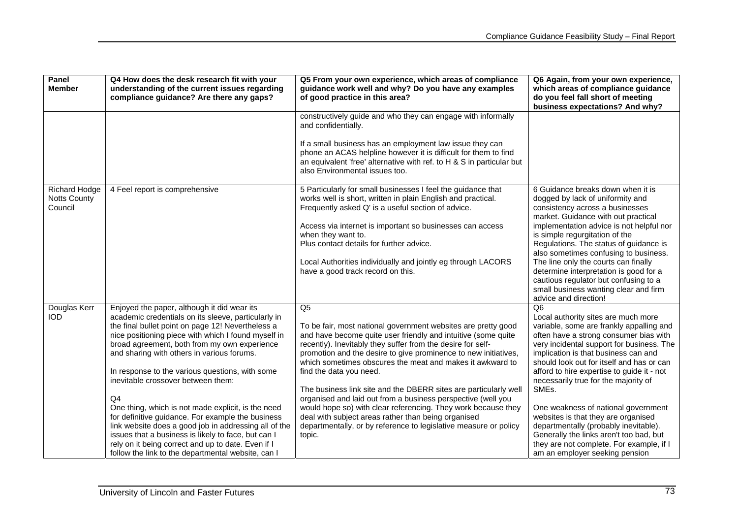| Panel<br><b>Member</b>                                 | Q4 How does the desk research fit with your<br>understanding of the current issues regarding<br>compliance guidance? Are there any gaps?                                                                                                                                      | Q5 From your own experience, which areas of compliance<br>guidance work well and why? Do you have any examples<br>of good practice in this area?                                                                                                                                                                              | Q6 Again, from your own experience,<br>which areas of compliance guidance<br>do you feel fall short of meeting                                                                                                       |
|--------------------------------------------------------|-------------------------------------------------------------------------------------------------------------------------------------------------------------------------------------------------------------------------------------------------------------------------------|-------------------------------------------------------------------------------------------------------------------------------------------------------------------------------------------------------------------------------------------------------------------------------------------------------------------------------|----------------------------------------------------------------------------------------------------------------------------------------------------------------------------------------------------------------------|
|                                                        |                                                                                                                                                                                                                                                                               |                                                                                                                                                                                                                                                                                                                               | business expectations? And why?                                                                                                                                                                                      |
|                                                        |                                                                                                                                                                                                                                                                               | constructively guide and who they can engage with informally<br>and confidentially.                                                                                                                                                                                                                                           |                                                                                                                                                                                                                      |
|                                                        |                                                                                                                                                                                                                                                                               | If a small business has an employment law issue they can<br>phone an ACAS helpline however it is difficult for them to find<br>an equivalent 'free' alternative with ref. to $H & S$ in particular but<br>also Environmental issues too.                                                                                      |                                                                                                                                                                                                                      |
| <b>Richard Hodge</b><br><b>Notts County</b><br>Council | 4 Feel report is comprehensive                                                                                                                                                                                                                                                | 5 Particularly for small businesses I feel the guidance that<br>works well is short, written in plain English and practical.<br>Frequently asked Q' is a useful section of advice.<br>Access via internet is important so businesses can access                                                                               | 6 Guidance breaks down when it is<br>dogged by lack of uniformity and<br>consistency across a businesses<br>market. Guidance with out practical<br>implementation advice is not helpful nor                          |
|                                                        |                                                                                                                                                                                                                                                                               | when they want to.<br>Plus contact details for further advice.                                                                                                                                                                                                                                                                | is simple regurgitation of the<br>Regulations. The status of guidance is<br>also sometimes confusing to business.                                                                                                    |
|                                                        |                                                                                                                                                                                                                                                                               | Local Authorities individually and jointly eg through LACORS<br>have a good track record on this.                                                                                                                                                                                                                             | The line only the courts can finally<br>determine interpretation is good for a<br>cautious regulator but confusing to a<br>small business wanting clear and firm<br>advice and direction!                            |
| Douglas Kerr<br><b>IOD</b>                             | Enjoyed the paper, although it did wear its<br>academic credentials on its sleeve, particularly in                                                                                                                                                                            | Q5                                                                                                                                                                                                                                                                                                                            | Q <sub>6</sub><br>Local authority sites are much more                                                                                                                                                                |
|                                                        | the final bullet point on page 12! Nevertheless a<br>nice positioning piece with which I found myself in<br>broad agreement, both from my own experience<br>and sharing with others in various forums.                                                                        | To be fair, most national government websites are pretty good<br>and have become quite user friendly and intuitive (some quite<br>recently). Inevitably they suffer from the desire for self-<br>promotion and the desire to give prominence to new initiatives,<br>which sometimes obscures the meat and makes it awkward to | variable, some are frankly appalling and<br>often have a strong consumer bias with<br>very incidental support for business. The<br>implication is that business can and<br>should look out for itself and has or can |
|                                                        | In response to the various questions, with some<br>inevitable crossover between them:                                                                                                                                                                                         | find the data you need.<br>The business link site and the DBERR sites are particularly well                                                                                                                                                                                                                                   | afford to hire expertise to guide it - not<br>necessarily true for the majority of<br>SMEs.                                                                                                                          |
|                                                        | Q <sub>4</sub>                                                                                                                                                                                                                                                                | organised and laid out from a business perspective (well you                                                                                                                                                                                                                                                                  |                                                                                                                                                                                                                      |
|                                                        | One thing, which is not made explicit, is the need<br>for definitive guidance. For example the business<br>link website does a good job in addressing all of the<br>issues that a business is likely to face, but can I<br>rely on it being correct and up to date. Even if I | would hope so) with clear referencing. They work because they<br>deal with subject areas rather than being organised<br>departmentally, or by reference to legislative measure or policy<br>topic.                                                                                                                            | One weakness of national government<br>websites is that they are organised<br>departmentally (probably inevitable).<br>Generally the links aren't too bad, but<br>they are not complete. For example, if I           |
|                                                        | follow the link to the departmental website, can I                                                                                                                                                                                                                            |                                                                                                                                                                                                                                                                                                                               | am an employer seeking pension                                                                                                                                                                                       |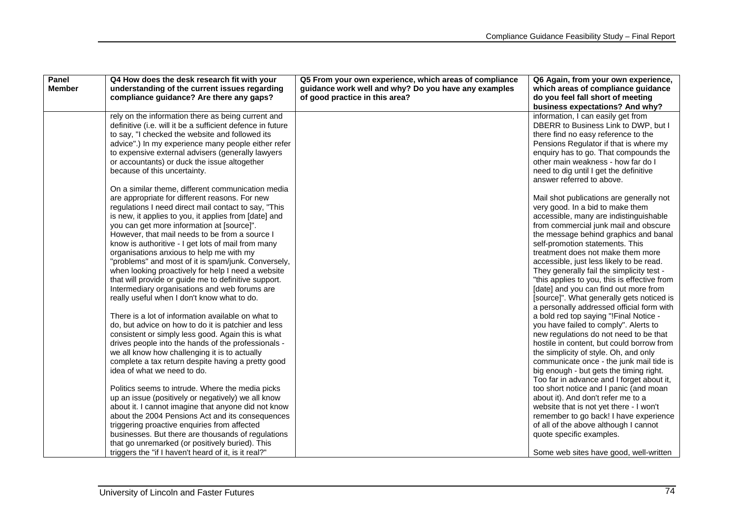| understanding of the current issues regarding<br>guidance work well and why? Do you have any examples<br>which areas of compliance guidance<br><b>Member</b><br>compliance guidance? Are there any gaps?<br>of good practice in this area?<br>do you feel fall short of meeting<br>business expectations? And why? |  |
|--------------------------------------------------------------------------------------------------------------------------------------------------------------------------------------------------------------------------------------------------------------------------------------------------------------------|--|
|                                                                                                                                                                                                                                                                                                                    |  |
|                                                                                                                                                                                                                                                                                                                    |  |
| information, I can easily get from<br>rely on the information there as being current and                                                                                                                                                                                                                           |  |
| definitive (i.e. will it be a sufficient defence in future<br>DBERR to Business Link to DWP, but I                                                                                                                                                                                                                 |  |
| to say, "I checked the website and followed its<br>there find no easy reference to the                                                                                                                                                                                                                             |  |
| Pensions Regulator if that is where my<br>advice".) In my experience many people either refer                                                                                                                                                                                                                      |  |
| to expensive external advisers (generally lawyers<br>enquiry has to go. That compounds the                                                                                                                                                                                                                         |  |
| or accountants) or duck the issue altogether<br>other main weakness - how far do I                                                                                                                                                                                                                                 |  |
| because of this uncertainty.<br>need to dig until I get the definitive                                                                                                                                                                                                                                             |  |
| answer referred to above.                                                                                                                                                                                                                                                                                          |  |
| On a similar theme, different communication media                                                                                                                                                                                                                                                                  |  |
| are appropriate for different reasons. For new<br>Mail shot publications are generally not                                                                                                                                                                                                                         |  |
| regulations I need direct mail contact to say, "This<br>very good. In a bid to make them                                                                                                                                                                                                                           |  |
| is new, it applies to you, it applies from [date] and<br>accessible, many are indistinguishable                                                                                                                                                                                                                    |  |
| you can get more information at [source]".<br>from commercial junk mail and obscure<br>However, that mail needs to be from a source I<br>the message behind graphics and banal                                                                                                                                     |  |
| know is authoritive - I get lots of mail from many<br>self-promotion statements. This                                                                                                                                                                                                                              |  |
| organisations anxious to help me with my<br>treatment does not make them more                                                                                                                                                                                                                                      |  |
| "problems" and most of it is spam/junk. Conversely,<br>accessible, just less likely to be read.                                                                                                                                                                                                                    |  |
| when looking proactively for help I need a website<br>They generally fail the simplicity test -                                                                                                                                                                                                                    |  |
| that will provide or guide me to definitive support.<br>"this applies to you, this is effective from                                                                                                                                                                                                               |  |
| Intermediary organisations and web forums are<br>[date] and you can find out more from                                                                                                                                                                                                                             |  |
| really useful when I don't know what to do.<br>[source]". What generally gets noticed is                                                                                                                                                                                                                           |  |
| a personally addressed official form with                                                                                                                                                                                                                                                                          |  |
| There is a lot of information available on what to<br>a bold red top saying "!Final Notice -                                                                                                                                                                                                                       |  |
| do, but advice on how to do it is patchier and less<br>you have failed to comply". Alerts to                                                                                                                                                                                                                       |  |
| consistent or simply less good. Again this is what<br>new regulations do not need to be that                                                                                                                                                                                                                       |  |
| drives people into the hands of the professionals -<br>hostile in content, but could borrow from                                                                                                                                                                                                                   |  |
| we all know how challenging it is to actually<br>the simplicity of style. Oh, and only                                                                                                                                                                                                                             |  |
| complete a tax return despite having a pretty good<br>communicate once - the junk mail tide is                                                                                                                                                                                                                     |  |
| idea of what we need to do.<br>big enough - but gets the timing right.                                                                                                                                                                                                                                             |  |
| Too far in advance and I forget about it,                                                                                                                                                                                                                                                                          |  |
| Politics seems to intrude. Where the media picks<br>too short notice and I panic (and moan                                                                                                                                                                                                                         |  |
| up an issue (positively or negatively) we all know<br>about it). And don't refer me to a<br>about it. I cannot imagine that anyone did not know<br>website that is not yet there - I won't                                                                                                                         |  |
| about the 2004 Pensions Act and its consequences<br>remember to go back! I have experience                                                                                                                                                                                                                         |  |
| of all of the above although I cannot<br>triggering proactive enquiries from affected                                                                                                                                                                                                                              |  |
| businesses. But there are thousands of regulations<br>quote specific examples.                                                                                                                                                                                                                                     |  |
| that go unremarked (or positively buried). This                                                                                                                                                                                                                                                                    |  |
| triggers the "if I haven't heard of it, is it real?"<br>Some web sites have good, well-written                                                                                                                                                                                                                     |  |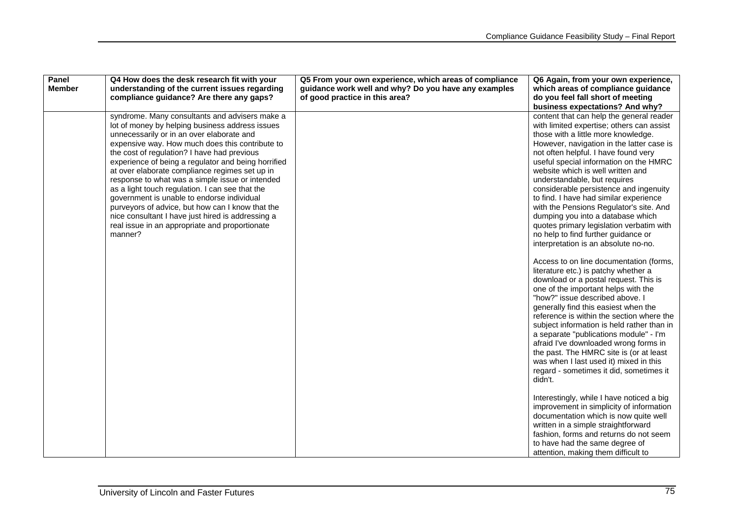| Panel<br><b>Member</b> | Q4 How does the desk research fit with your<br>understanding of the current issues regarding<br>compliance guidance? Are there any gaps?                                                                                                                                                                                                                                                                                                                                                                                                                                                                                                                                            | Q5 From your own experience, which areas of compliance<br>guidance work well and why? Do you have any examples<br>of good practice in this area? | Q6 Again, from your own experience,<br>which areas of compliance guidance<br>do you feel fall short of meeting<br>business expectations? And why?                                                                                                                                                                                                                                                                                                                                                                                                                                                                                                                                                                                                                                                                                                                                                                                                                                                                                                                                                                                                                                                      |
|------------------------|-------------------------------------------------------------------------------------------------------------------------------------------------------------------------------------------------------------------------------------------------------------------------------------------------------------------------------------------------------------------------------------------------------------------------------------------------------------------------------------------------------------------------------------------------------------------------------------------------------------------------------------------------------------------------------------|--------------------------------------------------------------------------------------------------------------------------------------------------|--------------------------------------------------------------------------------------------------------------------------------------------------------------------------------------------------------------------------------------------------------------------------------------------------------------------------------------------------------------------------------------------------------------------------------------------------------------------------------------------------------------------------------------------------------------------------------------------------------------------------------------------------------------------------------------------------------------------------------------------------------------------------------------------------------------------------------------------------------------------------------------------------------------------------------------------------------------------------------------------------------------------------------------------------------------------------------------------------------------------------------------------------------------------------------------------------------|
|                        | syndrome. Many consultants and advisers make a<br>lot of money by helping business address issues<br>unnecessarily or in an over elaborate and<br>expensive way. How much does this contribute to<br>the cost of regulation? I have had previous<br>experience of being a regulator and being horrified<br>at over elaborate compliance regimes set up in<br>response to what was a simple issue or intended<br>as a light touch regulation. I can see that the<br>government is unable to endorse individual<br>purveyors of advice, but how can I know that the<br>nice consultant I have just hired is addressing a<br>real issue in an appropriate and proportionate<br>manner? |                                                                                                                                                  | content that can help the general reader<br>with limited expertise; others can assist<br>those with a little more knowledge.<br>However, navigation in the latter case is<br>not often helpful. I have found very<br>useful special information on the HMRC<br>website which is well written and<br>understandable, but requires<br>considerable persistence and ingenuity<br>to find. I have had similar experience<br>with the Pensions Regulator's site. And<br>dumping you into a database which<br>quotes primary legislation verbatim with<br>no help to find further guidance or<br>interpretation is an absolute no-no.<br>Access to on line documentation (forms,<br>literature etc.) is patchy whether a<br>download or a postal request. This is<br>one of the important helps with the<br>"how?" issue described above. I<br>generally find this easiest when the<br>reference is within the section where the<br>subject information is held rather than in<br>a separate "publications module" - I'm<br>afraid I've downloaded wrong forms in<br>the past. The HMRC site is (or at least<br>was when I last used it) mixed in this<br>regard - sometimes it did, sometimes it<br>didn't. |
|                        |                                                                                                                                                                                                                                                                                                                                                                                                                                                                                                                                                                                                                                                                                     |                                                                                                                                                  | Interestingly, while I have noticed a big<br>improvement in simplicity of information<br>documentation which is now quite well<br>written in a simple straightforward<br>fashion, forms and returns do not seem<br>to have had the same degree of<br>attention, making them difficult to                                                                                                                                                                                                                                                                                                                                                                                                                                                                                                                                                                                                                                                                                                                                                                                                                                                                                                               |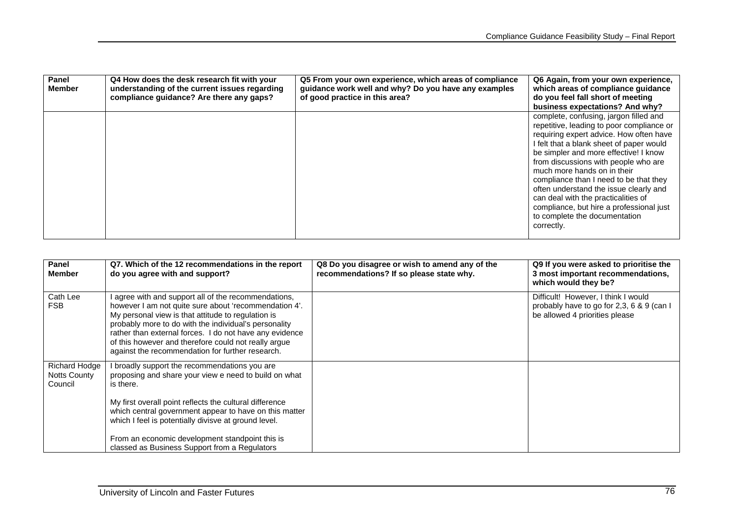| Panel<br>Member | Q4 How does the desk research fit with your<br>understanding of the current issues regarding<br>compliance guidance? Are there any gaps? | Q5 From your own experience, which areas of compliance<br>guidance work well and why? Do you have any examples<br>of good practice in this area? | Q6 Again, from your own experience,<br>which areas of compliance guidance<br>do you feel fall short of meeting<br>business expectations? And why?                                                                                                                                                                                                                                                                                                                                                                |
|-----------------|------------------------------------------------------------------------------------------------------------------------------------------|--------------------------------------------------------------------------------------------------------------------------------------------------|------------------------------------------------------------------------------------------------------------------------------------------------------------------------------------------------------------------------------------------------------------------------------------------------------------------------------------------------------------------------------------------------------------------------------------------------------------------------------------------------------------------|
|                 |                                                                                                                                          |                                                                                                                                                  | complete, confusing, jargon filled and<br>repetitive, leading to poor compliance or<br>requiring expert advice. How often have<br>I felt that a blank sheet of paper would<br>be simpler and more effective! I know<br>from discussions with people who are<br>much more hands on in their<br>compliance than I need to be that they<br>often understand the issue clearly and<br>can deal with the practicalities of<br>compliance, but hire a professional just<br>to complete the documentation<br>correctly. |

| Panel<br><b>Member</b>                   | Q7. Which of the 12 recommendations in the report<br>do you agree with and support?                                                                                                                                                                                                                                                                                                               | Q8 Do you disagree or wish to amend any of the<br>recommendations? If so please state why. | Q9 If you were asked to prioritise the<br>3 most important recommendations,<br>which would they be?                |
|------------------------------------------|---------------------------------------------------------------------------------------------------------------------------------------------------------------------------------------------------------------------------------------------------------------------------------------------------------------------------------------------------------------------------------------------------|--------------------------------------------------------------------------------------------|--------------------------------------------------------------------------------------------------------------------|
| Cath Lee<br><b>FSB</b>                   | agree with and support all of the recommendations,<br>however I am not quite sure about 'recommendation 4'.<br>My personal view is that attitude to regulation is<br>probably more to do with the individual's personality<br>rather than external forces. I do not have any evidence<br>of this however and therefore could not really argue<br>against the recommendation for further research. |                                                                                            | Difficult! However, I think I would<br>probably have to go for 2,3, 6 & 9 (can I<br>be allowed 4 priorities please |
| Richard Hodge<br>Notts County<br>Council | I broadly support the recommendations you are<br>proposing and share your view e need to build on what<br>is there.                                                                                                                                                                                                                                                                               |                                                                                            |                                                                                                                    |
|                                          | My first overall point reflects the cultural difference<br>which central government appear to have on this matter<br>which I feel is potentially divisve at ground level.                                                                                                                                                                                                                         |                                                                                            |                                                                                                                    |
|                                          | From an economic development standpoint this is<br>classed as Business Support from a Regulators                                                                                                                                                                                                                                                                                                  |                                                                                            |                                                                                                                    |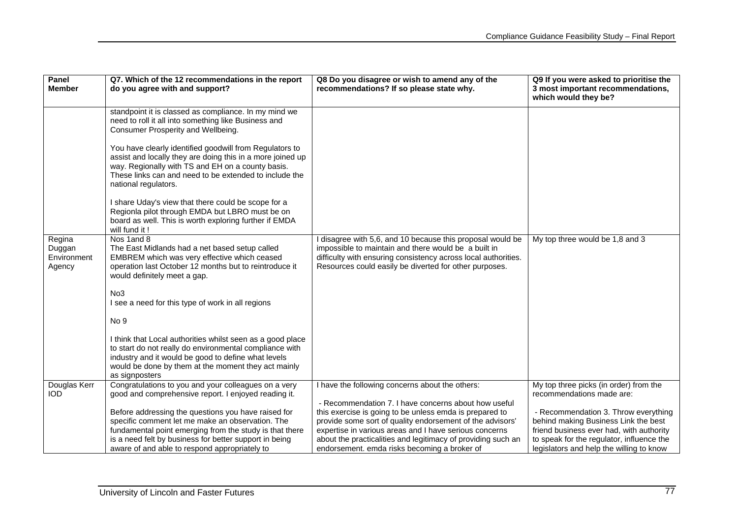| Panel<br><b>Member</b>                    | Q7. Which of the 12 recommendations in the report<br>do you agree with and support?                                                                                                                                                                                                                                                                                                         | Q8 Do you disagree or wish to amend any of the<br>recommendations? If so please state why.                                                                                                                                                                                                     | Q9 If you were asked to prioritise the<br>3 most important recommendations,<br>which would they be?                                                                                                               |
|-------------------------------------------|---------------------------------------------------------------------------------------------------------------------------------------------------------------------------------------------------------------------------------------------------------------------------------------------------------------------------------------------------------------------------------------------|------------------------------------------------------------------------------------------------------------------------------------------------------------------------------------------------------------------------------------------------------------------------------------------------|-------------------------------------------------------------------------------------------------------------------------------------------------------------------------------------------------------------------|
|                                           | standpoint it is classed as compliance. In my mind we<br>need to roll it all into something like Business and<br>Consumer Prosperity and Wellbeing.<br>You have clearly identified goodwill from Regulators to<br>assist and locally they are doing this in a more joined up<br>way. Regionally with TS and EH on a county basis.<br>These links can and need to be extended to include the |                                                                                                                                                                                                                                                                                                |                                                                                                                                                                                                                   |
|                                           | national regulators.<br>I share Uday's view that there could be scope for a<br>Regionla pilot through EMDA but LBRO must be on<br>board as well. This is worth exploring further if EMDA<br>will fund it!                                                                                                                                                                                   |                                                                                                                                                                                                                                                                                                |                                                                                                                                                                                                                   |
| Regina<br>Duggan<br>Environment<br>Agency | Nos 1and 8<br>The East Midlands had a net based setup called<br>EMBREM which was very effective which ceased<br>operation last October 12 months but to reintroduce it<br>would definitely meet a gap.                                                                                                                                                                                      | disagree with 5,6, and 10 because this proposal would be<br>impossible to maintain and there would be a built in<br>difficulty with ensuring consistency across local authorities.<br>Resources could easily be diverted for other purposes.                                                   | My top three would be 1,8 and 3                                                                                                                                                                                   |
|                                           | No3<br>I see a need for this type of work in all regions                                                                                                                                                                                                                                                                                                                                    |                                                                                                                                                                                                                                                                                                |                                                                                                                                                                                                                   |
|                                           | No 9<br>I think that Local authorities whilst seen as a good place<br>to start do not really do environmental compliance with<br>industry and it would be good to define what levels<br>would be done by them at the moment they act mainly<br>as signposters                                                                                                                               |                                                                                                                                                                                                                                                                                                |                                                                                                                                                                                                                   |
| Douglas Kerr<br><b>IOD</b>                | Congratulations to you and your colleagues on a very<br>good and comprehensive report. I enjoyed reading it.                                                                                                                                                                                                                                                                                | I have the following concerns about the others:<br>- Recommendation 7. I have concerns about how useful                                                                                                                                                                                        | My top three picks (in order) from the<br>recommendations made are:                                                                                                                                               |
|                                           | Before addressing the questions you have raised for<br>specific comment let me make an observation. The<br>fundamental point emerging from the study is that there<br>is a need felt by business for better support in being<br>aware of and able to respond appropriately to                                                                                                               | this exercise is going to be unless emda is prepared to<br>provide some sort of quality endorsement of the advisors'<br>expertise in various areas and I have serious concerns<br>about the practicalities and legitimacy of providing such an<br>endorsement. emda risks becoming a broker of | - Recommendation 3. Throw everything<br>behind making Business Link the best<br>friend business ever had, with authority<br>to speak for the regulator, influence the<br>legislators and help the willing to know |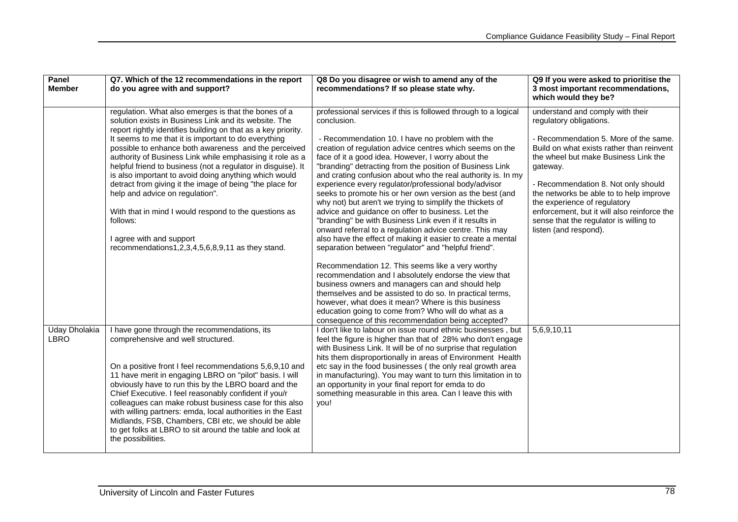| Panel<br><b>Member</b>       | Q7. Which of the 12 recommendations in the report<br>do you agree with and support?                                                                                                                                                                                                                                                                                                                                                                                                                                                                                                                                                                                                                                                      | Q8 Do you disagree or wish to amend any of the<br>recommendations? If so please state why.                                                                                                                                                                                                                                                                                                                                                                                                                                                                                                                                                                                                                                                                                                                                                                                                                                                                                                                                                                                                                                                          | Q9 If you were asked to prioritise the<br>3 most important recommendations,<br>which would they be?                                                                                                                                                                                                                                                                                                                                       |
|------------------------------|------------------------------------------------------------------------------------------------------------------------------------------------------------------------------------------------------------------------------------------------------------------------------------------------------------------------------------------------------------------------------------------------------------------------------------------------------------------------------------------------------------------------------------------------------------------------------------------------------------------------------------------------------------------------------------------------------------------------------------------|-----------------------------------------------------------------------------------------------------------------------------------------------------------------------------------------------------------------------------------------------------------------------------------------------------------------------------------------------------------------------------------------------------------------------------------------------------------------------------------------------------------------------------------------------------------------------------------------------------------------------------------------------------------------------------------------------------------------------------------------------------------------------------------------------------------------------------------------------------------------------------------------------------------------------------------------------------------------------------------------------------------------------------------------------------------------------------------------------------------------------------------------------------|-------------------------------------------------------------------------------------------------------------------------------------------------------------------------------------------------------------------------------------------------------------------------------------------------------------------------------------------------------------------------------------------------------------------------------------------|
|                              | regulation. What also emerges is that the bones of a<br>solution exists in Business Link and its website. The<br>report rightly identifies building on that as a key priority.<br>It seems to me that it is important to do everything<br>possible to enhance both awareness and the perceived<br>authority of Business Link while emphasising it role as a<br>helpful friend to business (not a regulator in disguise). It<br>is also important to avoid doing anything which would<br>detract from giving it the image of being "the place for<br>help and advice on regulation".<br>With that in mind I would respond to the questions as<br>follows:<br>I agree with and support<br>recommendations1,2,3,4,5,6,8,9,11 as they stand. | professional services if this is followed through to a logical<br>conclusion.<br>- Recommendation 10. I have no problem with the<br>creation of regulation advice centres which seems on the<br>face of it a good idea. However, I worry about the<br>"branding" detracting from the position of Business Link<br>and crating confusion about who the real authority is. In my<br>experience every regulator/professional body/advisor<br>seeks to promote his or her own version as the best (and<br>why not) but aren't we trying to simplify the thickets of<br>advice and guidance on offer to business. Let the<br>"branding" be with Business Link even if it results in<br>onward referral to a regulation advice centre. This may<br>also have the effect of making it easier to create a mental<br>separation between "regulator" and "helpful friend".<br>Recommendation 12. This seems like a very worthy<br>recommendation and I absolutely endorse the view that<br>business owners and managers can and should help<br>themselves and be assisted to do so. In practical terms,<br>however, what does it mean? Where is this business | understand and comply with their<br>regulatory obligations.<br>- Recommendation 5. More of the same.<br>Build on what exists rather than reinvent<br>the wheel but make Business Link the<br>gateway.<br>- Recommendation 8. Not only should<br>the networks be able to to help improve<br>the experience of regulatory<br>enforcement, but it will also reinforce the<br>sense that the regulator is willing to<br>listen (and respond). |
|                              |                                                                                                                                                                                                                                                                                                                                                                                                                                                                                                                                                                                                                                                                                                                                          | education going to come from? Who will do what as a<br>consequence of this recommendation being accepted?                                                                                                                                                                                                                                                                                                                                                                                                                                                                                                                                                                                                                                                                                                                                                                                                                                                                                                                                                                                                                                           |                                                                                                                                                                                                                                                                                                                                                                                                                                           |
| Uday Dholakia<br><b>LBRO</b> | I have gone through the recommendations, its<br>comprehensive and well structured.<br>On a positive front I feel recommendations 5,6,9,10 and<br>11 have merit in engaging LBRO on "pilot" basis. I will<br>obviously have to run this by the LBRO board and the<br>Chief Executive. I feel reasonably confident if you/r<br>colleagues can make robust business case for this also<br>with willing partners: emda, local authorities in the East<br>Midlands, FSB, Chambers, CBI etc, we should be able<br>to get folks at LBRO to sit around the table and look at<br>the possibilities.                                                                                                                                               | I don't like to labour on issue round ethnic businesses, but<br>feel the figure is higher than that of 28% who don't engage<br>with Business Link. It will be of no surprise that regulation<br>hits them disproportionally in areas of Environment Health<br>etc say in the food businesses (the only real growth area<br>in manufacturing). You may want to turn this limitation in to<br>an opportunity in your final report for emda to do<br>something measurable in this area. Can I leave this with<br>you!                                                                                                                                                                                                                                                                                                                                                                                                                                                                                                                                                                                                                                  | 5,6,9,10,11                                                                                                                                                                                                                                                                                                                                                                                                                               |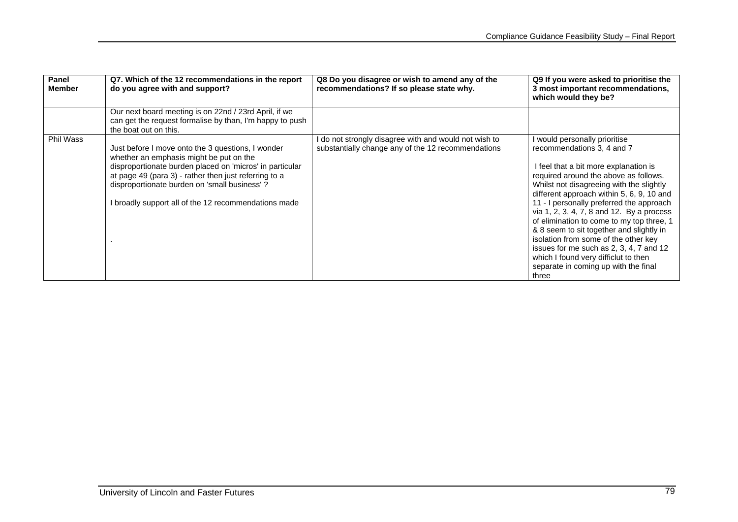| Panel<br><b>Member</b> | Q7. Which of the 12 recommendations in the report<br>do you agree with and support?                                                                                                                                                                                                                                       | Q8 Do you disagree or wish to amend any of the<br>recommendations? If so please state why.                  | Q9 If you were asked to prioritise the<br>3 most important recommendations,<br>which would they be?                                                                                                                                                                                                                                                                                                                                                                                                                                                                                                |
|------------------------|---------------------------------------------------------------------------------------------------------------------------------------------------------------------------------------------------------------------------------------------------------------------------------------------------------------------------|-------------------------------------------------------------------------------------------------------------|----------------------------------------------------------------------------------------------------------------------------------------------------------------------------------------------------------------------------------------------------------------------------------------------------------------------------------------------------------------------------------------------------------------------------------------------------------------------------------------------------------------------------------------------------------------------------------------------------|
|                        | Our next board meeting is on 22nd / 23rd April, if we<br>can get the request formalise by than, I'm happy to push<br>the boat out on this.                                                                                                                                                                                |                                                                                                             |                                                                                                                                                                                                                                                                                                                                                                                                                                                                                                                                                                                                    |
| Phil Wass              | Just before I move onto the 3 questions, I wonder<br>whether an emphasis might be put on the<br>disproportionate burden placed on 'micros' in particular<br>at page 49 (para 3) - rather then just referring to a<br>disproportionate burden on 'small business'?<br>I broadly support all of the 12 recommendations made | I do not strongly disagree with and would not wish to<br>substantially change any of the 12 recommendations | would personally prioritise<br>recommendations 3, 4 and 7<br>I feel that a bit more explanation is<br>required around the above as follows.<br>Whilst not disagreeing with the slightly<br>different approach within 5, 6, 9, 10 and<br>11 - I personally preferred the approach<br>via 1, 2, 3, 4, 7, 8 and 12. By a process<br>of elimination to come to my top three, 1<br>& 8 seem to sit together and slightly in<br>isolation from some of the other key<br>issues for me such as 2, 3, 4, 7 and 12<br>which I found very difficiut to then<br>separate in coming up with the final<br>three |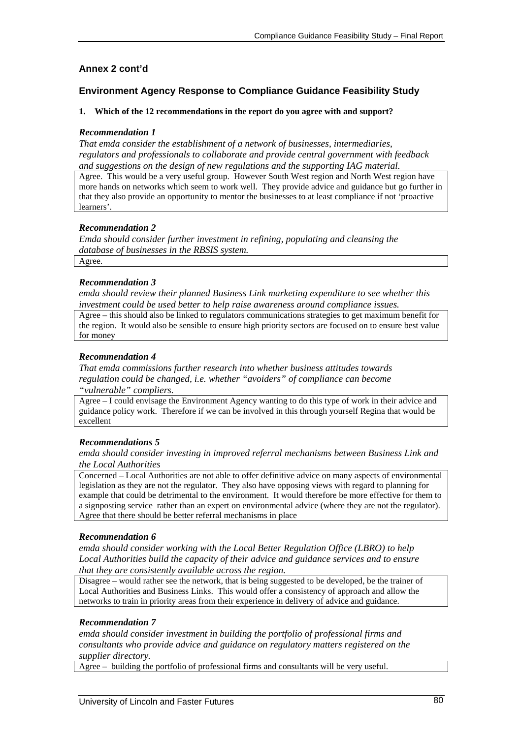## **Annex 2 cont'd**

## **Environment Agency Response to Compliance Guidance Feasibility Study**

#### **1. Which of the 12 recommendations in the report do you agree with and support?**

#### *Recommendation 1*

*That emda consider the establishment of a network of businesses, intermediaries, regulators and professionals to collaborate and provide central government with feedback and suggestions on the design of new regulations and the supporting IAG material.* 

Agree. This would be a very useful group. However South West region and North West region have more hands on networks which seem to work well. They provide advice and guidance but go further in that they also provide an opportunity to mentor the businesses to at least compliance if not 'proactive learners'.

#### *Recommendation 2*

*Emda should consider further investment in refining, populating and cleansing the database of businesses in the RBSIS system.* 

Agree.

#### *Recommendation 3*

*emda should review their planned Business Link marketing expenditure to see whether this investment could be used better to help raise awareness around compliance issues.* 

Agree – this should also be linked to regulators communications strategies to get maximum benefit for the region. It would also be sensible to ensure high priority sectors are focused on to ensure best value for money

#### *Recommendation 4*

*That emda commissions further research into whether business attitudes towards regulation could be changed, i.e. whether "avoiders" of compliance can become "vulnerable" compliers.* 

Agree – I could envisage the Environment Agency wanting to do this type of work in their advice and guidance policy work. Therefore if we can be involved in this through yourself Regina that would be excellent

#### *Recommendations 5*

*emda should consider investing in improved referral mechanisms between Business Link and the Local Authorities* 

Concerned – Local Authorities are not able to offer definitive advice on many aspects of environmental legislation as they are not the regulator. They also have opposing views with regard to planning for example that could be detrimental to the environment. It would therefore be more effective for them to a signposting service rather than an expert on environmental advice (where they are not the regulator). Agree that there should be better referral mechanisms in place

## *Recommendation 6*

*emda should consider working with the Local Better Regulation Office (LBRO) to help Local Authorities build the capacity of their advice and guidance services and to ensure that they are consistently available across the region.* 

Disagree – would rather see the network, that is being suggested to be developed, be the trainer of Local Authorities and Business Links. This would offer a consistency of approach and allow the networks to train in priority areas from their experience in delivery of advice and guidance.

## *Recommendation 7*

*emda should consider investment in building the portfolio of professional firms and consultants who provide advice and guidance on regulatory matters registered on the supplier directory.* 

Agree – building the portfolio of professional firms and consultants will be very useful.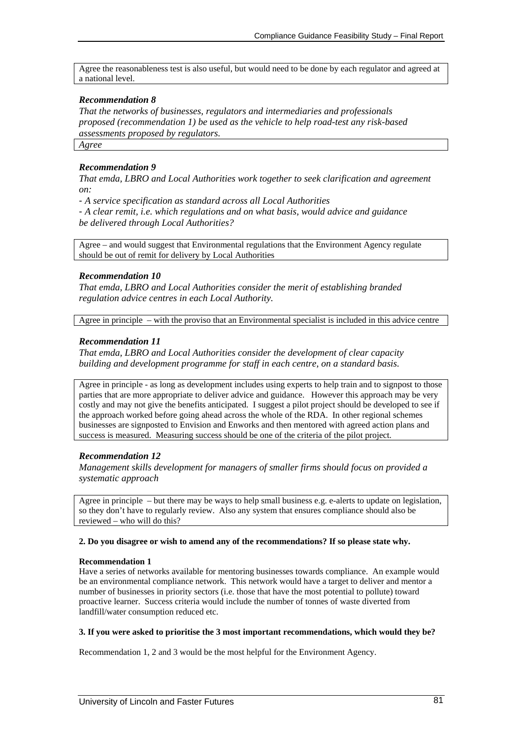Agree the reasonableness test is also useful, but would need to be done by each regulator and agreed at a national level.

## *Recommendation 8*

*That the networks of businesses, regulators and intermediaries and professionals proposed (recommendation 1) be used as the vehicle to help road-test any risk-based assessments proposed by regulators.* 

*Agree* 

## *Recommendation 9*

*That emda, LBRO and Local Authorities work together to seek clarification and agreement on:* 

- *A service specification as standard across all Local Authorities* 

- *A clear remit, i.e. which regulations and on what basis, would advice and guidance be delivered through Local Authorities?* 

Agree – and would suggest that Environmental regulations that the Environment Agency regulate should be out of remit for delivery by Local Authorities

## *Recommendation 10*

*That emda, LBRO and Local Authorities consider the merit of establishing branded regulation advice centres in each Local Authority.* 

Agree in principle – with the proviso that an Environmental specialist is included in this advice centre

## *Recommendation 11*

*That emda, LBRO and Local Authorities consider the development of clear capacity building and development programme for staff in each centre, on a standard basis.*

Agree in principle - as long as development includes using experts to help train and to signpost to those parties that are more appropriate to deliver advice and guidance. However this approach may be very costly and may not give the benefits anticipated. I suggest a pilot project should be developed to see if the approach worked before going ahead across the whole of the RDA. In other regional schemes businesses are signposted to Envision and Enworks and then mentored with agreed action plans and success is measured. Measuring success should be one of the criteria of the pilot project.

## *Recommendation 12*

*Management skills development for managers of smaller firms should focus on provided a systematic approach* 

Agree in principle – but there may be ways to help small business e.g. e-alerts to update on legislation, so they don't have to regularly review. Also any system that ensures compliance should also be reviewed – who will do this?

#### **2. Do you disagree or wish to amend any of the recommendations? If so please state why.**

## **Recommendation 1**

Have a series of networks available for mentoring businesses towards compliance. An example would be an environmental compliance network. This network would have a target to deliver and mentor a number of businesses in priority sectors (i.e. those that have the most potential to pollute) toward proactive learner. Success criteria would include the number of tonnes of waste diverted from landfill/water consumption reduced etc.

#### **3. If you were asked to prioritise the 3 most important recommendations, which would they be?**

Recommendation 1, 2 and 3 would be the most helpful for the Environment Agency.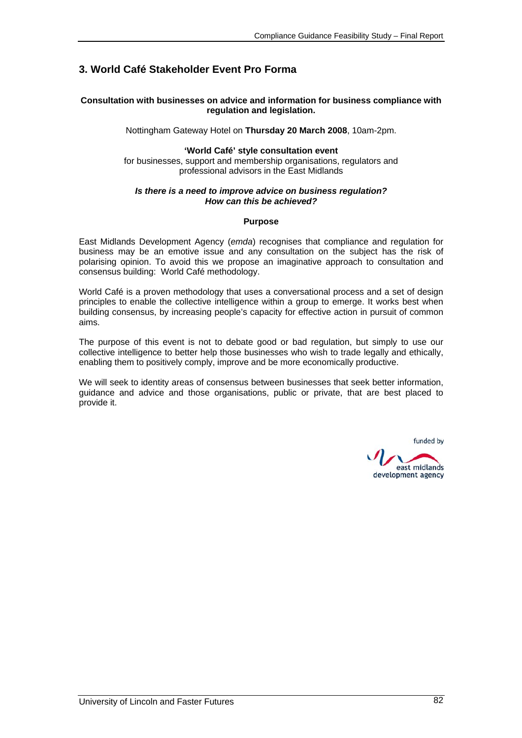## **3. World Café Stakeholder Event Pro Forma**

#### **Consultation with businesses on advice and information for business compliance with regulation and legislation.**

Nottingham Gateway Hotel on **Thursday 20 March 2008**, 10am-2pm.

## **'World Café' style consultation event**

for businesses, support and membership organisations, regulators and professional advisors in the East Midlands

#### *Is there is a need to improve advice on business regulation? How can this be achieved?*

#### **Purpose**

East Midlands Development Agency (*emda*) recognises that compliance and regulation for business may be an emotive issue and any consultation on the subject has the risk of polarising opinion. To avoid this we propose an imaginative approach to consultation and consensus building: World Café methodology.

World Café is a proven methodology that uses a conversational process and a set of design principles to enable the collective intelligence within a group to emerge. It works best when building consensus, by increasing people's capacity for effective action in pursuit of common aims.

The purpose of this event is not to debate good or bad regulation, but simply to use our collective intelligence to better help those businesses who wish to trade legally and ethically, enabling them to positively comply, improve and be more economically productive.

We will seek to identity areas of consensus between businesses that seek better information, guidance and advice and those organisations, public or private, that are best placed to provide it.

funded by

east midlands development agency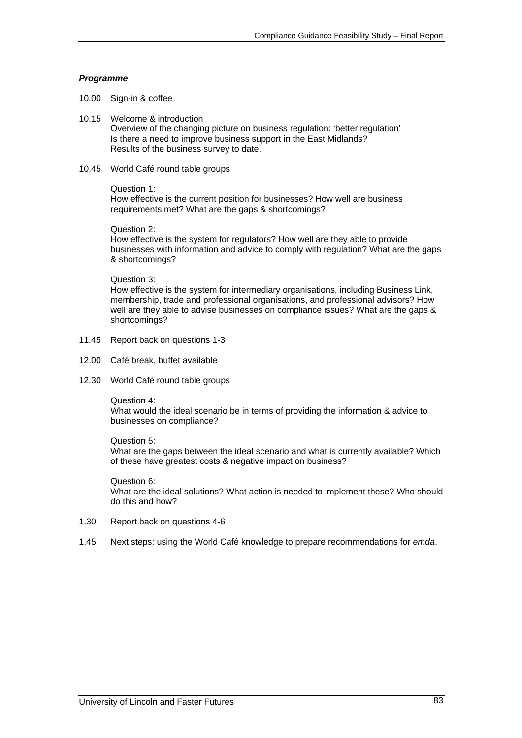#### *Programme*

- 10.00 Sign-in & coffee
- 10.15 Welcome & introduction Overview of the changing picture on business regulation: 'better regulation' Is there a need to improve business support in the East Midlands? Results of the business survey to date.
- 10.45 World Café round table groups

#### Question 1:

How effective is the current position for businesses? How well are business requirements met? What are the gaps & shortcomings?

Question 2:

How effective is the system for regulators? How well are they able to provide businesses with information and advice to comply with regulation? What are the gaps & shortcomings?

#### Question 3:

How effective is the system for intermediary organisations, including Business Link, membership, trade and professional organisations, and professional advisors? How well are they able to advise businesses on compliance issues? What are the gaps & shortcomings?

- 11.45 Report back on questions 1-3
- 12.00 Café break, buffet available
- 12.30 World Café round table groups
	- Question 4:

What would the ideal scenario be in terms of providing the information & advice to businesses on compliance?

Question 5: What are the gaps between the ideal scenario and what is currently available? Which of these have greatest costs & negative impact on business?

Question 6: What are the ideal solutions? What action is needed to implement these? Who should do this and how?

- 1.30 Report back on questions 4-6
- 1.45 Next steps: using the World Café knowledge to prepare recommendations for *emda*.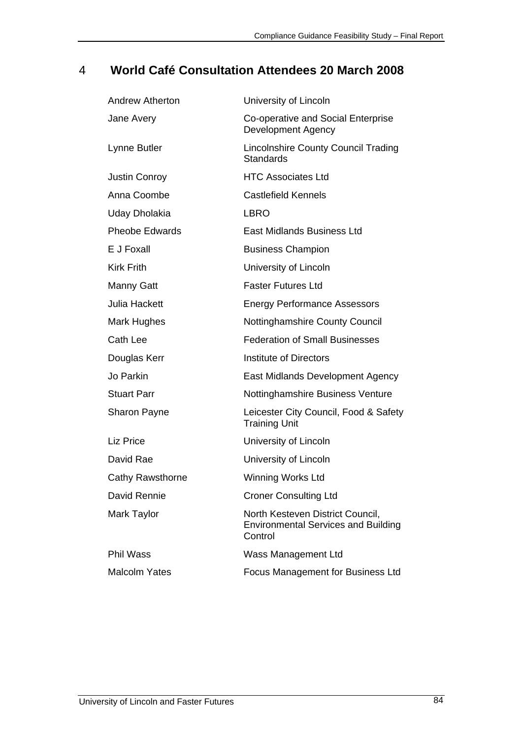## 4 **World Café Consultation Attendees 20 March 2008**

| <b>Andrew Atherton</b>  | University of Lincoln                                                                     |
|-------------------------|-------------------------------------------------------------------------------------------|
| Jane Avery              | Co-operative and Social Enterprise<br><b>Development Agency</b>                           |
| Lynne Butler            | <b>Lincolnshire County Council Trading</b><br><b>Standards</b>                            |
| <b>Justin Conroy</b>    | <b>HTC Associates Ltd</b>                                                                 |
| Anna Coombe             | Castlefield Kennels                                                                       |
| Uday Dholakia           | <b>LBRO</b>                                                                               |
| <b>Pheobe Edwards</b>   | <b>East Midlands Business Ltd</b>                                                         |
| E J Foxall              | <b>Business Champion</b>                                                                  |
| <b>Kirk Frith</b>       | University of Lincoln                                                                     |
| <b>Manny Gatt</b>       | <b>Faster Futures Ltd</b>                                                                 |
| <b>Julia Hackett</b>    | <b>Energy Performance Assessors</b>                                                       |
| Mark Hughes             | <b>Nottinghamshire County Council</b>                                                     |
| Cath Lee                | <b>Federation of Small Businesses</b>                                                     |
| Douglas Kerr            | Institute of Directors                                                                    |
| Jo Parkin               | East Midlands Development Agency                                                          |
| <b>Stuart Parr</b>      | Nottinghamshire Business Venture                                                          |
| Sharon Payne            | Leicester City Council, Food & Safety<br><b>Training Unit</b>                             |
| Liz Price               | University of Lincoln                                                                     |
| David Rae               | University of Lincoln                                                                     |
| <b>Cathy Rawsthorne</b> | Winning Works Ltd                                                                         |
| David Rennie            | <b>Croner Consulting Ltd</b>                                                              |
| Mark Taylor             | North Kesteven District Council,<br><b>Environmental Services and Building</b><br>Control |
| <b>Phil Wass</b>        | Wass Management Ltd                                                                       |
| <b>Malcolm Yates</b>    | Focus Management for Business Ltd                                                         |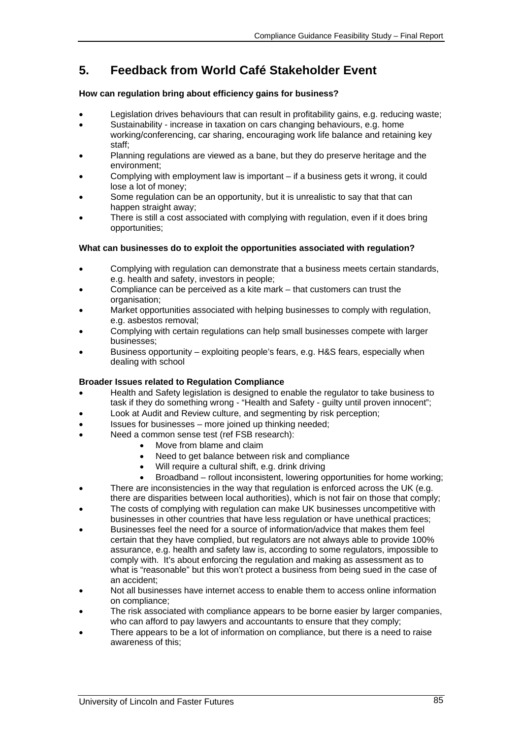## **5. Feedback from World Café Stakeholder Event**

## **How can regulation bring about efficiency gains for business?**

- Legislation drives behaviours that can result in profitability gains, e.g. reducing waste;
- Sustainability increase in taxation on cars changing behaviours, e.g. home working/conferencing, car sharing, encouraging work life balance and retaining key staff;
- Planning regulations are viewed as a bane, but they do preserve heritage and the environment;
- Complying with employment law is important if a business gets it wrong, it could lose a lot of money;
- Some regulation can be an opportunity, but it is unrealistic to say that that can happen straight away;
- There is still a cost associated with complying with regulation, even if it does bring opportunities;

## **What can businesses do to exploit the opportunities associated with regulation?**

- Complying with regulation can demonstrate that a business meets certain standards, e.g. health and safety, investors in people;
- Compliance can be perceived as a kite mark that customers can trust the organisation;
- Market opportunities associated with helping businesses to comply with regulation, e.g. asbestos removal;
- Complying with certain regulations can help small businesses compete with larger businesses;
- Business opportunity exploiting people's fears, e.g. H&S fears, especially when dealing with school

## **Broader Issues related to Regulation Compliance**

- Health and Safety legislation is designed to enable the regulator to take business to task if they do something wrong - "Health and Safety - guilty until proven innocent";
- Look at Audit and Review culture, and segmenting by risk perception;
- Issues for businesses more joined up thinking needed;
- Need a common sense test (ref FSB research):
	- Move from blame and claim
	- Need to get balance between risk and compliance
	- Will require a cultural shift, e.g. drink driving
	- Broadband rollout inconsistent, lowering opportunities for home working;
- There are inconsistencies in the way that regulation is enforced across the UK (e.g. there are disparities between local authorities), which is not fair on those that comply;
- The costs of complying with regulation can make UK businesses uncompetitive with businesses in other countries that have less regulation or have unethical practices;
- Businesses feel the need for a source of information/advice that makes them feel certain that they have complied, but regulators are not always able to provide 100% assurance, e.g. health and safety law is, according to some regulators, impossible to comply with. It's about enforcing the regulation and making as assessment as to what is "reasonable" but this won't protect a business from being sued in the case of an accident;
- Not all businesses have internet access to enable them to access online information on compliance;
- The risk associated with compliance appears to be borne easier by larger companies, who can afford to pay lawyers and accountants to ensure that they comply;
- There appears to be a lot of information on compliance, but there is a need to raise awareness of this;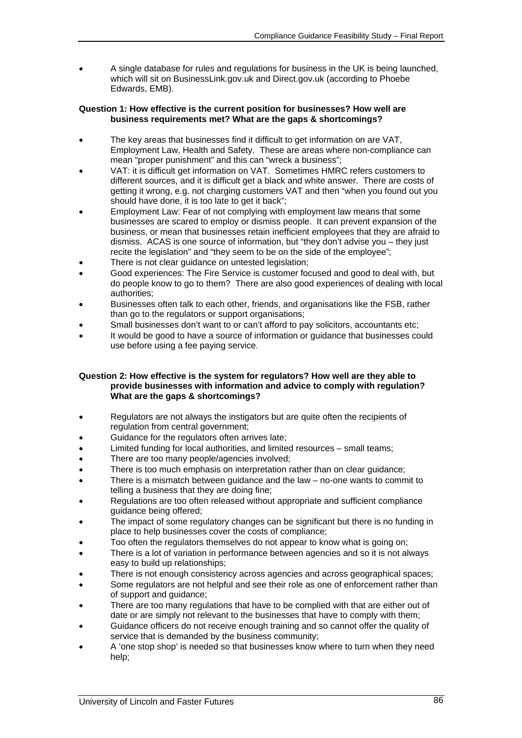• A single database for rules and regulations for business in the UK is being launched, which will sit on BusinessLink.gov.uk and Direct.gov.uk (according to Phoebe Edwards, EMB).

#### **Question 1: How effective is the current position for businesses? How well are business requirements met? What are the gaps & shortcomings?**

- The key areas that businesses find it difficult to get information on are VAT, Employment Law, Health and Safety. These are areas where non-compliance can mean "proper punishment" and this can "wreck a business";
- VAT: it is difficult get information on VAT. Sometimes HMRC refers customers to different sources, and it is difficult get a black and white answer. There are costs of getting it wrong, e.g. not charging customers VAT and then "when you found out you should have done, it is too late to get it back";
- Employment Law: Fear of not complying with employment law means that some businesses are scared to employ or dismiss people. It can prevent expansion of the business, or mean that businesses retain inefficient employees that they are afraid to dismiss. ACAS is one source of information, but "they don't advise you – they just recite the legislation" and "they seem to be on the side of the employee";
- There is not clear guidance on untested legislation;
- Good experiences: The Fire Service is customer focused and good to deal with, but do people know to go to them? There are also good experiences of dealing with local authorities;
- Businesses often talk to each other, friends, and organisations like the FSB, rather than go to the regulators or support organisations;
- Small businesses don't want to or can't afford to pay solicitors, accountants etc;
- It would be good to have a source of information or guidance that businesses could use before using a fee paying service.

#### **Question 2: How effective is the system for regulators? How well are they able to provide businesses with information and advice to comply with regulation? What are the gaps & shortcomings?**

- Regulators are not always the instigators but are quite often the recipients of regulation from central government;
- Guidance for the regulators often arrives late;
- Limited funding for local authorities, and limited resources small teams;
- There are too many people/agencies involved;
- There is too much emphasis on interpretation rather than on clear quidance;
- There is a mismatch between guidance and the law no-one wants to commit to telling a business that they are doing fine;
- Regulations are too often released without appropriate and sufficient compliance guidance being offered;
- The impact of some regulatory changes can be significant but there is no funding in place to help businesses cover the costs of compliance;
- Too often the regulators themselves do not appear to know what is going on;
- There is a lot of variation in performance between agencies and so it is not always easy to build up relationships;
- There is not enough consistency across agencies and across geographical spaces;
- Some regulators are not helpful and see their role as one of enforcement rather than of support and guidance;
- There are too many regulations that have to be complied with that are either out of date or are simply not relevant to the businesses that have to comply with them;
- Guidance officers do not receive enough training and so cannot offer the quality of service that is demanded by the business community;
- A 'one stop shop' is needed so that businesses know where to turn when they need help;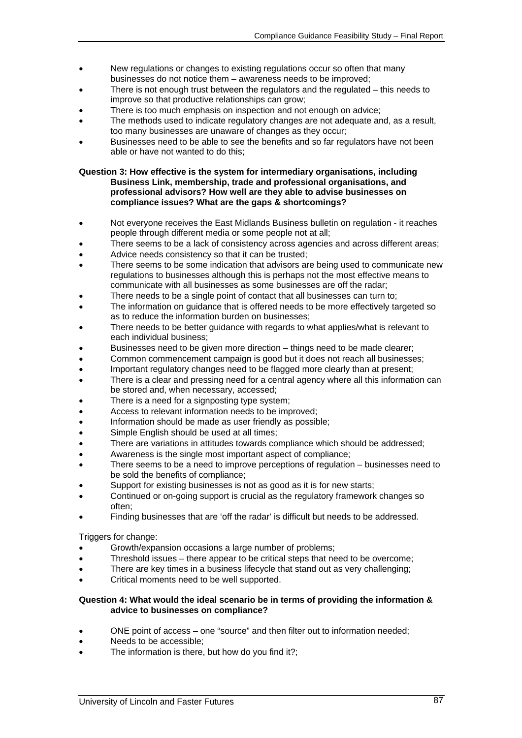- New regulations or changes to existing regulations occur so often that many businesses do not notice them – awareness needs to be improved;
- There is not enough trust between the regulators and the regulated  $-$  this needs to improve so that productive relationships can grow;
- There is too much emphasis on inspection and not enough on advice;
- The methods used to indicate regulatory changes are not adequate and, as a result, too many businesses are unaware of changes as they occur;
- Businesses need to be able to see the benefits and so far regulators have not been able or have not wanted to do this;

**Question 3: How effective is the system for intermediary organisations, including Business Link, membership, trade and professional organisations, and professional advisors? How well are they able to advise businesses on compliance issues? What are the gaps & shortcomings?** 

- Not everyone receives the East Midlands Business bulletin on regulation it reaches people through different media or some people not at all;
- There seems to be a lack of consistency across agencies and across different areas;
- Advice needs consistency so that it can be trusted;
- There seems to be some indication that advisors are being used to communicate new regulations to businesses although this is perhaps not the most effective means to communicate with all businesses as some businesses are off the radar;
- There needs to be a single point of contact that all businesses can turn to;
- The information on guidance that is offered needs to be more effectively targeted so as to reduce the information burden on businesses;
- There needs to be better guidance with regards to what applies/what is relevant to each individual business;
- Businesses need to be given more direction things need to be made clearer;
- Common commencement campaign is good but it does not reach all businesses;
- Important regulatory changes need to be flagged more clearly than at present;
- There is a clear and pressing need for a central agency where all this information can be stored and, when necessary, accessed;
- There is a need for a signposting type system:
- Access to relevant information needs to be improved;
- Information should be made as user friendly as possible;
- Simple English should be used at all times;
- There are variations in attitudes towards compliance which should be addressed;
- Awareness is the single most important aspect of compliance;
- There seems to be a need to improve perceptions of regulation businesses need to be sold the benefits of compliance;
- Support for existing businesses is not as good as it is for new starts;
- Continued or on-going support is crucial as the regulatory framework changes so often;
- Finding businesses that are 'off the radar' is difficult but needs to be addressed.

Triggers for change:

- Growth/expansion occasions a large number of problems;
- Threshold issues there appear to be critical steps that need to be overcome;
- There are key times in a business lifecycle that stand out as very challenging;
- Critical moments need to be well supported.

#### **Question 4: What would the ideal scenario be in terms of providing the information & advice to businesses on compliance?**

- ONE point of access one "source" and then filter out to information needed;
- Needs to be accessible;
- The information is there, but how do you find it?;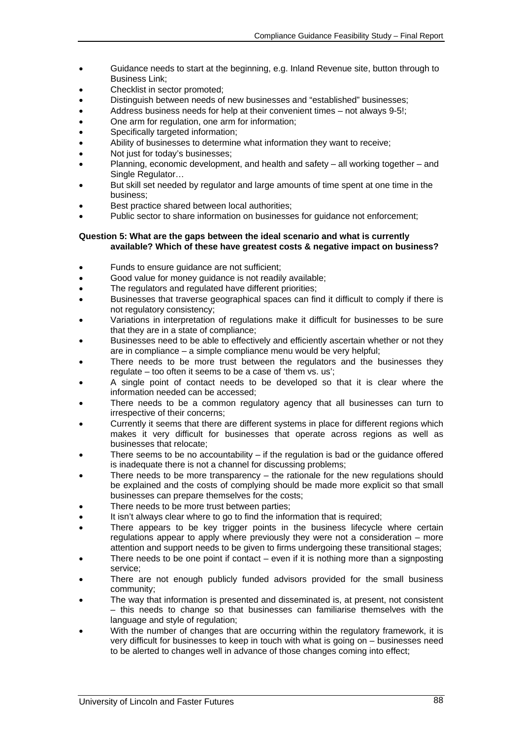- Guidance needs to start at the beginning, e.g. Inland Revenue site, button through to Business Link;
- Checklist in sector promoted;
- Distinguish between needs of new businesses and "established" businesses;
- Address business needs for help at their convenient times not always 9-5!;
- One arm for regulation, one arm for information;
- Specifically targeted information;
- Ability of businesses to determine what information they want to receive;
- Not just for today's businesses;
- Planning, economic development, and health and safety all working together and Single Regulator…
- But skill set needed by regulator and large amounts of time spent at one time in the business;
- Best practice shared between local authorities;
- Public sector to share information on businesses for guidance not enforcement;

#### **Question 5: What are the gaps between the ideal scenario and what is currently available? Which of these have greatest costs & negative impact on business?**

- Funds to ensure guidance are not sufficient;
- Good value for money guidance is not readily available;
- The regulators and regulated have different priorities;
- Businesses that traverse geographical spaces can find it difficult to comply if there is not regulatory consistency;
- Variations in interpretation of regulations make it difficult for businesses to be sure that they are in a state of compliance;
- Businesses need to be able to effectively and efficiently ascertain whether or not they are in compliance – a simple compliance menu would be very helpful;
- There needs to be more trust between the regulators and the businesses they regulate – too often it seems to be a case of 'them vs. us';
- A single point of contact needs to be developed so that it is clear where the information needed can be accessed;
- There needs to be a common regulatory agency that all businesses can turn to irrespective of their concerns;
- Currently it seems that there are different systems in place for different regions which makes it very difficult for businesses that operate across regions as well as businesses that relocate;
- There seems to be no accountability  $-$  if the regulation is bad or the guidance offered is inadequate there is not a channel for discussing problems;
- There needs to be more transparency  $-$  the rationale for the new regulations should be explained and the costs of complying should be made more explicit so that small businesses can prepare themselves for the costs;
- There needs to be more trust between parties;
- It isn't always clear where to go to find the information that is required;
- There appears to be key trigger points in the business lifecycle where certain regulations appear to apply where previously they were not a consideration – more attention and support needs to be given to firms undergoing these transitional stages;
- There needs to be one point if contact  $-$  even if it is nothing more than a signposting service;
- There are not enough publicly funded advisors provided for the small business community;
- The way that information is presented and disseminated is, at present, not consistent – this needs to change so that businesses can familiarise themselves with the language and style of regulation;
- With the number of changes that are occurring within the regulatory framework, it is very difficult for businesses to keep in touch with what is going on – businesses need to be alerted to changes well in advance of those changes coming into effect;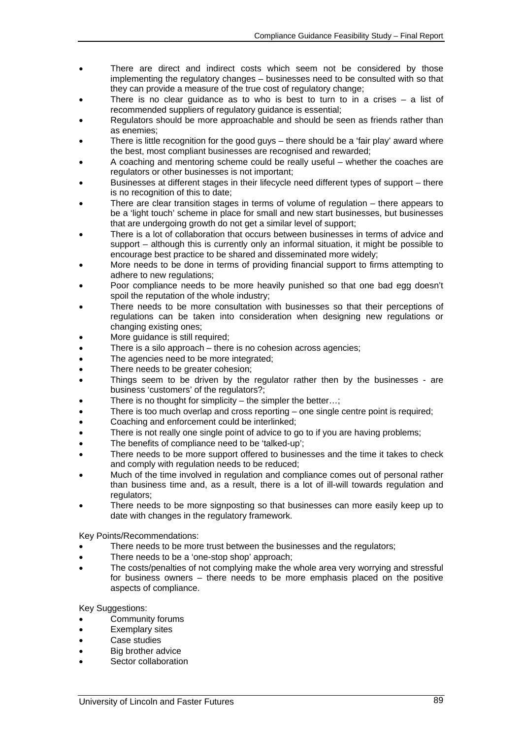- There are direct and indirect costs which seem not be considered by those implementing the regulatory changes – businesses need to be consulted with so that they can provide a measure of the true cost of regulatory change;
- There is no clear guidance as to who is best to turn to in a crises  $-$  a list of recommended suppliers of regulatory guidance is essential;
- Regulators should be more approachable and should be seen as friends rather than as enemies;
- There is little recognition for the good guys there should be a 'fair play' award where the best, most compliant businesses are recognised and rewarded;
- A coaching and mentoring scheme could be really useful whether the coaches are regulators or other businesses is not important;
- Businesses at different stages in their lifecycle need different types of support there is no recognition of this to date;
- There are clear transition stages in terms of volume of regulation  $-$  there appears to be a 'light touch' scheme in place for small and new start businesses, but businesses that are undergoing growth do not get a similar level of support;
- There is a lot of collaboration that occurs between businesses in terms of advice and support – although this is currently only an informal situation, it might be possible to encourage best practice to be shared and disseminated more widely;
- More needs to be done in terms of providing financial support to firms attempting to adhere to new regulations;
- Poor compliance needs to be more heavily punished so that one bad egg doesn't spoil the reputation of the whole industry;
- There needs to be more consultation with businesses so that their perceptions of regulations can be taken into consideration when designing new regulations or changing existing ones;
- More quidance is still required;
- There is a silo approach there is no cohesion across agencies;
- The agencies need to be more integrated;
- There needs to be greater cohesion;
- Things seem to be driven by the regulator rather then by the businesses are business 'customers' of the regulators?;
- There is no thought for simplicity the simpler the better...:
- There is too much overlap and cross reporting  $-$  one single centre point is required;
- Coaching and enforcement could be interlinked;
- There is not really one single point of advice to go to if you are having problems;
- The benefits of compliance need to be 'talked-up':
- There needs to be more support offered to businesses and the time it takes to check and comply with regulation needs to be reduced;
- Much of the time involved in regulation and compliance comes out of personal rather than business time and, as a result, there is a lot of ill-will towards regulation and regulators:
- There needs to be more signposting so that businesses can more easily keep up to date with changes in the regulatory framework.

Key Points/Recommendations:

- There needs to be more trust between the businesses and the regulators;
- There needs to be a 'one-stop shop' approach:
- The costs/penalties of not complying make the whole area very worrying and stressful for business owners – there needs to be more emphasis placed on the positive aspects of compliance.

Key Suggestions:

- Community forums
- Exemplary sites
- Case studies
- Big brother advice
- Sector collaboration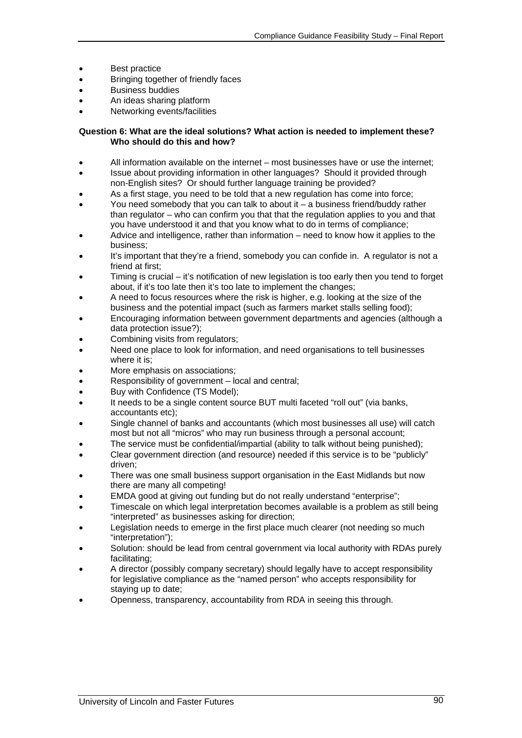- Best practice
- Bringing together of friendly faces
- Business buddies
- An ideas sharing platform
- Networking events/facilities

#### **Question 6: What are the ideal solutions? What action is needed to implement these? Who should do this and how?**

- All information available on the internet most businesses have or use the internet;
- Issue about providing information in other languages? Should it provided through non-English sites? Or should further language training be provided?
- As a first stage, you need to be told that a new regulation has come into force;
- You need somebody that you can talk to about it  $-$  a business friend/buddy rather than regulator – who can confirm you that that the regulation applies to you and that you have understood it and that you know what to do in terms of compliance;
- Advice and intelligence, rather than information need to know how it applies to the business;
- It's important that they're a friend, somebody you can confide in. A regulator is not a friend at first;
- Timing is crucial it's notification of new legislation is too early then you tend to forget about, if it's too late then it's too late to implement the changes;
- A need to focus resources where the risk is higher, e.g. looking at the size of the business and the potential impact (such as farmers market stalls selling food);
- Encouraging information between government departments and agencies (although a data protection issue?);
- Combining visits from regulators;
- Need one place to look for information, and need organisations to tell businesses where it is:
- More emphasis on associations:
- Responsibility of government local and central:
- Buv with Confidence (TS Model);
- It needs to be a single content source BUT multi faceted "roll out" (via banks, accountants etc);
- Single channel of banks and accountants (which most businesses all use) will catch most but not all "micros" who may run business through a personal account;
- The service must be confidential/impartial (ability to talk without being punished);
- Clear government direction (and resource) needed if this service is to be "publicly" driven;
- There was one small business support organisation in the East Midlands but now there are many all competing!
- EMDA good at giving out funding but do not really understand "enterprise";
- Timescale on which legal interpretation becomes available is a problem as still being "interpreted" as businesses asking for direction;
- Legislation needs to emerge in the first place much clearer (not needing so much "interpretation");
- Solution: should be lead from central government via local authority with RDAs purely facilitating;
- A director (possibly company secretary) should legally have to accept responsibility for legislative compliance as the "named person" who accepts responsibility for staying up to date;
- Openness, transparency, accountability from RDA in seeing this through.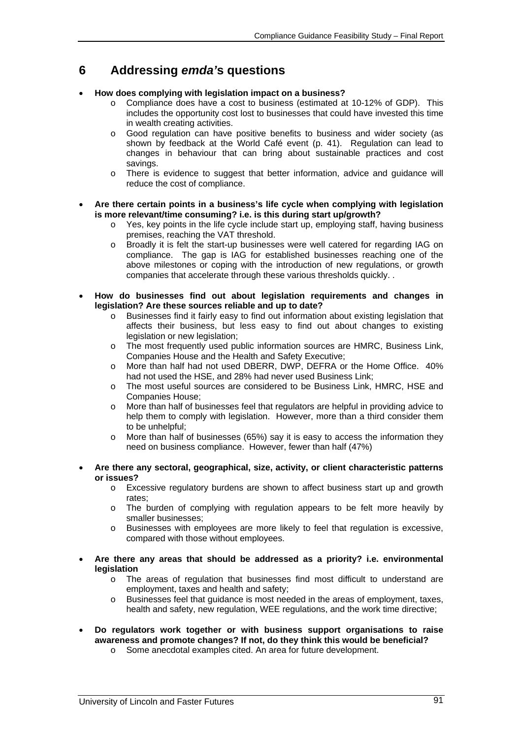## **6 Addressing** *emda'***s questions**

## • **How does complying with legislation impact on a business?**

- o Compliance does have a cost to business (estimated at 10-12% of GDP). This includes the opportunity cost lost to businesses that could have invested this time in wealth creating activities.
- o Good regulation can have positive benefits to business and wider society (as shown by feedback at the World Café event (p. 41). Regulation can lead to changes in behaviour that can bring about sustainable practices and cost savings.
- o There is evidence to suggest that better information, advice and guidance will reduce the cost of compliance.
- **Are there certain points in a business's life cycle when complying with legislation is more relevant/time consuming? i.e. is this during start up/growth?** 
	- $\circ$  Yes, key points in the life cycle include start up, employing staff, having business premises, reaching the VAT threshold.
	- o Broadly it is felt the start-up businesses were well catered for regarding IAG on compliance. The gap is IAG for established businesses reaching one of the above milestones or coping with the introduction of new regulations, or growth companies that accelerate through these various thresholds quickly. .
- **How do businesses find out about legislation requirements and changes in legislation? Are these sources reliable and up to date?** 
	- o Businesses find it fairly easy to find out information about existing legislation that affects their business, but less easy to find out about changes to existing legislation or new legislation;
	- o The most frequently used public information sources are HMRC, Business Link, Companies House and the Health and Safety Executive;
	- o More than half had not used DBERR, DWP, DEFRA or the Home Office. 40% had not used the HSE, and 28% had never used Business Link;
	- o The most useful sources are considered to be Business Link, HMRC, HSE and Companies House;
	- o More than half of businesses feel that regulators are helpful in providing advice to help them to comply with legislation. However, more than a third consider them to be unhelpful;
	- o More than half of businesses (65%) say it is easy to access the information they need on business compliance. However, fewer than half (47%)
- **Are there any sectoral, geographical, size, activity, or client characteristic patterns or issues?** 
	- o Excessive regulatory burdens are shown to affect business start up and growth rates;
	- o The burden of complying with regulation appears to be felt more heavily by smaller businesses;
	- o Businesses with employees are more likely to feel that regulation is excessive, compared with those without employees.
- **Are there any areas that should be addressed as a priority? i.e. environmental legislation** 
	- o The areas of regulation that businesses find most difficult to understand are employment, taxes and health and safety;
	- Businesses feel that guidance is most needed in the areas of employment, taxes, health and safety, new regulation, WEE regulations, and the work time directive;
- **Do regulators work together or with business support organisations to raise awareness and promote changes? If not, do they think this would be beneficial?** 
	- o Some anecdotal examples cited. An area for future development.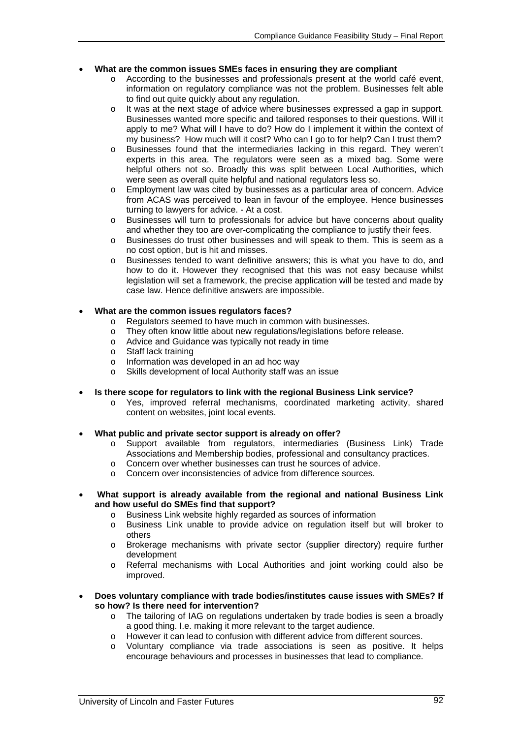## • **What are the common issues SMEs faces in ensuring they are compliant**

- o According to the businesses and professionals present at the world café event, information on regulatory compliance was not the problem. Businesses felt able to find out quite quickly about any regulation.
- o It was at the next stage of advice where businesses expressed a gap in support. Businesses wanted more specific and tailored responses to their questions. Will it apply to me? What will I have to do? How do I implement it within the context of my business? How much will it cost? Who can I go to for help? Can I trust them?
- o Businesses found that the intermediaries lacking in this regard. They weren't experts in this area. The regulators were seen as a mixed bag. Some were helpful others not so. Broadly this was split between Local Authorities, which were seen as overall quite helpful and national regulators less so.
- o Employment law was cited by businesses as a particular area of concern. Advice from ACAS was perceived to lean in favour of the employee. Hence businesses turning to lawyers for advice. - At a cost.
- o Businesses will turn to professionals for advice but have concerns about quality and whether they too are over-complicating the compliance to justify their fees.
- o Businesses do trust other businesses and will speak to them. This is seem as a no cost option, but is hit and misses.
- o Businesses tended to want definitive answers; this is what you have to do, and how to do it. However they recognised that this was not easy because whilst legislation will set a framework, the precise application will be tested and made by case law. Hence definitive answers are impossible.

## • **What are the common issues regulators faces?**

- o Regulators seemed to have much in common with businesses.
- o They often know little about new regulations/legislations before release.
- o Advice and Guidance was typically not ready in time
- o Staff lack training
- o Information was developed in an ad hoc way
- Skills development of local Authority staff was an issue
- **Is there scope for regulators to link with the regional Business Link service?** 
	- o Yes, improved referral mechanisms, coordinated marketing activity, shared content on websites, joint local events.
- **What public and private sector support is already on offer?** 
	- o Support available from regulators, intermediaries (Business Link) Trade Associations and Membership bodies, professional and consultancy practices.
	- o Concern over whether businesses can trust he sources of advice.
	- o Concern over inconsistencies of advice from difference sources.
- • **What support is already available from the regional and national Business Link and how useful do SMEs find that support?** 
	- o Business Link website highly regarded as sources of information
	- o Business Link unable to provide advice on regulation itself but will broker to others
	- o Brokerage mechanisms with private sector (supplier directory) require further development
	- o Referral mechanisms with Local Authorities and joint working could also be improved.
- **Does voluntary compliance with trade bodies/institutes cause issues with SMEs? If so how? Is there need for intervention?** 
	- o The tailoring of IAG on regulations undertaken by trade bodies is seen a broadly a good thing. I.e. making it more relevant to the target audience.
	- o However it can lead to confusion with different advice from different sources.
	- o Voluntary compliance via trade associations is seen as positive. It helps encourage behaviours and processes in businesses that lead to compliance.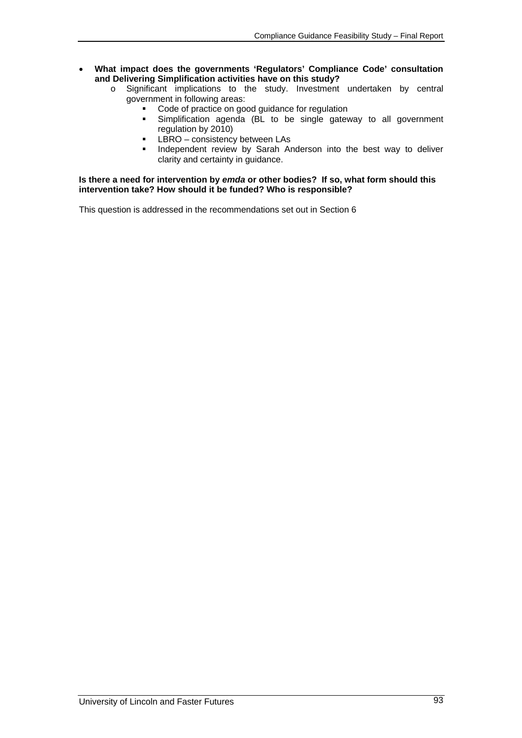- **What impact does the governments 'Regulators' Compliance Code' consultation and Delivering Simplification activities have on this study?** 
	- o Significant implications to the study. Investment undertaken by central government in following areas:
		- Code of practice on good guidance for regulation
		- Simplification agenda (BL to be single gateway to all government regulation by 2010)
		- $\overline{L}$  LBRO consistency between LAs
		- Independent review by Sarah Anderson into the best way to deliver clarity and certainty in guidance.

#### **Is there a need for intervention by** *emda* **or other bodies? If so, what form should this intervention take? How should it be funded? Who is responsible?**

This question is addressed in the recommendations set out in Section 6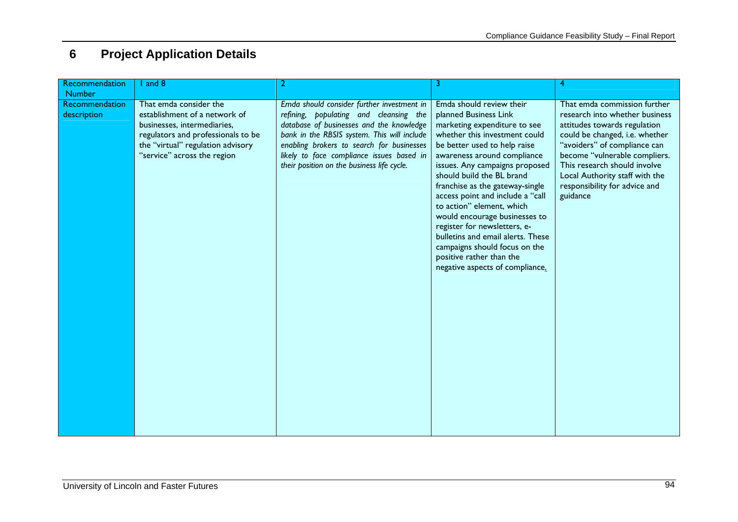# **6 Project Application Details**

| Recommendation                | and 8                                                                                                                                                                                            |                                                                                                                                                                                                                                                                                                                         | 3                                                                                                                                                                                                                                                                                                                                                                                                                                                                                                                                                          | 4                                                                                                                                                                                                                                                                                                                |
|-------------------------------|--------------------------------------------------------------------------------------------------------------------------------------------------------------------------------------------------|-------------------------------------------------------------------------------------------------------------------------------------------------------------------------------------------------------------------------------------------------------------------------------------------------------------------------|------------------------------------------------------------------------------------------------------------------------------------------------------------------------------------------------------------------------------------------------------------------------------------------------------------------------------------------------------------------------------------------------------------------------------------------------------------------------------------------------------------------------------------------------------------|------------------------------------------------------------------------------------------------------------------------------------------------------------------------------------------------------------------------------------------------------------------------------------------------------------------|
| <b>Number</b>                 |                                                                                                                                                                                                  |                                                                                                                                                                                                                                                                                                                         |                                                                                                                                                                                                                                                                                                                                                                                                                                                                                                                                                            |                                                                                                                                                                                                                                                                                                                  |
| Recommendation<br>description | That emda consider the<br>establishment of a network of<br>businesses, intermediaries,<br>regulators and professionals to be<br>the "virtual" regulation advisory<br>"service" across the region | Emda should consider further investment in<br>refining, populating and cleansing the<br>database of businesses and the knowledge<br>bank in the RBSIS system. This will include<br>enabling brokers to search for businesses<br>likely to face compliance issues based in<br>their position on the business life cycle. | Emda should review their<br>planned Business Link<br>marketing expenditure to see<br>whether this investment could<br>be better used to help raise<br>awareness around compliance<br>issues. Any campaigns proposed<br>should build the BL brand<br>franchise as the gateway-single<br>access point and include a "call<br>to action" element, which<br>would encourage businesses to<br>register for newsletters, e-<br>bulletins and email alerts. These<br>campaigns should focus on the<br>positive rather than the<br>negative aspects of compliance. | That emda commission further<br>research into whether business<br>attitudes towards regulation<br>could be changed, i.e. whether<br>"avoiders" of compliance can<br>become "vulnerable compliers.<br>This research should involve<br>Local Authority staff with the<br>responsibility for advice and<br>guidance |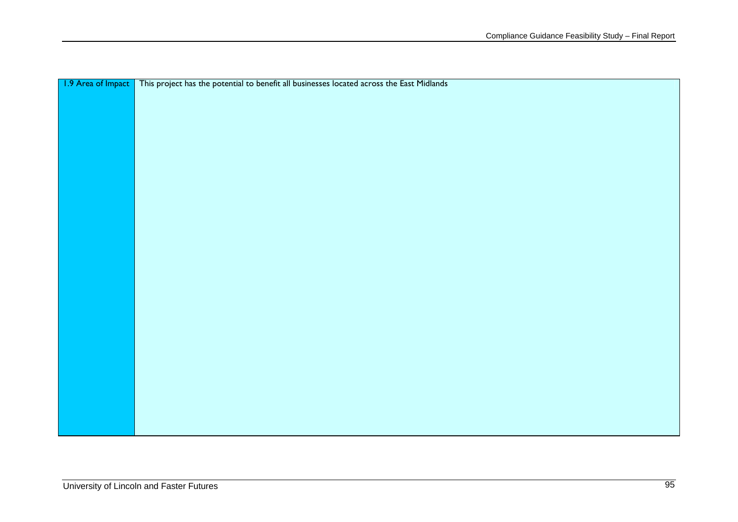| 1.9 Area of Impact   This project has the potential to benefit all businesses located across the East Midlands |
|----------------------------------------------------------------------------------------------------------------|
|                                                                                                                |
|                                                                                                                |
|                                                                                                                |
|                                                                                                                |
|                                                                                                                |
|                                                                                                                |
|                                                                                                                |
|                                                                                                                |
|                                                                                                                |
|                                                                                                                |
|                                                                                                                |
|                                                                                                                |
|                                                                                                                |
|                                                                                                                |
|                                                                                                                |
|                                                                                                                |
|                                                                                                                |
|                                                                                                                |
|                                                                                                                |
|                                                                                                                |
|                                                                                                                |
|                                                                                                                |
|                                                                                                                |
|                                                                                                                |
|                                                                                                                |
|                                                                                                                |
|                                                                                                                |
|                                                                                                                |
|                                                                                                                |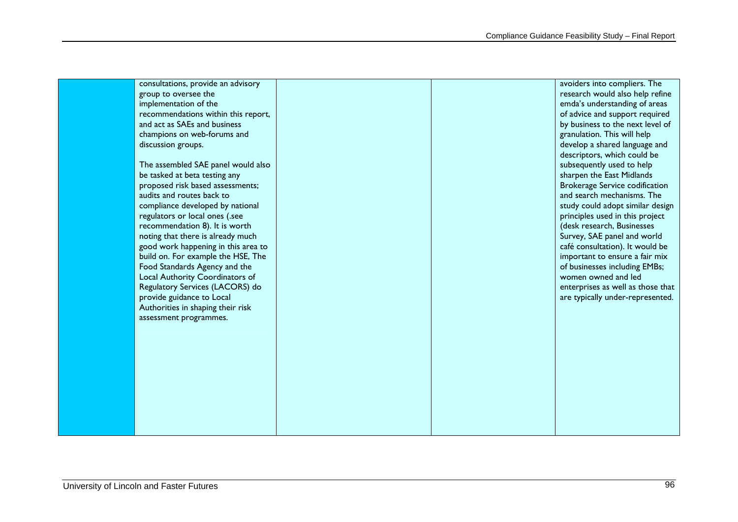| consultations, provide an advisory  | avoiders into compliers. The          |
|-------------------------------------|---------------------------------------|
| group to oversee the                | research would also help refine       |
| implementation of the               | emda's understanding of areas         |
| recommendations within this report, | of advice and support required        |
| and act as SAEs and business        | by business to the next level of      |
| champions on web-forums and         | granulation. This will help           |
| discussion groups.                  | develop a shared language and         |
|                                     | descriptors, which could be           |
| The assembled SAE panel would also  | subsequently used to help             |
| be tasked at beta testing any       | sharpen the East Midlands             |
| proposed risk based assessments;    | <b>Brokerage Service codification</b> |
| audits and routes back to           | and search mechanisms. The            |
| compliance developed by national    | study could adopt similar design      |
| regulators or local ones (.see      | principles used in this project       |
| recommendation 8). It is worth      | (desk research, Businesses            |
| noting that there is already much   | Survey, SAE panel and world           |
| good work happening in this area to | café consultation). It would be       |
| build on. For example the HSE, The  | important to ensure a fair mix        |
| Food Standards Agency and the       | of businesses including EMBs;         |
| Local Authority Coordinators of     | women owned and led                   |
| Regulatory Services (LACORS) do     | enterprises as well as those that     |
| provide guidance to Local           | are typically under-represented.      |
| Authorities in shaping their risk   |                                       |
| assessment programmes.              |                                       |
|                                     |                                       |
|                                     |                                       |
|                                     |                                       |
|                                     |                                       |
|                                     |                                       |
|                                     |                                       |
|                                     |                                       |
|                                     |                                       |
|                                     |                                       |
|                                     |                                       |
|                                     |                                       |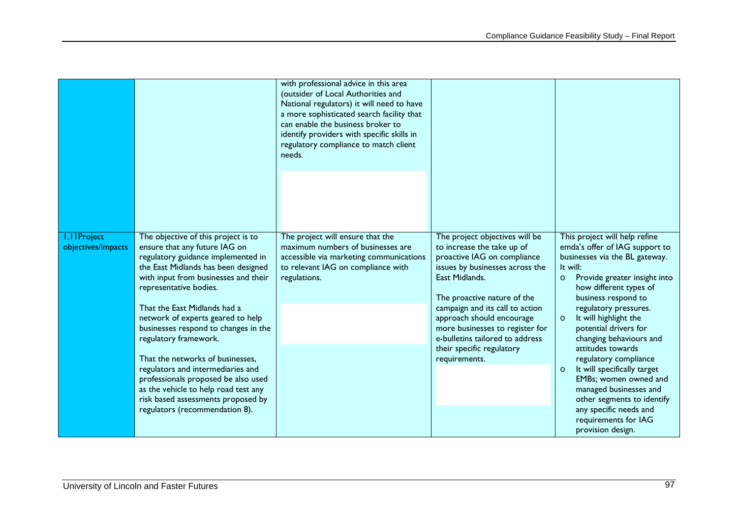|                                          |                                                                                                                                                                                                                                                                                                                                                                                                                                                                                                                                                                                           | with professional advice in this area<br>(outsider of Local Authorities and<br>National regulators) it will need to have<br>a more sophisticated search facility that<br>can enable the business broker to<br>identify providers with specific skills in<br>regulatory compliance to match client<br>needs. |                                                                                                                                                                                                                                                                                                                                                                     |                                                                                                                                                                                                                                                                                                                                                                                                                                                                                                                                                        |
|------------------------------------------|-------------------------------------------------------------------------------------------------------------------------------------------------------------------------------------------------------------------------------------------------------------------------------------------------------------------------------------------------------------------------------------------------------------------------------------------------------------------------------------------------------------------------------------------------------------------------------------------|-------------------------------------------------------------------------------------------------------------------------------------------------------------------------------------------------------------------------------------------------------------------------------------------------------------|---------------------------------------------------------------------------------------------------------------------------------------------------------------------------------------------------------------------------------------------------------------------------------------------------------------------------------------------------------------------|--------------------------------------------------------------------------------------------------------------------------------------------------------------------------------------------------------------------------------------------------------------------------------------------------------------------------------------------------------------------------------------------------------------------------------------------------------------------------------------------------------------------------------------------------------|
| <b>I.IIProject</b><br>objectives/impacts | The objective of this project is to<br>ensure that any future IAG on<br>regulatory guidance implemented in<br>the East Midlands has been designed<br>with input from businesses and their<br>representative bodies.<br>That the East Midlands had a<br>network of experts geared to help<br>businesses respond to changes in the<br>regulatory framework.<br>That the networks of businesses,<br>regulators and intermediaries and<br>professionals proposed be also used<br>as the vehicle to help road test any<br>risk based assessments proposed by<br>regulators (recommendation 8). | The project will ensure that the<br>maximum numbers of businesses are<br>accessible via marketing communications<br>to relevant IAG on compliance with<br>regulations.                                                                                                                                      | The project objectives will be<br>to increase the take up of<br>proactive IAG on compliance<br>issues by businesses across the<br>East Midlands.<br>The proactive nature of the<br>campaign and its call to action<br>approach should encourage<br>more businesses to register for<br>e-bulletins tailored to address<br>their specific regulatory<br>requirements. | This project will help refine<br>emda's offer of IAG support to<br>businesses via the BL gateway.<br>It will:<br>Provide greater insight into<br>$\circ$<br>how different types of<br>business respond to<br>regulatory pressures.<br>It will highlight the<br>$\Omega$<br>potential drivers for<br>changing behaviours and<br>attitudes towards<br>regulatory compliance<br>It will specifically target<br>$\circ$<br>EMBs; women owned and<br>managed businesses and<br>other segments to identify<br>any specific needs and<br>requirements for IAG |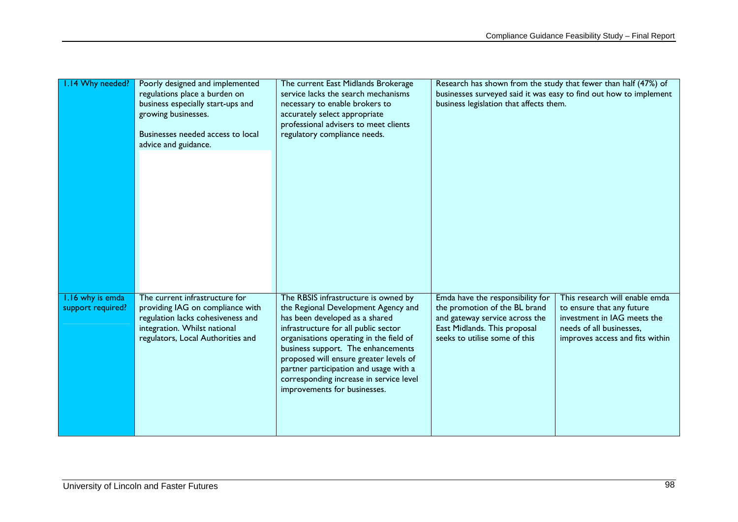| .14 Why needed?   | Poorly designed and implemented<br>regulations place a burden on<br>business especially start-ups and<br>growing businesses.<br>Businesses needed access to local<br>advice and guidance. | The current East Midlands Brokerage<br>service lacks the search mechanisms<br>necessary to enable brokers to<br>accurately select appropriate<br>professional advisers to meet clients<br>regulatory compliance needs.                                                             | Research has shown from the study that fewer than half (47%) of<br>businesses surveyed said it was easy to find out how to implement<br>business legislation that affects them.                                                                             |
|-------------------|-------------------------------------------------------------------------------------------------------------------------------------------------------------------------------------------|------------------------------------------------------------------------------------------------------------------------------------------------------------------------------------------------------------------------------------------------------------------------------------|-------------------------------------------------------------------------------------------------------------------------------------------------------------------------------------------------------------------------------------------------------------|
| support required? | providing IAG on compliance with<br>regulation lacks cohesiveness and<br>integration. Whilst national<br>regulators, Local Authorities and                                                | the Regional Development Agency and<br>has been developed as a shared<br>infrastructure for all public sector<br>organisations operating in the field of<br>business support. The enhancements<br>proposed will ensure greater levels of<br>partner participation and usage with a | the promotion of the BL brand<br>to ensure that any future<br>investment in IAG meets the<br>and gateway service across the<br>East Midlands. This proposal<br>needs of all businesses.<br>seeks to utilise some of this<br>improves access and fits within |
|                   |                                                                                                                                                                                           | corresponding increase in service level<br>improvements for businesses.                                                                                                                                                                                                            |                                                                                                                                                                                                                                                             |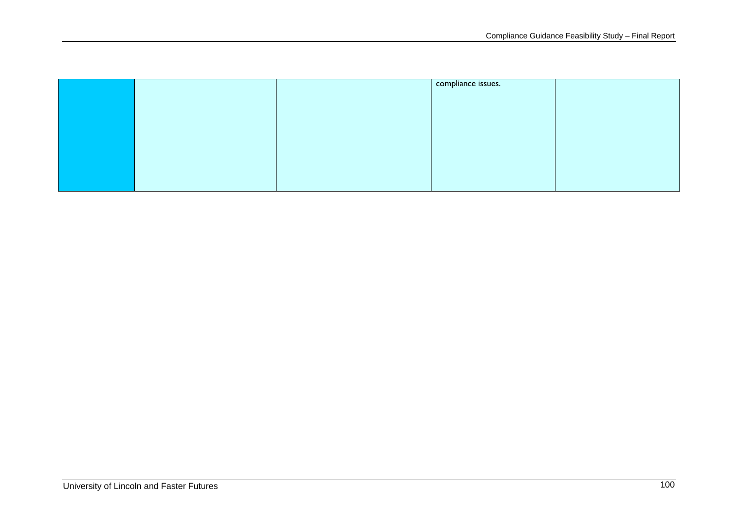|  | compliance issues. |  |
|--|--------------------|--|
|  |                    |  |
|  |                    |  |
|  |                    |  |
|  |                    |  |
|  |                    |  |
|  |                    |  |
|  |                    |  |
|  |                    |  |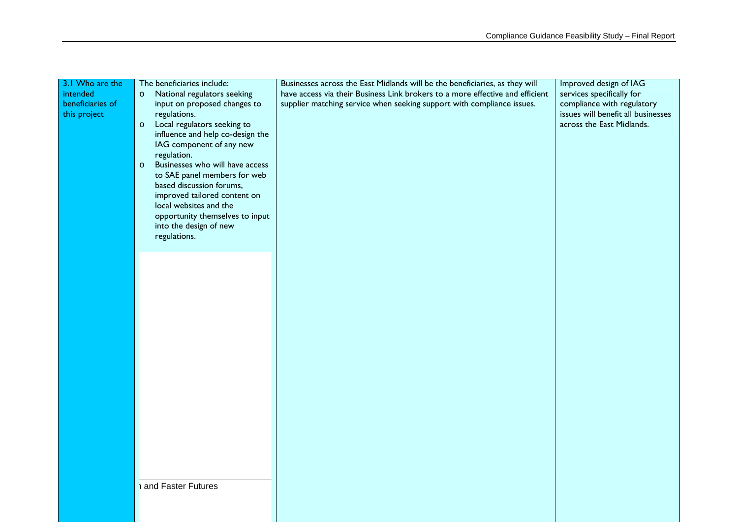| 3.1 Who are the  | The beneficiaries include:                 | Businesses across the East Midlands will be the beneficiaries, as they will   | Improved design of IAG             |
|------------------|--------------------------------------------|-------------------------------------------------------------------------------|------------------------------------|
| intended         | National regulators seeking<br>$\circ$     | have access via their Business Link brokers to a more effective and efficient | services specifically for          |
| beneficiaries of | input on proposed changes to               | supplier matching service when seeking support with compliance issues.        | compliance with regulatory         |
| this project     | regulations.                               |                                                                               | issues will benefit all businesses |
|                  | Local regulators seeking to<br>$\circ$     |                                                                               | across the East Midlands.          |
|                  | influence and help co-design the           |                                                                               |                                    |
|                  | IAG component of any new                   |                                                                               |                                    |
|                  | regulation.                                |                                                                               |                                    |
|                  | Businesses who will have access<br>$\circ$ |                                                                               |                                    |
|                  | to SAE panel members for web               |                                                                               |                                    |
|                  | based discussion forums,                   |                                                                               |                                    |
|                  | improved tailored content on               |                                                                               |                                    |
|                  | local websites and the                     |                                                                               |                                    |
|                  | opportunity themselves to input            |                                                                               |                                    |
|                  | into the design of new<br>regulations.     |                                                                               |                                    |
|                  |                                            |                                                                               |                                    |
|                  |                                            |                                                                               |                                    |
|                  |                                            |                                                                               |                                    |
|                  |                                            |                                                                               |                                    |
|                  |                                            |                                                                               |                                    |
|                  |                                            |                                                                               |                                    |
|                  |                                            |                                                                               |                                    |
|                  |                                            |                                                                               |                                    |
|                  |                                            |                                                                               |                                    |
|                  |                                            |                                                                               |                                    |
|                  |                                            |                                                                               |                                    |
|                  |                                            |                                                                               |                                    |
|                  |                                            |                                                                               |                                    |
|                  |                                            |                                                                               |                                    |
|                  |                                            |                                                                               |                                    |
|                  |                                            |                                                                               |                                    |
|                  |                                            |                                                                               |                                    |
|                  |                                            |                                                                               |                                    |
|                  |                                            |                                                                               |                                    |
|                  |                                            |                                                                               |                                    |
|                  |                                            |                                                                               |                                    |
|                  |                                            |                                                                               |                                    |
|                  | and Faster Futures                         |                                                                               |                                    |
|                  |                                            |                                                                               |                                    |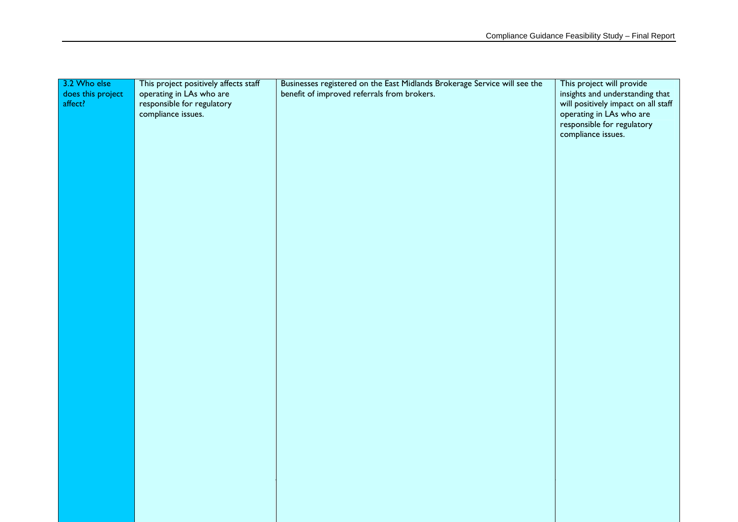| 3.2 Who else      | This project positively affects staff | Businesses registered on the East Midlands Brokerage Service will see the | This project will provide           |
|-------------------|---------------------------------------|---------------------------------------------------------------------------|-------------------------------------|
| does this project | operating in LAs who are              | benefit of improved referrals from brokers.                               | insights and understanding that     |
| affect?           | responsible for regulatory            |                                                                           | will positively impact on all staff |
|                   | compliance issues.                    |                                                                           | operating in LAs who are            |
|                   |                                       |                                                                           | responsible for regulatory          |
|                   |                                       |                                                                           | compliance issues.                  |
|                   |                                       |                                                                           |                                     |
|                   |                                       |                                                                           |                                     |
|                   |                                       |                                                                           |                                     |
|                   |                                       |                                                                           |                                     |
|                   |                                       |                                                                           |                                     |
|                   |                                       |                                                                           |                                     |
|                   |                                       |                                                                           |                                     |
|                   |                                       |                                                                           |                                     |
|                   |                                       |                                                                           |                                     |
|                   |                                       |                                                                           |                                     |
|                   |                                       |                                                                           |                                     |
|                   |                                       |                                                                           |                                     |
|                   |                                       |                                                                           |                                     |
|                   |                                       |                                                                           |                                     |
|                   |                                       |                                                                           |                                     |
|                   |                                       |                                                                           |                                     |
|                   |                                       |                                                                           |                                     |
|                   |                                       |                                                                           |                                     |
|                   |                                       |                                                                           |                                     |
|                   |                                       |                                                                           |                                     |
|                   |                                       |                                                                           |                                     |
|                   |                                       |                                                                           |                                     |
|                   |                                       |                                                                           |                                     |
|                   |                                       |                                                                           |                                     |
|                   |                                       |                                                                           |                                     |
|                   |                                       |                                                                           |                                     |
|                   |                                       |                                                                           |                                     |
|                   |                                       |                                                                           |                                     |
|                   |                                       |                                                                           |                                     |
|                   |                                       |                                                                           |                                     |
|                   |                                       |                                                                           |                                     |
|                   |                                       |                                                                           |                                     |
|                   |                                       |                                                                           |                                     |
|                   |                                       |                                                                           |                                     |
|                   |                                       |                                                                           |                                     |
|                   |                                       |                                                                           |                                     |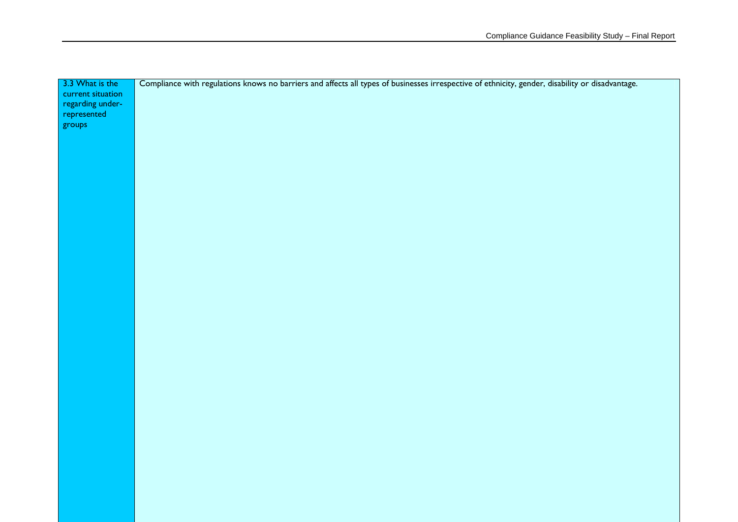| 3.3 What is the   | Compliance with regulations knows no barriers and affects all types of businesses irrespective of ethnicity, gender, disability or disadvantage. |
|-------------------|--------------------------------------------------------------------------------------------------------------------------------------------------|
| current situation |                                                                                                                                                  |
| regarding under-  |                                                                                                                                                  |
| represented       |                                                                                                                                                  |
| groups            |                                                                                                                                                  |
|                   |                                                                                                                                                  |
|                   |                                                                                                                                                  |
|                   |                                                                                                                                                  |
|                   |                                                                                                                                                  |
|                   |                                                                                                                                                  |
|                   |                                                                                                                                                  |
|                   |                                                                                                                                                  |
|                   |                                                                                                                                                  |
|                   |                                                                                                                                                  |
|                   |                                                                                                                                                  |
|                   |                                                                                                                                                  |
|                   |                                                                                                                                                  |
|                   |                                                                                                                                                  |
|                   |                                                                                                                                                  |
|                   |                                                                                                                                                  |
|                   |                                                                                                                                                  |
|                   |                                                                                                                                                  |
|                   |                                                                                                                                                  |
|                   |                                                                                                                                                  |
|                   |                                                                                                                                                  |
|                   |                                                                                                                                                  |
|                   |                                                                                                                                                  |
|                   |                                                                                                                                                  |
|                   |                                                                                                                                                  |
|                   |                                                                                                                                                  |
|                   |                                                                                                                                                  |
|                   |                                                                                                                                                  |
|                   |                                                                                                                                                  |
|                   |                                                                                                                                                  |
|                   |                                                                                                                                                  |
|                   |                                                                                                                                                  |
|                   |                                                                                                                                                  |
|                   |                                                                                                                                                  |
|                   |                                                                                                                                                  |
|                   |                                                                                                                                                  |
|                   |                                                                                                                                                  |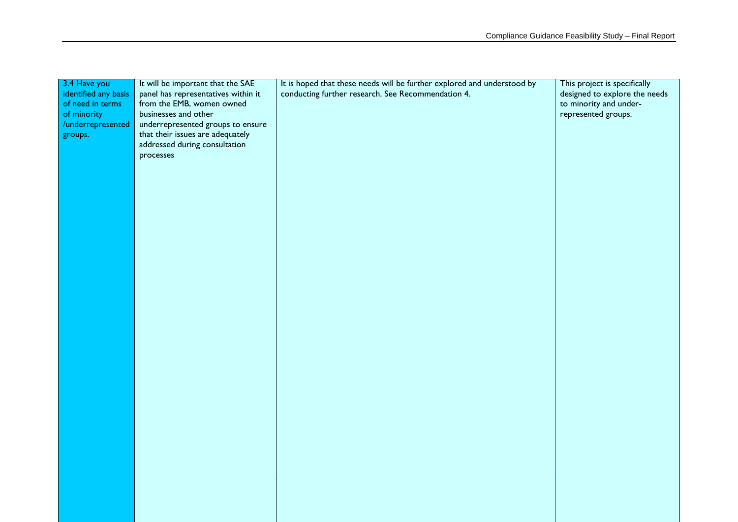| 3.4 Have you         | It will be important that the SAE                                     | It is hoped that these needs will be further explored and understood by | This project is specifically  |
|----------------------|-----------------------------------------------------------------------|-------------------------------------------------------------------------|-------------------------------|
| identified any basis | panel has representatives within it                                   | conducting further research. See Recommendation 4.                      | designed to explore the needs |
| of need in terms     | from the EMB, women owned                                             |                                                                         | to minority and under-        |
| of minority          | businesses and other                                                  |                                                                         | represented groups.           |
| /underrepresented    | underrepresented groups to ensure<br>that their issues are adequately |                                                                         |                               |
| groups.              | addressed during consultation                                         |                                                                         |                               |
|                      | processes                                                             |                                                                         |                               |
|                      |                                                                       |                                                                         |                               |
|                      |                                                                       |                                                                         |                               |
|                      |                                                                       |                                                                         |                               |
|                      |                                                                       |                                                                         |                               |
|                      |                                                                       |                                                                         |                               |
|                      |                                                                       |                                                                         |                               |
|                      |                                                                       |                                                                         |                               |
|                      |                                                                       |                                                                         |                               |
|                      |                                                                       |                                                                         |                               |
|                      |                                                                       |                                                                         |                               |
|                      |                                                                       |                                                                         |                               |
|                      |                                                                       |                                                                         |                               |
|                      |                                                                       |                                                                         |                               |
|                      |                                                                       |                                                                         |                               |
|                      |                                                                       |                                                                         |                               |
|                      |                                                                       |                                                                         |                               |
|                      |                                                                       |                                                                         |                               |
|                      |                                                                       |                                                                         |                               |
|                      |                                                                       |                                                                         |                               |
|                      |                                                                       |                                                                         |                               |
|                      |                                                                       |                                                                         |                               |
|                      |                                                                       |                                                                         |                               |
|                      |                                                                       |                                                                         |                               |
|                      |                                                                       |                                                                         |                               |
|                      |                                                                       |                                                                         |                               |
|                      |                                                                       |                                                                         |                               |
|                      |                                                                       |                                                                         |                               |
|                      |                                                                       |                                                                         |                               |
|                      |                                                                       |                                                                         |                               |
|                      |                                                                       |                                                                         |                               |
|                      |                                                                       |                                                                         |                               |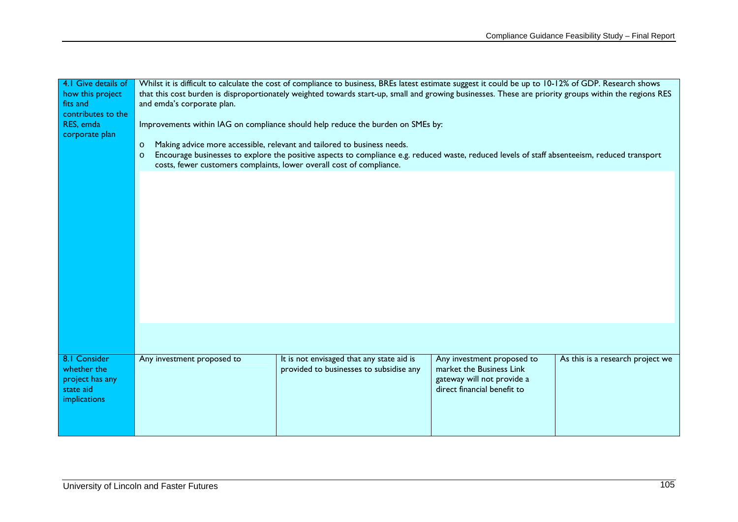| 4.1 Give details of |                                                                                                                                                          | Whilst it is difficult to calculate the cost of compliance to business, BREs latest estimate suggest it could be up to 10-12% of GDP. Research shows |                             |                                  |
|---------------------|----------------------------------------------------------------------------------------------------------------------------------------------------------|------------------------------------------------------------------------------------------------------------------------------------------------------|-----------------------------|----------------------------------|
| how this project    | that this cost burden is disproportionately weighted towards start-up, small and growing businesses. These are priority groups within the regions RES    |                                                                                                                                                      |                             |                                  |
| fits and            | and emda's corporate plan.                                                                                                                               |                                                                                                                                                      |                             |                                  |
| contributes to the  |                                                                                                                                                          |                                                                                                                                                      |                             |                                  |
| RES, emda           | Improvements within IAG on compliance should help reduce the burden on SMEs by:                                                                          |                                                                                                                                                      |                             |                                  |
| corporate plan      |                                                                                                                                                          |                                                                                                                                                      |                             |                                  |
|                     | $\circ$                                                                                                                                                  | Making advice more accessible, relevant and tailored to business needs.                                                                              |                             |                                  |
|                     | Encourage businesses to explore the positive aspects to compliance e.g. reduced waste, reduced levels of staff absenteeism, reduced transport<br>$\circ$ |                                                                                                                                                      |                             |                                  |
|                     |                                                                                                                                                          | costs, fewer customers complaints, lower overall cost of compliance.                                                                                 |                             |                                  |
|                     |                                                                                                                                                          |                                                                                                                                                      |                             |                                  |
|                     |                                                                                                                                                          |                                                                                                                                                      |                             |                                  |
|                     |                                                                                                                                                          |                                                                                                                                                      |                             |                                  |
|                     |                                                                                                                                                          |                                                                                                                                                      |                             |                                  |
|                     |                                                                                                                                                          |                                                                                                                                                      |                             |                                  |
|                     |                                                                                                                                                          |                                                                                                                                                      |                             |                                  |
|                     |                                                                                                                                                          |                                                                                                                                                      |                             |                                  |
|                     |                                                                                                                                                          |                                                                                                                                                      |                             |                                  |
|                     |                                                                                                                                                          |                                                                                                                                                      |                             |                                  |
|                     |                                                                                                                                                          |                                                                                                                                                      |                             |                                  |
|                     |                                                                                                                                                          |                                                                                                                                                      |                             |                                  |
|                     |                                                                                                                                                          |                                                                                                                                                      |                             |                                  |
|                     |                                                                                                                                                          |                                                                                                                                                      |                             |                                  |
|                     |                                                                                                                                                          |                                                                                                                                                      |                             |                                  |
|                     |                                                                                                                                                          |                                                                                                                                                      |                             |                                  |
|                     |                                                                                                                                                          |                                                                                                                                                      |                             |                                  |
|                     |                                                                                                                                                          |                                                                                                                                                      |                             |                                  |
| 8.1 Consider        | Any investment proposed to                                                                                                                               | It is not envisaged that any state aid is                                                                                                            | Any investment proposed to  | As this is a research project we |
| whether the         |                                                                                                                                                          | provided to businesses to subsidise any                                                                                                              | market the Business Link    |                                  |
| project has any     |                                                                                                                                                          |                                                                                                                                                      | gateway will not provide a  |                                  |
| state aid           |                                                                                                                                                          |                                                                                                                                                      | direct financial benefit to |                                  |
| implications        |                                                                                                                                                          |                                                                                                                                                      |                             |                                  |
|                     |                                                                                                                                                          |                                                                                                                                                      |                             |                                  |
|                     |                                                                                                                                                          |                                                                                                                                                      |                             |                                  |
|                     |                                                                                                                                                          |                                                                                                                                                      |                             |                                  |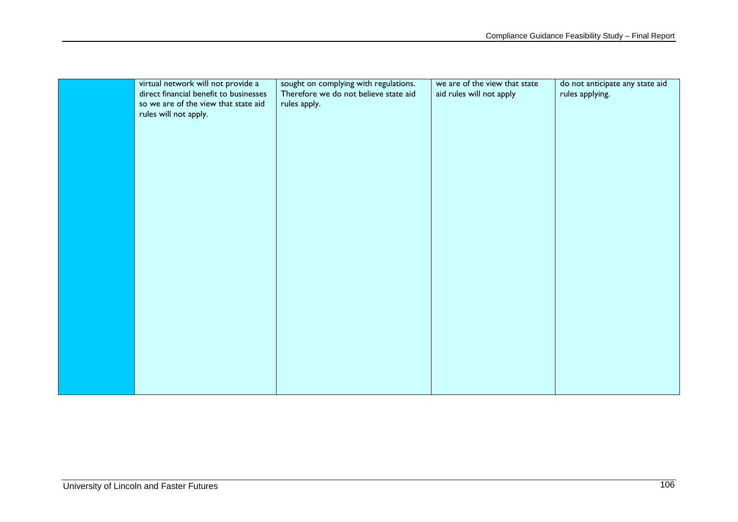| virtual network will not provide a     | sought on complying with regulations. | we are of the view that state | do not anticipate any state aid |
|----------------------------------------|---------------------------------------|-------------------------------|---------------------------------|
| direct financial benefit to businesses | Therefore we do not believe state aid | aid rules will not apply      | rules applying.                 |
| so we are of the view that state aid   | rules apply.                          |                               |                                 |
| rules will not apply.                  |                                       |                               |                                 |
|                                        |                                       |                               |                                 |
|                                        |                                       |                               |                                 |
|                                        |                                       |                               |                                 |
|                                        |                                       |                               |                                 |
|                                        |                                       |                               |                                 |
|                                        |                                       |                               |                                 |
|                                        |                                       |                               |                                 |
|                                        |                                       |                               |                                 |
|                                        |                                       |                               |                                 |
|                                        |                                       |                               |                                 |
|                                        |                                       |                               |                                 |
|                                        |                                       |                               |                                 |
|                                        |                                       |                               |                                 |
|                                        |                                       |                               |                                 |
|                                        |                                       |                               |                                 |
|                                        |                                       |                               |                                 |
|                                        |                                       |                               |                                 |
|                                        |                                       |                               |                                 |
|                                        |                                       |                               |                                 |
|                                        |                                       |                               |                                 |
|                                        |                                       |                               |                                 |
|                                        |                                       |                               |                                 |
|                                        |                                       |                               |                                 |
|                                        |                                       |                               |                                 |
|                                        |                                       |                               |                                 |
|                                        |                                       |                               |                                 |
|                                        |                                       |                               |                                 |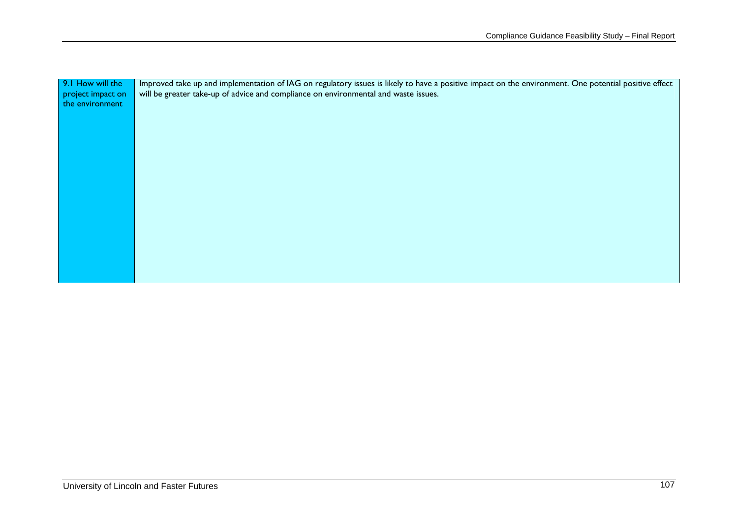| 9.1 How will the  | Improved take up and implementation of IAG on regulatory issues is likely to have a positive impact on the environment. One potential positive effect |
|-------------------|-------------------------------------------------------------------------------------------------------------------------------------------------------|
| project impact on | will be greater take-up of advice and compliance on environmental and waste issues.                                                                   |
| the environment   |                                                                                                                                                       |
|                   |                                                                                                                                                       |
|                   |                                                                                                                                                       |
|                   |                                                                                                                                                       |
|                   |                                                                                                                                                       |
|                   |                                                                                                                                                       |
|                   |                                                                                                                                                       |
|                   |                                                                                                                                                       |
|                   |                                                                                                                                                       |
|                   |                                                                                                                                                       |
|                   |                                                                                                                                                       |
|                   |                                                                                                                                                       |
|                   |                                                                                                                                                       |
|                   |                                                                                                                                                       |
|                   |                                                                                                                                                       |
|                   |                                                                                                                                                       |
|                   |                                                                                                                                                       |
|                   |                                                                                                                                                       |
|                   |                                                                                                                                                       |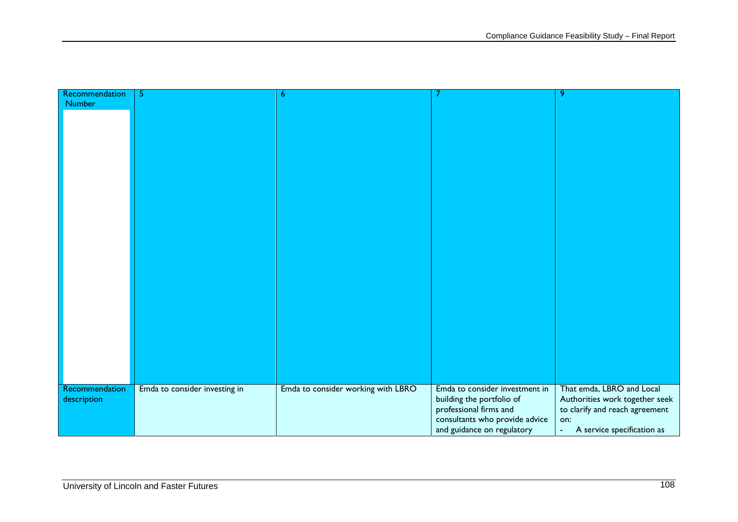| Recommendation | 5                             | 6                                  |                                | 9                              |
|----------------|-------------------------------|------------------------------------|--------------------------------|--------------------------------|
| <b>Number</b>  |                               |                                    |                                |                                |
|                |                               |                                    |                                |                                |
|                |                               |                                    |                                |                                |
|                |                               |                                    |                                |                                |
|                |                               |                                    |                                |                                |
|                |                               |                                    |                                |                                |
|                |                               |                                    |                                |                                |
|                |                               |                                    |                                |                                |
|                |                               |                                    |                                |                                |
|                |                               |                                    |                                |                                |
|                |                               |                                    |                                |                                |
|                |                               |                                    |                                |                                |
|                |                               |                                    |                                |                                |
|                |                               |                                    |                                |                                |
|                |                               |                                    |                                |                                |
|                |                               |                                    |                                |                                |
|                |                               |                                    |                                |                                |
|                |                               |                                    |                                |                                |
|                |                               |                                    |                                |                                |
|                |                               |                                    |                                |                                |
|                |                               |                                    |                                |                                |
|                |                               |                                    |                                |                                |
|                |                               |                                    |                                |                                |
|                |                               |                                    |                                |                                |
|                |                               |                                    |                                |                                |
|                |                               |                                    |                                |                                |
|                |                               |                                    |                                |                                |
| Recommendation | Emda to consider investing in | Emda to consider working with LBRO | Emda to consider investment in | That emda, LBRO and Local      |
| description    |                               |                                    | building the portfolio of      | Authorities work together seek |
|                |                               |                                    | professional firms and         | to clarify and reach agreement |
|                |                               |                                    | consultants who provide advice | on:                            |
|                |                               |                                    |                                | $\blacksquare$                 |
|                |                               |                                    | and guidance on regulatory     | A service specification as     |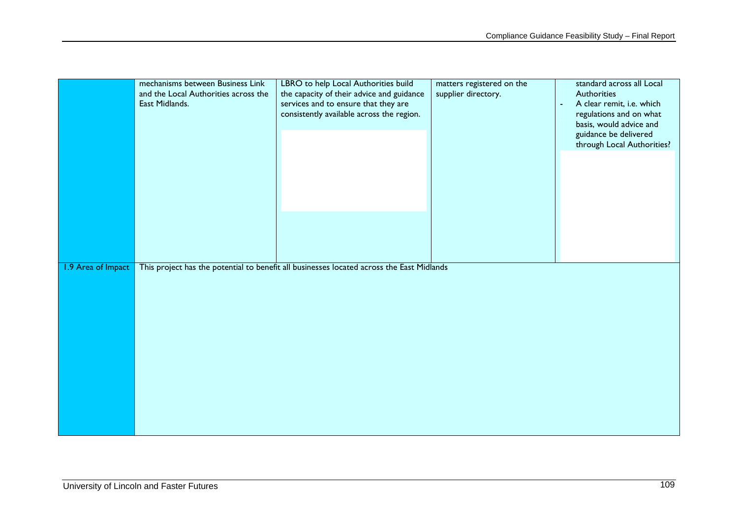|                    | mechanisms between Business Link<br>and the Local Authorities across the<br>East Midlands. | LBRO to help Local Authorities build<br>the capacity of their advice and guidance<br>services and to ensure that they are<br>consistently available across the region. | matters registered on the<br>supplier directory. | standard across all Local<br>Authorities<br>A clear remit, i.e. which<br>÷,<br>regulations and on what<br>basis, would advice and<br>guidance be delivered<br>through Local Authorities? |
|--------------------|--------------------------------------------------------------------------------------------|------------------------------------------------------------------------------------------------------------------------------------------------------------------------|--------------------------------------------------|------------------------------------------------------------------------------------------------------------------------------------------------------------------------------------------|
| 1.9 Area of Impact |                                                                                            | This project has the potential to benefit all businesses located across the East Midlands                                                                              |                                                  |                                                                                                                                                                                          |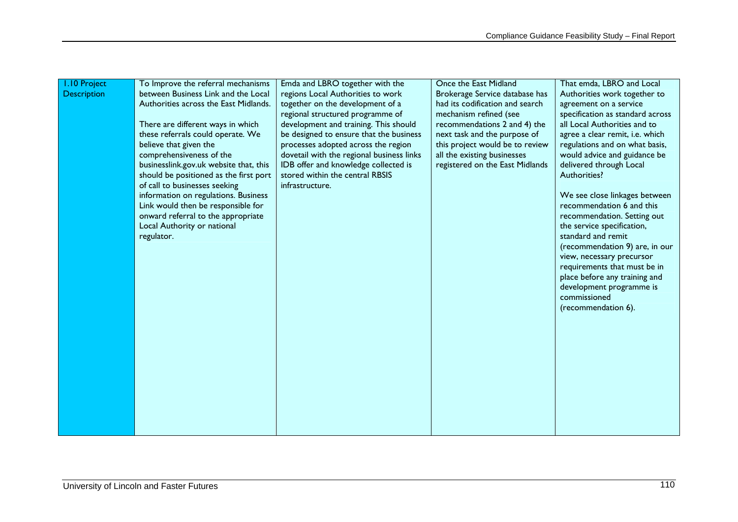| <b>I.10 Project</b> | To Improve the referral mechanisms     | Emda and LBRO together with the           | Once the East Midland           | That emda, LBRO and Local                |
|---------------------|----------------------------------------|-------------------------------------------|---------------------------------|------------------------------------------|
| <b>Description</b>  | between Business Link and the Local    | regions Local Authorities to work         | Brokerage Service database has  | Authorities work together to             |
|                     | Authorities across the East Midlands.  | together on the development of a          | had its codification and search | agreement on a service                   |
|                     |                                        | regional structured programme of          | mechanism refined (see          | specification as standard across         |
|                     | There are different ways in which      | development and training. This should     | recommendations 2 and 4) the    | all Local Authorities and to             |
|                     | these referrals could operate. We      | be designed to ensure that the business   | next task and the purpose of    | agree a clear remit, i.e. which          |
|                     | believe that given the                 | processes adopted across the region       | this project would be to review | regulations and on what basis,           |
|                     | comprehensiveness of the               | dovetail with the regional business links | all the existing businesses     | would advice and guidance be             |
|                     | businesslink.gov.uk website that, this | IDB offer and knowledge collected is      | registered on the East Midlands | delivered through Local                  |
|                     | should be positioned as the first port | stored within the central RBSIS           |                                 | Authorities?                             |
|                     | of call to businesses seeking          | infrastructure.                           |                                 |                                          |
|                     | information on regulations. Business   |                                           |                                 | We see close linkages between            |
|                     | Link would then be responsible for     |                                           |                                 | recommendation 6 and this                |
|                     | onward referral to the appropriate     |                                           |                                 | recommendation. Setting out              |
|                     | Local Authority or national            |                                           |                                 | the service specification,               |
|                     | regulator.                             |                                           |                                 | standard and remit                       |
|                     |                                        |                                           |                                 | (recommendation 9) are, in our           |
|                     |                                        |                                           |                                 | view, necessary precursor                |
|                     |                                        |                                           |                                 | requirements that must be in             |
|                     |                                        |                                           |                                 | place before any training and            |
|                     |                                        |                                           |                                 | development programme is<br>commissioned |
|                     |                                        |                                           |                                 |                                          |
|                     |                                        |                                           |                                 | (recommendation 6).                      |
|                     |                                        |                                           |                                 |                                          |
|                     |                                        |                                           |                                 |                                          |
|                     |                                        |                                           |                                 |                                          |
|                     |                                        |                                           |                                 |                                          |
|                     |                                        |                                           |                                 |                                          |
|                     |                                        |                                           |                                 |                                          |
|                     |                                        |                                           |                                 |                                          |
|                     |                                        |                                           |                                 |                                          |
|                     |                                        |                                           |                                 |                                          |
|                     |                                        |                                           |                                 |                                          |
|                     |                                        |                                           |                                 |                                          |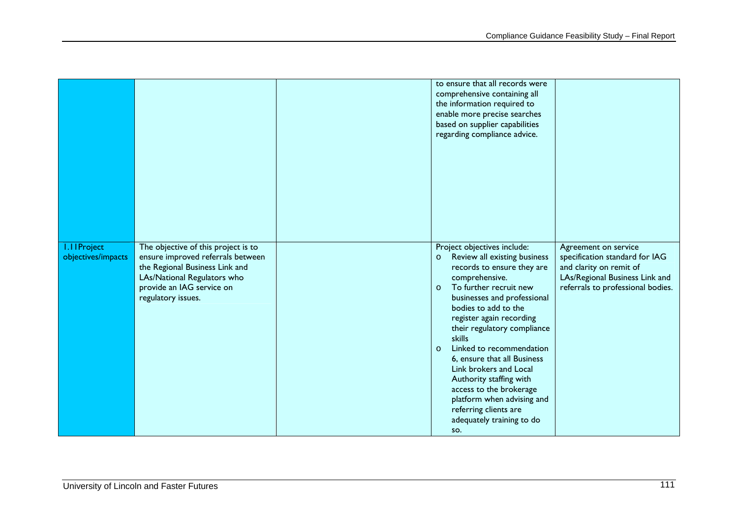|                                          |                                                                                                                                                                                              | to ensure that all records were<br>comprehensive containing all<br>the information required to<br>enable more precise searches<br>based on supplier capabilities<br>regarding compliance advice.                                                                                                                                                                                                                                                                                                                                         |                                                                                                                                                          |
|------------------------------------------|----------------------------------------------------------------------------------------------------------------------------------------------------------------------------------------------|------------------------------------------------------------------------------------------------------------------------------------------------------------------------------------------------------------------------------------------------------------------------------------------------------------------------------------------------------------------------------------------------------------------------------------------------------------------------------------------------------------------------------------------|----------------------------------------------------------------------------------------------------------------------------------------------------------|
| <b>I.IIProject</b><br>objectives/impacts | The objective of this project is to<br>ensure improved referrals between<br>the Regional Business Link and<br>LAs/National Regulators who<br>provide an IAG service on<br>regulatory issues. | Project objectives include:<br>Review all existing business<br>$\circ$<br>records to ensure they are<br>comprehensive.<br>To further recruit new<br>$\circ$<br>businesses and professional<br>bodies to add to the<br>register again recording<br>their regulatory compliance<br>skills<br>Linked to recommendation<br>$\circ$<br>6, ensure that all Business<br>Link brokers and Local<br>Authority staffing with<br>access to the brokerage<br>platform when advising and<br>referring clients are<br>adequately training to do<br>SO. | Agreement on service<br>specification standard for IAG<br>and clarity on remit of<br>LAs/Regional Business Link and<br>referrals to professional bodies. |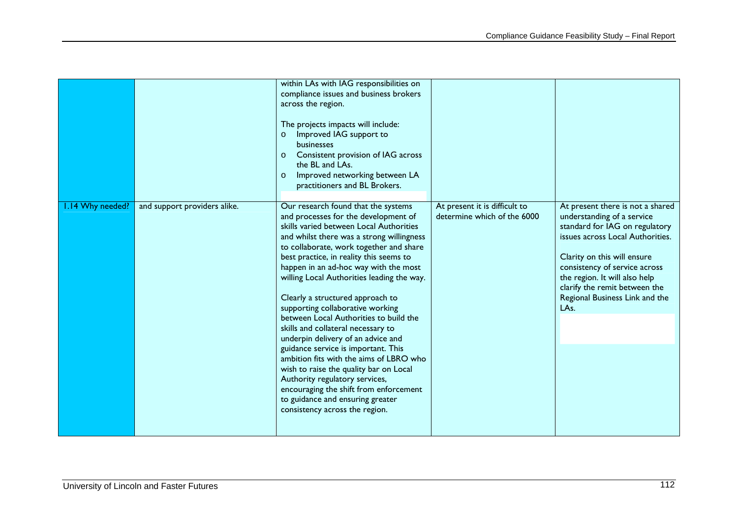|                  |                              | within LAs with IAG responsibilities on<br>compliance issues and business brokers<br>across the region.<br>The projects impacts will include:<br>Improved IAG support to<br>$\circ$<br>businesses<br>Consistent provision of IAG across<br>$\circ$<br>the BL and LAs.<br>Improved networking between LA<br>$\circ$<br>practitioners and BL Brokers.                                                                                                                                                                                                                                                                                                                                                                                                                                                                          |                                                              |                                                                                                                                                                                                                                                                                                                  |
|------------------|------------------------------|------------------------------------------------------------------------------------------------------------------------------------------------------------------------------------------------------------------------------------------------------------------------------------------------------------------------------------------------------------------------------------------------------------------------------------------------------------------------------------------------------------------------------------------------------------------------------------------------------------------------------------------------------------------------------------------------------------------------------------------------------------------------------------------------------------------------------|--------------------------------------------------------------|------------------------------------------------------------------------------------------------------------------------------------------------------------------------------------------------------------------------------------------------------------------------------------------------------------------|
| 1.14 Why needed? | and support providers alike. | Our research found that the systems<br>and processes for the development of<br>skills varied between Local Authorities<br>and whilst there was a strong willingness<br>to collaborate, work together and share<br>best practice, in reality this seems to<br>happen in an ad-hoc way with the most<br>willing Local Authorities leading the way.<br>Clearly a structured approach to<br>supporting collaborative working<br>between Local Authorities to build the<br>skills and collateral necessary to<br>underpin delivery of an advice and<br>guidance service is important. This<br>ambition fits with the aims of LBRO who<br>wish to raise the quality bar on Local<br>Authority regulatory services,<br>encouraging the shift from enforcement<br>to guidance and ensuring greater<br>consistency across the region. | At present it is difficult to<br>determine which of the 6000 | At present there is not a shared<br>understanding of a service<br>standard for IAG on regulatory<br>issues across Local Authorities.<br>Clarity on this will ensure<br>consistency of service across<br>the region. It will also help<br>clarify the remit between the<br>Regional Business Link and the<br>LAs. |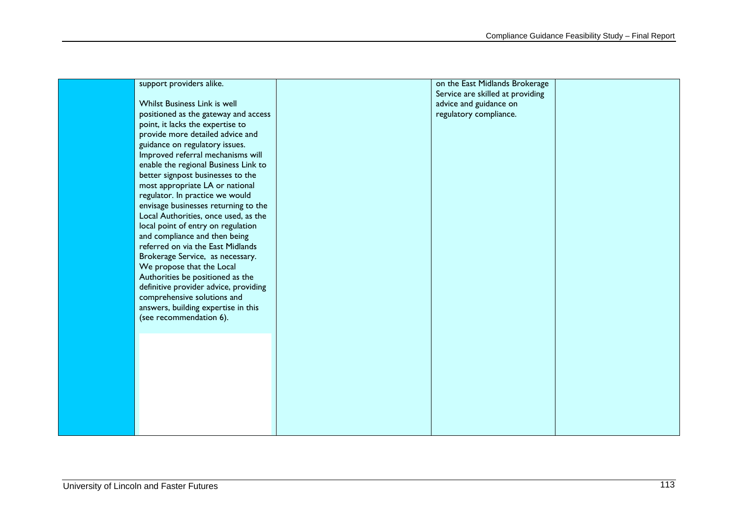| support providers alike.              | on the East Midlands Brokerage   |  |
|---------------------------------------|----------------------------------|--|
|                                       | Service are skilled at providing |  |
| Whilst Business Link is well          | advice and guidance on           |  |
| positioned as the gateway and access  | regulatory compliance.           |  |
| point, it lacks the expertise to      |                                  |  |
| provide more detailed advice and      |                                  |  |
| guidance on regulatory issues.        |                                  |  |
| Improved referral mechanisms will     |                                  |  |
| enable the regional Business Link to  |                                  |  |
| better signpost businesses to the     |                                  |  |
| most appropriate LA or national       |                                  |  |
| regulator. In practice we would       |                                  |  |
| envisage businesses returning to the  |                                  |  |
| Local Authorities, once used, as the  |                                  |  |
| local point of entry on regulation    |                                  |  |
| and compliance and then being         |                                  |  |
| referred on via the East Midlands     |                                  |  |
| Brokerage Service, as necessary.      |                                  |  |
| We propose that the Local             |                                  |  |
| Authorities be positioned as the      |                                  |  |
| definitive provider advice, providing |                                  |  |
| comprehensive solutions and           |                                  |  |
| answers, building expertise in this   |                                  |  |
| (see recommendation 6).               |                                  |  |
|                                       |                                  |  |
|                                       |                                  |  |
|                                       |                                  |  |
|                                       |                                  |  |
|                                       |                                  |  |
|                                       |                                  |  |
|                                       |                                  |  |
|                                       |                                  |  |
|                                       |                                  |  |
|                                       |                                  |  |
|                                       |                                  |  |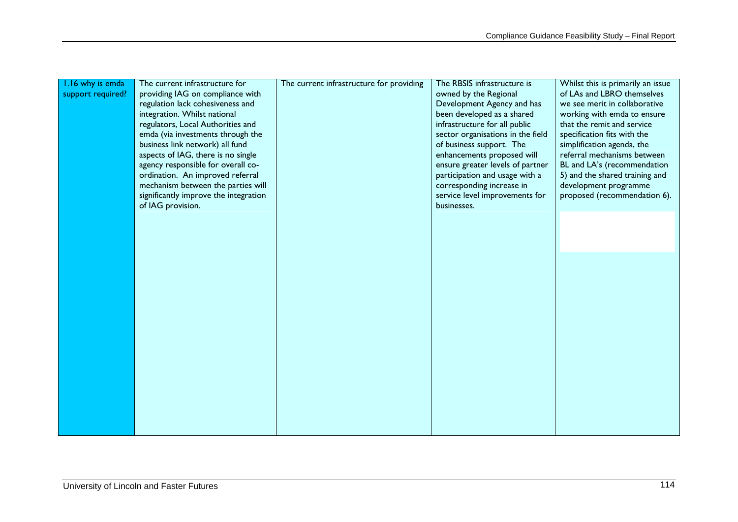| 1.16 why is emda<br>support required? | The current infrastructure for<br>providing IAG on compliance with<br>regulation lack cohesiveness and<br>integration. Whilst national<br>regulators, Local Authorities and<br>emda (via investments through the<br>business link network) all fund | The current infrastructure for providing | The RBSIS infrastructure is<br>owned by the Regional<br>Development Agency and has<br>been developed as a shared<br>infrastructure for all public<br>sector organisations in the field<br>of business support. The | Whilst this is primarily an issue<br>of LAs and LBRO themselves<br>we see merit in collaborative<br>working with emda to ensure<br>that the remit and service<br>specification fits with the<br>simplification agenda, the |
|---------------------------------------|-----------------------------------------------------------------------------------------------------------------------------------------------------------------------------------------------------------------------------------------------------|------------------------------------------|--------------------------------------------------------------------------------------------------------------------------------------------------------------------------------------------------------------------|----------------------------------------------------------------------------------------------------------------------------------------------------------------------------------------------------------------------------|
|                                       | aspects of IAG, there is no single<br>agency responsible for overall co-<br>ordination. An improved referral<br>mechanism between the parties will<br>significantly improve the integration<br>of IAG provision.                                    |                                          | enhancements proposed will<br>ensure greater levels of partner<br>participation and usage with a<br>corresponding increase in<br>service level improvements for<br>businesses.                                     | referral mechanisms between<br>BL and LA's (recommendation<br>5) and the shared training and<br>development programme<br>proposed (recommendation 6).                                                                      |
|                                       |                                                                                                                                                                                                                                                     |                                          |                                                                                                                                                                                                                    |                                                                                                                                                                                                                            |
|                                       |                                                                                                                                                                                                                                                     |                                          |                                                                                                                                                                                                                    |                                                                                                                                                                                                                            |
|                                       |                                                                                                                                                                                                                                                     |                                          |                                                                                                                                                                                                                    |                                                                                                                                                                                                                            |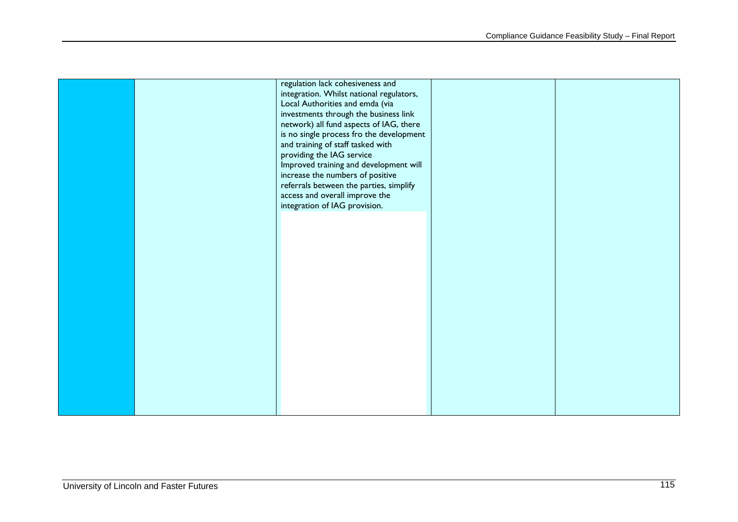|  | regulation lack cohesiveness and                                              |  |
|--|-------------------------------------------------------------------------------|--|
|  | integration. Whilst national regulators,                                      |  |
|  | Local Authorities and emda (via                                               |  |
|  | investments through the business link                                         |  |
|  | network) all fund aspects of IAG, there                                       |  |
|  | is no single process fro the development<br>and training of staff tasked with |  |
|  | providing the IAG service                                                     |  |
|  | Improved training and development will                                        |  |
|  | increase the numbers of positive                                              |  |
|  | referrals between the parties, simplify                                       |  |
|  | access and overall improve the                                                |  |
|  | integration of IAG provision.                                                 |  |
|  |                                                                               |  |
|  |                                                                               |  |
|  |                                                                               |  |
|  |                                                                               |  |
|  |                                                                               |  |
|  |                                                                               |  |
|  |                                                                               |  |
|  |                                                                               |  |
|  |                                                                               |  |
|  |                                                                               |  |
|  |                                                                               |  |
|  |                                                                               |  |
|  |                                                                               |  |
|  |                                                                               |  |
|  |                                                                               |  |
|  |                                                                               |  |
|  |                                                                               |  |
|  |                                                                               |  |
|  |                                                                               |  |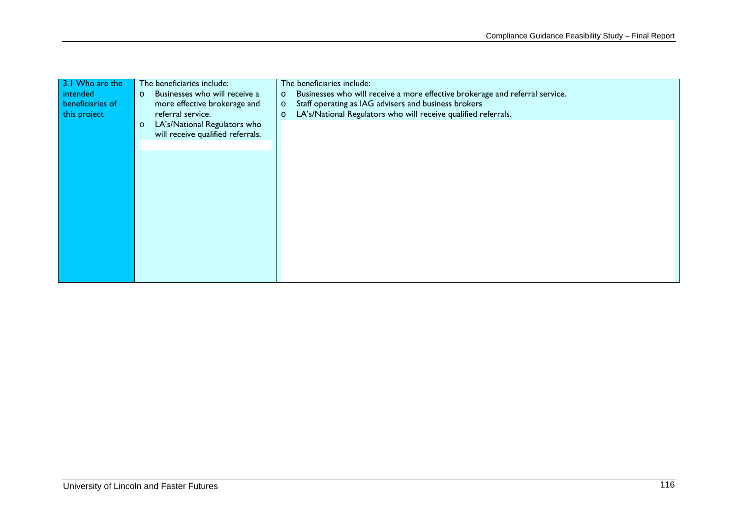| 3.1 Who are the  | The beneficiaries include:               | The beneficiaries include:                                                              |
|------------------|------------------------------------------|-----------------------------------------------------------------------------------------|
| intended         | Businesses who will receive a<br>$\circ$ | Businesses who will receive a more effective brokerage and referral service.<br>$\circ$ |
| beneficiaries of | more effective brokerage and             | Staff operating as IAG advisers and business brokers<br>$\circ$                         |
| this project     | referral service.                        | LA's/National Regulators who will receive qualified referrals.<br>$\circ$               |
|                  | LA's/National Regulators who<br>$\circ$  |                                                                                         |
|                  | will receive qualified referrals.        |                                                                                         |
|                  |                                          |                                                                                         |
|                  |                                          |                                                                                         |
|                  |                                          |                                                                                         |
|                  |                                          |                                                                                         |
|                  |                                          |                                                                                         |
|                  |                                          |                                                                                         |
|                  |                                          |                                                                                         |
|                  |                                          |                                                                                         |
|                  |                                          |                                                                                         |
|                  |                                          |                                                                                         |
|                  |                                          |                                                                                         |
|                  |                                          |                                                                                         |
|                  |                                          |                                                                                         |
|                  |                                          |                                                                                         |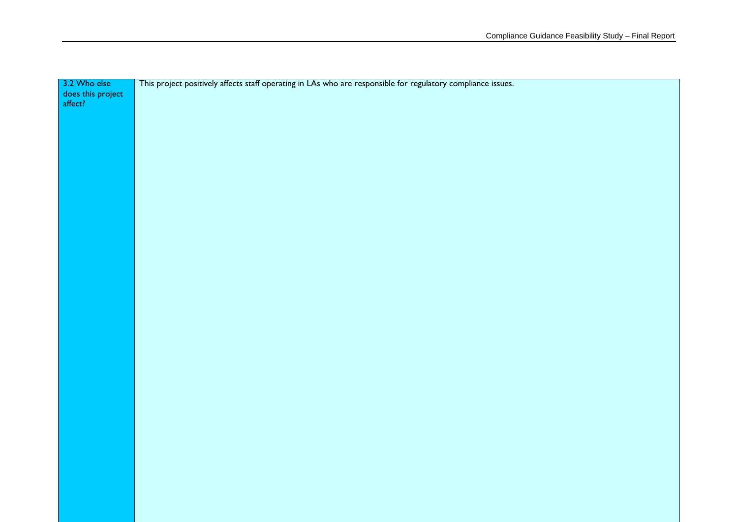| 3.2 Who else<br>does this project<br>affect? | This project positively affects staff operating in LAs who are responsible for regulatory compliance issues. |
|----------------------------------------------|--------------------------------------------------------------------------------------------------------------|
|                                              |                                                                                                              |
|                                              |                                                                                                              |
|                                              |                                                                                                              |
|                                              |                                                                                                              |
|                                              |                                                                                                              |
|                                              |                                                                                                              |
|                                              |                                                                                                              |
|                                              |                                                                                                              |
|                                              |                                                                                                              |
|                                              |                                                                                                              |
|                                              |                                                                                                              |
|                                              |                                                                                                              |
|                                              |                                                                                                              |
|                                              |                                                                                                              |
|                                              |                                                                                                              |
|                                              |                                                                                                              |
|                                              |                                                                                                              |
|                                              |                                                                                                              |
|                                              |                                                                                                              |
|                                              |                                                                                                              |
|                                              |                                                                                                              |
|                                              |                                                                                                              |
|                                              |                                                                                                              |
|                                              |                                                                                                              |
|                                              |                                                                                                              |
|                                              |                                                                                                              |
|                                              |                                                                                                              |
|                                              |                                                                                                              |
|                                              |                                                                                                              |
|                                              |                                                                                                              |
|                                              |                                                                                                              |
|                                              |                                                                                                              |
|                                              |                                                                                                              |
|                                              |                                                                                                              |
|                                              |                                                                                                              |
|                                              |                                                                                                              |
|                                              |                                                                                                              |
|                                              |                                                                                                              |
|                                              |                                                                                                              |
|                                              |                                                                                                              |
|                                              |                                                                                                              |
|                                              |                                                                                                              |
|                                              |                                                                                                              |
|                                              |                                                                                                              |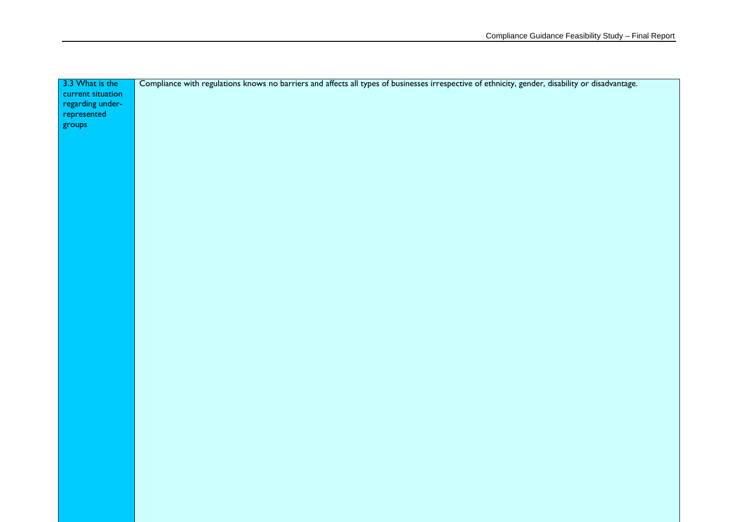| 3.3 What is the   | Compliance with regulations knows no barriers and affects all types of businesses irrespective of ethnicity, gender, disability or disadvantage. |
|-------------------|--------------------------------------------------------------------------------------------------------------------------------------------------|
| current situation |                                                                                                                                                  |
| regarding under-  |                                                                                                                                                  |
| represented       |                                                                                                                                                  |
| groups            |                                                                                                                                                  |
|                   |                                                                                                                                                  |
|                   |                                                                                                                                                  |
|                   |                                                                                                                                                  |
|                   |                                                                                                                                                  |
|                   |                                                                                                                                                  |
|                   |                                                                                                                                                  |
|                   |                                                                                                                                                  |
|                   |                                                                                                                                                  |
|                   |                                                                                                                                                  |
|                   |                                                                                                                                                  |
|                   |                                                                                                                                                  |
|                   |                                                                                                                                                  |
|                   |                                                                                                                                                  |
|                   |                                                                                                                                                  |
|                   |                                                                                                                                                  |
|                   |                                                                                                                                                  |
|                   |                                                                                                                                                  |
|                   |                                                                                                                                                  |
|                   |                                                                                                                                                  |
|                   |                                                                                                                                                  |
|                   |                                                                                                                                                  |
|                   |                                                                                                                                                  |
|                   |                                                                                                                                                  |
|                   |                                                                                                                                                  |
|                   |                                                                                                                                                  |
|                   |                                                                                                                                                  |
|                   |                                                                                                                                                  |
|                   |                                                                                                                                                  |
|                   |                                                                                                                                                  |
|                   |                                                                                                                                                  |
|                   |                                                                                                                                                  |
|                   |                                                                                                                                                  |
|                   |                                                                                                                                                  |
|                   |                                                                                                                                                  |
|                   |                                                                                                                                                  |
|                   |                                                                                                                                                  |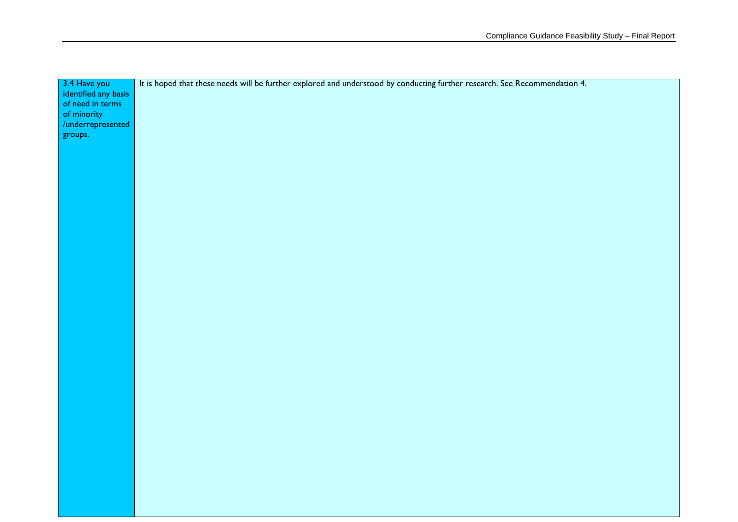| 3.4 Have you         | It is hoped that these needs will be further explored and understood by conducting further research. See Recommendation 4. |
|----------------------|----------------------------------------------------------------------------------------------------------------------------|
| identified any basis |                                                                                                                            |
| of need in terms     |                                                                                                                            |
| of minority          |                                                                                                                            |
| /underrepresented    |                                                                                                                            |
| groups.              |                                                                                                                            |
|                      |                                                                                                                            |
|                      |                                                                                                                            |
|                      |                                                                                                                            |
|                      |                                                                                                                            |
|                      |                                                                                                                            |
|                      |                                                                                                                            |
|                      |                                                                                                                            |
|                      |                                                                                                                            |
|                      |                                                                                                                            |
|                      |                                                                                                                            |
|                      |                                                                                                                            |
|                      |                                                                                                                            |
|                      |                                                                                                                            |
|                      |                                                                                                                            |
|                      |                                                                                                                            |
|                      |                                                                                                                            |
|                      |                                                                                                                            |
|                      |                                                                                                                            |
|                      |                                                                                                                            |
|                      |                                                                                                                            |
|                      |                                                                                                                            |
|                      |                                                                                                                            |
|                      |                                                                                                                            |
|                      |                                                                                                                            |
|                      |                                                                                                                            |
|                      |                                                                                                                            |
|                      |                                                                                                                            |
|                      |                                                                                                                            |
|                      |                                                                                                                            |
|                      |                                                                                                                            |
|                      |                                                                                                                            |
|                      |                                                                                                                            |
|                      |                                                                                                                            |
|                      |                                                                                                                            |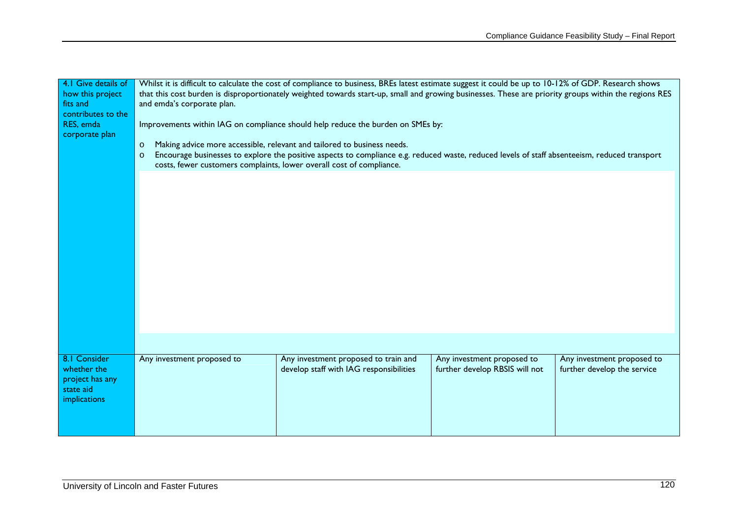| 4.1 Give details of | Whilst it is difficult to calculate the cost of compliance to business, BREs latest estimate suggest it could be up to 10-12% of GDP. Research shows     |                                         |                                |                             |
|---------------------|----------------------------------------------------------------------------------------------------------------------------------------------------------|-----------------------------------------|--------------------------------|-----------------------------|
| how this project    | that this cost burden is disproportionately weighted towards start-up, small and growing businesses. These are priority groups within the regions RES    |                                         |                                |                             |
| fits and            | and emda's corporate plan.                                                                                                                               |                                         |                                |                             |
| contributes to the  |                                                                                                                                                          |                                         |                                |                             |
| RES, emda           |                                                                                                                                                          |                                         |                                |                             |
| corporate plan      | Improvements within IAG on compliance should help reduce the burden on SMEs by:                                                                          |                                         |                                |                             |
|                     | Making advice more accessible, relevant and tailored to business needs.                                                                                  |                                         |                                |                             |
|                     | $\circ$                                                                                                                                                  |                                         |                                |                             |
|                     | Encourage businesses to explore the positive aspects to compliance e.g. reduced waste, reduced levels of staff absenteeism, reduced transport<br>$\circ$ |                                         |                                |                             |
|                     | costs, fewer customers complaints, lower overall cost of compliance.                                                                                     |                                         |                                |                             |
|                     |                                                                                                                                                          |                                         |                                |                             |
|                     |                                                                                                                                                          |                                         |                                |                             |
|                     |                                                                                                                                                          |                                         |                                |                             |
|                     |                                                                                                                                                          |                                         |                                |                             |
|                     |                                                                                                                                                          |                                         |                                |                             |
|                     |                                                                                                                                                          |                                         |                                |                             |
|                     |                                                                                                                                                          |                                         |                                |                             |
|                     |                                                                                                                                                          |                                         |                                |                             |
|                     |                                                                                                                                                          |                                         |                                |                             |
|                     |                                                                                                                                                          |                                         |                                |                             |
|                     |                                                                                                                                                          |                                         |                                |                             |
|                     |                                                                                                                                                          |                                         |                                |                             |
|                     |                                                                                                                                                          |                                         |                                |                             |
|                     |                                                                                                                                                          |                                         |                                |                             |
|                     |                                                                                                                                                          |                                         |                                |                             |
|                     |                                                                                                                                                          |                                         |                                |                             |
|                     |                                                                                                                                                          |                                         |                                |                             |
|                     |                                                                                                                                                          |                                         |                                |                             |
|                     |                                                                                                                                                          |                                         |                                |                             |
| 8.1 Consider        | Any investment proposed to                                                                                                                               | Any investment proposed to train and    | Any investment proposed to     | Any investment proposed to  |
| whether the         |                                                                                                                                                          | develop staff with IAG responsibilities | further develop RBSIS will not | further develop the service |
| project has any     |                                                                                                                                                          |                                         |                                |                             |
| state aid           |                                                                                                                                                          |                                         |                                |                             |
| implications        |                                                                                                                                                          |                                         |                                |                             |
|                     |                                                                                                                                                          |                                         |                                |                             |
|                     |                                                                                                                                                          |                                         |                                |                             |
|                     |                                                                                                                                                          |                                         |                                |                             |
|                     |                                                                                                                                                          |                                         |                                |                             |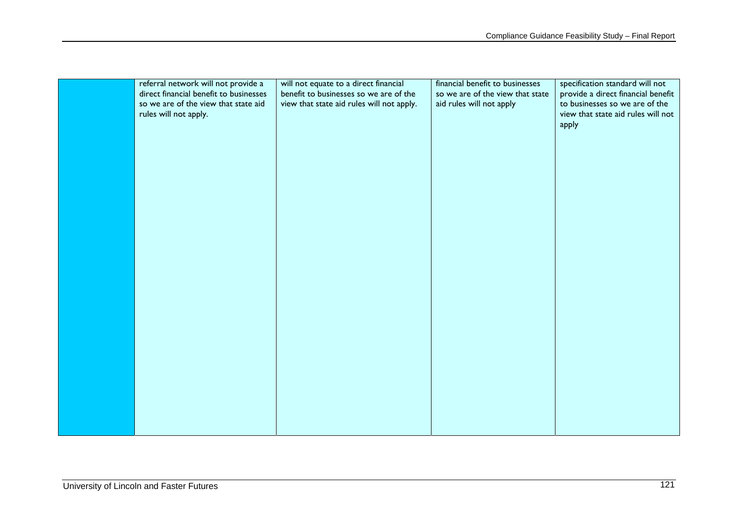| referral network will not provide a    | will not equate to a direct financial     | financial benefit to businesses  | specification standard will not    |
|----------------------------------------|-------------------------------------------|----------------------------------|------------------------------------|
| direct financial benefit to businesses | benefit to businesses so we are of the    | so we are of the view that state | provide a direct financial benefit |
| so we are of the view that state aid   | view that state aid rules will not apply. | aid rules will not apply         | to businesses so we are of the     |
| rules will not apply.                  |                                           |                                  | view that state aid rules will not |
|                                        |                                           |                                  | apply                              |
|                                        |                                           |                                  |                                    |
|                                        |                                           |                                  |                                    |
|                                        |                                           |                                  |                                    |
|                                        |                                           |                                  |                                    |
|                                        |                                           |                                  |                                    |
|                                        |                                           |                                  |                                    |
|                                        |                                           |                                  |                                    |
|                                        |                                           |                                  |                                    |
|                                        |                                           |                                  |                                    |
|                                        |                                           |                                  |                                    |
|                                        |                                           |                                  |                                    |
|                                        |                                           |                                  |                                    |
|                                        |                                           |                                  |                                    |
|                                        |                                           |                                  |                                    |
|                                        |                                           |                                  |                                    |
|                                        |                                           |                                  |                                    |
|                                        |                                           |                                  |                                    |
|                                        |                                           |                                  |                                    |
|                                        |                                           |                                  |                                    |
|                                        |                                           |                                  |                                    |
|                                        |                                           |                                  |                                    |
|                                        |                                           |                                  |                                    |
|                                        |                                           |                                  |                                    |
|                                        |                                           |                                  |                                    |
|                                        |                                           |                                  |                                    |
|                                        |                                           |                                  |                                    |
|                                        |                                           |                                  |                                    |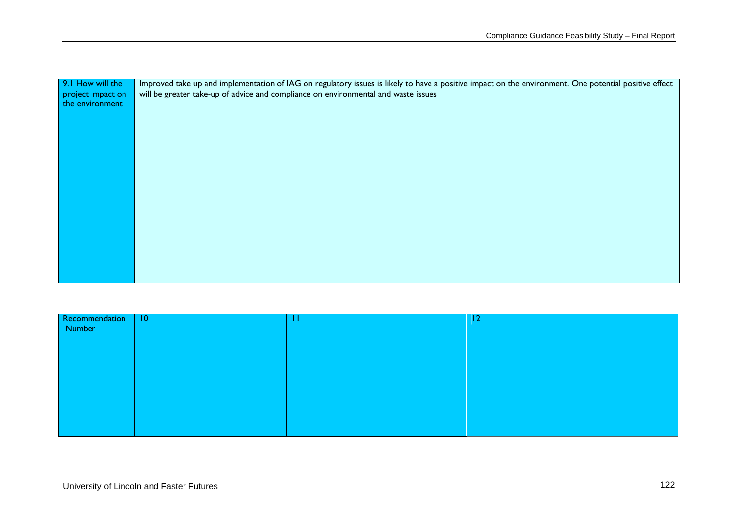| Improved take up and implementation of IAG on regulatory issues is likely to have a positive impact on the environment. One potential positive effect |
|-------------------------------------------------------------------------------------------------------------------------------------------------------|
| will be greater take-up of advice and compliance on environmental and waste issues                                                                    |
|                                                                                                                                                       |
|                                                                                                                                                       |
|                                                                                                                                                       |
|                                                                                                                                                       |
|                                                                                                                                                       |
|                                                                                                                                                       |
|                                                                                                                                                       |
|                                                                                                                                                       |
|                                                                                                                                                       |
|                                                                                                                                                       |
|                                                                                                                                                       |
|                                                                                                                                                       |
|                                                                                                                                                       |
|                                                                                                                                                       |
|                                                                                                                                                       |
|                                                                                                                                                       |
|                                                                                                                                                       |
|                                                                                                                                                       |
|                                                                                                                                                       |

| Recommendation   10 | П | $ 12\rangle$ |
|---------------------|---|--------------|
| Number              |   |              |
|                     |   |              |
|                     |   |              |
|                     |   |              |
|                     |   |              |
|                     |   |              |
|                     |   |              |
|                     |   |              |
|                     |   |              |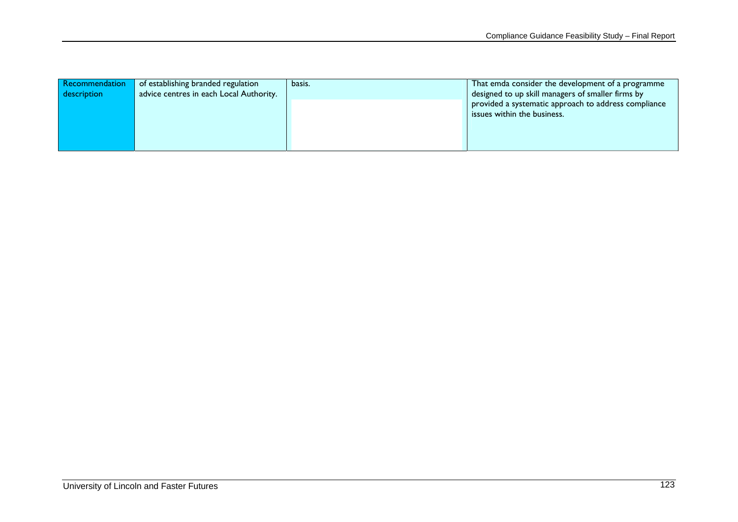| Recommendation | of establishing branded regulation      | basis. | That emda consider the development of a programme    |
|----------------|-----------------------------------------|--------|------------------------------------------------------|
| description    | advice centres in each Local Authority. |        | designed to up skill managers of smaller firms by    |
|                |                                         |        | provided a systematic approach to address compliance |
|                |                                         |        | issues within the business.                          |
|                |                                         |        |                                                      |
|                |                                         |        |                                                      |
|                |                                         |        |                                                      |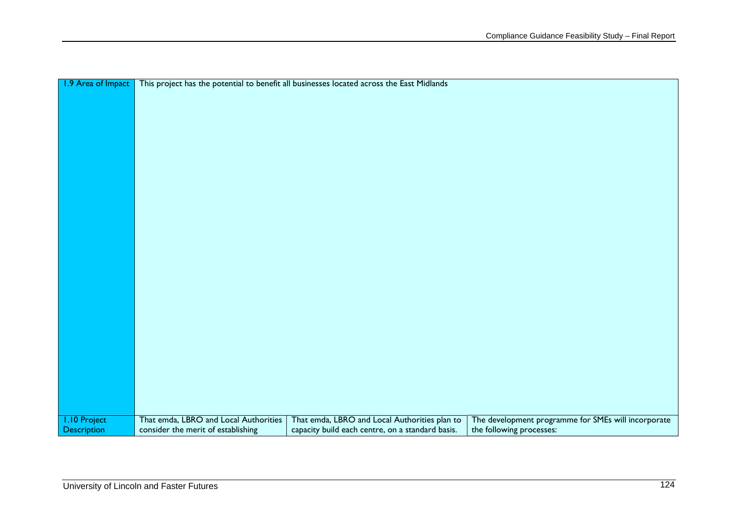| 1.9 Area of Impact  |                                       | This project has the potential to benefit all businesses located across the East Midlands |                                                     |
|---------------------|---------------------------------------|-------------------------------------------------------------------------------------------|-----------------------------------------------------|
|                     |                                       |                                                                                           |                                                     |
|                     |                                       |                                                                                           |                                                     |
|                     |                                       |                                                                                           |                                                     |
|                     |                                       |                                                                                           |                                                     |
|                     |                                       |                                                                                           |                                                     |
|                     |                                       |                                                                                           |                                                     |
|                     |                                       |                                                                                           |                                                     |
|                     |                                       |                                                                                           |                                                     |
|                     |                                       |                                                                                           |                                                     |
|                     |                                       |                                                                                           |                                                     |
|                     |                                       |                                                                                           |                                                     |
|                     |                                       |                                                                                           |                                                     |
|                     |                                       |                                                                                           |                                                     |
|                     |                                       |                                                                                           |                                                     |
|                     |                                       |                                                                                           |                                                     |
|                     |                                       |                                                                                           |                                                     |
|                     |                                       |                                                                                           |                                                     |
|                     |                                       |                                                                                           |                                                     |
|                     |                                       |                                                                                           |                                                     |
|                     |                                       |                                                                                           |                                                     |
|                     |                                       |                                                                                           |                                                     |
|                     |                                       |                                                                                           |                                                     |
|                     |                                       |                                                                                           |                                                     |
|                     |                                       |                                                                                           |                                                     |
|                     |                                       |                                                                                           |                                                     |
|                     |                                       |                                                                                           |                                                     |
|                     |                                       |                                                                                           |                                                     |
|                     |                                       |                                                                                           |                                                     |
|                     |                                       |                                                                                           |                                                     |
|                     |                                       |                                                                                           |                                                     |
| <b>I.10 Project</b> | That emda, LBRO and Local Authorities | That emda, LBRO and Local Authorities plan to                                             | The development programme for SMEs will incorporate |
| <b>Description</b>  | consider the merit of establishing    | capacity build each centre, on a standard basis.                                          | the following processes:                            |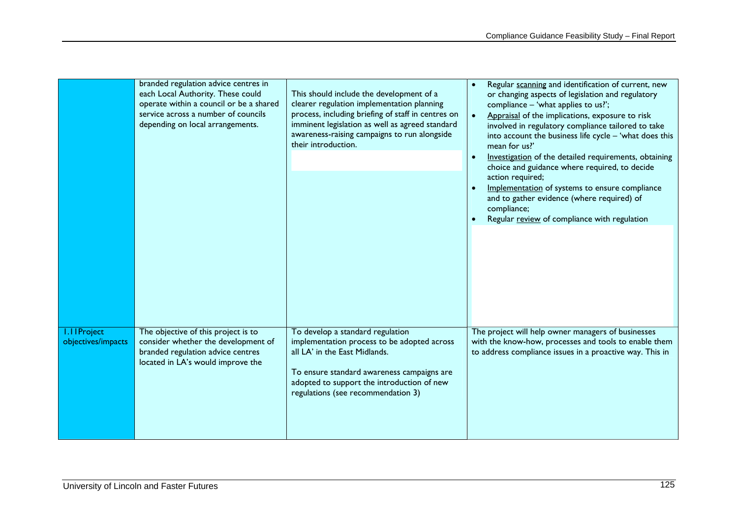|                                          | branded regulation advice centres in<br>each Local Authority. These could<br>operate within a council or be a shared<br>service across a number of councils<br>depending on local arrangements. | This should include the development of a<br>clearer regulation implementation planning<br>process, including briefing of staff in centres on<br>imminent legislation as well as agreed standard<br>awareness-raising campaigns to run alongside<br>their introduction. | Regular scanning and identification of current, new<br>or changing aspects of legislation and regulatory<br>compliance - 'what applies to us?';<br>Appraisal of the implications, exposure to risk<br>$\bullet$<br>involved in regulatory compliance tailored to take<br>into account the business life cycle - 'what does this<br>mean for us?<br>Investigation of the detailed requirements, obtaining<br>$\bullet$<br>choice and guidance where required, to decide<br>action required;<br>Implementation of systems to ensure compliance<br>and to gather evidence (where required) of<br>compliance; |
|------------------------------------------|-------------------------------------------------------------------------------------------------------------------------------------------------------------------------------------------------|------------------------------------------------------------------------------------------------------------------------------------------------------------------------------------------------------------------------------------------------------------------------|-----------------------------------------------------------------------------------------------------------------------------------------------------------------------------------------------------------------------------------------------------------------------------------------------------------------------------------------------------------------------------------------------------------------------------------------------------------------------------------------------------------------------------------------------------------------------------------------------------------|
|                                          |                                                                                                                                                                                                 |                                                                                                                                                                                                                                                                        | Regular review of compliance with regulation                                                                                                                                                                                                                                                                                                                                                                                                                                                                                                                                                              |
| <b>I.IIProject</b><br>objectives/impacts | The objective of this project is to<br>consider whether the development of<br>branded regulation advice centres<br>located in LA's would improve the                                            | To develop a standard regulation<br>implementation process to be adopted across<br>all LA' in the East Midlands.<br>To ensure standard awareness campaigns are<br>adopted to support the introduction of new<br>regulations (see recommendation 3)                     | The project will help owner managers of businesses<br>with the know-how, processes and tools to enable them<br>to address compliance issues in a proactive way. This in                                                                                                                                                                                                                                                                                                                                                                                                                                   |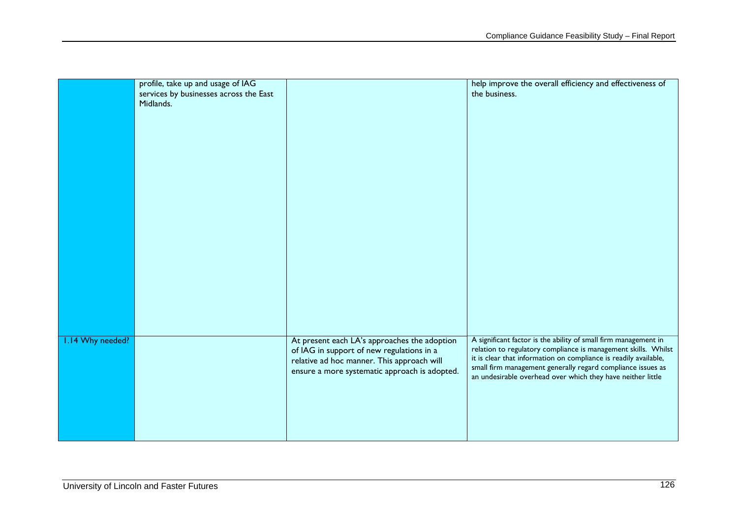|                  | profile, take up and usage of IAG<br>services by businesses across the East<br>Midlands. |                                                                                                                                                                                          | help improve the overall efficiency and effectiveness of<br>the business.                                                                                                                                                                                                                                                           |
|------------------|------------------------------------------------------------------------------------------|------------------------------------------------------------------------------------------------------------------------------------------------------------------------------------------|-------------------------------------------------------------------------------------------------------------------------------------------------------------------------------------------------------------------------------------------------------------------------------------------------------------------------------------|
| 1.14 Why needed? |                                                                                          | At present each LA's approaches the adoption<br>of IAG in support of new regulations in a<br>relative ad hoc manner. This approach will<br>ensure a more systematic approach is adopted. | A significant factor is the ability of small firm management in<br>relation to regulatory compliance is management skills. Whilst<br>it is clear that information on compliance is readily available,<br>small firm management generally regard compliance issues as<br>an undesirable overhead over which they have neither little |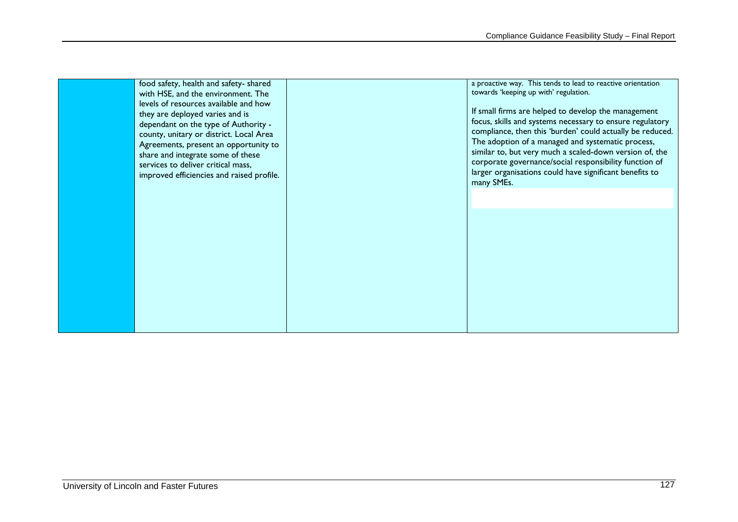| food safety, health and safety-shared<br>with HSE, and the environment. The<br>levels of resources available and how<br>they are deployed varies and is<br>dependant on the type of Authority -<br>county, unitary or district. Local Area<br>Agreements, present an opportunity to<br>share and integrate some of these<br>services to deliver critical mass,<br>improved efficiencies and raised profile. | a proactive way. This tends to lead to reactive orientation<br>towards 'keeping up with' regulation.<br>If small firms are helped to develop the management<br>focus, skills and systems necessary to ensure regulatory<br>compliance, then this 'burden' could actually be reduced.<br>The adoption of a managed and systematic process,<br>similar to, but very much a scaled-down version of, the<br>corporate governance/social responsibility function of<br>larger organisations could have significant benefits to<br>many SMEs. |
|-------------------------------------------------------------------------------------------------------------------------------------------------------------------------------------------------------------------------------------------------------------------------------------------------------------------------------------------------------------------------------------------------------------|-----------------------------------------------------------------------------------------------------------------------------------------------------------------------------------------------------------------------------------------------------------------------------------------------------------------------------------------------------------------------------------------------------------------------------------------------------------------------------------------------------------------------------------------|
|                                                                                                                                                                                                                                                                                                                                                                                                             |                                                                                                                                                                                                                                                                                                                                                                                                                                                                                                                                         |
|                                                                                                                                                                                                                                                                                                                                                                                                             |                                                                                                                                                                                                                                                                                                                                                                                                                                                                                                                                         |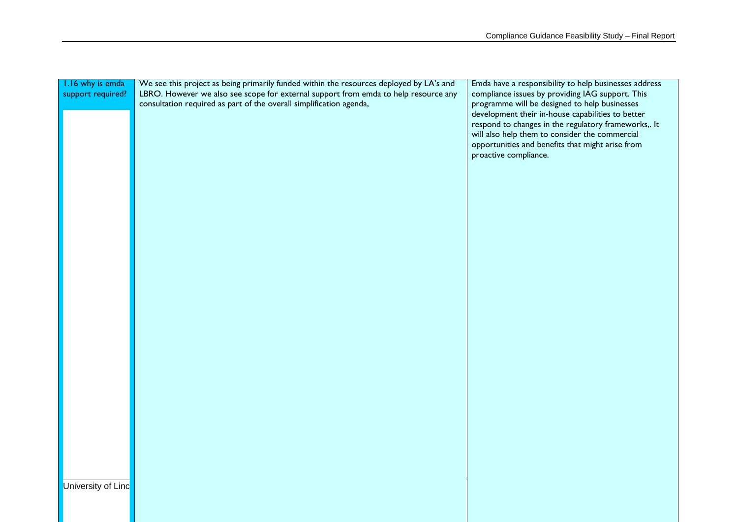| 1.16 why is emda   | We see this project as being primarily funded within the resources deployed by LA's and | Emda have a responsibility to help businesses address |
|--------------------|-----------------------------------------------------------------------------------------|-------------------------------------------------------|
| support required?  | LBRO. However we also see scope for external support from emda to help resource any     | compliance issues by providing IAG support. This      |
|                    | consultation required as part of the overall simplification agenda,                     | programme will be designed to help businesses         |
|                    |                                                                                         | development their in-house capabilities to better     |
|                    |                                                                                         | respond to changes in the regulatory frameworks,. It  |
|                    |                                                                                         | will also help them to consider the commercial        |
|                    |                                                                                         | opportunities and benefits that might arise from      |
|                    |                                                                                         | proactive compliance.                                 |
|                    |                                                                                         |                                                       |
|                    |                                                                                         |                                                       |
|                    |                                                                                         |                                                       |
|                    |                                                                                         |                                                       |
|                    |                                                                                         |                                                       |
|                    |                                                                                         |                                                       |
|                    |                                                                                         |                                                       |
|                    |                                                                                         |                                                       |
|                    |                                                                                         |                                                       |
|                    |                                                                                         |                                                       |
|                    |                                                                                         |                                                       |
|                    |                                                                                         |                                                       |
|                    |                                                                                         |                                                       |
|                    |                                                                                         |                                                       |
|                    |                                                                                         |                                                       |
|                    |                                                                                         |                                                       |
|                    |                                                                                         |                                                       |
|                    |                                                                                         |                                                       |
|                    |                                                                                         |                                                       |
|                    |                                                                                         |                                                       |
|                    |                                                                                         |                                                       |
|                    |                                                                                         |                                                       |
|                    |                                                                                         |                                                       |
|                    |                                                                                         |                                                       |
|                    |                                                                                         |                                                       |
|                    |                                                                                         |                                                       |
|                    |                                                                                         |                                                       |
|                    |                                                                                         |                                                       |
|                    |                                                                                         |                                                       |
|                    |                                                                                         |                                                       |
|                    |                                                                                         |                                                       |
| University of Linc |                                                                                         |                                                       |
|                    |                                                                                         |                                                       |
|                    |                                                                                         |                                                       |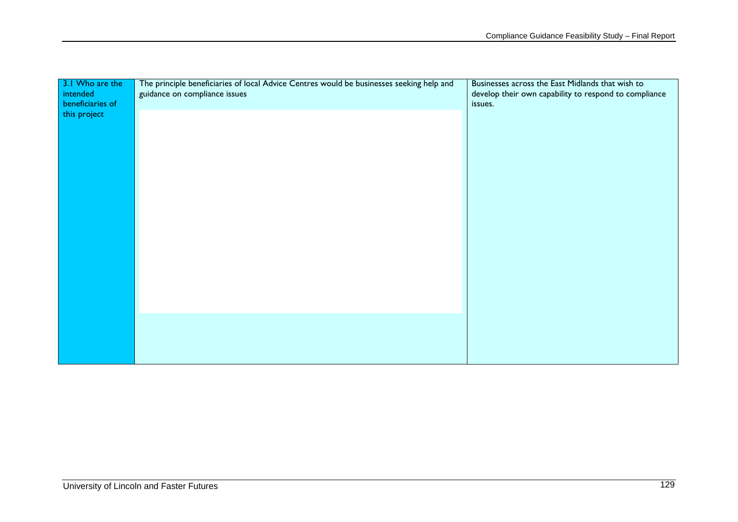| 3.1 Who are the<br>intended<br>beneficiaries of | The principle beneficiaries of local Advice Centres would be businesses seeking help and<br>guidance on compliance issues | Businesses across the East Midlands that wish to<br>develop their own capability to respond to compliance<br>issues. |
|-------------------------------------------------|---------------------------------------------------------------------------------------------------------------------------|----------------------------------------------------------------------------------------------------------------------|
| this project                                    |                                                                                                                           |                                                                                                                      |
|                                                 |                                                                                                                           |                                                                                                                      |
|                                                 |                                                                                                                           |                                                                                                                      |
|                                                 |                                                                                                                           |                                                                                                                      |
|                                                 |                                                                                                                           |                                                                                                                      |
|                                                 |                                                                                                                           |                                                                                                                      |
|                                                 |                                                                                                                           |                                                                                                                      |
|                                                 |                                                                                                                           |                                                                                                                      |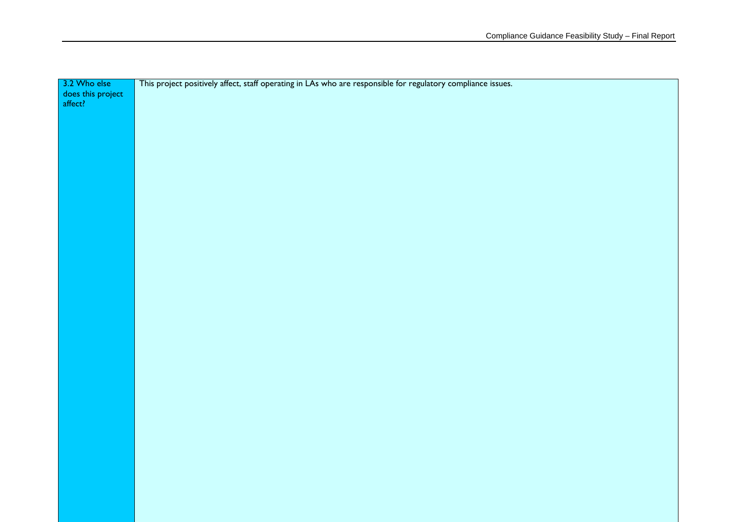| 3.2 Who else      | This project positively affect, staff operating in LAs who are responsible for regulatory compliance issues. |
|-------------------|--------------------------------------------------------------------------------------------------------------|
| does this project |                                                                                                              |
|                   |                                                                                                              |
|                   |                                                                                                              |
|                   |                                                                                                              |
|                   |                                                                                                              |
|                   |                                                                                                              |
|                   |                                                                                                              |
|                   |                                                                                                              |
|                   |                                                                                                              |
|                   |                                                                                                              |
|                   |                                                                                                              |
|                   |                                                                                                              |
|                   |                                                                                                              |
|                   |                                                                                                              |
|                   |                                                                                                              |
|                   |                                                                                                              |
|                   |                                                                                                              |
|                   |                                                                                                              |
|                   |                                                                                                              |
|                   |                                                                                                              |
|                   |                                                                                                              |
|                   |                                                                                                              |
|                   |                                                                                                              |
|                   |                                                                                                              |
|                   |                                                                                                              |
|                   |                                                                                                              |
|                   |                                                                                                              |
|                   |                                                                                                              |
|                   |                                                                                                              |
|                   |                                                                                                              |
|                   |                                                                                                              |
|                   |                                                                                                              |
|                   |                                                                                                              |
|                   |                                                                                                              |
|                   |                                                                                                              |
|                   |                                                                                                              |
|                   |                                                                                                              |
|                   |                                                                                                              |
|                   |                                                                                                              |
|                   |                                                                                                              |
|                   |                                                                                                              |
|                   |                                                                                                              |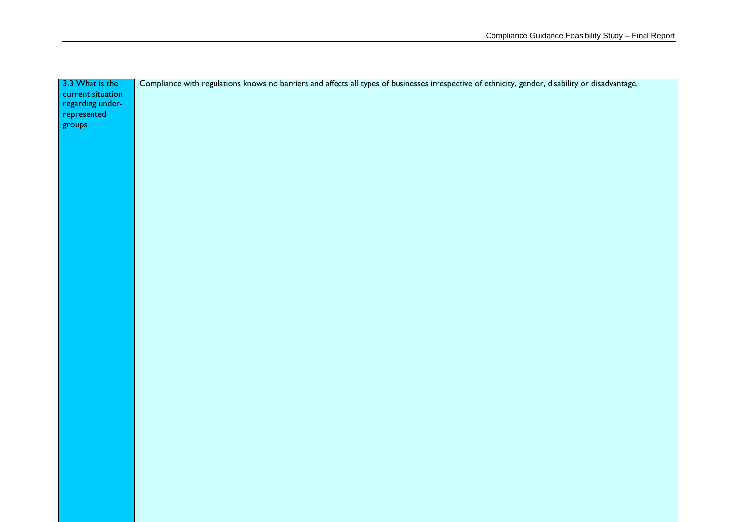| 3.3 What is the   | Compliance with regulations knows no barriers and affects all types of businesses irrespective of ethnicity, gender, disability or disadvantage. |
|-------------------|--------------------------------------------------------------------------------------------------------------------------------------------------|
| current situation |                                                                                                                                                  |
| regarding under-  |                                                                                                                                                  |
| represented       |                                                                                                                                                  |
| groups            |                                                                                                                                                  |
|                   |                                                                                                                                                  |
|                   |                                                                                                                                                  |
|                   |                                                                                                                                                  |
|                   |                                                                                                                                                  |
|                   |                                                                                                                                                  |
|                   |                                                                                                                                                  |
|                   |                                                                                                                                                  |
|                   |                                                                                                                                                  |
|                   |                                                                                                                                                  |
|                   |                                                                                                                                                  |
|                   |                                                                                                                                                  |
|                   |                                                                                                                                                  |
|                   |                                                                                                                                                  |
|                   |                                                                                                                                                  |
|                   |                                                                                                                                                  |
|                   |                                                                                                                                                  |
|                   |                                                                                                                                                  |
|                   |                                                                                                                                                  |
|                   |                                                                                                                                                  |
|                   |                                                                                                                                                  |
|                   |                                                                                                                                                  |
|                   |                                                                                                                                                  |
|                   |                                                                                                                                                  |
|                   |                                                                                                                                                  |
|                   |                                                                                                                                                  |
|                   |                                                                                                                                                  |
|                   |                                                                                                                                                  |
|                   |                                                                                                                                                  |
|                   |                                                                                                                                                  |
|                   |                                                                                                                                                  |
|                   |                                                                                                                                                  |
|                   |                                                                                                                                                  |
|                   |                                                                                                                                                  |
|                   |                                                                                                                                                  |
|                   |                                                                                                                                                  |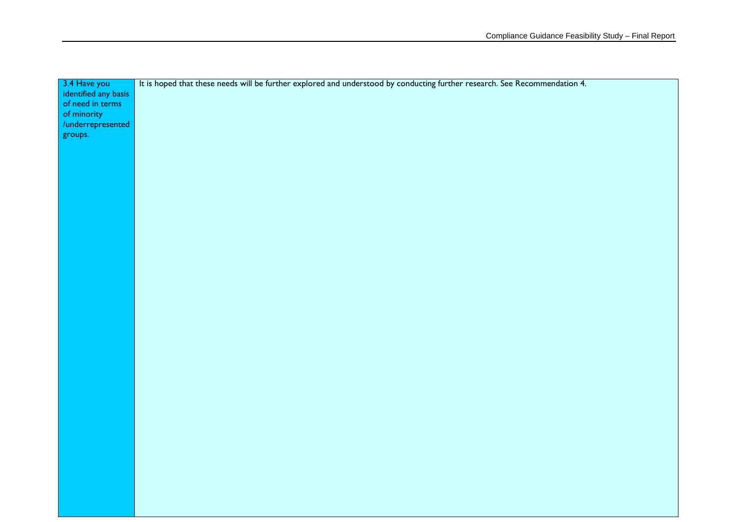| $3.4$ Have you       | It is hoped that these needs will be further explored and understood by conducting further research. See Recommendation 4. |
|----------------------|----------------------------------------------------------------------------------------------------------------------------|
| identified any basis |                                                                                                                            |
| of need in terms     |                                                                                                                            |
| of minority          |                                                                                                                            |
| /underrepresented    |                                                                                                                            |
| groups.              |                                                                                                                            |
|                      |                                                                                                                            |
|                      |                                                                                                                            |
|                      |                                                                                                                            |
|                      |                                                                                                                            |
|                      |                                                                                                                            |
|                      |                                                                                                                            |
|                      |                                                                                                                            |
|                      |                                                                                                                            |
|                      |                                                                                                                            |
|                      |                                                                                                                            |
|                      |                                                                                                                            |
|                      |                                                                                                                            |
|                      |                                                                                                                            |
|                      |                                                                                                                            |
|                      |                                                                                                                            |
|                      |                                                                                                                            |
|                      |                                                                                                                            |
|                      |                                                                                                                            |
|                      |                                                                                                                            |
|                      |                                                                                                                            |
|                      |                                                                                                                            |
|                      |                                                                                                                            |
|                      |                                                                                                                            |
|                      |                                                                                                                            |
|                      |                                                                                                                            |
|                      |                                                                                                                            |
|                      |                                                                                                                            |
|                      |                                                                                                                            |
|                      |                                                                                                                            |
|                      |                                                                                                                            |
|                      |                                                                                                                            |
|                      |                                                                                                                            |
|                      |                                                                                                                            |
|                      |                                                                                                                            |
|                      |                                                                                                                            |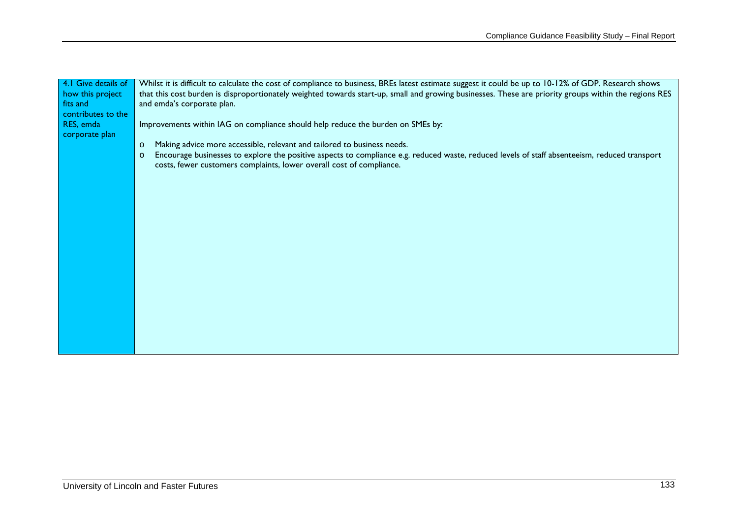| 4.1 Give details of | Whilst it is difficult to calculate the cost of compliance to business, BREs latest estimate suggest it could be up to 10-12% of GDP. Research shows     |  |  |  |
|---------------------|----------------------------------------------------------------------------------------------------------------------------------------------------------|--|--|--|
| how this project    | that this cost burden is disproportionately weighted towards start-up, small and growing businesses. These are priority groups within the regions RES    |  |  |  |
| fits and            | and emda's corporate plan.                                                                                                                               |  |  |  |
| contributes to the  |                                                                                                                                                          |  |  |  |
| RES, emda           |                                                                                                                                                          |  |  |  |
|                     | Improvements within IAG on compliance should help reduce the burden on SMEs by:                                                                          |  |  |  |
| corporate plan      |                                                                                                                                                          |  |  |  |
|                     | Making advice more accessible, relevant and tailored to business needs.<br>$\circ$                                                                       |  |  |  |
|                     | Encourage businesses to explore the positive aspects to compliance e.g. reduced waste, reduced levels of staff absenteeism, reduced transport<br>$\circ$ |  |  |  |
|                     | costs, fewer customers complaints, lower overall cost of compliance.                                                                                     |  |  |  |
|                     |                                                                                                                                                          |  |  |  |
|                     |                                                                                                                                                          |  |  |  |
|                     |                                                                                                                                                          |  |  |  |
|                     |                                                                                                                                                          |  |  |  |
|                     |                                                                                                                                                          |  |  |  |
|                     |                                                                                                                                                          |  |  |  |
|                     |                                                                                                                                                          |  |  |  |
|                     |                                                                                                                                                          |  |  |  |
|                     |                                                                                                                                                          |  |  |  |
|                     |                                                                                                                                                          |  |  |  |
|                     |                                                                                                                                                          |  |  |  |
|                     |                                                                                                                                                          |  |  |  |
|                     |                                                                                                                                                          |  |  |  |
|                     |                                                                                                                                                          |  |  |  |
|                     |                                                                                                                                                          |  |  |  |
|                     |                                                                                                                                                          |  |  |  |
|                     |                                                                                                                                                          |  |  |  |
|                     |                                                                                                                                                          |  |  |  |
|                     |                                                                                                                                                          |  |  |  |
|                     |                                                                                                                                                          |  |  |  |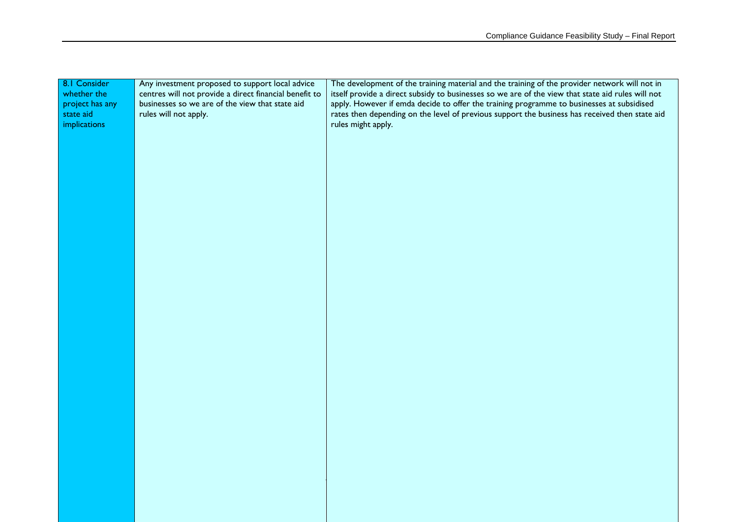| 8.1 Consider    | Any investment proposed to support local advice        | The development of the training material and the training of the provider network will not in     |
|-----------------|--------------------------------------------------------|---------------------------------------------------------------------------------------------------|
| whether the     | centres will not provide a direct financial benefit to | itself provide a direct subsidy to businesses so we are of the view that state aid rules will not |
| project has any | businesses so we are of the view that state aid        | apply. However if emda decide to offer the training programme to businesses at subsidised         |
| state aid       | rules will not apply.                                  | rates then depending on the level of previous support the business has received then state aid    |
| implications    |                                                        | rules might apply.                                                                                |
|                 |                                                        |                                                                                                   |
|                 |                                                        |                                                                                                   |
|                 |                                                        |                                                                                                   |
|                 |                                                        |                                                                                                   |
|                 |                                                        |                                                                                                   |
|                 |                                                        |                                                                                                   |
|                 |                                                        |                                                                                                   |
|                 |                                                        |                                                                                                   |
|                 |                                                        |                                                                                                   |
|                 |                                                        |                                                                                                   |
|                 |                                                        |                                                                                                   |
|                 |                                                        |                                                                                                   |
|                 |                                                        |                                                                                                   |
|                 |                                                        |                                                                                                   |
|                 |                                                        |                                                                                                   |
|                 |                                                        |                                                                                                   |
|                 |                                                        |                                                                                                   |
|                 |                                                        |                                                                                                   |
|                 |                                                        |                                                                                                   |
|                 |                                                        |                                                                                                   |
|                 |                                                        |                                                                                                   |
|                 |                                                        |                                                                                                   |
|                 |                                                        |                                                                                                   |
|                 |                                                        |                                                                                                   |
|                 |                                                        |                                                                                                   |
|                 |                                                        |                                                                                                   |
|                 |                                                        |                                                                                                   |
|                 |                                                        |                                                                                                   |
|                 |                                                        |                                                                                                   |
|                 |                                                        |                                                                                                   |
|                 |                                                        |                                                                                                   |
|                 |                                                        |                                                                                                   |
|                 |                                                        |                                                                                                   |
|                 |                                                        |                                                                                                   |
|                 |                                                        |                                                                                                   |